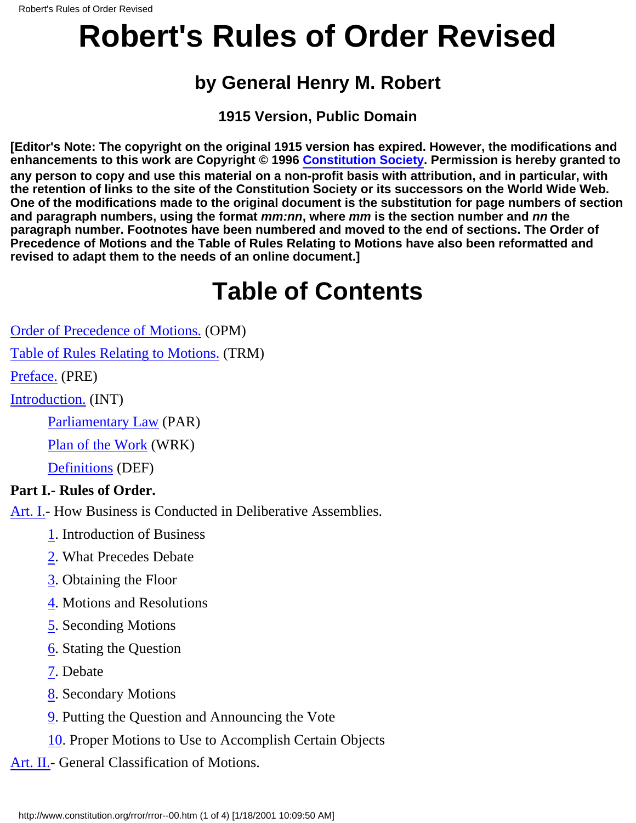# **by General Henry M. Robert**

**1915 Version, Public Domain**

<span id="page-0-0"></span>**[Editor's Note: The copyright on the original 1915 version has expired. However, the modifications and enhancements to this work are Copyright © 1996 [Constitution Society](http://www.constitution.org/). Permission is hereby granted to any person to copy and use this material on a non-profit basis with attribution, and in particular, with the retention of links to the site of the Constitution Society or its successors on the World Wide Web. One of the modifications made to the original document is the substitution for page numbers of section and paragraph numbers, using the format mm:nn, where mm is the section number and nn the paragraph number. Footnotes have been numbered and moved to the end of sections. The Order of Precedence of Motions and the Table of Rules Relating to Motions have also been reformatted and revised to adapt them to the needs of an online document.]**

# **Table of Contents**

[Order of Precedence of Motions.](#page-4-0) (OPM)

[Table of Rules Relating to Motions.](#page-5-0) (TRM)

[Preface.](#page-133-0) (PRE)

[Introduction.](#page-134-0) (INT)

[Parliamentary Law](#page-134-1) (PAR)

[Plan of the Work](#page-136-0) (WRK)

[Definitions](#page-138-0) (DEF)

## **Part I.- Rules of Order.**

Art. I. How Business is Conducted in Deliberative Assemblies.

- 1. Introduction of Business
- 2. What Precedes Debate
- 3. Obtaining the Floor
- [4](#page-41-0). Motions and Resolutions
- [5](#page-42-0). Seconding Motions
- [6](#page-43-0). Stating the Question
- [7](#page-43-1). Debate
- [8](#page-43-2). Secondary Motions
- [9](#page-44-0). Putting the Question and Announcing the Vote
- 10. Proper Motions to Use to Accomplish Certain Objects
- [Art. II.](#page-18-0) General Classification of Motions.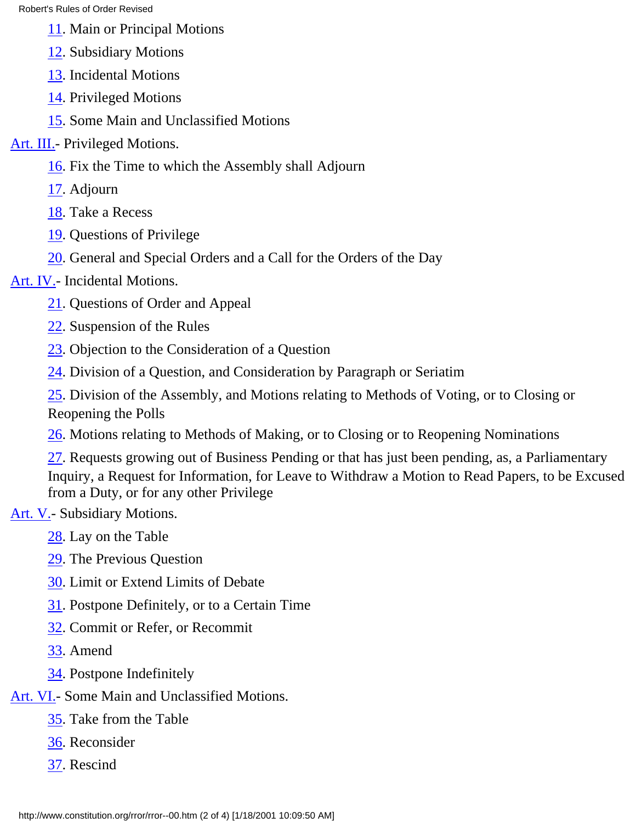- . Main or Principal Motions
- . Subsidiary Motions
- . Incidental Motions
- . Privileged Motions
- . Some Main and Unclassified Motions

### [Art. III.](#page-10-0)- Privileged Motions.

- . Fix the Time to which the Assembly shall Adjourn
- . Adjourn
- . Take a Recess
- . Questions of Privilege
- . General and Special Orders and a Call for the Orders of the Day

### [Art. IV.-](#page-23-0) Incidental Motions.

- . Questions of Order and Appeal
- . Suspension of the Rules
- . Objection to the Consideration of a Question
- . Division of a Question, and Consideration by Paragraph or Seriatim
- . Division of the Assembly, and Motions relating to Methods of Voting, or to Closing or Reopening the Polls
- . Motions relating to Methods of Making, or to Closing or to Reopening Nominations
- . Requests growing out of Business Pending or that has just been pending, as, a Parliamentary Inquiry, a Request for Information, for Leave to Withdraw a Motion to Read Papers, to be Excused from a Duty, or for any other Privilege
- [Art. V.](#page-89-0) Subsidiary Motions.
	- . Lay on the Table
	- . The Previous Question
	- . Limit or Extend Limits of Debate
	- . Postpone Definitely, or to a Certain Time
	- . Commit or Refer, or Recommit
	- . Amend
	- . Postpone Indefinitely
- [Art. VI.-](#page-79-0) Some Main and Unclassified Motions.
	- . Take from the Table
	- . Reconsider
	- . Rescind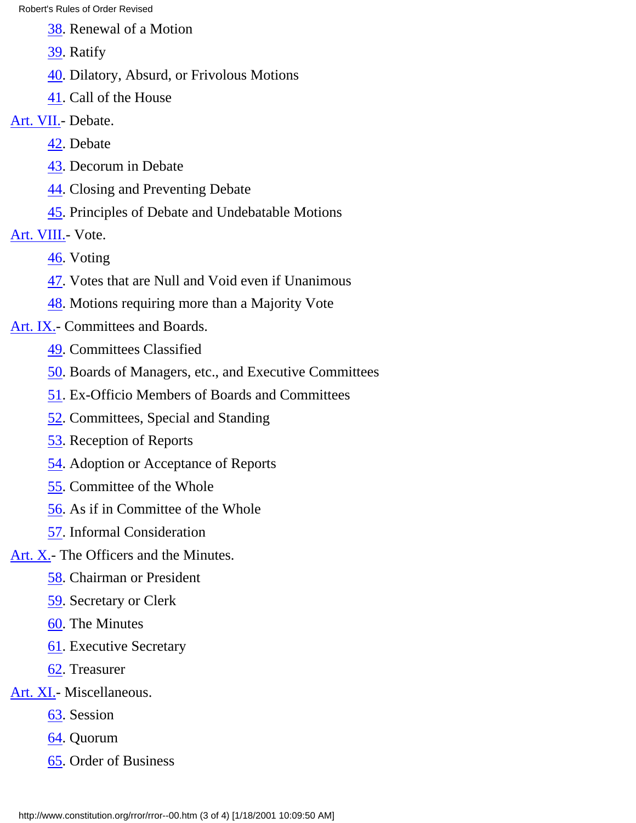- . Renewal of a Motion
- . Ratify
- . Dilatory, Absurd, or Frivolous Motions
- . Call of the House
- [Art. VII.-](#page-33-0) Debate.
	- . Debate
	- . Decorum in Debate
	- . Closing and Preventing Debate
	- . Principles of Debate and Undebatable Motions
- [Art. VIII.](#page-61-0) Vote.
	- . Voting
	- . Votes that are Null and Void even if Unanimous
	- . Motions requiring more than a Majority Vote
- [Art. IX.-](#page-108-0) Committees and Boards.
	- . Committees Classified
	- . Boards of Managers, etc., and Executive Committees
	- . Ex-Officio Members of Boards and Committees
	- . Committees, Special and Standing
	- . Reception of Reports
	- . Adoption or Acceptance of Reports
	- . Committee of the Whole
	- . As if in Committee of the Whole
	- . Informal Consideration
- [Art. X.](#page-120-0) The Officers and the Minutes.
	- . Chairman or President
	- . Secretary or Clerk
	- . The Minutes
	- . Executive Secretary
	- . Treasurer
- [Art. XI.-](#page-70-0) Miscellaneous.
	- . Session
	- . Quorum
	- . Order of Business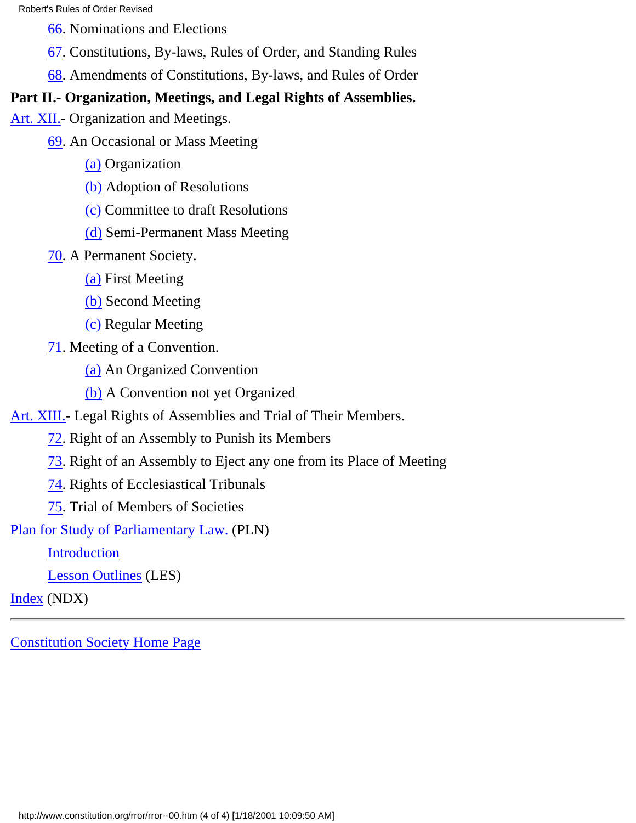- [66](#page-74-0). Nominations and Elections
- [67](#page-74-1). Constitutions, By-laws, Rules of Order, and Standing Rules
- 68. Amendments of Constitutions, By-laws, and Rules of Order

## **Part II.- Organization, Meetings, and Legal Rights of Assemblies.**

[Art. XII.-](#page-49-0) Organization and Meetings.

- [69](#page-49-1). An Occasional or Mass Meeting
	- [\(a\)](#page-49-1) Organization
	- [\(b\)](#page-50-0) Adoption of Resolutions
	- [\(c\)](#page-51-0) Committee to draft Resolutions
	- [\(d\)](#page-52-0) Semi-Permanent Mass Meeting
- [70](#page-53-0). A Permanent Society.
	- [\(a\)](#page-53-0) First Meeting
	- [\(b\)](#page-54-0) Second Meeting
	- [\(c\)](#page-56-0) Regular Meeting
- [71](#page-57-0). Meeting of a Convention.
	- [\(a\)](#page-57-0) An Organized Convention
	- [\(b\)](#page-58-0) A Convention not yet Organized
- [Art. XIII.](#page-129-0) Legal Rights of Assemblies and Trial of Their Members.
	- [72](#page-129-1). Right of an Assembly to Punish its Members
	- [73](#page-129-2). Right of an Assembly to Eject any one from its Place of Meeting
	- [74](#page-129-3). Rights of Ecclesiastical Tribunals
	- [75](#page-130-0). Trial of Members of Societies
- [Plan for Study of Parliamentary Law.](#page-141-0) (PLN)

[Introduction](#page-141-0)

Lesson Outlines (LES)

[Index](#page-147-0) (NDX)

[Constitution Society Home Page](http://www.constitution.org/)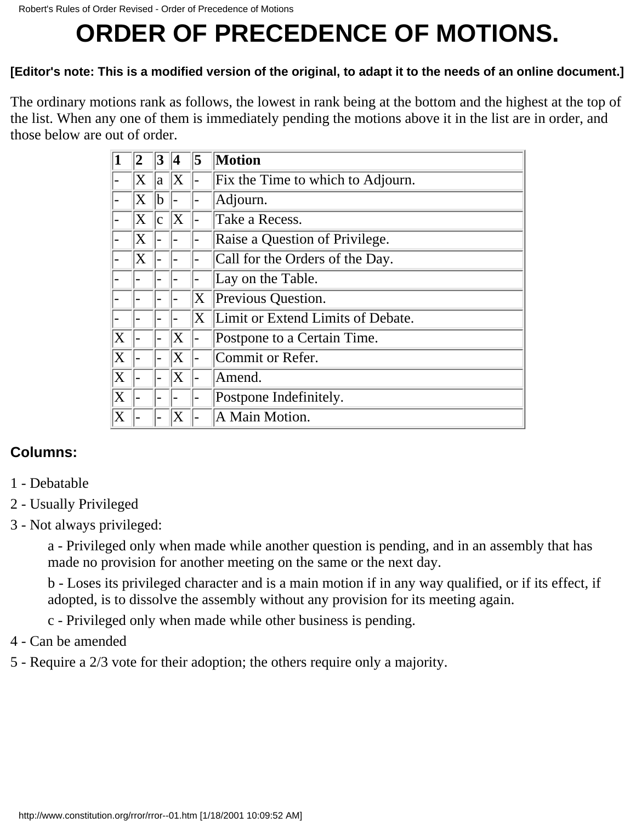# **ORDER OF PRECEDENCE OF MOTIONS.**

### <span id="page-4-0"></span>**[Editor's note: This is a modified version of the original, to adapt it to the needs of an online document.]**

The ordinary motions rank as follows, the lowest in rank being at the bottom and the highest at the top of the list. When any one of them is immediately pending the motions above it in the list are in order, and those below are out of order.

|                           |         | $\bf{3}$     | 14      | $\vert 5 \vert$ | <b>Motion</b>                     |
|---------------------------|---------|--------------|---------|-----------------|-----------------------------------|
|                           | X       | <sub>a</sub> | X       |                 | Fix the Time to which to Adjourn. |
|                           |         | b            |         |                 | Adjourn.                          |
|                           | $\rm X$ | c            | X       |                 | Take a Recess.                    |
|                           |         |              |         |                 | Raise a Question of Privilege.    |
|                           | X       |              |         |                 | Call for the Orders of the Day.   |
|                           |         |              |         |                 | Lay on the Table.                 |
|                           |         |              |         | $ {\rm X} $     | Previous Question.                |
|                           |         |              |         | $ {\rm X} $     | Limit or Extend Limits of Debate. |
| ΙX                        |         |              | X       |                 | Postpone to a Certain Time.       |
| ΙX                        |         |              | ΙX      |                 | Commit or Refer.                  |
| X                         |         |              | X       |                 | Amend.                            |
| $\vert \mathrm{X} \vert$  |         |              |         |                 | Postpone Indefinitely.            |
| $\boldsymbol{\mathrm{X}}$ |         |              | $\rm X$ |                 | A Main Motion.                    |

## **Columns:**

- 1 Debatable
- 2 Usually Privileged
- 3 Not always privileged:

a - Privileged only when made while another question is pending, and in an assembly that has made no provision for another meeting on the same or the next day.

b - Loses its privileged character and is a main motion if in any way qualified, or if its effect, if adopted, is to dissolve the assembly without any provision for its meeting again.

c - Privileged only when made while other business is pending.

- 4 Can be amended
- 5 Require a 2/3 vote for their adoption; the others require only a majority.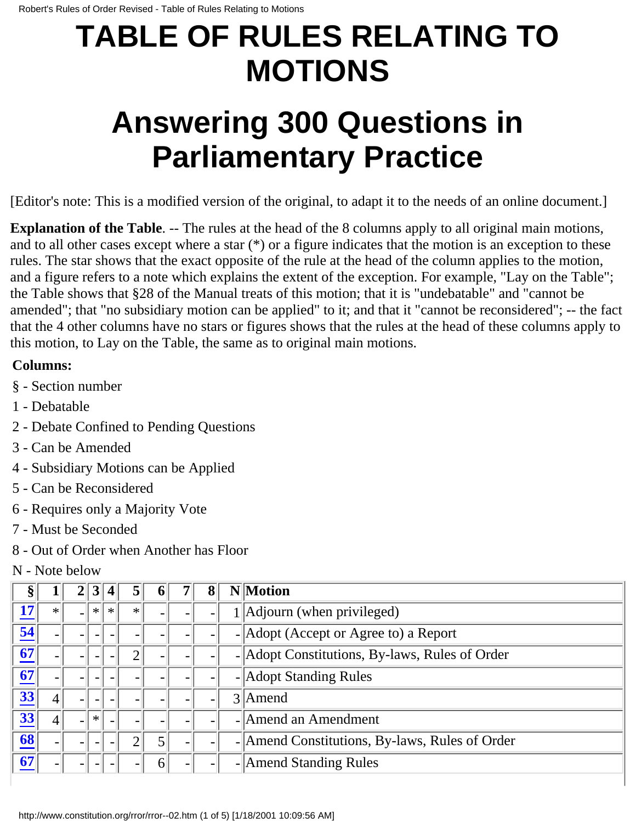# <span id="page-5-0"></span>**TABLE OF RULES RELATING TO MOTIONS**

# **Answering 300 Questions in Parliamentary Practice**

[Editor's note: This is a modified version of the original, to adapt it to the needs of an online document.]

**Explanation of the Table.** -- The rules at the head of the 8 columns apply to all original main motions, and to all other cases except where a star (\*) or a figure indicates that the motion is an exception to these rules. The star shows that the exact opposite of the rule at the head of the column applies to the motion, and a figure refers to a note which explains the extent of the exception. For example, "Lay on the Table"; the Table shows that §28 of the Manual treats of this motion; that it is "undebatable" and "cannot be amended"; that "no subsidiary motion can be applied" to it; and that it "cannot be reconsidered"; -- the fact that the 4 other columns have no stars or figures shows that the rules at the head of these columns apply to this motion, to Lay on the Table, the same as to original main motions.

## **Columns:**

- § Section number
- 1 Debatable
- 2 Debate Confined to Pending Questions
- 3 Can be Amended
- 4 Subsidiary Motions can be Applied
- 5 Can be Reconsidered
- 6 Requires only a Majority Vote
- 7 Must be Seconded
- 8 Out of Order when Another has Floor
- N Note below

| Š         |                |   | 3 <sup>1</sup> | 4      |                |   | 8 | <b>N</b> Motion                                |
|-----------|----------------|---|----------------|--------|----------------|---|---|------------------------------------------------|
| <b>17</b> | $\ast$         |   | $\ast$         | $\ast$ | $\ast$         |   |   | $1$  Adjourn (when privileged)                 |
| 54        |                |   |                |        |                |   |   | - Adopt (Accept or Agree to) a Report          |
| 67        |                |   |                |        | $\overline{2}$ |   |   | - Adopt Constitutions, By-laws, Rules of Order |
| 67        |                |   |                |        |                |   |   | - Adopt Standing Rules                         |
| 33        | $\overline{4}$ | - |                |        |                |   |   | $3$ Amend                                      |
| 33        | 4              |   | $\ast$         |        |                |   |   | - Amend an Amendment                           |
| 68        |                |   |                |        | ↑              | 5 |   | - Amend Constitutions, By-laws, Rules of Order |
| 67        |                |   |                |        |                | 6 |   | - Amend Standing Rules                         |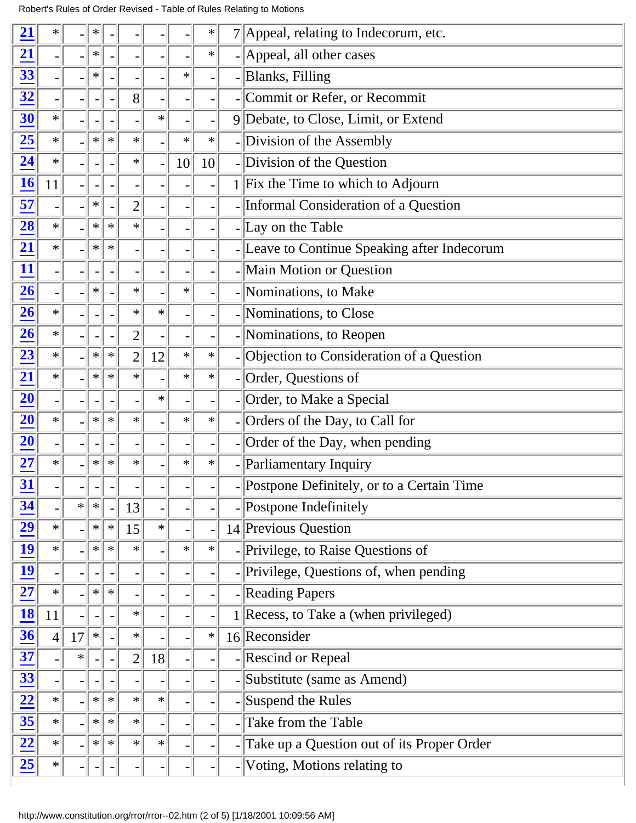#### Robert's Rules of Order Revised - Table of Rules Relating to Motions

| <u>21</u>                 | $\ast$ |                          | $\ast$                   |        |                |        |        | $\ast$                   | $\overline{7}$ | Appeal, relating to Indecorum, etc.          |
|---------------------------|--------|--------------------------|--------------------------|--------|----------------|--------|--------|--------------------------|----------------|----------------------------------------------|
| $\underline{\mathbf{21}}$ |        | -                        | $\ast$                   |        |                |        |        | $\ast$                   |                | Appeal, all other cases                      |
| $\frac{33}{5}$            |        |                          | ∗                        |        |                |        | $\ast$ |                          |                | Blanks, Filling                              |
| $\frac{32}{1}$            |        | $\qquad \qquad -$        | $\overline{\phantom{a}}$ |        | 8              |        |        | -                        |                | Commit or Refer, or Recommit                 |
| 30                        | $\ast$ |                          |                          |        |                | $\ast$ |        |                          |                | 9 Debate, to Close, Limit, or Extend         |
| $\frac{25}{5}$            | $\ast$ |                          | $\ast$                   | $\ast$ | $\ast$         |        | $\ast$ | $\ast$                   |                | Division of the Assembly                     |
| $\overline{24}$           | $\ast$ |                          |                          |        | $\ast$         |        | 10     | 10                       |                | -Division of the Question                    |
| <b>16</b>                 | 11     | $\overline{\phantom{a}}$ | $\qquad \qquad$          |        |                |        |        | $\overline{\phantom{a}}$ |                | $1$ Fix the Time to which to Adjourn         |
| 57                        |        |                          | $\ast$                   |        | $\overline{2}$ |        |        |                          |                | - Informal Consideration of a Question       |
| $\frac{28}{5}$            | $\ast$ |                          | $\ast$                   | $\ast$ | $\ast$         |        |        | -                        |                | $- $ Lay on the Table                        |
| <u>21</u>                 | $\ast$ |                          | $\ast$                   | $\ast$ |                |        |        |                          |                | - Leave to Continue Speaking after Indecorum |
| $\overline{11}$           |        |                          |                          |        |                |        |        | -                        |                | Main Motion or Question                      |
| $\frac{26}{5}$            |        |                          | $\ast$                   |        | $\ast$         |        | $\ast$ |                          |                | Nominations, to Make                         |
| 26                        | $\ast$ |                          |                          |        | ∗              | $\ast$ |        |                          |                | Nominations, to Close                        |
| $\frac{26}{5}$            | $\ast$ |                          |                          |        | $\overline{2}$ |        |        |                          |                | -Nominations, to Reopen                      |
| $\overline{23}$           | $\ast$ |                          | $\ast$                   | $\ast$ | $\overline{2}$ | 12     | $\ast$ | $\ast$                   |                | - Objection to Consideration of a Question   |
| <b>21</b>                 | $\ast$ |                          | $\ast$                   | $\ast$ | $\ast$         |        | $\ast$ | $\ast$                   |                | Order, Questions of                          |
| <b>20</b>                 |        |                          |                          |        |                | ∗      |        |                          |                | Order, to Make a Special                     |
| <b>20</b>                 | $\ast$ |                          | $\ast$                   | $\ast$ | $\ast$         |        | $\ast$ | $\ast$                   |                | Orders of the Day, to Call for               |
| <b>20</b>                 |        |                          |                          |        |                |        |        | -                        |                | Order of the Day, when pending               |
| 27                        | $\ast$ |                          | $\ast$                   | $\ast$ | $\ast$         |        | $\ast$ | $\ast$                   |                | Parliamentary Inquiry                        |
| 31                        |        |                          |                          |        |                |        |        |                          |                | Postpone Definitely, or to a Certain Time    |
| $\frac{34}{5}$            |        | $\ast$                   | $\ast$                   |        | 13             |        |        |                          |                | Postpone Indefinitely                        |
| $\underline{\mathbf{29}}$ | $\ast$ |                          | $\ast$                   | $\ast$ | 15             | $\ast$ |        | $\qquad \qquad -$        |                | 14 Previous Question                         |
| $\overline{19}$           | $\ast$ |                          | $\ast$                   | $\ast$ | ∗              |        | $\ast$ | $\ast$                   |                | - Privilege, to Raise Questions of           |
| <u>19</u>                 |        |                          |                          |        |                |        |        |                          |                | Privilege, Questions of, when pending        |
| $\overline{27}$           | $\ast$ |                          | $\ast$                   | $\ast$ |                |        |        |                          |                | -Reading Papers                              |
| <u>18</u>                 | 11     |                          |                          |        | ∗              |        |        | -                        |                | $1$ Recess, to Take a (when privileged)      |
| $\frac{36}{5}$            | 4      | 17                       | $\ast$                   |        | $\ast$         |        |        | $\ast$                   |                | 16 Reconsider                                |
| 37                        |        | $\ast$                   |                          |        | $\overline{2}$ | 18     |        |                          |                | <b>Rescind or Repeal</b>                     |
| $\frac{33}{5}$            |        |                          |                          |        |                |        |        |                          |                | Substitute (same as Amend)                   |
| $\overline{22}$           | $\ast$ |                          | $\ast$                   | $\ast$ | $\ast$         | $\ast$ |        | $\overline{\phantom{a}}$ |                | Suspend the Rules                            |
| $\frac{35}{5}$            | $\ast$ |                          | $\ast$                   | $\ast$ | $\ast$         |        |        |                          |                | Take from the Table                          |
| $\overline{22}$           | $\ast$ |                          | $\ast$                   | $\ast$ | $\ast$         | $\ast$ |        |                          |                | Take up a Question out of its Proper Order   |
| $\overline{25}$           | $\ast$ |                          |                          |        |                |        |        |                          | $\overline{a}$ | Voting, Motions relating to                  |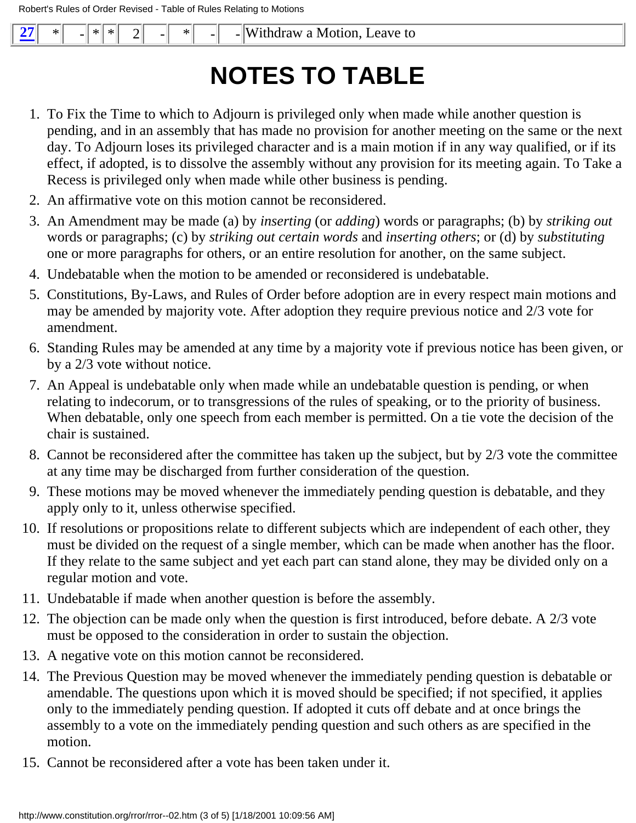$\mathbb{R}$  -  $\mathbb{R}$   $\mathbb{R}$   $\mathbb{R}$  2 -  $\mathbb{R}$   $\mathbb{R}$  -  $\mathbb{R}$  - Withdraw a Motion, Leave to

# **NOTES TO TABLE**

- 1. To Fix the Time to which to Adjourn is privileged only when made while another question is pending, and in an assembly that has made no provision for another meeting on the same or the next day. To Adjourn loses its privileged character and is a main motion if in any way qualified, or if its effect, if adopted, is to dissolve the assembly without any provision for its meeting again. To Take a Recess is privileged only when made while other business is pending.
- 2. An affirmative vote on this motion cannot be reconsidered.
- An Amendment may be made (a) by *inserting* (or *adding*) words or paragraphs; (b) by *striking out* 3. words or paragraphs; (c) by *striking out certain words* and *inserting others*; or (d) by *substituting* one or more paragraphs for others, or an entire resolution for another, on the same subject.
- 4. Undebatable when the motion to be amended or reconsidered is undebatable.
- 5. Constitutions, By-Laws, and Rules of Order before adoption are in every respect main motions and may be amended by majority vote. After adoption they require previous notice and 2/3 vote for amendment.
- Standing Rules may be amended at any time by a majority vote if previous notice has been given, or 6. by a 2/3 vote without notice.
- 7. An Appeal is undebatable only when made while an undebatable question is pending, or when relating to indecorum, or to transgressions of the rules of speaking, or to the priority of business. When debatable, only one speech from each member is permitted. On a tie vote the decision of the chair is sustained.
- Cannot be reconsidered after the committee has taken up the subject, but by 2/3 vote the committee 8. at any time may be discharged from further consideration of the question.
- These motions may be moved whenever the immediately pending question is debatable, and they 9. apply only to it, unless otherwise specified.
- 10. If resolutions or propositions relate to different subjects which are independent of each other, they must be divided on the request of a single member, which can be made when another has the floor. If they relate to the same subject and yet each part can stand alone, they may be divided only on a regular motion and vote.
- 11. Undebatable if made when another question is before the assembly.
- 12. The objection can be made only when the question is first introduced, before debate. A 2/3 vote must be opposed to the consideration in order to sustain the objection.
- 13. A negative vote on this motion cannot be reconsidered.
- The Previous Question may be moved whenever the immediately pending question is debatable or 14. amendable. The questions upon which it is moved should be specified; if not specified, it applies only to the immediately pending question. If adopted it cuts off debate and at once brings the assembly to a vote on the immediately pending question and such others as are specified in the motion.
- 15. Cannot be reconsidered after a vote has been taken under it.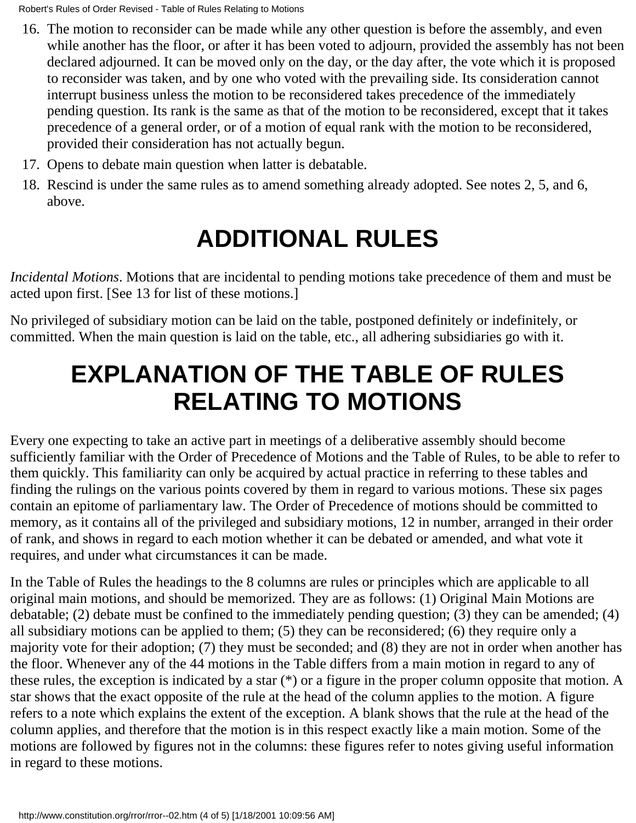Robert's Rules of Order Revised - Table of Rules Relating to Motions

- 16. The motion to reconsider can be made while any other question is before the assembly, and even while another has the floor, or after it has been voted to adjourn, provided the assembly has not been declared adjourned. It can be moved only on the day, or the day after, the vote which it is proposed to reconsider was taken, and by one who voted with the prevailing side. Its consideration cannot interrupt business unless the motion to be reconsidered takes precedence of the immediately pending question. Its rank is the same as that of the motion to be reconsidered, except that it takes precedence of a general order, or of a motion of equal rank with the motion to be reconsidered, provided their consideration has not actually begun.
- 17. Opens to debate main question when latter is debatable.
- 18. Rescind is under the same rules as to amend something already adopted. See notes 2, 5, and 6, above.

# **ADDITIONAL RULES**

*Incidental Motions*. Motions that are incidental to pending motions take precedence of them and must be acted upon first. [See 13 for list of these motions.]

No privileged of subsidiary motion can be laid on the table, postponed definitely or indefinitely, or committed. When the main question is laid on the table, etc., all adhering subsidiaries go with it.

# **EXPLANATION OF THE TABLE OF RULES RELATING TO MOTIONS**

Every one expecting to take an active part in meetings of a deliberative assembly should become sufficiently familiar with the Order of Precedence of Motions and the Table of Rules, to be able to refer to them quickly. This familiarity can only be acquired by actual practice in referring to these tables and finding the rulings on the various points covered by them in regard to various motions. These six pages contain an epitome of parliamentary law. The Order of Precedence of motions should be committed to memory, as it contains all of the privileged and subsidiary motions, 12 in number, arranged in their order of rank, and shows in regard to each motion whether it can be debated or amended, and what vote it requires, and under what circumstances it can be made.

In the Table of Rules the headings to the 8 columns are rules or principles which are applicable to all original main motions, and should be memorized. They are as follows: (1) Original Main Motions are debatable; (2) debate must be confined to the immediately pending question; (3) they can be amended; (4) all subsidiary motions can be applied to them; (5) they can be reconsidered; (6) they require only a majority vote for their adoption; (7) they must be seconded; and (8) they are not in order when another has the floor. Whenever any of the 44 motions in the Table differs from a main motion in regard to any of these rules, the exception is indicated by a star (\*) or a figure in the proper column opposite that motion. A star shows that the exact opposite of the rule at the head of the column applies to the motion. A figure refers to a note which explains the extent of the exception. A blank shows that the rule at the head of the column applies, and therefore that the motion is in this respect exactly like a main motion. Some of the motions are followed by figures not in the columns: these figures refer to notes giving useful information in regard to these motions.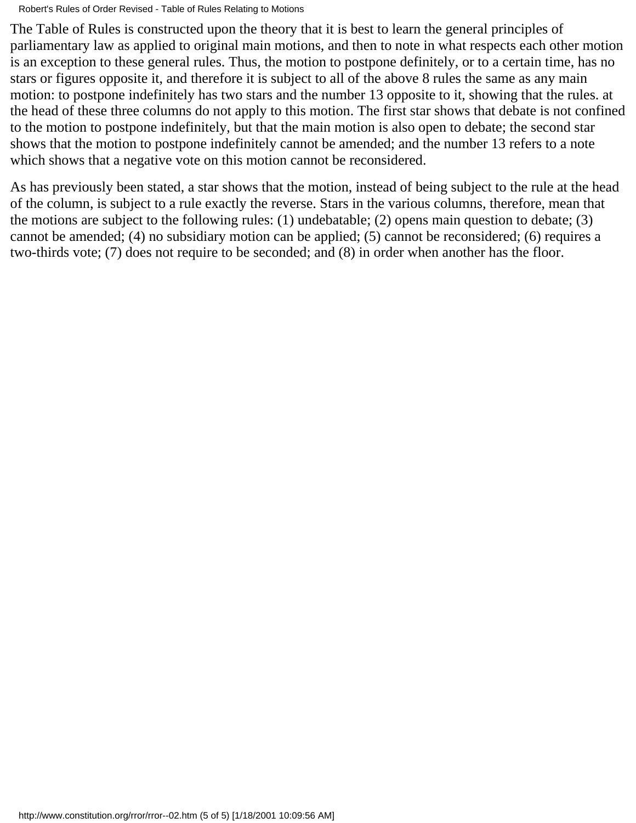#### Robert's Rules of Order Revised - Table of Rules Relating to Motions

The Table of Rules is constructed upon the theory that it is best to learn the general principles of parliamentary law as applied to original main motions, and then to note in what respects each other motion is an exception to these general rules. Thus, the motion to postpone definitely, or to a certain time, has no stars or figures opposite it, and therefore it is subject to all of the above 8 rules the same as any main motion: to postpone indefinitely has two stars and the number 13 opposite to it, showing that the rules. at the head of these three columns do not apply to this motion. The first star shows that debate is not confined to the motion to postpone indefinitely, but that the main motion is also open to debate; the second star shows that the motion to postpone indefinitely cannot be amended; and the number 13 refers to a note which shows that a negative vote on this motion cannot be reconsidered.

As has previously been stated, a star shows that the motion, instead of being subject to the rule at the head of the column, is subject to a rule exactly the reverse. Stars in the various columns, therefore, mean that the motions are subject to the following rules: (1) undebatable; (2) opens main question to debate; (3) cannot be amended; (4) no subsidiary motion can be applied; (5) cannot be reconsidered; (6) requires a two-thirds vote; (7) does not require to be seconded; and (8) in order when another has the floor.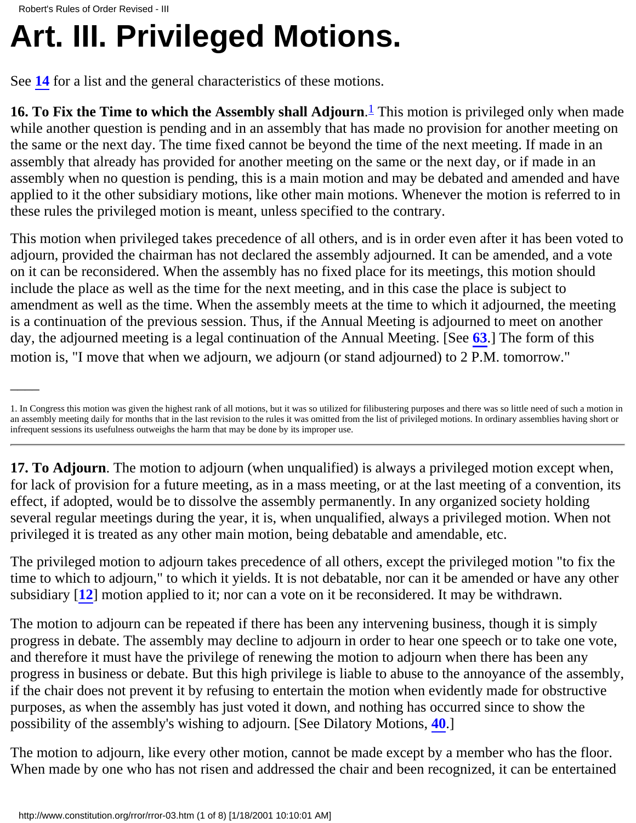\_\_\_\_

# <span id="page-10-0"></span>**Art. III. Privileged Motions.**

See **14** for a list and the general characteristics of these motions.

**16. To Fix the Time to which the Assembly shall Adjourn**. [1](#page-10-2) This motion is privileged only when made while another question is pending and in an assembly that has made no provision for another meeting on the same or the next day. The time fixed cannot be beyond the time of the next meeting. If made in an assembly that already has provided for another meeting on the same or the next day, or if made in an assembly when no question is pending, this is a main motion and may be debated and amended and have applied to it the other subsidiary motions, like other main motions. Whenever the motion is referred to in these rules the privileged motion is meant, unless specified to the contrary.

This motion when privileged takes precedence of all others, and is in order even after it has been voted to adjourn, provided the chairman has not declared the assembly adjourned. It can be amended, and a vote on it can be reconsidered. When the assembly has no fixed place for its meetings, this motion should include the place as well as the time for the next meeting, and in this case the place is subject to amendment as well as the time. When the assembly meets at the time to which it adjourned, the meeting is a continuation of the previous session. Thus, if the Annual Meeting is adjourned to meet on another day, the adjourned meeting is a legal continuation of the Annual Meeting. [See **[63](#page-70-1)**.] The form of this motion is, "I move that when we adjourn, we adjourn (or stand adjourned) to 2 P.M. tomorrow."

<span id="page-10-1"></span>**17. To Adjourn**. The motion to adjourn (when unqualified) is always a privileged motion except when, for lack of provision for a future meeting, as in a mass meeting, or at the last meeting of a convention, its effect, if adopted, would be to dissolve the assembly permanently. In any organized society holding several regular meetings during the year, it is, when unqualified, always a privileged motion. When not privileged it is treated as any other main motion, being debatable and amendable, etc.

The privileged motion to adjourn takes precedence of all others, except the privileged motion "to fix the time to which to adjourn," to which it yields. It is not debatable, nor can it be amended or have any other subsidiary [**12**] motion applied to it; nor can a vote on it be reconsidered. It may be withdrawn.

The motion to adjourn can be repeated if there has been any intervening business, though it is simply progress in debate. The assembly may decline to adjourn in order to hear one speech or to take one vote, and therefore it must have the privilege of renewing the motion to adjourn when there has been any progress in business or debate. But this high privilege is liable to abuse to the annoyance of the assembly, if the chair does not prevent it by refusing to entertain the motion when evidently made for obstructive purposes, as when the assembly has just voted it down, and nothing has occurred since to show the possibility of the assembly's wishing to adjourn. [See Dilatory Motions, **[40](#page-85-1)**.]

The motion to adjourn, like every other motion, cannot be made except by a member who has the floor. When made by one who has not risen and addressed the chair and been recognized, it can be entertained

<span id="page-10-2"></span><sup>1.</sup> In Congress this motion was given the highest rank of all motions, but it was so utilized for filibustering purposes and there was so little need of such a motion in an assembly meeting daily for months that in the last revision to the rules it was omitted from the list of privileged motions. In ordinary assemblies having short or infrequent sessions its usefulness outweighs the harm that may be done by its improper use.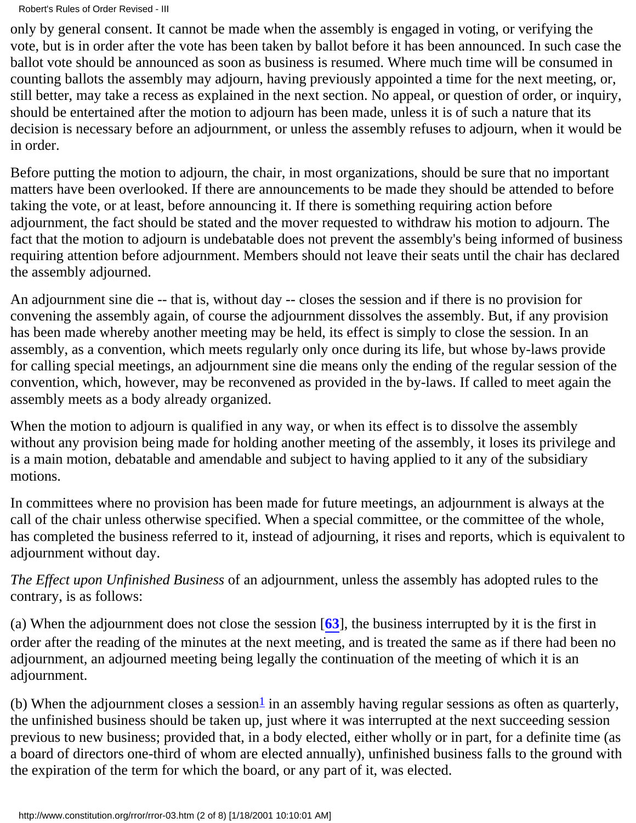only by general consent. It cannot be made when the assembly is engaged in voting, or verifying the vote, but is in order after the vote has been taken by ballot before it has been announced. In such case the ballot vote should be announced as soon as business is resumed. Where much time will be consumed in counting ballots the assembly may adjourn, having previously appointed a time for the next meeting, or, still better, may take a recess as explained in the next section. No appeal, or question of order, or inquiry, should be entertained after the motion to adjourn has been made, unless it is of such a nature that its decision is necessary before an adjournment, or unless the assembly refuses to adjourn, when it would be in order.

Before putting the motion to adjourn, the chair, in most organizations, should be sure that no important matters have been overlooked. If there are announcements to be made they should be attended to before taking the vote, or at least, before announcing it. If there is something requiring action before adjournment, the fact should be stated and the mover requested to withdraw his motion to adjourn. The fact that the motion to adjourn is undebatable does not prevent the assembly's being informed of business requiring attention before adjournment. Members should not leave their seats until the chair has declared the assembly adjourned.

An adjournment sine die -- that is, without day -- closes the session and if there is no provision for convening the assembly again, of course the adjournment dissolves the assembly. But, if any provision has been made whereby another meeting may be held, its effect is simply to close the session. In an assembly, as a convention, which meets regularly only once during its life, but whose by-laws provide for calling special meetings, an adjournment sine die means only the ending of the regular session of the convention, which, however, may be reconvened as provided in the by-laws. If called to meet again the assembly meets as a body already organized.

When the motion to adjourn is qualified in any way, or when its effect is to dissolve the assembly without any provision being made for holding another meeting of the assembly, it loses its privilege and is a main motion, debatable and amendable and subject to having applied to it any of the subsidiary motions.

In committees where no provision has been made for future meetings, an adjournment is always at the call of the chair unless otherwise specified. When a special committee, or the committee of the whole, has completed the business referred to it, instead of adjourning, it rises and reports, which is equivalent to adjournment without day.

*The Effect upon Unfinished Business* of an adjournment, unless the assembly has adopted rules to the contrary, is as follows:

(a) When the adjournment does not close the session [**[63](#page-70-1)**], the business interrupted by it is the first in order after the reading of the minutes at the next meeting, and is treated the same as if there had been no adjournment, an adjourned meeting being legally the continuation of the meeting of which it is an adjournment.

(b) When the adjournment closes a session<sup>[1](#page-12-2)</sup> in an assembly having regular sessions as often as quarterly, the unfinished business should be taken up, just where it was interrupted at the next succeeding session previous to new business; provided that, in a body elected, either wholly or in part, for a definite time (as a board of directors one-third of whom are elected annually), unfinished business falls to the ground with the expiration of the term for which the board, or any part of it, was elected.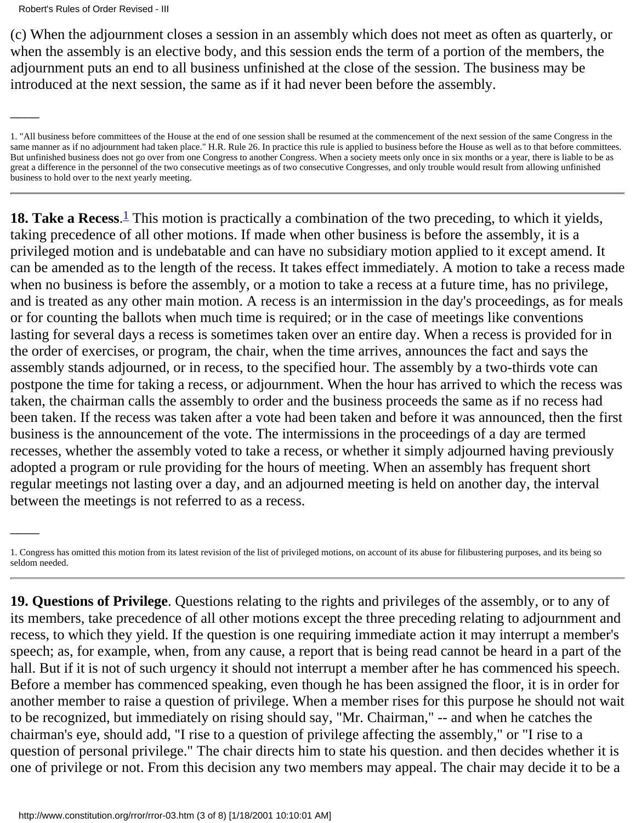$\overline{\phantom{a}}$ 

\_\_\_\_

(c) When the adjournment closes a session in an assembly which does not meet as often as quarterly, or when the assembly is an elective body, and this session ends the term of a portion of the members, the adjournment puts an end to all business unfinished at the close of the session. The business may be introduced at the next session, the same as if it had never been before the assembly.

<span id="page-12-0"></span>**18. Take a Recess.**<sup>1</sup> This motion is practically a combination of the two preceding, to which it yields, taking precedence of all other motions. If made when other business is before the assembly, it is a privileged motion and is undebatable and can have no subsidiary motion applied to it except amend. It can be amended as to the length of the recess. It takes effect immediately. A motion to take a recess made when no business is before the assembly, or a motion to take a recess at a future time, has no privilege, and is treated as any other main motion. A recess is an intermission in the day's proceedings, as for meals or for counting the ballots when much time is required; or in the case of meetings like conventions lasting for several days a recess is sometimes taken over an entire day. When a recess is provided for in the order of exercises, or program, the chair, when the time arrives, announces the fact and says the assembly stands adjourned, or in recess, to the specified hour. The assembly by a two-thirds vote can postpone the time for taking a recess, or adjournment. When the hour has arrived to which the recess was taken, the chairman calls the assembly to order and the business proceeds the same as if no recess had been taken. If the recess was taken after a vote had been taken and before it was announced, then the first business is the announcement of the vote. The intermissions in the proceedings of a day are termed recesses, whether the assembly voted to take a recess, or whether it simply adjourned having previously adopted a program or rule providing for the hours of meeting. When an assembly has frequent short regular meetings not lasting over a day, and an adjourned meeting is held on another day, the interval between the meetings is not referred to as a recess.

<span id="page-12-1"></span>**19. Questions of Privilege**. Questions relating to the rights and privileges of the assembly, or to any of its members, take precedence of all other motions except the three preceding relating to adjournment and recess, to which they yield. If the question is one requiring immediate action it may interrupt a member's speech; as, for example, when, from any cause, a report that is being read cannot be heard in a part of the hall. But if it is not of such urgency it should not interrupt a member after he has commenced his speech. Before a member has commenced speaking, even though he has been assigned the floor, it is in order for another member to raise a question of privilege. When a member rises for this purpose he should not wait to be recognized, but immediately on rising should say, "Mr. Chairman," -- and when he catches the chairman's eye, should add, "I rise to a question of privilege affecting the assembly," or "I rise to a question of personal privilege." The chair directs him to state his question. and then decides whether it is one of privilege or not. From this decision any two members may appeal. The chair may decide it to be a

<span id="page-12-2"></span><sup>1. &</sup>quot;All business before committees of the House at the end of one session shall be resumed at the commencement of the next session of the same Congress in the same manner as if no adjournment had taken place." H.R. Rule 26. In practice this rule is applied to business before the House as well as to that before committees. But unfinished business does not go over from one Congress to another Congress. When a society meets only once in six months or a year, there is liable to be as great a difference in the personnel of the two consecutive meetings as of two consecutive Congresses, and only trouble would result from allowing unfinished business to hold over to the next yearly meeting.

<span id="page-12-3"></span><sup>1.</sup> Congress has omitted this motion from its latest revision of the list of privileged motions, on account of its abuse for filibustering purposes, and its being so seldom needed.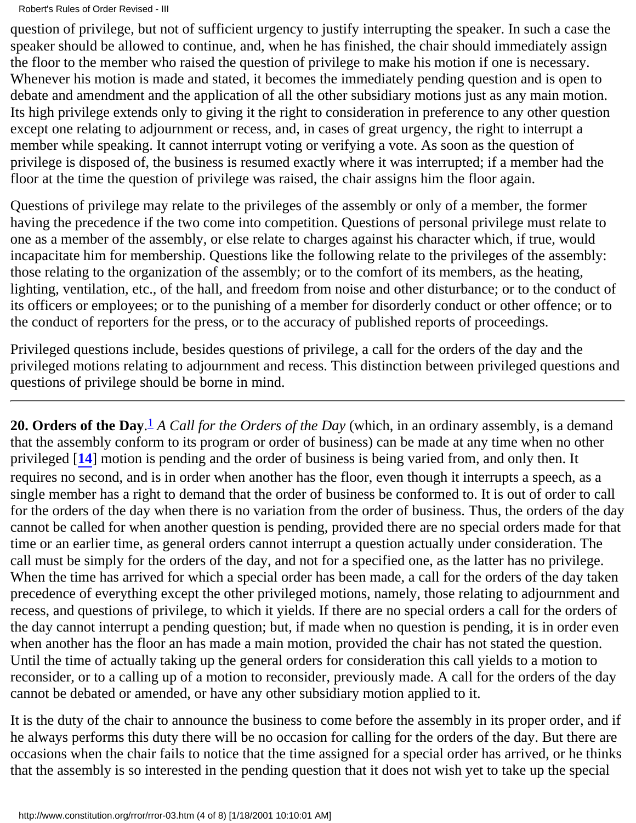question of privilege, but not of sufficient urgency to justify interrupting the speaker. In such a case the speaker should be allowed to continue, and, when he has finished, the chair should immediately assign the floor to the member who raised the question of privilege to make his motion if one is necessary. Whenever his motion is made and stated, it becomes the immediately pending question and is open to debate and amendment and the application of all the other subsidiary motions just as any main motion. Its high privilege extends only to giving it the right to consideration in preference to any other question except one relating to adjournment or recess, and, in cases of great urgency, the right to interrupt a member while speaking. It cannot interrupt voting or verifying a vote. As soon as the question of privilege is disposed of, the business is resumed exactly where it was interrupted; if a member had the floor at the time the question of privilege was raised, the chair assigns him the floor again.

Questions of privilege may relate to the privileges of the assembly or only of a member, the former having the precedence if the two come into competition. Questions of personal privilege must relate to one as a member of the assembly, or else relate to charges against his character which, if true, would incapacitate him for membership. Questions like the following relate to the privileges of the assembly: those relating to the organization of the assembly; or to the comfort of its members, as the heating, lighting, ventilation, etc., of the hall, and freedom from noise and other disturbance; or to the conduct of its officers or employees; or to the punishing of a member for disorderly conduct or other offence; or to the conduct of reporters for the press, or to the accuracy of published reports of proceedings.

Privileged questions include, besides questions of privilege, a call for the orders of the day and the privileged motions relating to adjournment and recess. This distinction between privileged questions and questions of privilege should be borne in mind.

<span id="page-13-0"></span>**20. Orders of the Day**. [1](#page-16-0) *A Call for the Orders of the Day* (which, in an ordinary assembly, is a demand that the assembly conform to its program or order of business) can be made at any time when no other privileged [**14**] motion is pending and the order of business is being varied from, and only then. It requires no second, and is in order when another has the floor, even though it interrupts a speech, as a single member has a right to demand that the order of business be conformed to. It is out of order to call for the orders of the day when there is no variation from the order of business. Thus, the orders of the day cannot be called for when another question is pending, provided there are no special orders made for that time or an earlier time, as general orders cannot interrupt a question actually under consideration. The call must be simply for the orders of the day, and not for a specified one, as the latter has no privilege. When the time has arrived for which a special order has been made, a call for the orders of the day taken precedence of everything except the other privileged motions, namely, those relating to adjournment and recess, and questions of privilege, to which it yields. If there are no special orders a call for the orders of the day cannot interrupt a pending question; but, if made when no question is pending, it is in order even when another has the floor an has made a main motion, provided the chair has not stated the question. Until the time of actually taking up the general orders for consideration this call yields to a motion to reconsider, or to a calling up of a motion to reconsider, previously made. A call for the orders of the day cannot be debated or amended, or have any other subsidiary motion applied to it.

It is the duty of the chair to announce the business to come before the assembly in its proper order, and if he always performs this duty there will be no occasion for calling for the orders of the day. But there are occasions when the chair fails to notice that the time assigned for a special order has arrived, or he thinks that the assembly is so interested in the pending question that it does not wish yet to take up the special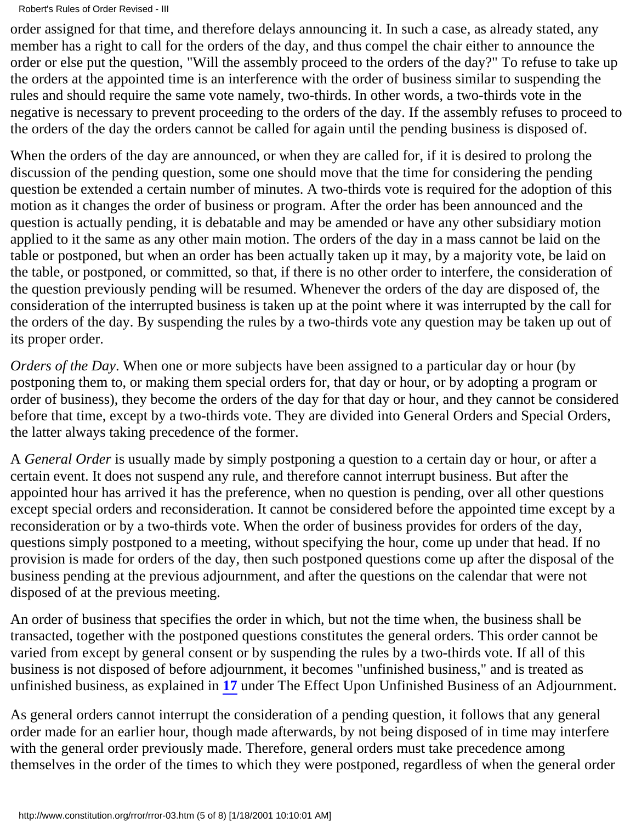order assigned for that time, and therefore delays announcing it. In such a case, as already stated, any member has a right to call for the orders of the day, and thus compel the chair either to announce the order or else put the question, "Will the assembly proceed to the orders of the day?" To refuse to take up the orders at the appointed time is an interference with the order of business similar to suspending the rules and should require the same vote namely, two-thirds. In other words, a two-thirds vote in the negative is necessary to prevent proceeding to the orders of the day. If the assembly refuses to proceed to the orders of the day the orders cannot be called for again until the pending business is disposed of.

When the orders of the day are announced, or when they are called for, if it is desired to prolong the discussion of the pending question, some one should move that the time for considering the pending question be extended a certain number of minutes. A two-thirds vote is required for the adoption of this motion as it changes the order of business or program. After the order has been announced and the question is actually pending, it is debatable and may be amended or have any other subsidiary motion applied to it the same as any other main motion. The orders of the day in a mass cannot be laid on the table or postponed, but when an order has been actually taken up it may, by a majority vote, be laid on the table, or postponed, or committed, so that, if there is no other order to interfere, the consideration of the question previously pending will be resumed. Whenever the orders of the day are disposed of, the consideration of the interrupted business is taken up at the point where it was interrupted by the call for the orders of the day. By suspending the rules by a two-thirds vote any question may be taken up out of its proper order.

*Orders of the Day*. When one or more subjects have been assigned to a particular day or hour (by postponing them to, or making them special orders for, that day or hour, or by adopting a program or order of business), they become the orders of the day for that day or hour, and they cannot be considered before that time, except by a two-thirds vote. They are divided into General Orders and Special Orders, the latter always taking precedence of the former.

A *General Order* is usually made by simply postponing a question to a certain day or hour, or after a certain event. It does not suspend any rule, and therefore cannot interrupt business. But after the appointed hour has arrived it has the preference, when no question is pending, over all other questions except special orders and reconsideration. It cannot be considered before the appointed time except by a reconsideration or by a two-thirds vote. When the order of business provides for orders of the day, questions simply postponed to a meeting, without specifying the hour, come up under that head. If no provision is made for orders of the day, then such postponed questions come up after the disposal of the business pending at the previous adjournment, and after the questions on the calendar that were not disposed of at the previous meeting.

An order of business that specifies the order in which, but not the time when, the business shall be transacted, together with the postponed questions constitutes the general orders. This order cannot be varied from except by general consent or by suspending the rules by a two-thirds vote. If all of this business is not disposed of before adjournment, it becomes "unfinished business," and is treated as unfinished business, as explained in **[17](#page-10-1)** under The Effect Upon Unfinished Business of an Adjournment.

As general orders cannot interrupt the consideration of a pending question, it follows that any general order made for an earlier hour, though made afterwards, by not being disposed of in time may interfere with the general order previously made. Therefore, general orders must take precedence among themselves in the order of the times to which they were postponed, regardless of when the general order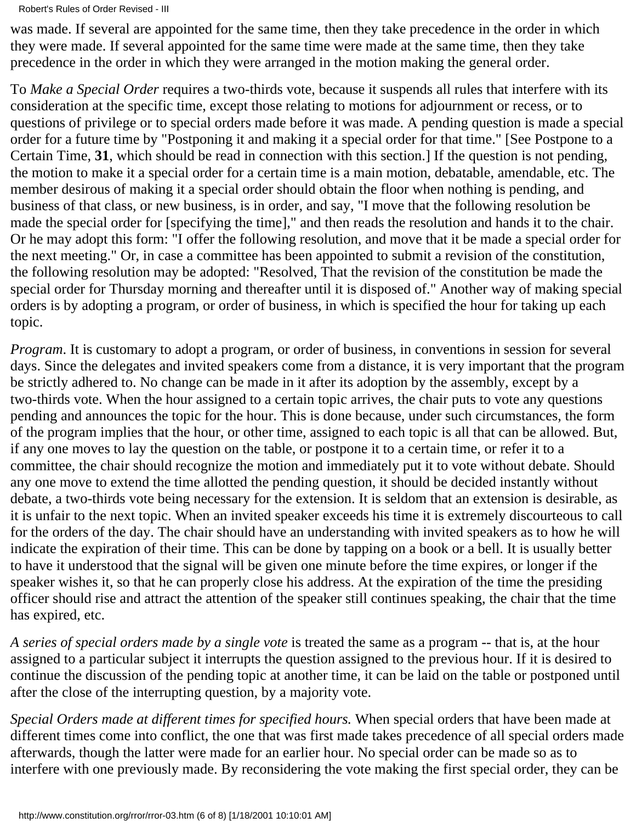was made. If several are appointed for the same time, then they take precedence in the order in which they were made. If several appointed for the same time were made at the same time, then they take precedence in the order in which they were arranged in the motion making the general order.

To *Make a Special Order* requires a two-thirds vote, because it suspends all rules that interfere with its consideration at the specific time, except those relating to motions for adjournment or recess, or to questions of privilege or to special orders made before it was made. A pending question is made a special order for a future time by "Postponing it and making it a special order for that time." [See Postpone to a Certain Time, **31**, which should be read in connection with this section.] If the question is not pending, the motion to make it a special order for a certain time is a main motion, debatable, amendable, etc. The member desirous of making it a special order should obtain the floor when nothing is pending, and business of that class, or new business, is in order, and say, "I move that the following resolution be made the special order for [specifying the time]," and then reads the resolution and hands it to the chair. Or he may adopt this form: "I offer the following resolution, and move that it be made a special order for the next meeting." Or, in case a committee has been appointed to submit a revision of the constitution, the following resolution may be adopted: "Resolved, That the revision of the constitution be made the special order for Thursday morning and thereafter until it is disposed of." Another way of making special orders is by adopting a program, or order of business, in which is specified the hour for taking up each topic.

*Program*. It is customary to adopt a program, or order of business, in conventions in session for several days. Since the delegates and invited speakers come from a distance, it is very important that the program be strictly adhered to. No change can be made in it after its adoption by the assembly, except by a two-thirds vote. When the hour assigned to a certain topic arrives, the chair puts to vote any questions pending and announces the topic for the hour. This is done because, under such circumstances, the form of the program implies that the hour, or other time, assigned to each topic is all that can be allowed. But, if any one moves to lay the question on the table, or postpone it to a certain time, or refer it to a committee, the chair should recognize the motion and immediately put it to vote without debate. Should any one move to extend the time allotted the pending question, it should be decided instantly without debate, a two-thirds vote being necessary for the extension. It is seldom that an extension is desirable, as it is unfair to the next topic. When an invited speaker exceeds his time it is extremely discourteous to call for the orders of the day. The chair should have an understanding with invited speakers as to how he will indicate the expiration of their time. This can be done by tapping on a book or a bell. It is usually better to have it understood that the signal will be given one minute before the time expires, or longer if the speaker wishes it, so that he can properly close his address. At the expiration of the time the presiding officer should rise and attract the attention of the speaker still continues speaking, the chair that the time has expired, etc.

*A series of special orders made by a single vote* is treated the same as a program -- that is, at the hour assigned to a particular subject it interrupts the question assigned to the previous hour. If it is desired to continue the discussion of the pending topic at another time, it can be laid on the table or postponed until after the close of the interrupting question, by a majority vote.

*Special Orders made at different times for specified hours.* When special orders that have been made at different times come into conflict, the one that was first made takes precedence of all special orders made afterwards, though the latter were made for an earlier hour. No special order can be made so as to interfere with one previously made. By reconsidering the vote making the first special order, they can be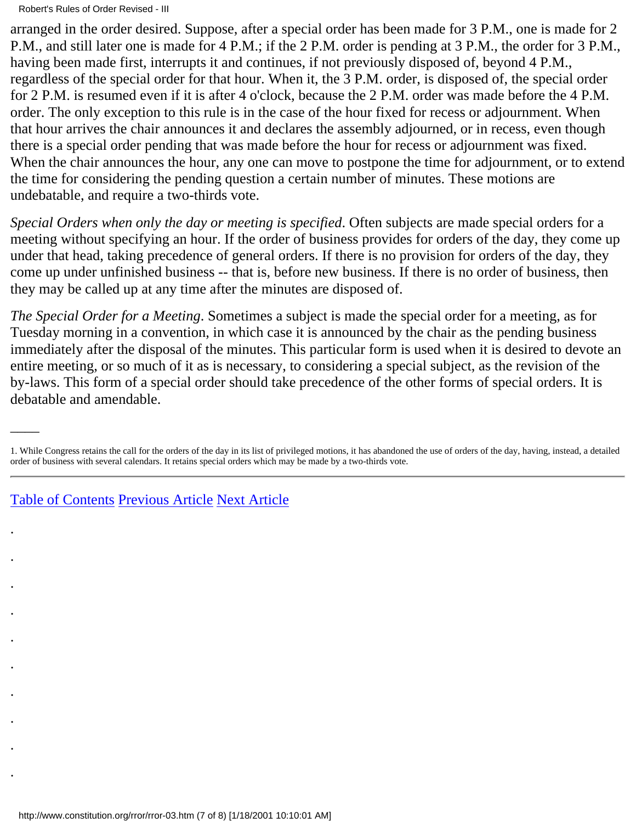arranged in the order desired. Suppose, after a special order has been made for 3 P.M., one is made for 2 P.M., and still later one is made for 4 P.M.; if the 2 P.M. order is pending at 3 P.M., the order for 3 P.M., having been made first, interrupts it and continues, if not previously disposed of, beyond 4 P.M., regardless of the special order for that hour. When it, the 3 P.M. order, is disposed of, the special order for 2 P.M. is resumed even if it is after 4 o'clock, because the 2 P.M. order was made before the 4 P.M. order. The only exception to this rule is in the case of the hour fixed for recess or adjournment. When that hour arrives the chair announces it and declares the assembly adjourned, or in recess, even though there is a special order pending that was made before the hour for recess or adjournment was fixed. When the chair announces the hour, any one can move to postpone the time for adjournment, or to extend the time for considering the pending question a certain number of minutes. These motions are undebatable, and require a two-thirds vote.

*Special Orders when only the day or meeting is specified*. Often subjects are made special orders for a meeting without specifying an hour. If the order of business provides for orders of the day, they come up under that head, taking precedence of general orders. If there is no provision for orders of the day, they come up under unfinished business -- that is, before new business. If there is no order of business, then they may be called up at any time after the minutes are disposed of.

*The Special Order for a Meeting*. Sometimes a subject is made the special order for a meeting, as for Tuesday morning in a convention, in which case it is announced by the chair as the pending business immediately after the disposal of the minutes. This particular form is used when it is desired to devote an entire meeting, or so much of it as is necessary, to considering a special subject, as the revision of the by-laws. This form of a special order should take precedence of the other forms of special orders. It is debatable and amendable.

[Table of Contents](#page-0-0) [Previous Article](#page-18-0) [Next Article](#page-23-0)

 $\overline{\phantom{a}}$ 

.

.

.

.

.

.

.

.

.

.

<span id="page-16-0"></span><sup>1.</sup> While Congress retains the call for the orders of the day in its list of privileged motions, it has abandoned the use of orders of the day, having, instead, a detailed order of business with several calendars. It retains special orders which may be made by a two-thirds vote.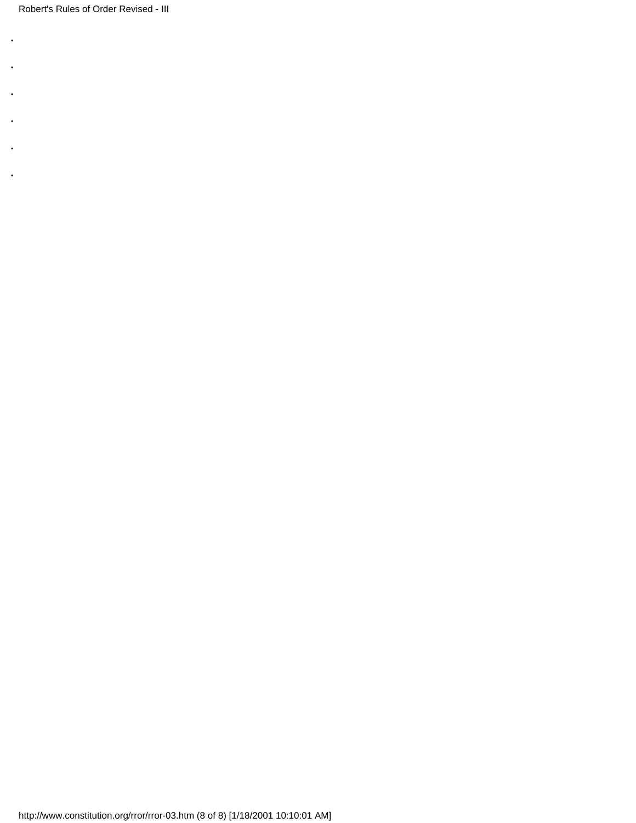.

.

.

.

.

.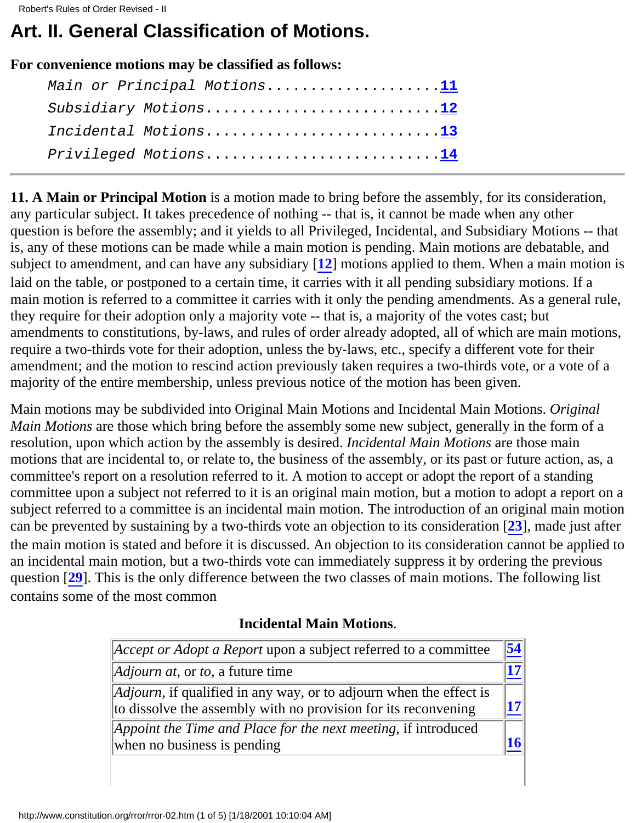# <span id="page-18-0"></span>**Art. II. General Classification of Motions.**

**For convenience motions may be classified as follows:**

| Main or Principal Motions11 |  |
|-----------------------------|--|
| Subsidiary Motions12        |  |
| Incidental Motions13        |  |
| Privileged Motions14        |  |

**11. A Main or Principal Motion** is a motion made to bring before the assembly, for its consideration, any particular subject. It takes precedence of nothing -- that is, it cannot be made when any other question is before the assembly; and it yields to all Privileged, Incidental, and Subsidiary Motions -- that is, any of these motions can be made while a main motion is pending. Main motions are debatable, and subject to amendment, and can have any subsidiary [**12**] motions applied to them. When a main motion is laid on the table, or postponed to a certain time, it carries with it all pending subsidiary motions. If a main motion is referred to a committee it carries with it only the pending amendments. As a general rule, they require for their adoption only a majority vote -- that is, a majority of the votes cast; but amendments to constitutions, by-laws, and rules of order already adopted, all of which are main motions, require a two-thirds vote for their adoption, unless the by-laws, etc., specify a different vote for their amendment; and the motion to rescind action previously taken requires a two-thirds vote, or a vote of a majority of the entire membership, unless previous notice of the motion has been given.

Main motions may be subdivided into Original Main Motions and Incidental Main Motions. *Original Main Motions* are those which bring before the assembly some new subject, generally in the form of a resolution, upon which action by the assembly is desired. *Incidental Main Motions* are those main motions that are incidental to, or relate to, the business of the assembly, or its past or future action, as, a committee's report on a resolution referred to it. A motion to accept or adopt the report of a standing committee upon a subject not referred to it is an original main motion, but a motion to adopt a report on a subject referred to a committee is an incidental main motion. The introduction of an original main motion can be prevented by sustaining by a two-thirds vote an objection to its consideration [**[23](#page-26-0)**], made just after the main motion is stated and before it is discussed. An objection to its consideration cannot be applied to an incidental main motion, but a two-thirds vote can immediately suppress it by ordering the previous question [**[29](#page-91-0)**]. This is the only difference between the two classes of main motions. The following list contains some of the most common

## **Incidental Main Motions**.

| <i>Accept or Adopt a Report</i> upon a subject referred to a committee                                                                               | $\overline{54}$   |
|------------------------------------------------------------------------------------------------------------------------------------------------------|-------------------|
| <i>Adjourn at, or to, a future time</i>                                                                                                              | 17                |
| $\vert$ <i>Adjourn</i> , if qualified in any way, or to adjourn when the effect is<br>to dissolve the assembly with no provision for its reconvening | $17 \overline{)}$ |
| Appoint the Time and Place for the next meeting, if introduced<br>when no business is pending                                                        | 16                |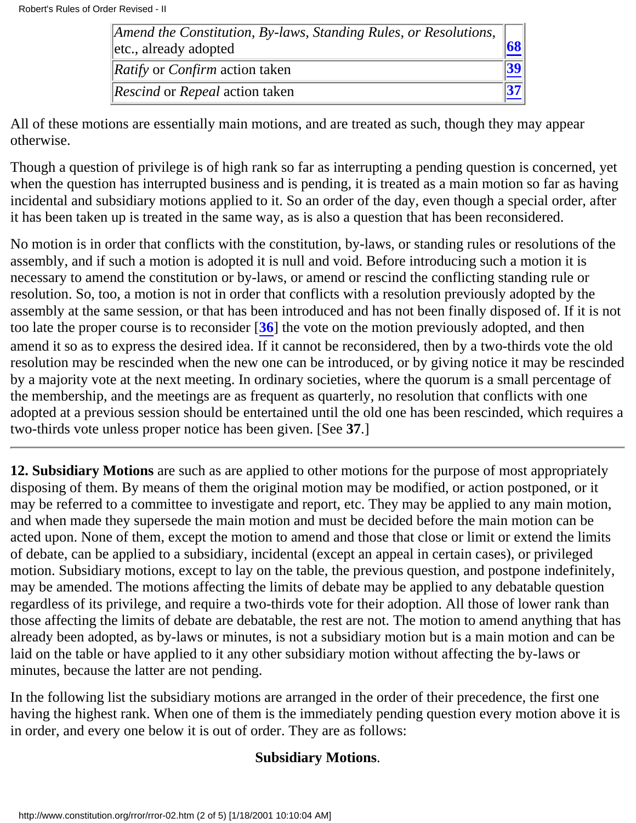| $\parallel$ Amend the Constitution, By-laws, Standing Rules, or Resolutions, $\parallel$ |                 |
|------------------------------------------------------------------------------------------|-----------------|
| letc., already adopted                                                                   |                 |
| <i>Ratify</i> or <i>Confirm</i> action taken                                             | $\overline{39}$ |
| <i>Rescind</i> or <i>Repeal</i> action taken                                             | 37              |

All of these motions are essentially main motions, and are treated as such, though they may appear otherwise.

Though a question of privilege is of high rank so far as interrupting a pending question is concerned, yet when the question has interrupted business and is pending, it is treated as a main motion so far as having incidental and subsidiary motions applied to it. So an order of the day, even though a special order, after it has been taken up is treated in the same way, as is also a question that has been reconsidered.

No motion is in order that conflicts with the constitution, by-laws, or standing rules or resolutions of the assembly, and if such a motion is adopted it is null and void. Before introducing such a motion it is necessary to amend the constitution or by-laws, or amend or rescind the conflicting standing rule or resolution. So, too, a motion is not in order that conflicts with a resolution previously adopted by the assembly at the same session, or that has been introduced and has not been finally disposed of. If it is not too late the proper course is to reconsider [**[36](#page-79-2)**] the vote on the motion previously adopted, and then amend it so as to express the desired idea. If it cannot be reconsidered, then by a two-thirds vote the old resolution may be rescinded when the new one can be introduced, or by giving notice it may be rescinded by a majority vote at the next meeting. In ordinary societies, where the quorum is a small percentage of the membership, and the meetings are as frequent as quarterly, no resolution that conflicts with one adopted at a previous session should be entertained until the old one has been rescinded, which requires a two-thirds vote unless proper notice has been given. [See **37**.]

**12. Subsidiary Motions** are such as are applied to other motions for the purpose of most appropriately disposing of them. By means of them the original motion may be modified, or action postponed, or it may be referred to a committee to investigate and report, etc. They may be applied to any main motion, and when made they supersede the main motion and must be decided before the main motion can be acted upon. None of them, except the motion to amend and those that close or limit or extend the limits of debate, can be applied to a subsidiary, incidental (except an appeal in certain cases), or privileged motion. Subsidiary motions, except to lay on the table, the previous question, and postpone indefinitely, may be amended. The motions affecting the limits of debate may be applied to any debatable question regardless of its privilege, and require a two-thirds vote for their adoption. All those of lower rank than those affecting the limits of debate are debatable, the rest are not. The motion to amend anything that has already been adopted, as by-laws or minutes, is not a subsidiary motion but is a main motion and can be laid on the table or have applied to it any other subsidiary motion without affecting the by-laws or minutes, because the latter are not pending.

In the following list the subsidiary motions are arranged in the order of their precedence, the first one having the highest rank. When one of them is the immediately pending question every motion above it is in order, and every one below it is out of order. They are as follows:

## **Subsidiary Motions**.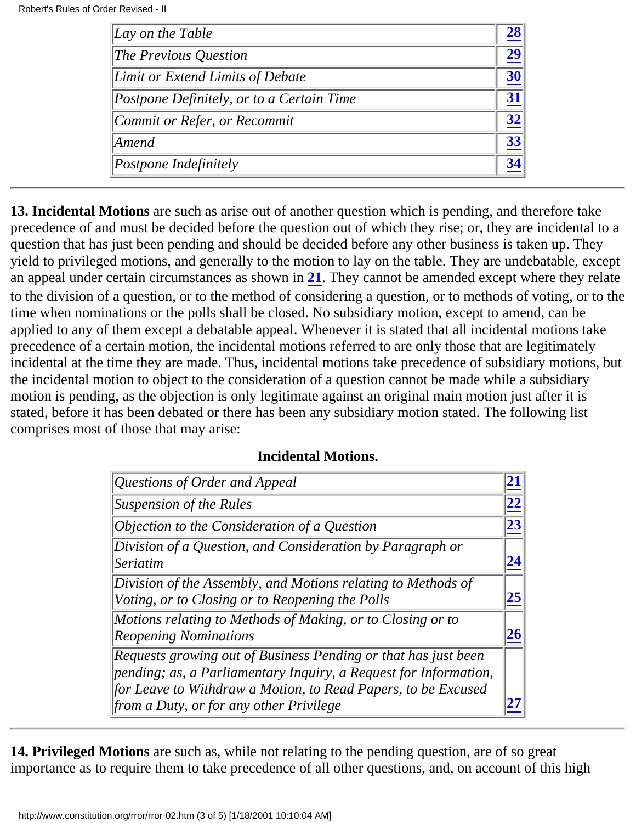| Lay on the Table                                 | 28                       |
|--------------------------------------------------|--------------------------|
| The Previous Question                            | <u>29</u>                |
| Limit or Extend Limits of Debate                 | $\overline{\mathbf{30}}$ |
| <i>Postpone Definitely, or to a Certain Time</i> | $\overline{31}$          |
| Commit or Refer, or Recommit                     | $\overline{32}$          |
| $A$ <i>mend</i>                                  | <u>33</u>                |
| $ Postcone$ Indefinitely                         | 34                       |

**13. Incidental Motions** are such as arise out of another question which is pending, and therefore take precedence of and must be decided before the question out of which they rise; or, they are incidental to a question that has just been pending and should be decided before any other business is taken up. They yield to privileged motions, and generally to the motion to lay on the table. They are undebatable, except an appeal under certain circumstances as shown in **[21](#page-23-1)**. They cannot be amended except where they relate to the division of a question, or to the method of considering a question, or to methods of voting, or to the time when nominations or the polls shall be closed. No subsidiary motion, except to amend, can be applied to any of them except a debatable appeal. Whenever it is stated that all incidental motions take precedence of a certain motion, the incidental motions referred to are only those that are legitimately incidental at the time they are made. Thus, incidental motions take precedence of subsidiary motions, but the incidental motion to object to the consideration of a question cannot be made while a subsidiary motion is pending, as the objection is only legitimate against an original main motion just after it is stated, before it has been debated or there has been any subsidiary motion stated. The following list comprises most of those that may arise:

| Questions of Order and Appeal                                                                                                                                                                                                                     |                 |
|---------------------------------------------------------------------------------------------------------------------------------------------------------------------------------------------------------------------------------------------------|-----------------|
| Suspension of the Rules                                                                                                                                                                                                                           | $\overline{22}$ |
| <i>Objection to the Consideration of a Question</i>                                                                                                                                                                                               | 23              |
| Division of a Question, and Consideration by Paragraph or<br>Seriatim                                                                                                                                                                             | 24              |
| Division of the Assembly, and Motions relating to Methods of<br>Voting, or to Closing or to Reopening the Polls                                                                                                                                   | $25\,$          |
| Motions relating to Methods of Making, or to Closing or to<br><b>Reopening Nominations</b>                                                                                                                                                        | 26              |
| Requests growing out of Business Pending or that has just been<br>$ pending; as, a Parliamentary Inquiry, a Request for Information,$<br>for Leave to Withdraw a Motion, to Read Papers, to be Excused<br>from a Duty, or for any other Privilege |                 |

**14. Privileged Motions** are such as, while not relating to the pending question, are of so great importance as to require them to take precedence of all other questions, and, on account of this high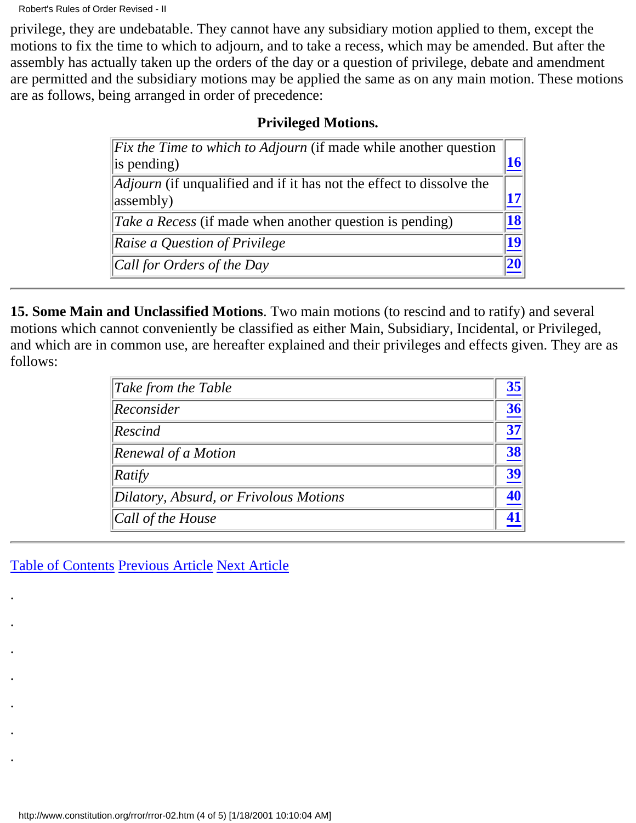privilege, they are undebatable. They cannot have any subsidiary motion applied to them, except the motions to fix the time to which to adjourn, and to take a recess, which may be amended. But after the assembly has actually taken up the orders of the day or a question of privilege, debate and amendment are permitted and the subsidiary motions may be applied the same as on any main motion. These motions are as follows, being arranged in order of precedence:

### **Privileged Motions.**

| <i>Fix the Time to which to Adjourn</i> (if made while another question     |  |
|-----------------------------------------------------------------------------|--|
| $\ $ is pending)                                                            |  |
| <i>Adjourn</i> (if unqualified and if it has not the effect to dissolve the |  |
| assembly)                                                                   |  |
| <i>Take a Recess</i> (if made when another question is pending)             |  |
| <i>Raise a Question of Privilege</i>                                        |  |
| $\vert$ Call for Orders of the Day                                          |  |

**15. Some Main and Unclassified Motions**. Two main motions (to rescind and to ratify) and several motions which cannot conveniently be classified as either Main, Subsidiary, Incidental, or Privileged, and which are in common use, are hereafter explained and their privileges and effects given. They are as follows:

| $\vert$ Take from the Table            | $35\overline{)}$ |
|----------------------------------------|------------------|
| Reconsider                             | 36               |
| Rescind                                | 37               |
| Renewal of a Motion                    | $\overline{38}$  |
| Ratify                                 | 39               |
| Dilatory, Absurd, or Frivolous Motions | 40               |
| Call of the House                      |                  |

[Table of Contents](#page-0-0) [Previous Article](#page-38-0) [Next Article](#page-10-0)

.

.

.

.

.

.

.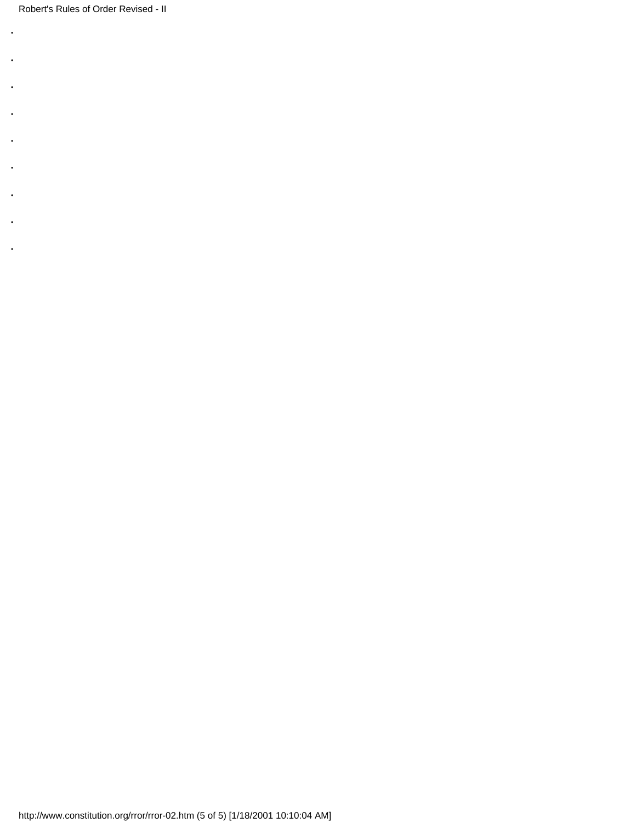.

.

.

.

.

.

.

.

.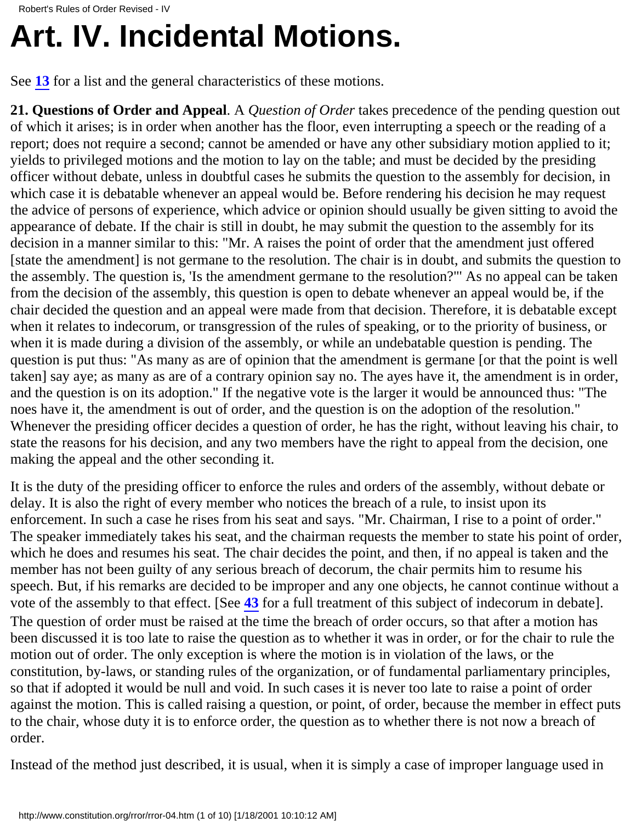# <span id="page-23-0"></span>**Art. IV. Incidental Motions.**

See **13** for a list and the general characteristics of these motions.

<span id="page-23-1"></span>**21. Questions of Order and Appeal**. A *Question of Order* takes precedence of the pending question out of which it arises; is in order when another has the floor, even interrupting a speech or the reading of a report; does not require a second; cannot be amended or have any other subsidiary motion applied to it; yields to privileged motions and the motion to lay on the table; and must be decided by the presiding officer without debate, unless in doubtful cases he submits the question to the assembly for decision, in which case it is debatable whenever an appeal would be. Before rendering his decision he may request the advice of persons of experience, which advice or opinion should usually be given sitting to avoid the appearance of debate. If the chair is still in doubt, he may submit the question to the assembly for its decision in a manner similar to this: "Mr. A raises the point of order that the amendment just offered [state the amendment] is not germane to the resolution. The chair is in doubt, and submits the question to the assembly. The question is, 'Is the amendment germane to the resolution?"' As no appeal can be taken from the decision of the assembly, this question is open to debate whenever an appeal would be, if the chair decided the question and an appeal were made from that decision. Therefore, it is debatable except when it relates to indecorum, or transgression of the rules of speaking, or to the priority of business, or when it is made during a division of the assembly, or while an undebatable question is pending. The question is put thus: "As many as are of opinion that the amendment is germane [or that the point is well taken] say aye; as many as are of a contrary opinion say no. The ayes have it, the amendment is in order, and the question is on its adoption." If the negative vote is the larger it would be announced thus: "The noes have it, the amendment is out of order, and the question is on the adoption of the resolution." Whenever the presiding officer decides a question of order, he has the right, without leaving his chair, to state the reasons for his decision, and any two members have the right to appeal from the decision, one making the appeal and the other seconding it.

It is the duty of the presiding officer to enforce the rules and orders of the assembly, without debate or delay. It is also the right of every member who notices the breach of a rule, to insist upon its enforcement. In such a case he rises from his seat and says. "Mr. Chairman, I rise to a point of order." The speaker immediately takes his seat, and the chairman requests the member to state his point of order, which he does and resumes his seat. The chair decides the point, and then, if no appeal is taken and the member has not been guilty of any serious breach of decorum, the chair permits him to resume his speech. But, if his remarks are decided to be improper and any one objects, he cannot continue without a vote of the assembly to that effect. [See **[43](#page-34-0)** for a full treatment of this subject of indecorum in debate]. The question of order must be raised at the time the breach of order occurs, so that after a motion has been discussed it is too late to raise the question as to whether it was in order, or for the chair to rule the motion out of order. The only exception is where the motion is in violation of the laws, or the constitution, by-laws, or standing rules of the organization, or of fundamental parliamentary principles, so that if adopted it would be null and void. In such cases it is never too late to raise a point of order against the motion. This is called raising a question, or point, of order, because the member in effect puts to the chair, whose duty it is to enforce order, the question as to whether there is not now a breach of order.

Instead of the method just described, it is usual, when it is simply a case of improper language used in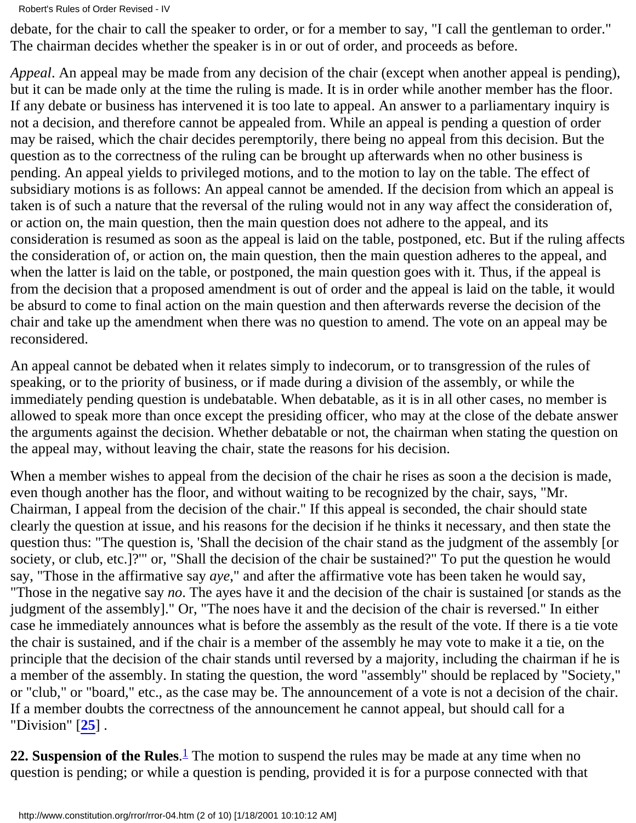debate, for the chair to call the speaker to order, or for a member to say, "I call the gentleman to order." The chairman decides whether the speaker is in or out of order, and proceeds as before.

*Appeal*. An appeal may be made from any decision of the chair (except when another appeal is pending), but it can be made only at the time the ruling is made. It is in order while another member has the floor. If any debate or business has intervened it is too late to appeal. An answer to a parliamentary inquiry is not a decision, and therefore cannot be appealed from. While an appeal is pending a question of order may be raised, which the chair decides peremptorily, there being no appeal from this decision. But the question as to the correctness of the ruling can be brought up afterwards when no other business is pending. An appeal yields to privileged motions, and to the motion to lay on the table. The effect of subsidiary motions is as follows: An appeal cannot be amended. If the decision from which an appeal is taken is of such a nature that the reversal of the ruling would not in any way affect the consideration of, or action on, the main question, then the main question does not adhere to the appeal, and its consideration is resumed as soon as the appeal is laid on the table, postponed, etc. But if the ruling affects the consideration of, or action on, the main question, then the main question adheres to the appeal, and when the latter is laid on the table, or postponed, the main question goes with it. Thus, if the appeal is from the decision that a proposed amendment is out of order and the appeal is laid on the table, it would be absurd to come to final action on the main question and then afterwards reverse the decision of the chair and take up the amendment when there was no question to amend. The vote on an appeal may be reconsidered.

An appeal cannot be debated when it relates simply to indecorum, or to transgression of the rules of speaking, or to the priority of business, or if made during a division of the assembly, or while the immediately pending question is undebatable. When debatable, as it is in all other cases, no member is allowed to speak more than once except the presiding officer, who may at the close of the debate answer the arguments against the decision. Whether debatable or not, the chairman when stating the question on the appeal may, without leaving the chair, state the reasons for his decision.

When a member wishes to appeal from the decision of the chair he rises as soon a the decision is made, even though another has the floor, and without waiting to be recognized by the chair, says, "Mr. Chairman, I appeal from the decision of the chair." If this appeal is seconded, the chair should state clearly the question at issue, and his reasons for the decision if he thinks it necessary, and then state the question thus: "The question is, 'Shall the decision of the chair stand as the judgment of the assembly [or society, or club, etc.]?'" or, "Shall the decision of the chair be sustained?" To put the question he would say, "Those in the affirmative say *aye*," and after the affirmative vote has been taken he would say, "Those in the negative say *no*. The ayes have it and the decision of the chair is sustained [or stands as the judgment of the assembly]." Or, "The noes have it and the decision of the chair is reversed." In either case he immediately announces what is before the assembly as the result of the vote. If there is a tie vote the chair is sustained, and if the chair is a member of the assembly he may vote to make it a tie, on the principle that the decision of the chair stands until reversed by a majority, including the chairman if he is a member of the assembly. In stating the question, the word "assembly" should be replaced by "Society," or "club," or "board," etc., as the case may be. The announcement of a vote is not a decision of the chair. If a member doubts the correctness of the announcement he cannot appeal, but should call for a "Division" [**25**] .

<span id="page-24-0"></span>22. Suspension of the Rules.<sup>[1](#page-26-1)</sup> The motion to suspend the rules may be made at any time when no question is pending; or while a question is pending, provided it is for a purpose connected with that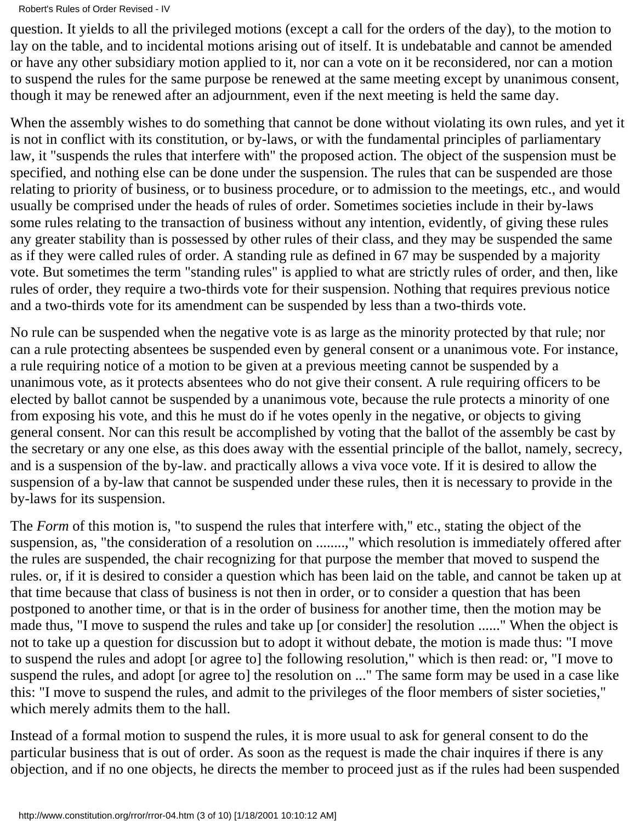question. It yields to all the privileged motions (except a call for the orders of the day), to the motion to lay on the table, and to incidental motions arising out of itself. It is undebatable and cannot be amended or have any other subsidiary motion applied to it, nor can a vote on it be reconsidered, nor can a motion to suspend the rules for the same purpose be renewed at the same meeting except by unanimous consent, though it may be renewed after an adjournment, even if the next meeting is held the same day.

When the assembly wishes to do something that cannot be done without violating its own rules, and yet it is not in conflict with its constitution, or by-laws, or with the fundamental principles of parliamentary law, it "suspends the rules that interfere with" the proposed action. The object of the suspension must be specified, and nothing else can be done under the suspension. The rules that can be suspended are those relating to priority of business, or to business procedure, or to admission to the meetings, etc., and would usually be comprised under the heads of rules of order. Sometimes societies include in their by-laws some rules relating to the transaction of business without any intention, evidently, of giving these rules any greater stability than is possessed by other rules of their class, and they may be suspended the same as if they were called rules of order. A standing rule as defined in 67 may be suspended by a majority vote. But sometimes the term "standing rules" is applied to what are strictly rules of order, and then, like rules of order, they require a two-thirds vote for their suspension. Nothing that requires previous notice and a two-thirds vote for its amendment can be suspended by less than a two-thirds vote.

No rule can be suspended when the negative vote is as large as the minority protected by that rule; nor can a rule protecting absentees be suspended even by general consent or a unanimous vote. For instance, a rule requiring notice of a motion to be given at a previous meeting cannot be suspended by a unanimous vote, as it protects absentees who do not give their consent. A rule requiring officers to be elected by ballot cannot be suspended by a unanimous vote, because the rule protects a minority of one from exposing his vote, and this he must do if he votes openly in the negative, or objects to giving general consent. Nor can this result be accomplished by voting that the ballot of the assembly be cast by the secretary or any one else, as this does away with the essential principle of the ballot, namely, secrecy, and is a suspension of the by-law. and practically allows a viva voce vote. If it is desired to allow the suspension of a by-law that cannot be suspended under these rules, then it is necessary to provide in the by-laws for its suspension.

The *Form* of this motion is, "to suspend the rules that interfere with," etc., stating the object of the suspension, as, "the consideration of a resolution on ........," which resolution is immediately offered after the rules are suspended, the chair recognizing for that purpose the member that moved to suspend the rules. or, if it is desired to consider a question which has been laid on the table, and cannot be taken up at that time because that class of business is not then in order, or to consider a question that has been postponed to another time, or that is in the order of business for another time, then the motion may be made thus, "I move to suspend the rules and take up [or consider] the resolution ......" When the object is not to take up a question for discussion but to adopt it without debate, the motion is made thus: "I move to suspend the rules and adopt [or agree to] the following resolution," which is then read: or, "I move to suspend the rules, and adopt [or agree to] the resolution on ..." The same form may be used in a case like this: "I move to suspend the rules, and admit to the privileges of the floor members of sister societies," which merely admits them to the hall.

Instead of a formal motion to suspend the rules, it is more usual to ask for general consent to do the particular business that is out of order. As soon as the request is made the chair inquires if there is any objection, and if no one objects, he directs the member to proceed just as if the rules had been suspended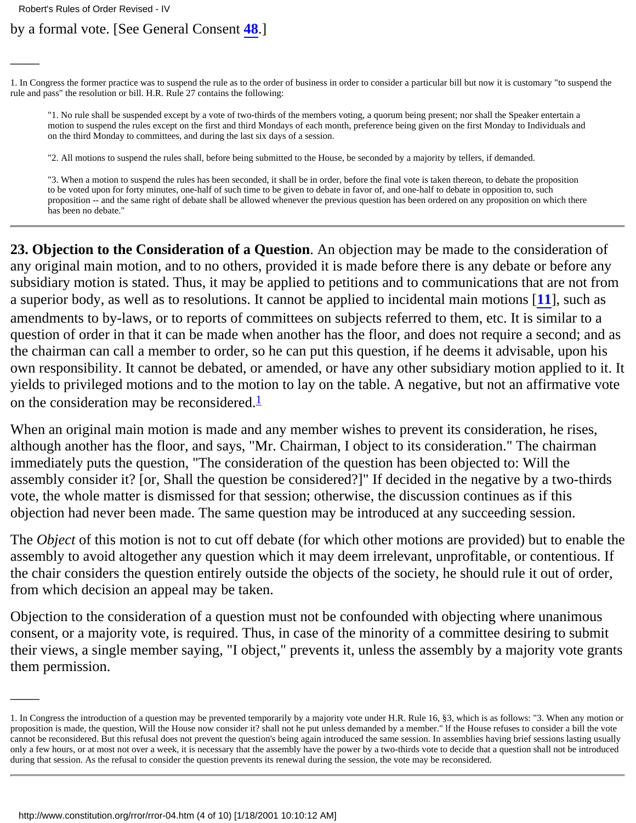$\overline{\phantom{a}}$ 

 $\overline{\phantom{a}}$ 

### by a formal vote. [See General Consent **[48](#page-66-1)**.]

<span id="page-26-1"></span>1. In Congress the former practice was to suspend the rule as to the order of business in order to consider a particular bill but now it is customary "to suspend the rule and pass" the resolution or bill. H.R. Rule 27 contains the following:

"1. No rule shall be suspended except by a vote of two-thirds of the members voting, a quorum being present; nor shall the Speaker entertain a motion to suspend the rules except on the first and third Mondays of each month, preference being given on the first Monday to Individuals and on the third Monday to committees, and during the last six days of a session.

"2. All motions to suspend the rules shall, before being submitted to the House, be seconded by a majority by tellers, if demanded.

"3. When a motion to suspend the rules has been seconded, it shall be in order, before the final vote is taken thereon, to debate the proposition to be voted upon for forty minutes, one-half of such time to be given to debate in favor of, and one-half to debate in opposition to, such proposition -- and the same right of debate shall be allowed whenever the previous question has been ordered on any proposition on which there has been no debate."

<span id="page-26-0"></span>**23. Objection to the Consideration of a Question**. An objection may be made to the consideration of any original main motion, and to no others, provided it is made before there is any debate or before any subsidiary motion is stated. Thus, it may be applied to petitions and to communications that are not from a superior body, as well as to resolutions. It cannot be applied to incidental main motions [**11**], such as amendments to by-laws, or to reports of committees on subjects referred to them, etc. It is similar to a question of order in that it can be made when another has the floor, and does not require a second; and as the chairman can call a member to order, so he can put this question, if he deems it advisable, upon his own responsibility. It cannot be debated, or amended, or have any other subsidiary motion applied to it. It yields to privileged motions and to the motion to lay on the table. A negative, but not an affirmative vote on the consideration may be reconsidered.<sup>1</sup>

When an original main motion is made and any member wishes to prevent its consideration, he rises, although another has the floor, and says, "Mr. Chairman, I object to its consideration." The chairman immediately puts the question, "The consideration of the question has been objected to: Will the assembly consider it? [or, Shall the question be considered?]" If decided in the negative by a two-thirds vote, the whole matter is dismissed for that session; otherwise, the discussion continues as if this objection had never been made. The same question may be introduced at any succeeding session.

The *Object* of this motion is not to cut off debate (for which other motions are provided) but to enable the assembly to avoid altogether any question which it may deem irrelevant, unprofitable, or contentious. If the chair considers the question entirely outside the objects of the society, he should rule it out of order, from which decision an appeal may be taken.

Objection to the consideration of a question must not be confounded with objecting where unanimous consent, or a majority vote, is required. Thus, in case of the minority of a committee desiring to submit their views, a single member saying, "I object," prevents it, unless the assembly by a majority vote grants them permission.

<span id="page-26-2"></span><sup>1.</sup> In Congress the introduction of a question may be prevented temporarily by a majority vote under H.R. Rule 16, §3, which is as follows: "3. When any motion or proposition is made, the question, Will the House now consider it? shall not he put unless demanded by a member." lf the House refuses to consider a bill the vote cannot be reconsidered. But this refusal does not prevent the question's being again introduced the same session. In assemblies having brief sessions lasting usually only a few hours, or at most not over a week, it is necessary that the assembly have the power by a two-thirds vote to decide that a question shall not be introduced during that session. As the refusal to consider the question prevents its renewal during the session, the vote may be reconsidered.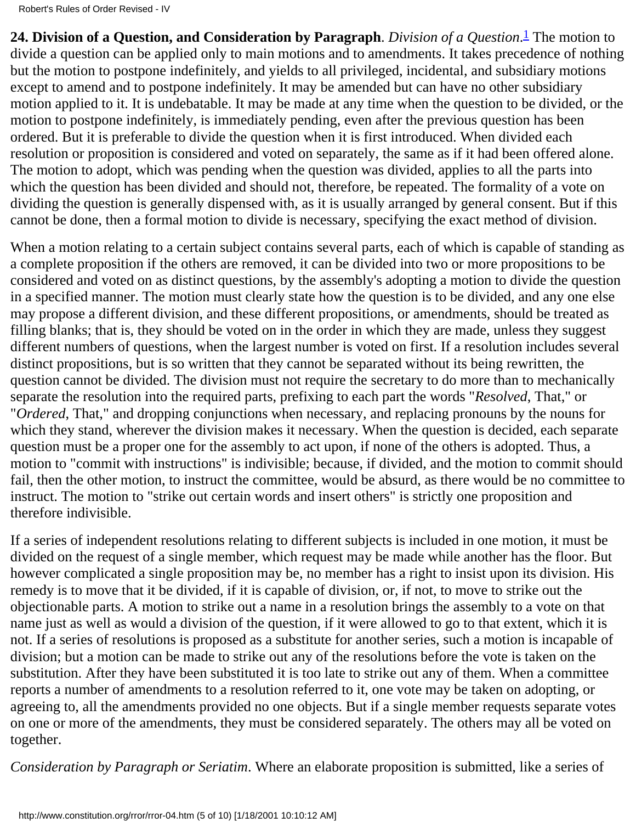<span id="page-27-0"></span>**24. Division of a Question, and Consideration by Paragraph**. *Division of a Question*.<sup>1</sup> The motion to divide a question can be applied only to main motions and to amendments. It takes precedence of nothing but the motion to postpone indefinitely, and yields to all privileged, incidental, and subsidiary motions except to amend and to postpone indefinitely. It may be amended but can have no other subsidiary motion applied to it. It is undebatable. It may be made at any time when the question to be divided, or the motion to postpone indefinitely, is immediately pending, even after the previous question has been ordered. But it is preferable to divide the question when it is first introduced. When divided each resolution or proposition is considered and voted on separately, the same as if it had been offered alone. The motion to adopt, which was pending when the question was divided, applies to all the parts into which the question has been divided and should not, therefore, be repeated. The formality of a vote on dividing the question is generally dispensed with, as it is usually arranged by general consent. But if this cannot be done, then a formal motion to divide is necessary, specifying the exact method of division.

When a motion relating to a certain subject contains several parts, each of which is capable of standing as a complete proposition if the others are removed, it can be divided into two or more propositions to be considered and voted on as distinct questions, by the assembly's adopting a motion to divide the question in a specified manner. The motion must clearly state how the question is to be divided, and any one else may propose a different division, and these different propositions, or amendments, should be treated as filling blanks; that is, they should be voted on in the order in which they are made, unless they suggest different numbers of questions, when the largest number is voted on first. If a resolution includes several distinct propositions, but is so written that they cannot be separated without its being rewritten, the question cannot be divided. The division must not require the secretary to do more than to mechanically separate the resolution into the required parts, prefixing to each part the words "*Resolved*, That," or "*Ordered*, That," and dropping conjunctions when necessary, and replacing pronouns by the nouns for which they stand, wherever the division makes it necessary. When the question is decided, each separate question must be a proper one for the assembly to act upon, if none of the others is adopted. Thus, a motion to "commit with instructions" is indivisible; because, if divided, and the motion to commit should fail, then the other motion, to instruct the committee, would be absurd, as there would be no committee to instruct. The motion to "strike out certain words and insert others" is strictly one proposition and therefore indivisible.

If a series of independent resolutions relating to different subjects is included in one motion, it must be divided on the request of a single member, which request may be made while another has the floor. But however complicated a single proposition may be, no member has a right to insist upon its division. His remedy is to move that it be divided, if it is capable of division, or, if not, to move to strike out the objectionable parts. A motion to strike out a name in a resolution brings the assembly to a vote on that name just as well as would a division of the question, if it were allowed to go to that extent, which it is not. If a series of resolutions is proposed as a substitute for another series, such a motion is incapable of division; but a motion can be made to strike out any of the resolutions before the vote is taken on the substitution. After they have been substituted it is too late to strike out any of them. When a committee reports a number of amendments to a resolution referred to it, one vote may be taken on adopting, or agreeing to, all the amendments provided no one objects. But if a single member requests separate votes on one or more of the amendments, they must be considered separately. The others may all be voted on together.

*Consideration by Paragraph or Seriatim*. Where an elaborate proposition is submitted, like a series of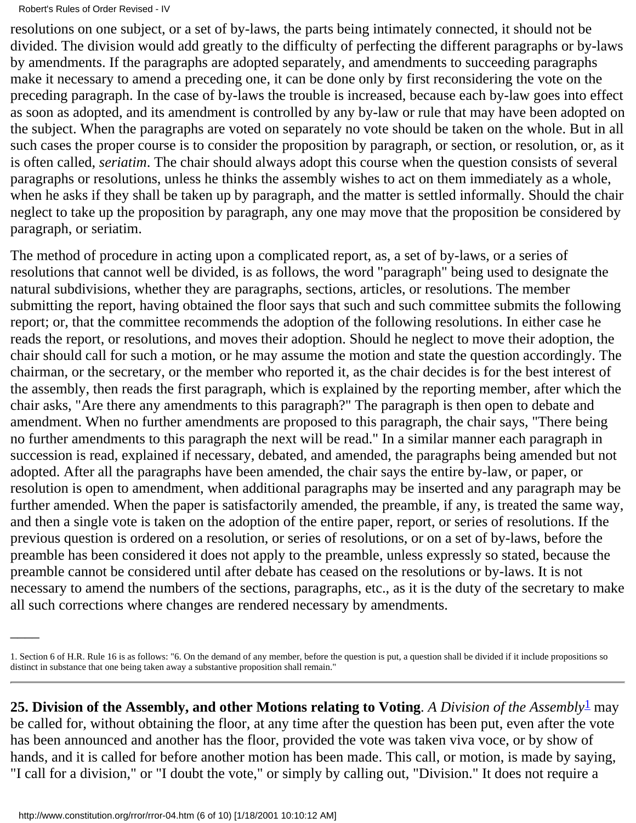resolutions on one subject, or a set of by-laws, the parts being intimately connected, it should not be divided. The division would add greatly to the difficulty of perfecting the different paragraphs or by-laws by amendments. If the paragraphs are adopted separately, and amendments to succeeding paragraphs make it necessary to amend a preceding one, it can be done only by first reconsidering the vote on the preceding paragraph. In the case of by-laws the trouble is increased, because each by-law goes into effect as soon as adopted, and its amendment is controlled by any by-law or rule that may have been adopted on the subject. When the paragraphs are voted on separately no vote should be taken on the whole. But in all such cases the proper course is to consider the proposition by paragraph, or section, or resolution, or, as it is often called, *seriatim*. The chair should always adopt this course when the question consists of several paragraphs or resolutions, unless he thinks the assembly wishes to act on them immediately as a whole, when he asks if they shall be taken up by paragraph, and the matter is settled informally. Should the chair neglect to take up the proposition by paragraph, any one may move that the proposition be considered by paragraph, or seriatim.

The method of procedure in acting upon a complicated report, as, a set of by-laws, or a series of resolutions that cannot well be divided, is as follows, the word "paragraph" being used to designate the natural subdivisions, whether they are paragraphs, sections, articles, or resolutions. The member submitting the report, having obtained the floor says that such and such committee submits the following report; or, that the committee recommends the adoption of the following resolutions. In either case he reads the report, or resolutions, and moves their adoption. Should he neglect to move their adoption, the chair should call for such a motion, or he may assume the motion and state the question accordingly. The chairman, or the secretary, or the member who reported it, as the chair decides is for the best interest of the assembly, then reads the first paragraph, which is explained by the reporting member, after which the chair asks, "Are there any amendments to this paragraph?" The paragraph is then open to debate and amendment. When no further amendments are proposed to this paragraph, the chair says, "There being no further amendments to this paragraph the next will be read." In a similar manner each paragraph in succession is read, explained if necessary, debated, and amended, the paragraphs being amended but not adopted. After all the paragraphs have been amended, the chair says the entire by-law, or paper, or resolution is open to amendment, when additional paragraphs may be inserted and any paragraph may be further amended. When the paper is satisfactorily amended, the preamble, if any, is treated the same way, and then a single vote is taken on the adoption of the entire paper, report, or series of resolutions. If the previous question is ordered on a resolution, or series of resolutions, or on a set of by-laws, before the preamble has been considered it does not apply to the preamble, unless expressly so stated, because the preamble cannot be considered until after debate has ceased on the resolutions or by-laws. It is not necessary to amend the numbers of the sections, paragraphs, etc., as it is the duty of the secretary to make all such corrections where changes are rendered necessary by amendments.

 $\overline{\phantom{a}}$ 

<sup>1.</sup> Section 6 of H.R. Rule 16 is as follows: "6. On the demand of any member, before the question is put, a question shall be divided if it include propositions so distinct in substance that one being taken away a substantive proposition shall remain."

**<sup>25.</sup> Division of the Assembly, and other Motions relating to Voting.** A Division of the Assembly<sup>1</sup> may be called for, without obtaining the floor, at any time after the question has been put, even after the vote has been announced and another has the floor, provided the vote was taken viva voce, or by show of hands, and it is called for before another motion has been made. This call, or motion, is made by saying, "I call for a division," or "I doubt the vote," or simply by calling out, "Division." It does not require a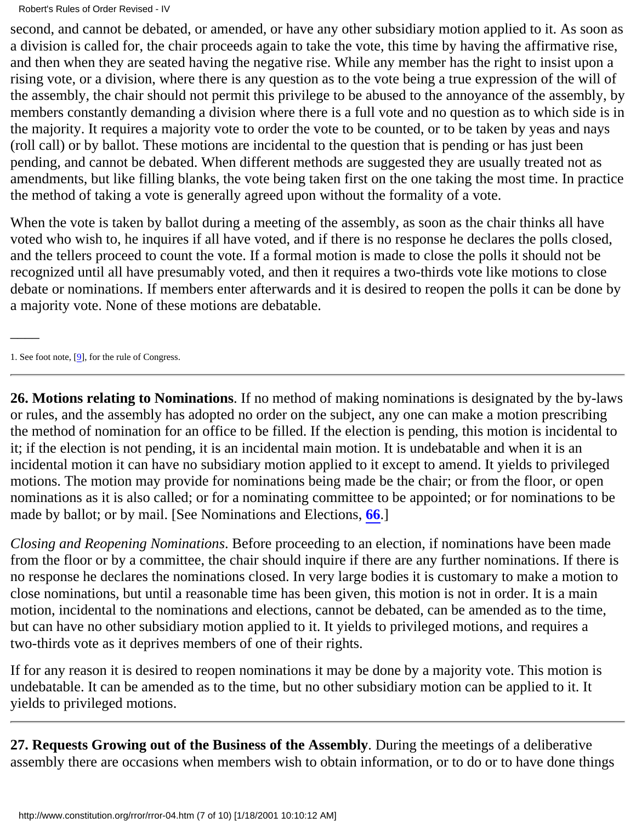second, and cannot be debated, or amended, or have any other subsidiary motion applied to it. As soon as a division is called for, the chair proceeds again to take the vote, this time by having the affirmative rise, and then when they are seated having the negative rise. While any member has the right to insist upon a rising vote, or a division, where there is any question as to the vote being a true expression of the will of the assembly, the chair should not permit this privilege to be abused to the annoyance of the assembly, by members constantly demanding a division where there is a full vote and no question as to which side is in the majority. It requires a majority vote to order the vote to be counted, or to be taken by yeas and nays (roll call) or by ballot. These motions are incidental to the question that is pending or has just been pending, and cannot be debated. When different methods are suggested they are usually treated not as amendments, but like filling blanks, the vote being taken first on the one taking the most time. In practice the method of taking a vote is generally agreed upon without the formality of a vote.

When the vote is taken by ballot during a meeting of the assembly, as soon as the chair thinks all have voted who wish to, he inquires if all have voted, and if there is no response he declares the polls closed, and the tellers proceed to count the vote. If a formal motion is made to close the polls it should not be recognized until all have presumably voted, and then it requires a two-thirds vote like motions to close debate or nominations. If members enter afterwards and it is desired to reopen the polls it can be done by a majority vote. None of these motions are debatable.

 $\overline{\phantom{a}}$ 

**26. Motions relating to Nominations**. If no method of making nominations is designated by the by-laws or rules, and the assembly has adopted no order on the subject, any one can make a motion prescribing the method of nomination for an office to be filled. If the election is pending, this motion is incidental to it; if the election is not pending, it is an incidental main motion. It is undebatable and when it is an incidental motion it can have no subsidiary motion applied to it except to amend. It yields to privileged motions. The motion may provide for nominations being made be the chair; or from the floor, or open nominations as it is also called; or for a nominating committee to be appointed; or for nominations to be made by ballot; or by mail. [See Nominations and Elections, **[66](#page-74-0)**.]

*Closing and Reopening Nominations*. Before proceeding to an election, if nominations have been made from the floor or by a committee, the chair should inquire if there are any further nominations. If there is no response he declares the nominations closed. In very large bodies it is customary to make a motion to close nominations, but until a reasonable time has been given, this motion is not in order. It is a main motion, incidental to the nominations and elections, cannot be debated, can be amended as to the time, but can have no other subsidiary motion applied to it. It yields to privileged motions, and requires a two-thirds vote as it deprives members of one of their rights.

If for any reason it is desired to reopen nominations it may be done by a majority vote. This motion is undebatable. It can be amended as to the time, but no other subsidiary motion can be applied to it. It yields to privileged motions.

**27. Requests Growing out of the Business of the Assembly**. During the meetings of a deliberative assembly there are occasions when members wish to obtain information, or to do or to have done things

<sup>1.</sup> See foot note, [[9](#page-44-0)], for the rule of Congress.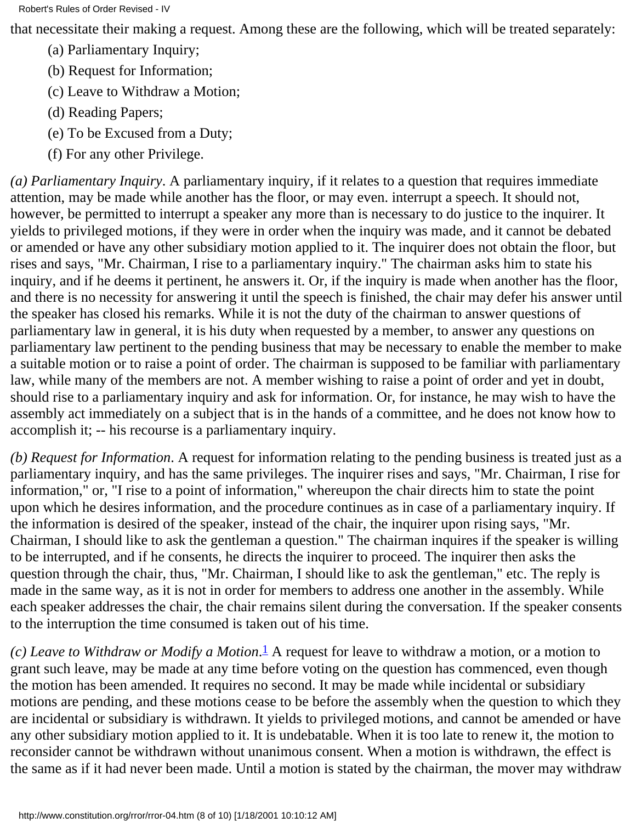that necessitate their making a request. Among these are the following, which will be treated separately:

- (a) Parliamentary Inquiry;
- (b) Request for Information;
- (c) Leave to Withdraw a Motion;
- (d) Reading Papers;
- (e) To be Excused from a Duty;
- (f) For any other Privilege.

*(a) Parliamentary Inquiry*. A parliamentary inquiry, if it relates to a question that requires immediate attention, may be made while another has the floor, or may even. interrupt a speech. It should not, however, be permitted to interrupt a speaker any more than is necessary to do justice to the inquirer. It yields to privileged motions, if they were in order when the inquiry was made, and it cannot be debated or amended or have any other subsidiary motion applied to it. The inquirer does not obtain the floor, but rises and says, "Mr. Chairman, I rise to a parliamentary inquiry." The chairman asks him to state his inquiry, and if he deems it pertinent, he answers it. Or, if the inquiry is made when another has the floor, and there is no necessity for answering it until the speech is finished, the chair may defer his answer until the speaker has closed his remarks. While it is not the duty of the chairman to answer questions of parliamentary law in general, it is his duty when requested by a member, to answer any questions on parliamentary law pertinent to the pending business that may be necessary to enable the member to make a suitable motion or to raise a point of order. The chairman is supposed to be familiar with parliamentary law, while many of the members are not. A member wishing to raise a point of order and yet in doubt, should rise to a parliamentary inquiry and ask for information. Or, for instance, he may wish to have the assembly act immediately on a subject that is in the hands of a committee, and he does not know how to accomplish it; -- his recourse is a parliamentary inquiry.

*(b) Request for Information*. A request for information relating to the pending business is treated just as a parliamentary inquiry, and has the same privileges. The inquirer rises and says, "Mr. Chairman, I rise for information," or, "I rise to a point of information," whereupon the chair directs him to state the point upon which he desires information, and the procedure continues as in case of a parliamentary inquiry. If the information is desired of the speaker, instead of the chair, the inquirer upon rising says, "Mr. Chairman, I should like to ask the gentleman a question." The chairman inquires if the speaker is willing to be interrupted, and if he consents, he directs the inquirer to proceed. The inquirer then asks the question through the chair, thus, "Mr. Chairman, I should like to ask the gentleman," etc. The reply is made in the same way, as it is not in order for members to address one another in the assembly. While each speaker addresses the chair, the chair remains silent during the conversation. If the speaker consents to the interruption the time consumed is taken out of his time.

*(c) Leave to Withdraw or Modify a Motion*. 1 A request for leave to withdraw a motion, or a motion to grant such leave, may be made at any time before voting on the question has commenced, even though the motion has been amended. It requires no second. It may be made while incidental or subsidiary motions are pending, and these motions cease to be before the assembly when the question to which they are incidental or subsidiary is withdrawn. It yields to privileged motions, and cannot be amended or have any other subsidiary motion applied to it. It is undebatable. When it is too late to renew it, the motion to reconsider cannot be withdrawn without unanimous consent. When a motion is withdrawn, the effect is the same as if it had never been made. Until a motion is stated by the chairman, the mover may withdraw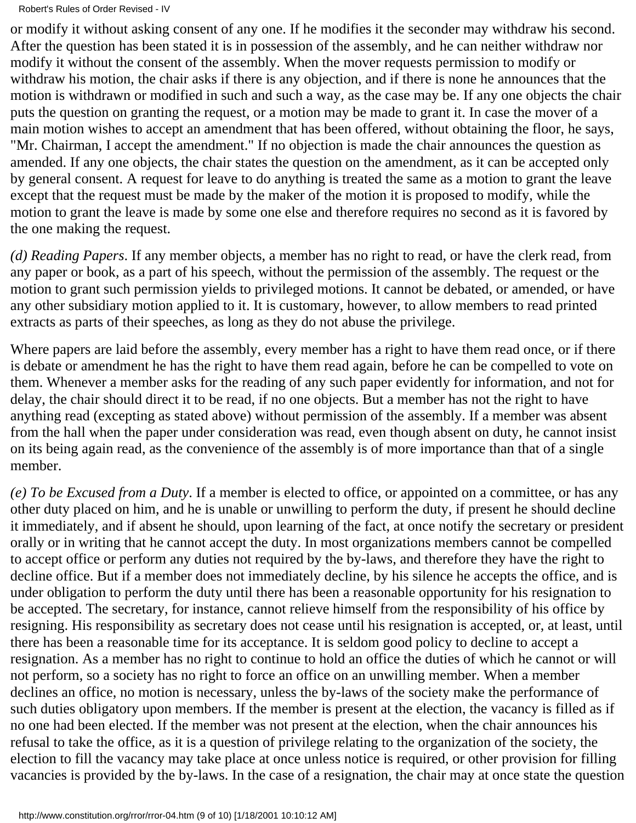or modify it without asking consent of any one. If he modifies it the seconder may withdraw his second. After the question has been stated it is in possession of the assembly, and he can neither withdraw nor modify it without the consent of the assembly. When the mover requests permission to modify or withdraw his motion, the chair asks if there is any objection, and if there is none he announces that the motion is withdrawn or modified in such and such a way, as the case may be. If any one objects the chair puts the question on granting the request, or a motion may be made to grant it. In case the mover of a main motion wishes to accept an amendment that has been offered, without obtaining the floor, he says, "Mr. Chairman, I accept the amendment." If no objection is made the chair announces the question as amended. If any one objects, the chair states the question on the amendment, as it can be accepted only by general consent. A request for leave to do anything is treated the same as a motion to grant the leave except that the request must be made by the maker of the motion it is proposed to modify, while the motion to grant the leave is made by some one else and therefore requires no second as it is favored by the one making the request.

*(d) Reading Papers*. If any member objects, a member has no right to read, or have the clerk read, from any paper or book, as a part of his speech, without the permission of the assembly. The request or the motion to grant such permission yields to privileged motions. It cannot be debated, or amended, or have any other subsidiary motion applied to it. It is customary, however, to allow members to read printed extracts as parts of their speeches, as long as they do not abuse the privilege.

Where papers are laid before the assembly, every member has a right to have them read once, or if there is debate or amendment he has the right to have them read again, before he can be compelled to vote on them. Whenever a member asks for the reading of any such paper evidently for information, and not for delay, the chair should direct it to be read, if no one objects. But a member has not the right to have anything read (excepting as stated above) without permission of the assembly. If a member was absent from the hall when the paper under consideration was read, even though absent on duty, he cannot insist on its being again read, as the convenience of the assembly is of more importance than that of a single member.

*(e) To be Excused from a Duty*. If a member is elected to office, or appointed on a committee, or has any other duty placed on him, and he is unable or unwilling to perform the duty, if present he should decline it immediately, and if absent he should, upon learning of the fact, at once notify the secretary or president orally or in writing that he cannot accept the duty. In most organizations members cannot be compelled to accept office or perform any duties not required by the by-laws, and therefore they have the right to decline office. But if a member does not immediately decline, by his silence he accepts the office, and is under obligation to perform the duty until there has been a reasonable opportunity for his resignation to be accepted. The secretary, for instance, cannot relieve himself from the responsibility of his office by resigning. His responsibility as secretary does not cease until his resignation is accepted, or, at least, until there has been a reasonable time for its acceptance. It is seldom good policy to decline to accept a resignation. As a member has no right to continue to hold an office the duties of which he cannot or will not perform, so a society has no right to force an office on an unwilling member. When a member declines an office, no motion is necessary, unless the by-laws of the society make the performance of such duties obligatory upon members. If the member is present at the election, the vacancy is filled as if no one had been elected. If the member was not present at the election, when the chair announces his refusal to take the office, as it is a question of privilege relating to the organization of the society, the election to fill the vacancy may take place at once unless notice is required, or other provision for filling vacancies is provided by the by-laws. In the case of a resignation, the chair may at once state the question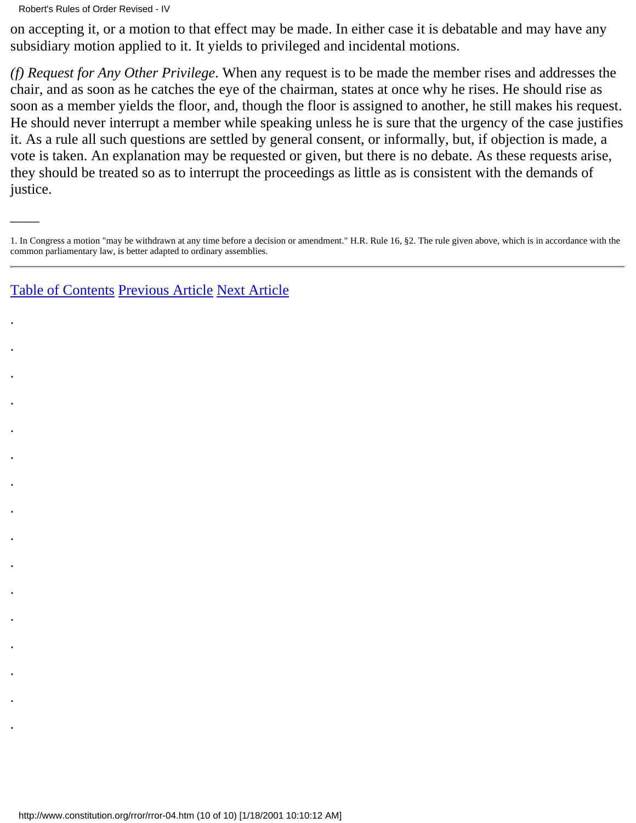$\overline{\phantom{a}}$ 

.

.

.

.

.

.

.

.

.

.

.

.

.

.

.

.

on accepting it, or a motion to that effect may be made. In either case it is debatable and may have any subsidiary motion applied to it. It yields to privileged and incidental motions.

*(f) Request for Any Other Privilege*. When any request is to be made the member rises and addresses the chair, and as soon as he catches the eye of the chairman, states at once why he rises. He should rise as soon as a member yields the floor, and, though the floor is assigned to another, he still makes his request. He should never interrupt a member while speaking unless he is sure that the urgency of the case justifies it. As a rule all such questions are settled by general consent, or informally, but, if objection is made, a vote is taken. An explanation may be requested or given, but there is no debate. As these requests arise, they should be treated so as to interrupt the proceedings as little as is consistent with the demands of justice.

1. In Congress a motion "may be withdrawn at any time before a decision or amendment." H.R. Rule 16, §2. The rule given above, which is in accordance with the common parliamentary law, is better adapted to ordinary assemblies.

[Table of Contents](#page-0-0) [Previous Article](#page-10-0) [Next Article](#page-89-0)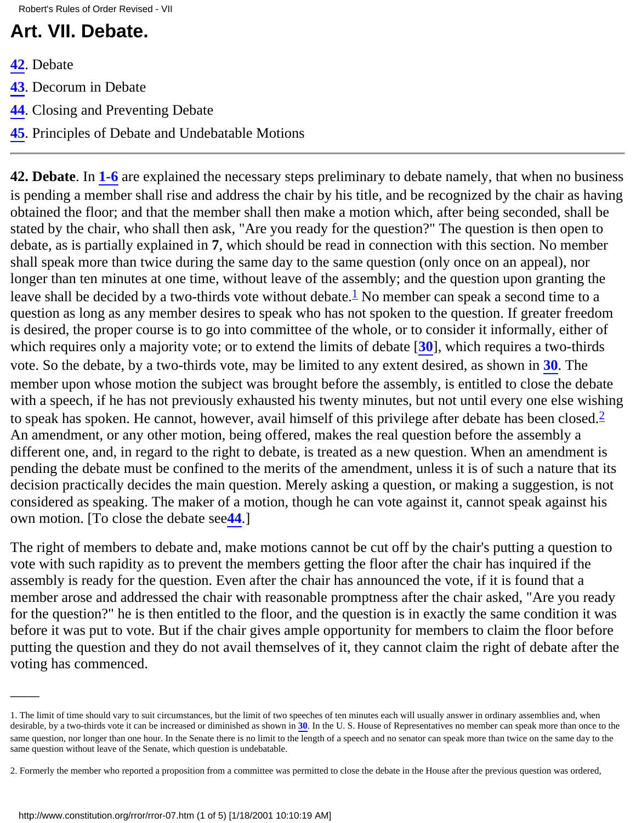# <span id="page-33-0"></span>**Art. VII. Debate.**

**[42](#page-33-1)**. Debate

 $\overline{\phantom{a}}$ 

- **[43](#page-34-0)**. Decorum in Debate
- **[44](#page-34-1)**. Closing and Preventing Debate
- **[45](#page-35-0)**. Principles of Debate and Undebatable Motions

<span id="page-33-1"></span>**42. Debate**. In **1-6** are explained the necessary steps preliminary to debate namely, that when no business is pending a member shall rise and address the chair by his title, and be recognized by the chair as having obtained the floor; and that the member shall then make a motion which, after being seconded, shall be stated by the chair, who shall then ask, "Are you ready for the question?" The question is then open to debate, as is partially explained in **7**, which should be read in connection with this section. No member shall speak more than twice during the same day to the same question (only once on an appeal), nor longer than ten minutes at one time, without leave of the assembly; and the question upon granting the leave shall be decided by a two-thirds vote without debate.<sup>1</sup> No member can speak a second time to a question as long as any member desires to speak who has not spoken to the question. If greater freedom is desired, the proper course is to go into committee of the whole, or to consider it informally, either of which requires only a majority vote; or to extend the limits of debate [**[30](#page-94-0)**], which requires a two-thirds vote. So the debate, by a two-thirds vote, may be limited to any extent desired, as shown in **[30](#page-94-0)**. The member upon whose motion the subject was brought before the assembly, is entitled to close the debate with a speech, if he has not previously exhausted his twenty minutes, but not until every one else wishing to speak has spoken. He cannot, however, avail himself of this privilege after debate has been closed.<sup>[2](#page-33-3)</sup> An amendment, or any other motion, being offered, makes the real question before the assembly a different one, and, in regard to the right to debate, is treated as a new question. When an amendment is pending the debate must be confined to the merits of the amendment, unless it is of such a nature that its decision practically decides the main question. Merely asking a question, or making a suggestion, is not considered as speaking. The maker of a motion, though he can vote against it, cannot speak against his own motion. [To close the debate see**[44](#page-34-1)**.]

The right of members to debate and, make motions cannot be cut off by the chair's putting a question to vote with such rapidity as to prevent the members getting the floor after the chair has inquired if the assembly is ready for the question. Even after the chair has announced the vote, if it is found that a member arose and addressed the chair with reasonable promptness after the chair asked, "Are you ready for the question?" he is then entitled to the floor, and the question is in exactly the same condition it was before it was put to vote. But if the chair gives ample opportunity for members to claim the floor before putting the question and they do not avail themselves of it, they cannot claim the right of debate after the voting has commenced.

<span id="page-33-2"></span><sup>1.</sup> The limit of time should vary to suit circumstances, but the limit of two speeches of ten minutes each will usually answer in ordinary assemblies and, when desirable, by a two-thirds vote it can be increased or diminished as shown in [30](#page-94-0). In the U.S. House of Representatives no member can speak more than once to the same question, nor longer than one hour. In the Senate there is no limit to the length of a speech and no senator can speak more than twice on the same day to the same question without leave of the Senate, which question is undebatable.

<span id="page-33-3"></span><sup>2.</sup> Formerly the member who reported a proposition from a committee was permitted to close the debate in the House after the previous question was ordered,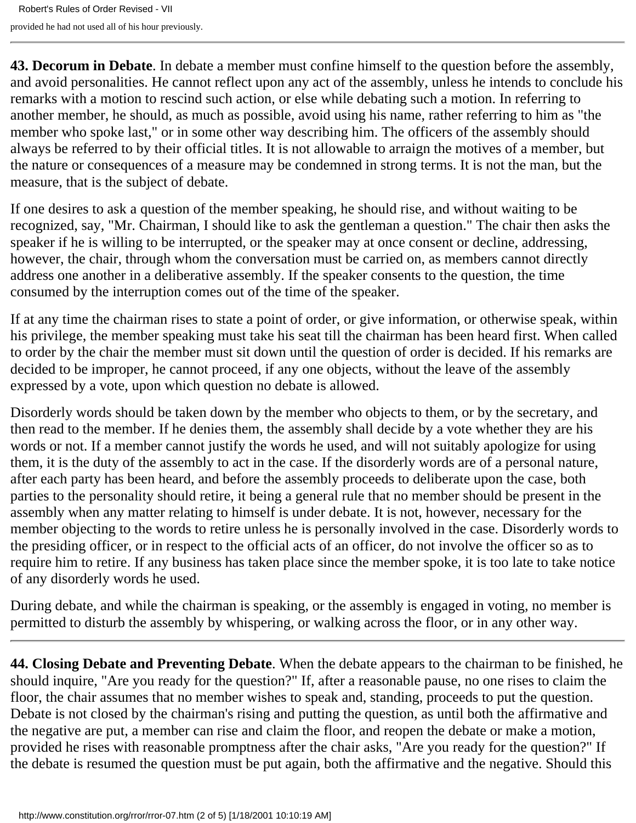<span id="page-34-0"></span>**43. Decorum in Debate**. In debate a member must confine himself to the question before the assembly, and avoid personalities. He cannot reflect upon any act of the assembly, unless he intends to conclude his remarks with a motion to rescind such action, or else while debating such a motion. In referring to another member, he should, as much as possible, avoid using his name, rather referring to him as "the member who spoke last," or in some other way describing him. The officers of the assembly should always be referred to by their official titles. It is not allowable to arraign the motives of a member, but the nature or consequences of a measure may be condemned in strong terms. It is not the man, but the measure, that is the subject of debate.

If one desires to ask a question of the member speaking, he should rise, and without waiting to be recognized, say, "Mr. Chairman, I should like to ask the gentleman a question." The chair then asks the speaker if he is willing to be interrupted, or the speaker may at once consent or decline, addressing, however, the chair, through whom the conversation must be carried on, as members cannot directly address one another in a deliberative assembly. If the speaker consents to the question, the time consumed by the interruption comes out of the time of the speaker.

If at any time the chairman rises to state a point of order, or give information, or otherwise speak, within his privilege, the member speaking must take his seat till the chairman has been heard first. When called to order by the chair the member must sit down until the question of order is decided. If his remarks are decided to be improper, he cannot proceed, if any one objects, without the leave of the assembly expressed by a vote, upon which question no debate is allowed.

Disorderly words should be taken down by the member who objects to them, or by the secretary, and then read to the member. If he denies them, the assembly shall decide by a vote whether they are his words or not. If a member cannot justify the words he used, and will not suitably apologize for using them, it is the duty of the assembly to act in the case. If the disorderly words are of a personal nature, after each party has been heard, and before the assembly proceeds to deliberate upon the case, both parties to the personality should retire, it being a general rule that no member should be present in the assembly when any matter relating to himself is under debate. It is not, however, necessary for the member objecting to the words to retire unless he is personally involved in the case. Disorderly words to the presiding officer, or in respect to the official acts of an officer, do not involve the officer so as to require him to retire. If any business has taken place since the member spoke, it is too late to take notice of any disorderly words he used.

During debate, and while the chairman is speaking, or the assembly is engaged in voting, no member is permitted to disturb the assembly by whispering, or walking across the floor, or in any other way.

<span id="page-34-1"></span>**44. Closing Debate and Preventing Debate**. When the debate appears to the chairman to be finished, he should inquire, "Are you ready for the question?" If, after a reasonable pause, no one rises to claim the floor, the chair assumes that no member wishes to speak and, standing, proceeds to put the question. Debate is not closed by the chairman's rising and putting the question, as until both the affirmative and the negative are put, a member can rise and claim the floor, and reopen the debate or make a motion, provided he rises with reasonable promptness after the chair asks, "Are you ready for the question?" If the debate is resumed the question must be put again, both the affirmative and the negative. Should this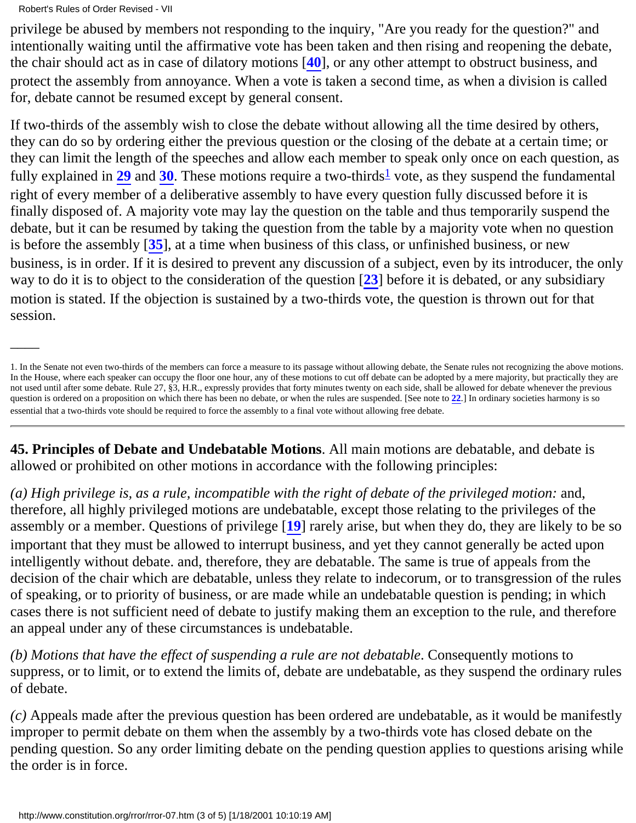$\overline{\phantom{a}}$ 

privilege be abused by members not responding to the inquiry, "Are you ready for the question?" and intentionally waiting until the affirmative vote has been taken and then rising and reopening the debate, the chair should act as in case of dilatory motions [**[40](#page-85-1)**], or any other attempt to obstruct business, and protect the assembly from annoyance. When a vote is taken a second time, as when a division is called for, debate cannot be resumed except by general consent.

If two-thirds of the assembly wish to close the debate without allowing all the time desired by others, they can do so by ordering either the previous question or the closing of the debate at a certain time; or they can limit the length of the speeches and allow each member to speak only once on each question, as fully explained in  $29$  and  $30$ . These motions require a two-thirds<sup>1</sup> vote, as they suspend the fundamental right of every member of a deliberative assembly to have every question fully discussed before it is finally disposed of. A majority vote may lay the question on the table and thus temporarily suspend the debate, but it can be resumed by taking the question from the table by a majority vote when no question is before the assembly [**[35](#page-79-1)**], at a time when business of this class, or unfinished business, or new business, is in order. If it is desired to prevent any discussion of a subject, even by its introducer, the only way to do it is to object to the consideration of the question [**[23](#page-26-0)**] before it is debated, or any subsidiary motion is stated. If the objection is sustained by a two-thirds vote, the question is thrown out for that session.

<span id="page-35-0"></span>**45. Principles of Debate and Undebatable Motions**. All main motions are debatable, and debate is allowed or prohibited on other motions in accordance with the following principles:

*(a) High privilege is, as a rule, incompatible with the right of debate of the privileged motion:* and, therefore, all highly privileged motions are undebatable, except those relating to the privileges of the assembly or a member. Questions of privilege [**[19](#page-12-1)**] rarely arise, but when they do, they are likely to be so important that they must be allowed to interrupt business, and yet they cannot generally be acted upon intelligently without debate. and, therefore, they are debatable. The same is true of appeals from the decision of the chair which are debatable, unless they relate to indecorum, or to transgression of the rules of speaking, or to priority of business, or are made while an undebatable question is pending; in which cases there is not sufficient need of debate to justify making them an exception to the rule, and therefore an appeal under any of these circumstances is undebatable.

*(b) Motions that have the effect of suspending a rule are not debatable*. Consequently motions to suppress, or to limit, or to extend the limits of, debate are undebatable, as they suspend the ordinary rules of debate.

*(c)* Appeals made after the previous question has been ordered are undebatable, as it would be manifestly improper to permit debate on them when the assembly by a two-thirds vote has closed debate on the pending question. So any order limiting debate on the pending question applies to questions arising while the order is in force.

<span id="page-35-1"></span><sup>1.</sup> In the Senate not even two-thirds of the members can force a measure to its passage without allowing debate, the Senate rules not recognizing the above motions. In the House, where each speaker can occupy the floor one hour, any of these motions to cut off debate can be adopted by a mere majority, but practically they are not used until after some debate. Rule 27, §3, H.R., expressly provides that forty minutes twenty on each side, shall be allowed for debate whenever the previous question is ordered on a proposition on which there has been no debate, or when the rules are suspended. [See note to **[22](#page-24-0)**.] In ordinary societies harmony is so essential that a two-thirds vote should be required to force the assembly to a final vote without allowing free debate.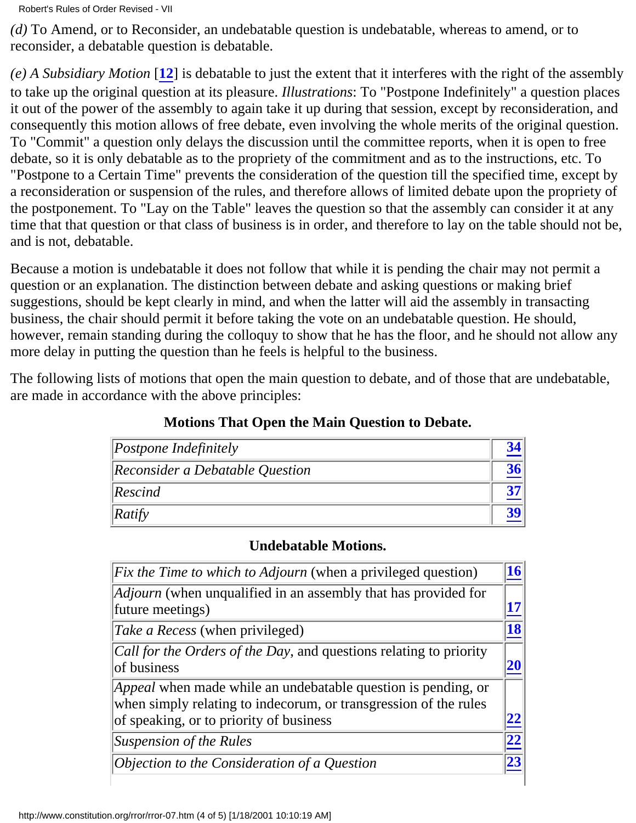*(d)* To Amend, or to Reconsider, an undebatable question is undebatable, whereas to amend, or to reconsider, a debatable question is debatable.

*(e) A Subsidiary Motion* [**12**] is debatable to just the extent that it interferes with the right of the assembly to take up the original question at its pleasure. *Illustrations*: To "Postpone Indefinitely" a question places it out of the power of the assembly to again take it up during that session, except by reconsideration, and consequently this motion allows of free debate, even involving the whole merits of the original question. To "Commit" a question only delays the discussion until the committee reports, when it is open to free debate, so it is only debatable as to the propriety of the commitment and as to the instructions, etc. To "Postpone to a Certain Time" prevents the consideration of the question till the specified time, except by a reconsideration or suspension of the rules, and therefore allows of limited debate upon the propriety of the postponement. To "Lay on the Table" leaves the question so that the assembly can consider it at any time that that question or that class of business is in order, and therefore to lay on the table should not be, and is not, debatable.

Because a motion is undebatable it does not follow that while it is pending the chair may not permit a question or an explanation. The distinction between debate and asking questions or making brief suggestions, should be kept clearly in mind, and when the latter will aid the assembly in transacting business, the chair should permit it before taking the vote on an undebatable question. He should, however, remain standing during the colloquy to show that he has the floor, and he should not allow any more delay in putting the question than he feels is helpful to the business.

The following lists of motions that open the main question to debate, and of those that are undebatable, are made in accordance with the above principles:

| $ Postcone$ <i>Indefinitely</i> |  |
|---------------------------------|--|
| Reconsider a Debatable Question |  |
| $\parallel$ <i>Rescind</i>      |  |
| $\vert \textit{Ratify}$         |  |

## **Motions That Open the Main Question to Debate.**

## **Undebatable Motions.**

| 17<br>22<br>$\overline{22}$ |                                                                                                                                                                                     |    |
|-----------------------------|-------------------------------------------------------------------------------------------------------------------------------------------------------------------------------------|----|
|                             | <i>Fix the Time to which to Adjourn</i> (when a privileged question)                                                                                                                | 16 |
|                             | <i>Adjourn</i> (when unqualified in an assembly that has provided for                                                                                                               |    |
|                             | future meetings)                                                                                                                                                                    |    |
|                             | <i>Take a Recess</i> (when privileged)                                                                                                                                              | 18 |
|                             | Call for the Orders of the Day, and questions relating to priority<br>of business                                                                                                   |    |
|                             | <i>Appeal</i> when made while an undebatable question is pending, or<br>when simply relating to indecorum, or transgression of the rules<br>of speaking, or to priority of business |    |
|                             | Suspension of the Rules                                                                                                                                                             |    |
|                             | Objection to the Consideration of a Question                                                                                                                                        |    |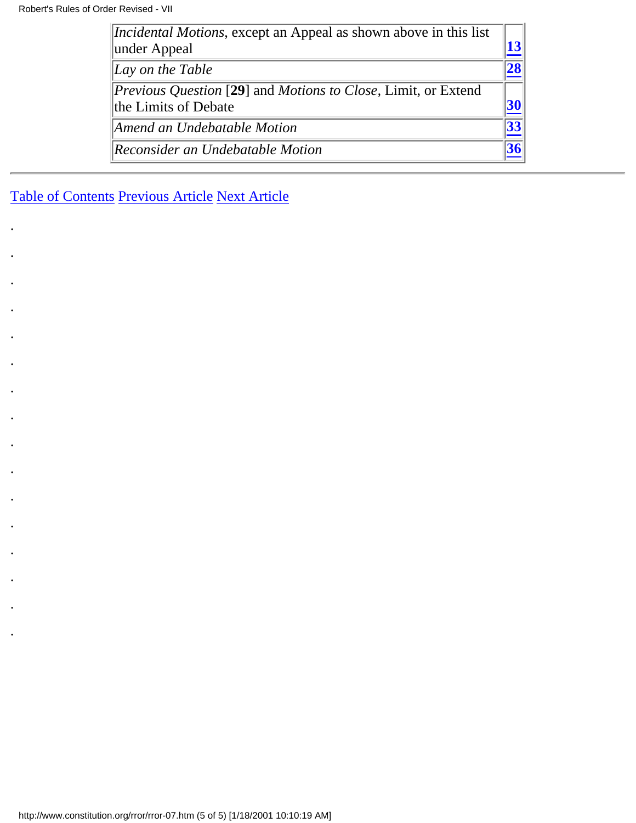.

.

.

.

.

.

.

.

.

.

.

.

.

.

.

.

| <i>Incidental Motions</i> , except an Appeal as shown above in this list<br>under Appeal             |  |
|------------------------------------------------------------------------------------------------------|--|
| Lay on the Table                                                                                     |  |
| <i>Previous Question</i> [29] and <i>Motions to Close</i> , Limit, or Extend<br>the Limits of Debate |  |
| Amend an Undebatable Motion                                                                          |  |
| Reconsider an Undebatable Motion                                                                     |  |

[Table of Contents](#page-0-0) [Previous Article](#page-79-1) [Next Article](#page-61-0)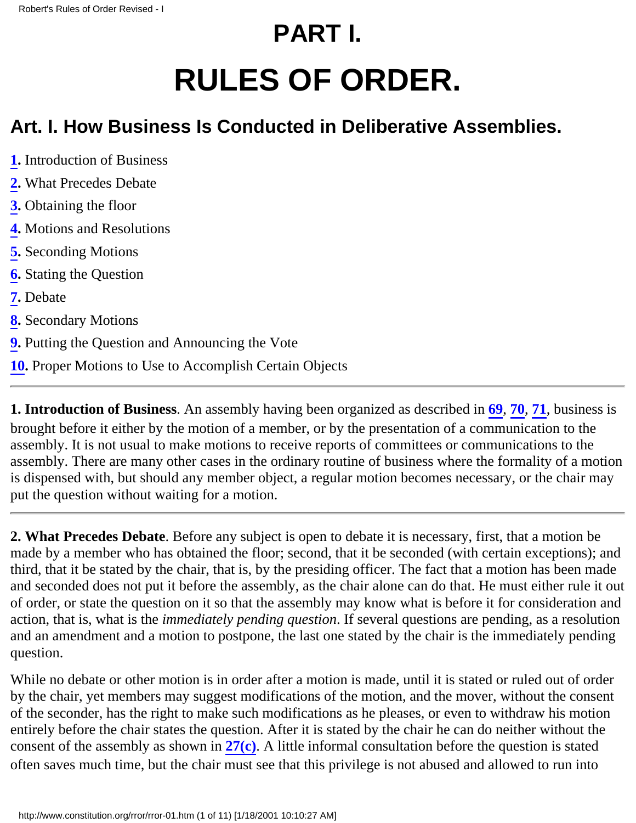# **PART I. RULES OF ORDER.**

## **Art. I. How Business Is Conducted in Deliberative Assemblies.**

- **1.** Introduction of Business
- **2.** What Precedes Debate
- **3.** Obtaining the floor
- **[4](#page-41-0).** Motions and Resolutions
- **[5](#page-42-0).** Seconding Motions
- **[6](#page-43-0).** Stating the Question
- **[7](#page-43-1).** Debate
- **[8](#page-43-2).** Secondary Motions
- **[9](#page-44-0).** Putting the Question and Announcing the Vote
- **10.** Proper Motions to Use to Accomplish Certain Objects

**1. Introduction of Business**. An assembly having been organized as described in **[69](#page-49-0)**, **[70](#page-53-0)**, **[71](#page-57-0)**, business is brought before it either by the motion of a member, or by the presentation of a communication to the assembly. It is not usual to make motions to receive reports of committees or communications to the assembly. There are many other cases in the ordinary routine of business where the formality of a motion is dispensed with, but should any member object, a regular motion becomes necessary, or the chair may put the question without waiting for a motion.

**2. What Precedes Debate**. Before any subject is open to debate it is necessary, first, that a motion be made by a member who has obtained the floor; second, that it be seconded (with certain exceptions); and third, that it be stated by the chair, that is, by the presiding officer. The fact that a motion has been made and seconded does not put it before the assembly, as the chair alone can do that. He must either rule it out of order, or state the question on it so that the assembly may know what is before it for consideration and action, that is, what is the *immediately pending question*. If several questions are pending, as a resolution and an amendment and a motion to postpone, the last one stated by the chair is the immediately pending question.

While no debate or other motion is in order after a motion is made, until it is stated or ruled out of order by the chair, yet members may suggest modifications of the motion, and the mover, without the consent of the seconder, has the right to make such modifications as he pleases, or even to withdraw his motion entirely before the chair states the question. After it is stated by the chair he can do neither without the consent of the assembly as shown in **27(c)**. A little informal consultation before the question is stated often saves much time, but the chair must see that this privilege is not abused and allowed to run into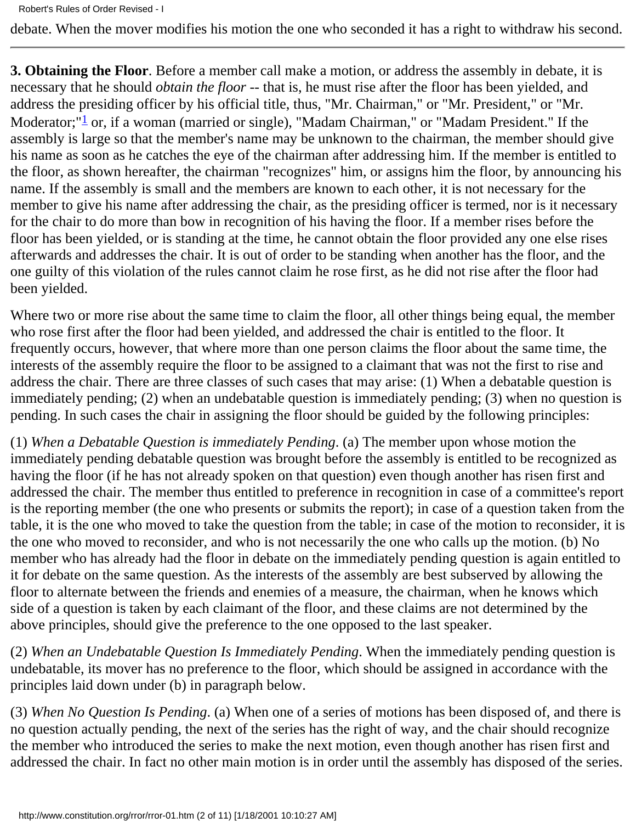debate. When the mover modifies his motion the one who seconded it has a right to withdraw his second.

**3. Obtaining the Floor**. Before a member call make a motion, or address the assembly in debate, it is necessary that he should *obtain the floor* -- that is, he must rise after the floor has been yielded, and address the presiding officer by his official title, thus, "Mr. Chairman," or "Mr. President," or "Mr. Moderator;" $\frac{1}{2}$  $\frac{1}{2}$  $\frac{1}{2}$  or, if a woman (married or single), "Madam Chairman," or "Madam President." If the assembly is large so that the member's name may be unknown to the chairman, the member should give his name as soon as he catches the eye of the chairman after addressing him. If the member is entitled to the floor, as shown hereafter, the chairman "recognizes" him, or assigns him the floor, by announcing his name. If the assembly is small and the members are known to each other, it is not necessary for the member to give his name after addressing the chair, as the presiding officer is termed, nor is it necessary for the chair to do more than bow in recognition of his having the floor. If a member rises before the floor has been yielded, or is standing at the time, he cannot obtain the floor provided any one else rises afterwards and addresses the chair. It is out of order to be standing when another has the floor, and the one guilty of this violation of the rules cannot claim he rose first, as he did not rise after the floor had been yielded.

Where two or more rise about the same time to claim the floor, all other things being equal, the member who rose first after the floor had been yielded, and addressed the chair is entitled to the floor. It frequently occurs, however, that where more than one person claims the floor about the same time, the interests of the assembly require the floor to be assigned to a claimant that was not the first to rise and address the chair. There are three classes of such cases that may arise: (1) When a debatable question is immediately pending; (2) when an undebatable question is immediately pending; (3) when no question is pending. In such cases the chair in assigning the floor should be guided by the following principles:

(1) *When a Debatable Question is immediately Pending*. (a) The member upon whose motion the immediately pending debatable question was brought before the assembly is entitled to be recognized as having the floor (if he has not already spoken on that question) even though another has risen first and addressed the chair. The member thus entitled to preference in recognition in case of a committee's report is the reporting member (the one who presents or submits the report); in case of a question taken from the table, it is the one who moved to take the question from the table; in case of the motion to reconsider, it is the one who moved to reconsider, and who is not necessarily the one who calls up the motion. (b) No member who has already had the floor in debate on the immediately pending question is again entitled to it for debate on the same question. As the interests of the assembly are best subserved by allowing the floor to alternate between the friends and enemies of a measure, the chairman, when he knows which side of a question is taken by each claimant of the floor, and these claims are not determined by the above principles, should give the preference to the one opposed to the last speaker.

(2) *When an Undebatable Question Is Immediately Pending*. When the immediately pending question is undebatable, its mover has no preference to the floor, which should be assigned in accordance with the principles laid down under (b) in paragraph below.

(3) *When No Question Is Pending*. (a) When one of a series of motions has been disposed of, and there is no question actually pending, the next of the series has the right of way, and the chair should recognize the member who introduced the series to make the next motion, even though another has risen first and addressed the chair. In fact no other main motion is in order until the assembly has disposed of the series.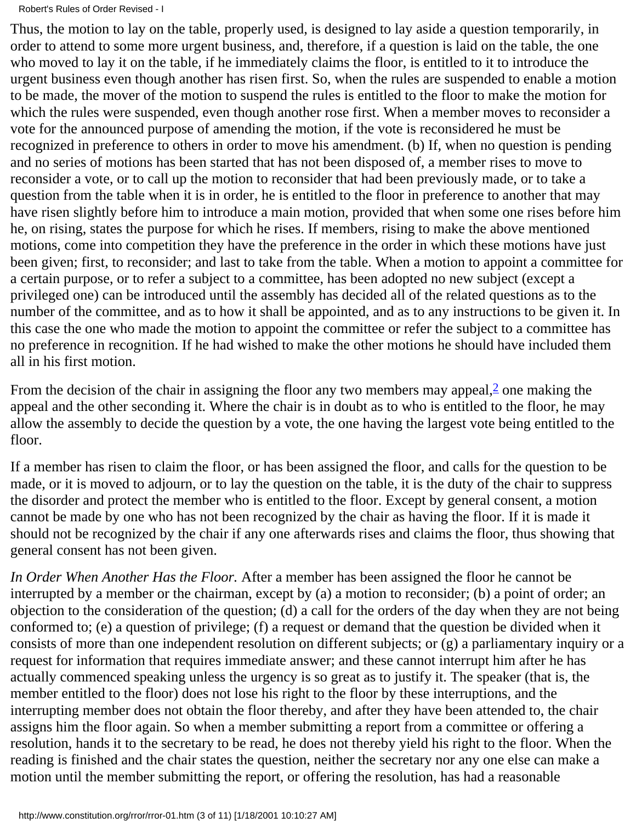Thus, the motion to lay on the table, properly used, is designed to lay aside a question temporarily, in order to attend to some more urgent business, and, therefore, if a question is laid on the table, the one who moved to lay it on the table, if he immediately claims the floor, is entitled to it to introduce the urgent business even though another has risen first. So, when the rules are suspended to enable a motion to be made, the mover of the motion to suspend the rules is entitled to the floor to make the motion for which the rules were suspended, even though another rose first. When a member moves to reconsider a vote for the announced purpose of amending the motion, if the vote is reconsidered he must be recognized in preference to others in order to move his amendment. (b) If, when no question is pending and no series of motions has been started that has not been disposed of, a member rises to move to reconsider a vote, or to call up the motion to reconsider that had been previously made, or to take a question from the table when it is in order, he is entitled to the floor in preference to another that may have risen slightly before him to introduce a main motion, provided that when some one rises before him he, on rising, states the purpose for which he rises. If members, rising to make the above mentioned motions, come into competition they have the preference in the order in which these motions have just been given; first, to reconsider; and last to take from the table. When a motion to appoint a committee for a certain purpose, or to refer a subject to a committee, has been adopted no new subject (except a privileged one) can be introduced until the assembly has decided all of the related questions as to the number of the committee, and as to how it shall be appointed, and as to any instructions to be given it. In this case the one who made the motion to appoint the committee or refer the subject to a committee has no preference in recognition. If he had wished to make the other motions he should have included them all in his first motion.

From the decision of the chair in assigning the floor any two members may appeal, $\frac{2}{3}$  $\frac{2}{3}$  $\frac{2}{3}$  one making the appeal and the other seconding it. Where the chair is in doubt as to who is entitled to the floor, he may allow the assembly to decide the question by a vote, the one having the largest vote being entitled to the floor.

If a member has risen to claim the floor, or has been assigned the floor, and calls for the question to be made, or it is moved to adjourn, or to lay the question on the table, it is the duty of the chair to suppress the disorder and protect the member who is entitled to the floor. Except by general consent, a motion cannot be made by one who has not been recognized by the chair as having the floor. If it is made it should not be recognized by the chair if any one afterwards rises and claims the floor, thus showing that general consent has not been given.

*In Order When Another Has the Floor.* After a member has been assigned the floor he cannot be interrupted by a member or the chairman, except by (a) a motion to reconsider; (b) a point of order; an objection to the consideration of the question; (d) a call for the orders of the day when they are not being conformed to; (e) a question of privilege; (f) a request or demand that the question be divided when it consists of more than one independent resolution on different subjects; or (g) a parliamentary inquiry or a request for information that requires immediate answer; and these cannot interrupt him after he has actually commenced speaking unless the urgency is so great as to justify it. The speaker (that is, the member entitled to the floor) does not lose his right to the floor by these interruptions, and the interrupting member does not obtain the floor thereby, and after they have been attended to, the chair assigns him the floor again. So when a member submitting a report from a committee or offering a resolution, hands it to the secretary to be read, he does not thereby yield his right to the floor. When the reading is finished and the chair states the question, neither the secretary nor any one else can make a motion until the member submitting the report, or offering the resolution, has had a reasonable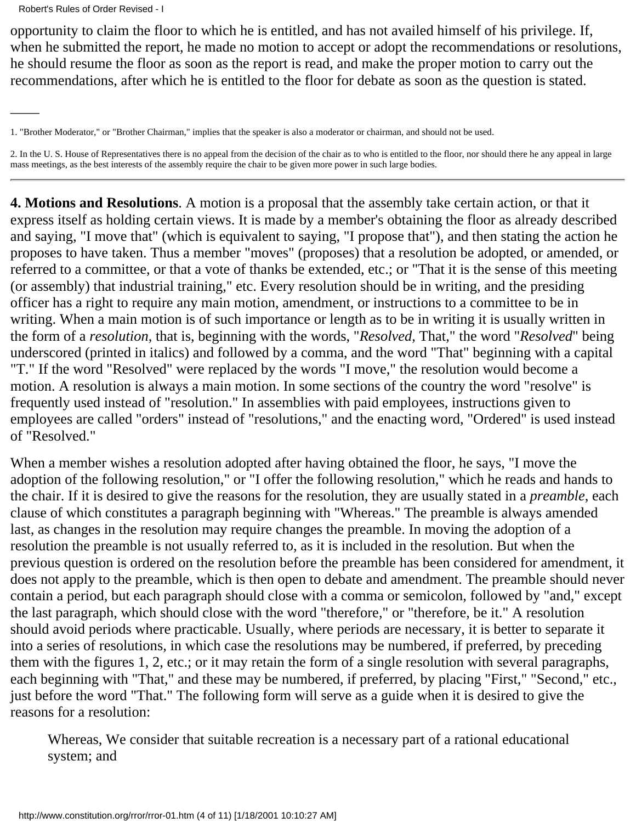$\overline{\phantom{a}}$ 

opportunity to claim the floor to which he is entitled, and has not availed himself of his privilege. If, when he submitted the report, he made no motion to accept or adopt the recommendations or resolutions, he should resume the floor as soon as the report is read, and make the proper motion to carry out the recommendations, after which he is entitled to the floor for debate as soon as the question is stated.

<span id="page-41-1"></span>1. "Brother Moderator," or "Brother Chairman," implies that the speaker is also a moderator or chairman, and should not be used.

<span id="page-41-2"></span>2. In the U. S. House of Representatives there is no appeal from the decision of the chair as to who is entitled to the floor, nor should there he any appeal in large mass meetings, as the best interests of the assembly require the chair to be given more power in such large bodies.

<span id="page-41-0"></span>**4. Motions and Resolutions**. A motion is a proposal that the assembly take certain action, or that it express itself as holding certain views. It is made by a member's obtaining the floor as already described and saying, "I move that" (which is equivalent to saying, "I propose that"), and then stating the action he proposes to have taken. Thus a member "moves" (proposes) that a resolution be adopted, or amended, or referred to a committee, or that a vote of thanks be extended, etc.; or "That it is the sense of this meeting (or assembly) that industrial training," etc. Every resolution should be in writing, and the presiding officer has a right to require any main motion, amendment, or instructions to a committee to be in writing. When a main motion is of such importance or length as to be in writing it is usually written in the form of a *resolution*, that is, beginning with the words, "*Resolved*, That," the word "*Resolved*" being underscored (printed in italics) and followed by a comma, and the word "That" beginning with a capital "T." If the word "Resolved" were replaced by the words "I move," the resolution would become a motion. A resolution is always a main motion. In some sections of the country the word "resolve" is frequently used instead of "resolution." In assemblies with paid employees, instructions given to employees are called "orders" instead of "resolutions," and the enacting word, "Ordered" is used instead of "Resolved."

When a member wishes a resolution adopted after having obtained the floor, he says, "I move the adoption of the following resolution," or "I offer the following resolution," which he reads and hands to the chair. If it is desired to give the reasons for the resolution, they are usually stated in a *preamble*, each clause of which constitutes a paragraph beginning with "Whereas." The preamble is always amended last, as changes in the resolution may require changes the preamble. In moving the adoption of a resolution the preamble is not usually referred to, as it is included in the resolution. But when the previous question is ordered on the resolution before the preamble has been considered for amendment, it does not apply to the preamble, which is then open to debate and amendment. The preamble should never contain a period, but each paragraph should close with a comma or semicolon, followed by "and," except the last paragraph, which should close with the word "therefore," or "therefore, be it." A resolution should avoid periods where practicable. Usually, where periods are necessary, it is better to separate it into a series of resolutions, in which case the resolutions may be numbered, if preferred, by preceding them with the figures 1, 2, etc.; or it may retain the form of a single resolution with several paragraphs, each beginning with "That," and these may be numbered, if preferred, by placing "First," "Second," etc., just before the word "That." The following form will serve as a guide when it is desired to give the reasons for a resolution:

Whereas, We consider that suitable recreation is a necessary part of a rational educational system; and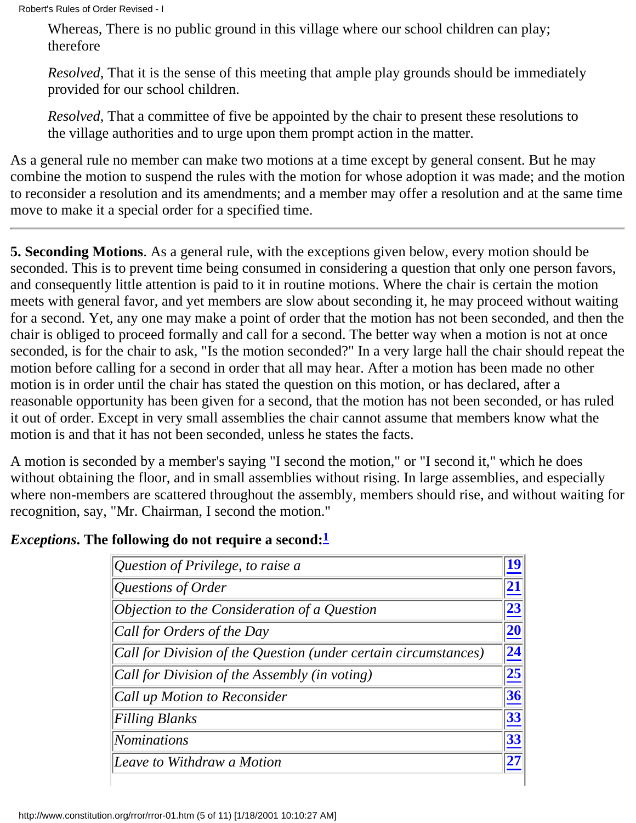Whereas, There is no public ground in this village where our school children can play; therefore

*Resolved*, That it is the sense of this meeting that ample play grounds should be immediately provided for our school children.

*Resolved*, That a committee of five be appointed by the chair to present these resolutions to the village authorities and to urge upon them prompt action in the matter.

As a general rule no member can make two motions at a time except by general consent. But he may combine the motion to suspend the rules with the motion for whose adoption it was made; and the motion to reconsider a resolution and its amendments; and a member may offer a resolution and at the same time move to make it a special order for a specified time.

<span id="page-42-0"></span>**5. Seconding Motions**. As a general rule, with the exceptions given below, every motion should be seconded. This is to prevent time being consumed in considering a question that only one person favors, and consequently little attention is paid to it in routine motions. Where the chair is certain the motion meets with general favor, and yet members are slow about seconding it, he may proceed without waiting for a second. Yet, any one may make a point of order that the motion has not been seconded, and then the chair is obliged to proceed formally and call for a second. The better way when a motion is not at once seconded, is for the chair to ask, "Is the motion seconded?" In a very large hall the chair should repeat the motion before calling for a second in order that all may hear. After a motion has been made no other motion is in order until the chair has stated the question on this motion, or has declared, after a reasonable opportunity has been given for a second, that the motion has not been seconded, or has ruled it out of order. Except in very small assemblies the chair cannot assume that members know what the motion is and that it has not been seconded, unless he states the facts.

A motion is seconded by a member's saying "I second the motion," or "I second it," which he does without obtaining the floor, and in small assemblies without rising. In large assemblies, and especially where non-members are scattered throughout the assembly, members should rise, and without waiting for recognition, say, "Mr. Chairman, I second the motion."

| Question of Privilege, to raise a                               | 19              |
|-----------------------------------------------------------------|-----------------|
| Questions of Order                                              | 21              |
| Objection to the Consideration of a Question                    | 23              |
| Call for Orders of the Day                                      | $\overline{20}$ |
| Call for Division of the Question (under certain circumstances) | $\overline{24}$ |
| Call for Division of the Assembly (in voting)                   | 25              |
| Call up Motion to Reconsider                                    | 36              |
| <b>Filling Blanks</b>                                           | 33              |
| <b>Nominations</b>                                              | 33              |
| Leave to Withdraw a Motion                                      |                 |

## *Exceptions***. The following do not require a second[:1](#page-43-3)**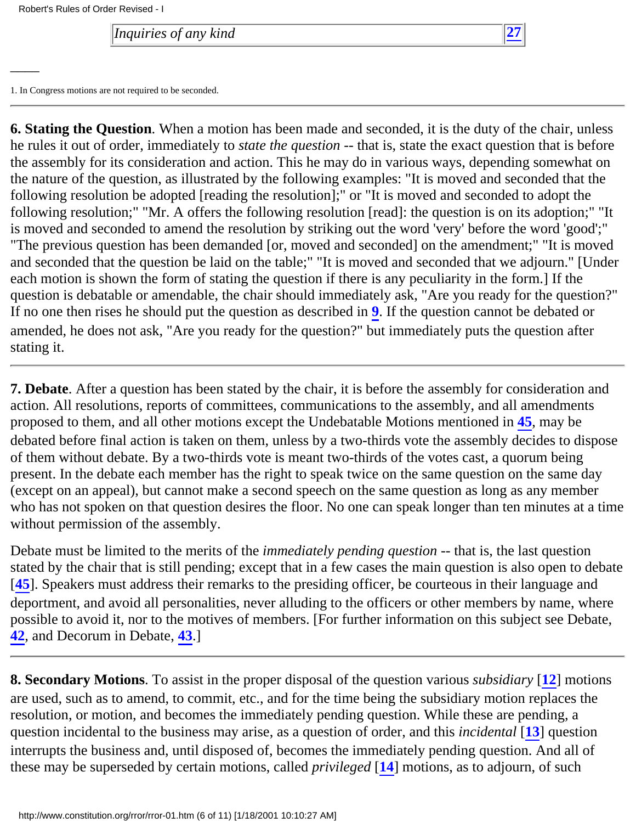$\overline{\phantom{a}}$ 

*Inquiries of any kind* **27**

<span id="page-43-3"></span>1. In Congress motions are not required to be seconded.

<span id="page-43-0"></span>**6. Stating the Question**. When a motion has been made and seconded, it is the duty of the chair, unless he rules it out of order, immediately to *state the question* -- that is, state the exact question that is before the assembly for its consideration and action. This he may do in various ways, depending somewhat on the nature of the question, as illustrated by the following examples: "It is moved and seconded that the following resolution be adopted [reading the resolution];" or "It is moved and seconded to adopt the following resolution;" "Mr. A offers the following resolution [read]: the question is on its adoption;" "It is moved and seconded to amend the resolution by striking out the word 'very' before the word 'good';" "The previous question has been demanded [or, moved and seconded] on the amendment;" "It is moved and seconded that the question be laid on the table;" "It is moved and seconded that we adjourn." [Under each motion is shown the form of stating the question if there is any peculiarity in the form.] If the question is debatable or amendable, the chair should immediately ask, "Are you ready for the question?" If no one then rises he should put the question as described in **[9](#page-44-0)**. If the question cannot be debated or amended, he does not ask, "Are you ready for the question?" but immediately puts the question after stating it.

<span id="page-43-1"></span>**7. Debate**. After a question has been stated by the chair, it is before the assembly for consideration and action. All resolutions, reports of committees, communications to the assembly, and all amendments proposed to them, and all other motions except the Undebatable Motions mentioned in **[45](#page-35-0)**, may be debated before final action is taken on them, unless by a two-thirds vote the assembly decides to dispose of them without debate. By a two-thirds vote is meant two-thirds of the votes cast, a quorum being present. In the debate each member has the right to speak twice on the same question on the same day (except on an appeal), but cannot make a second speech on the same question as long as any member who has not spoken on that question desires the floor. No one can speak longer than ten minutes at a time without permission of the assembly.

Debate must be limited to the merits of the *immediately pending question* -- that is, the last question stated by the chair that is still pending; except that in a few cases the main question is also open to debate [**[45](#page-35-0)**]. Speakers must address their remarks to the presiding officer, be courteous in their language and deportment, and avoid all personalities, never alluding to the officers or other members by name, where possible to avoid it, nor to the motives of members. [For further information on this subject see Debate, **[42](#page-33-0)**, and Decorum in Debate, **[43](#page-34-0)**.]

<span id="page-43-2"></span>**8. Secondary Motions**. To assist in the proper disposal of the question various *subsidiary* [**12**] motions are used, such as to amend, to commit, etc., and for the time being the subsidiary motion replaces the resolution, or motion, and becomes the immediately pending question. While these are pending, a question incidental to the business may arise, as a question of order, and this *incidental* [**13**] question interrupts the business and, until disposed of, becomes the immediately pending question. And all of these may be superseded by certain motions, called *privileged* [**14**] motions, as to adjourn, of such

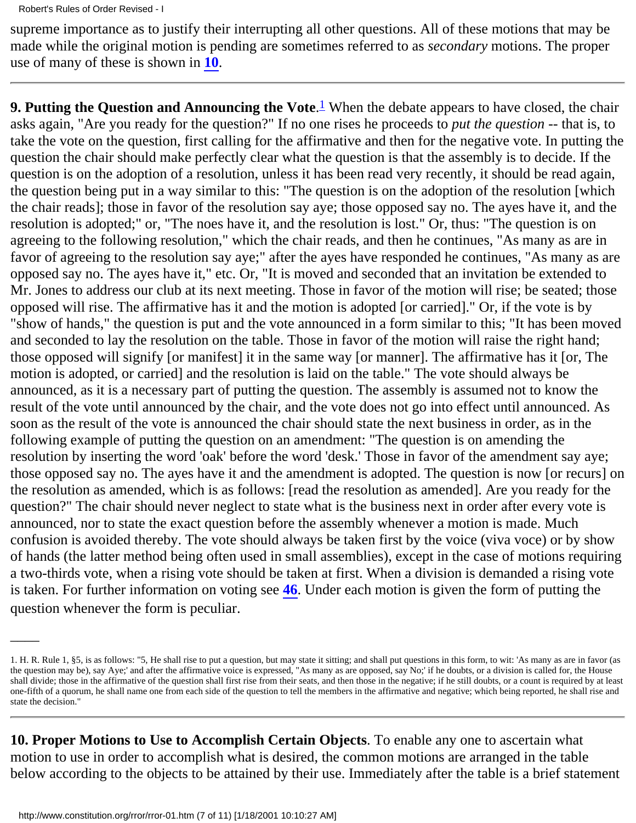supreme importance as to justify their interrupting all other questions. All of these motions that may be made while the original motion is pending are sometimes referred to as *secondary* motions. The proper use of many of these is shown in **10**.

<span id="page-44-0"></span>**9. Putting the Question and Announcing the Vote.<sup>[1](#page-44-1)</sup> When the debate appears to have closed, the chair** asks again, "Are you ready for the question?" If no one rises he proceeds to *put the question* -- that is, to take the vote on the question, first calling for the affirmative and then for the negative vote. In putting the question the chair should make perfectly clear what the question is that the assembly is to decide. If the question is on the adoption of a resolution, unless it has been read very recently, it should be read again, the question being put in a way similar to this: "The question is on the adoption of the resolution [which the chair reads]; those in favor of the resolution say aye; those opposed say no. The ayes have it, and the resolution is adopted;" or, "The noes have it, and the resolution is lost." Or, thus: "The question is on agreeing to the following resolution," which the chair reads, and then he continues, "As many as are in favor of agreeing to the resolution say aye;" after the ayes have responded he continues, "As many as are opposed say no. The ayes have it," etc. Or, "It is moved and seconded that an invitation be extended to Mr. Jones to address our club at its next meeting. Those in favor of the motion will rise; be seated; those opposed will rise. The affirmative has it and the motion is adopted [or carried]." Or, if the vote is by "show of hands," the question is put and the vote announced in a form similar to this; "It has been moved and seconded to lay the resolution on the table. Those in favor of the motion will raise the right hand; those opposed will signify [or manifest] it in the same way [or manner]. The affirmative has it [or, The motion is adopted, or carried] and the resolution is laid on the table." The vote should always be announced, as it is a necessary part of putting the question. The assembly is assumed not to know the result of the vote until announced by the chair, and the vote does not go into effect until announced. As soon as the result of the vote is announced the chair should state the next business in order, as in the following example of putting the question on an amendment: "The question is on amending the resolution by inserting the word 'oak' before the word 'desk.' Those in favor of the amendment say aye; those opposed say no. The ayes have it and the amendment is adopted. The question is now [or recurs] on the resolution as amended, which is as follows: [read the resolution as amended]. Are you ready for the question?" The chair should never neglect to state what is the business next in order after every vote is announced, nor to state the exact question before the assembly whenever a motion is made. Much confusion is avoided thereby. The vote should always be taken first by the voice (viva voce) or by show of hands (the latter method being often used in small assemblies), except in the case of motions requiring a two-thirds vote, when a rising vote should be taken at first. When a division is demanded a rising vote is taken. For further information on voting see **[46](#page-61-1)**. Under each motion is given the form of putting the question whenever the form is peculiar.

**10. Proper Motions to Use to Accomplish Certain Objects**. To enable any one to ascertain what motion to use in order to accomplish what is desired, the common motions are arranged in the table below according to the objects to be attained by their use. Immediately after the table is a brief statement

 $\overline{\phantom{a}}$ 

<span id="page-44-1"></span><sup>1.</sup> H. R. Rule 1, §5, is as follows: "5, He shall rise to put a question, but may state it sitting; and shall put questions in this form, to wit: 'As many as are in favor (as the question may be), say Aye;' and after the affirmative voice is expressed, "As many as are opposed, say No;' if he doubts, or a division is called for, the House shall divide; those in the affirmative of the question shall first rise from their seats, and then those in the negative; if he still doubts, or a count is required by at least one-fifth of a quorum, he shall name one from each side of the question to tell the members in the affirmative and negative; which being reported, he shall rise and state the decision."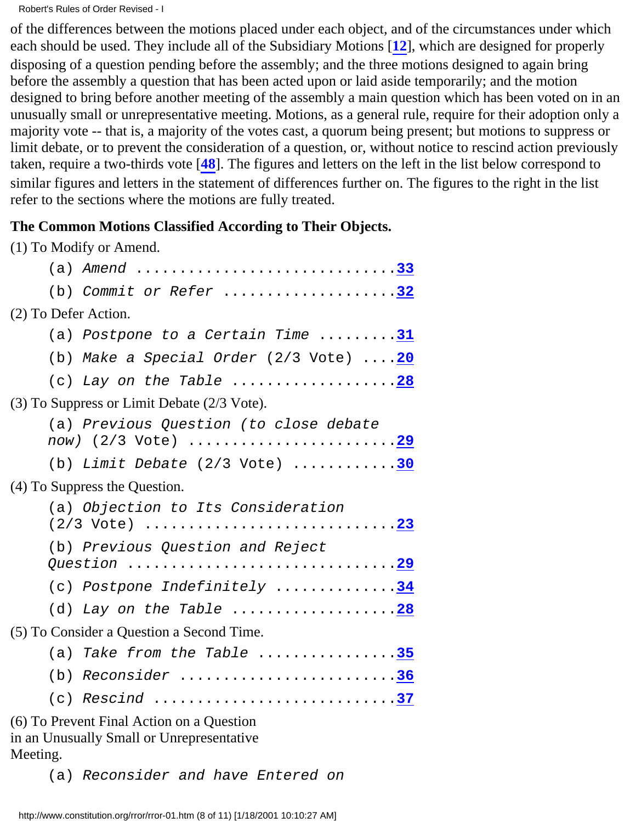of the differences between the motions placed under each object, and of the circumstances under which each should be used. They include all of the Subsidiary Motions [**12**], which are designed for properly disposing of a question pending before the assembly; and the three motions designed to again bring before the assembly a question that has been acted upon or laid aside temporarily; and the motion designed to bring before another meeting of the assembly a main question which has been voted on in an unusually small or unrepresentative meeting. Motions, as a general rule, require for their adoption only a majority vote -- that is, a majority of the votes cast, a quorum being present; but motions to suppress or limit debate, or to prevent the consideration of a question, or, without notice to rescind action previously taken, require a two-thirds vote [**[48](#page-66-0)**]. The figures and letters on the left in the list below correspond to similar figures and letters in the statement of differences further on. The figures to the right in the list refer to the sections where the motions are fully treated.

### **The Common Motions Classified According to Their Objects.**

| (1) To Modify or Amend.                                                                            |
|----------------------------------------------------------------------------------------------------|
|                                                                                                    |
| (b) Commit or Refer 32                                                                             |
| (2) To Defer Action.                                                                               |
| (a) Postpone to a Certain Time 31                                                                  |
| (b) Make a Special Order (2/3 Vote) 20                                                             |
| (c) Lay on the Table 28                                                                            |
| $(3)$ To Suppress or Limit Debate $(2/3$ Vote).                                                    |
| (a) Previous Question (to close debate<br>now) (2/3 Vote) <mark>29</mark>                          |
| (b) Limit Debate (2/3 Vote) 30                                                                     |
| (4) To Suppress the Question.                                                                      |
| (a) Objection to Its Consideration<br>(2/3 Vote) <mark>23</mark>                                   |
| (b) Previous Question and Reject                                                                   |
| (c) Postpone Indefinitely 34                                                                       |
| (d) Lay on the Table 28                                                                            |
| (5) To Consider a Question a Second Time.                                                          |
| (a) Take from the Table 35                                                                         |
| (b) Reconsider 36                                                                                  |
|                                                                                                    |
| (6) To Prevent Final Action on a Question<br>in an Unusually Small or Unrepresentative<br>Meeting. |
| (a) Reconsider and have Entered on                                                                 |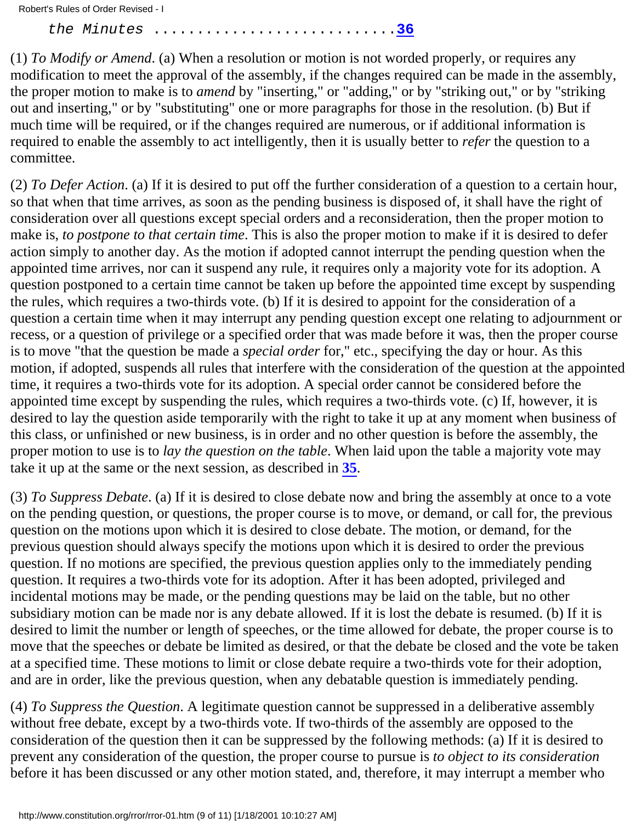the Minutes ............................**[36](#page-79-0)**

(1) *To Modify or Amend*. (a) When a resolution or motion is not worded properly, or requires any modification to meet the approval of the assembly, if the changes required can be made in the assembly, the proper motion to make is to *amend* by "inserting," or "adding," or by "striking out," or by "striking out and inserting," or by "substituting" one or more paragraphs for those in the resolution. (b) But if much time will be required, or if the changes required are numerous, or if additional information is required to enable the assembly to act intelligently, then it is usually better to *refer* the question to a committee.

(2) *To Defer Action*. (a) If it is desired to put off the further consideration of a question to a certain hour, so that when that time arrives, as soon as the pending business is disposed of, it shall have the right of consideration over all questions except special orders and a reconsideration, then the proper motion to make is, *to postpone to that certain time*. This is also the proper motion to make if it is desired to defer action simply to another day. As the motion if adopted cannot interrupt the pending question when the appointed time arrives, nor can it suspend any rule, it requires only a majority vote for its adoption. A question postponed to a certain time cannot be taken up before the appointed time except by suspending the rules, which requires a two-thirds vote. (b) If it is desired to appoint for the consideration of a question a certain time when it may interrupt any pending question except one relating to adjournment or recess, or a question of privilege or a specified order that was made before it was, then the proper course is to move "that the question be made a *special order* for," etc., specifying the day or hour. As this motion, if adopted, suspends all rules that interfere with the consideration of the question at the appointed time, it requires a two-thirds vote for its adoption. A special order cannot be considered before the appointed time except by suspending the rules, which requires a two-thirds vote. (c) If, however, it is desired to lay the question aside temporarily with the right to take it up at any moment when business of this class, or unfinished or new business, is in order and no other question is before the assembly, the proper motion to use is to *lay the question on the table*. When laid upon the table a majority vote may take it up at the same or the next session, as described in **[35](#page-79-2)**.

(3) *To Suppress Debate*. (a) If it is desired to close debate now and bring the assembly at once to a vote on the pending question, or questions, the proper course is to move, or demand, or call for, the previous question on the motions upon which it is desired to close debate. The motion, or demand, for the previous question should always specify the motions upon which it is desired to order the previous question. If no motions are specified, the previous question applies only to the immediately pending question. It requires a two-thirds vote for its adoption. After it has been adopted, privileged and incidental motions may be made, or the pending questions may be laid on the table, but no other subsidiary motion can be made nor is any debate allowed. If it is lost the debate is resumed. (b) If it is desired to limit the number or length of speeches, or the time allowed for debate, the proper course is to move that the speeches or debate be limited as desired, or that the debate be closed and the vote be taken at a specified time. These motions to limit or close debate require a two-thirds vote for their adoption, and are in order, like the previous question, when any debatable question is immediately pending.

(4) *To Suppress the Question*. A legitimate question cannot be suppressed in a deliberative assembly without free debate, except by a two-thirds vote. If two-thirds of the assembly are opposed to the consideration of the question then it can be suppressed by the following methods: (a) If it is desired to prevent any consideration of the question, the proper course to pursue is *to object to its consideration* before it has been discussed or any other motion stated, and, therefore, it may interrupt a member who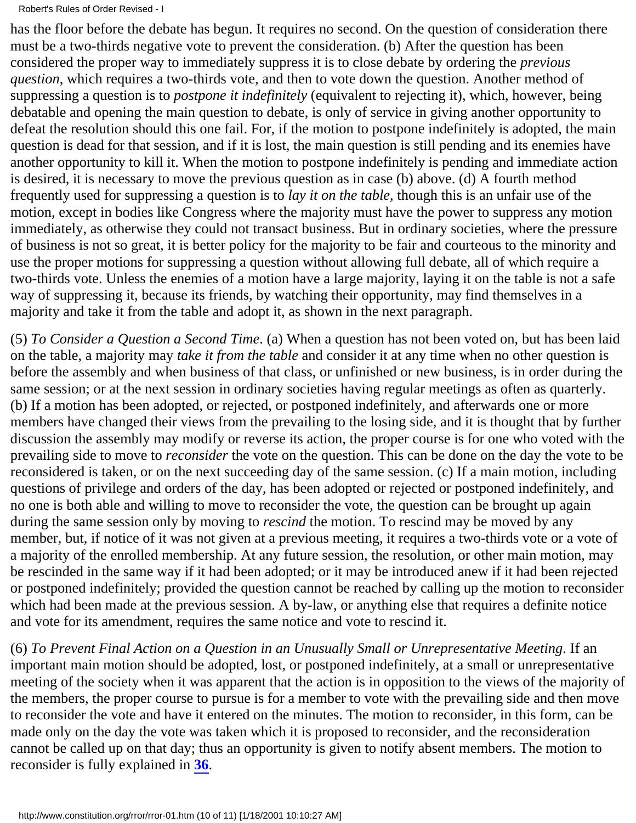has the floor before the debate has begun. It requires no second. On the question of consideration there must be a two-thirds negative vote to prevent the consideration. (b) After the question has been considered the proper way to immediately suppress it is to close debate by ordering the *previous question*, which requires a two-thirds vote, and then to vote down the question. Another method of suppressing a question is to *postpone it indefinitely* (equivalent to rejecting it), which, however, being debatable and opening the main question to debate, is only of service in giving another opportunity to defeat the resolution should this one fail. For, if the motion to postpone indefinitely is adopted, the main question is dead for that session, and if it is lost, the main question is still pending and its enemies have another opportunity to kill it. When the motion to postpone indefinitely is pending and immediate action is desired, it is necessary to move the previous question as in case (b) above. (d) A fourth method frequently used for suppressing a question is to *lay it on the table*, though this is an unfair use of the motion, except in bodies like Congress where the majority must have the power to suppress any motion immediately, as otherwise they could not transact business. But in ordinary societies, where the pressure of business is not so great, it is better policy for the majority to be fair and courteous to the minority and use the proper motions for suppressing a question without allowing full debate, all of which require a two-thirds vote. Unless the enemies of a motion have a large majority, laying it on the table is not a safe way of suppressing it, because its friends, by watching their opportunity, may find themselves in a majority and take it from the table and adopt it, as shown in the next paragraph.

(5) *To Consider a Question a Second Time*. (a) When a question has not been voted on, but has been laid on the table, a majority may *take it from the table* and consider it at any time when no other question is before the assembly and when business of that class, or unfinished or new business, is in order during the same session; or at the next session in ordinary societies having regular meetings as often as quarterly. (b) If a motion has been adopted, or rejected, or postponed indefinitely, and afterwards one or more members have changed their views from the prevailing to the losing side, and it is thought that by further discussion the assembly may modify or reverse its action, the proper course is for one who voted with the prevailing side to move to *reconsider* the vote on the question. This can be done on the day the vote to be reconsidered is taken, or on the next succeeding day of the same session. (c) If a main motion, including questions of privilege and orders of the day, has been adopted or rejected or postponed indefinitely, and no one is both able and willing to move to reconsider the vote, the question can be brought up again during the same session only by moving to *rescind* the motion. To rescind may be moved by any member, but, if notice of it was not given at a previous meeting, it requires a two-thirds vote or a vote of a majority of the enrolled membership. At any future session, the resolution, or other main motion, may be rescinded in the same way if it had been adopted; or it may be introduced anew if it had been rejected or postponed indefinitely; provided the question cannot be reached by calling up the motion to reconsider which had been made at the previous session. A by-law, or anything else that requires a definite notice and vote for its amendment, requires the same notice and vote to rescind it.

(6) *To Prevent Final Action on a Question in an Unusually Small or Unrepresentative Meeting*. If an important main motion should be adopted, lost, or postponed indefinitely, at a small or unrepresentative meeting of the society when it was apparent that the action is in opposition to the views of the majority of the members, the proper course to pursue is for a member to vote with the prevailing side and then move to reconsider the vote and have it entered on the minutes. The motion to reconsider, in this form, can be made only on the day the vote was taken which it is proposed to reconsider, and the reconsideration cannot be called up on that day; thus an opportunity is given to notify absent members. The motion to reconsider is fully explained in **[36](#page-79-0)**.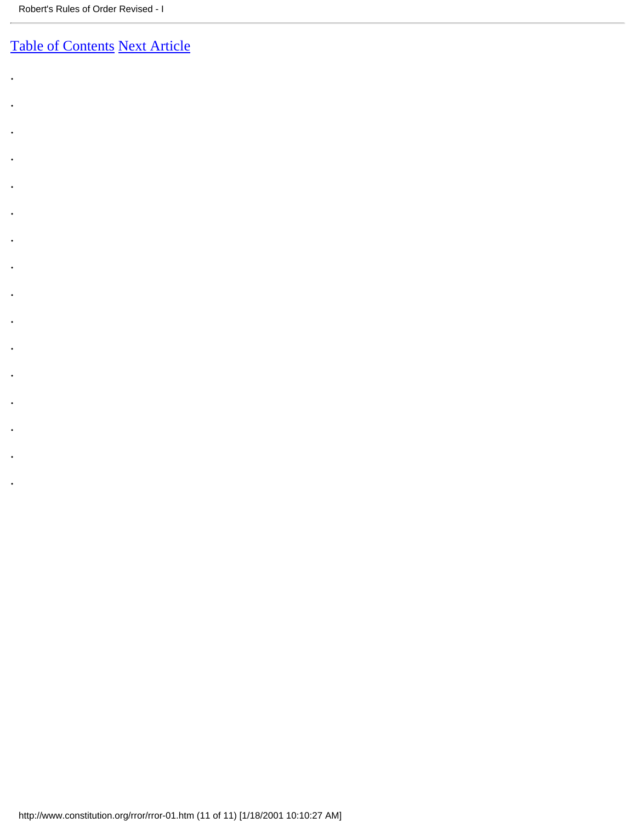.

.

.

.

.

.

.

.

.

.

.

.

.

.

.

.

## [Table of Contents](#page-0-0) [Next Article](#page-18-0)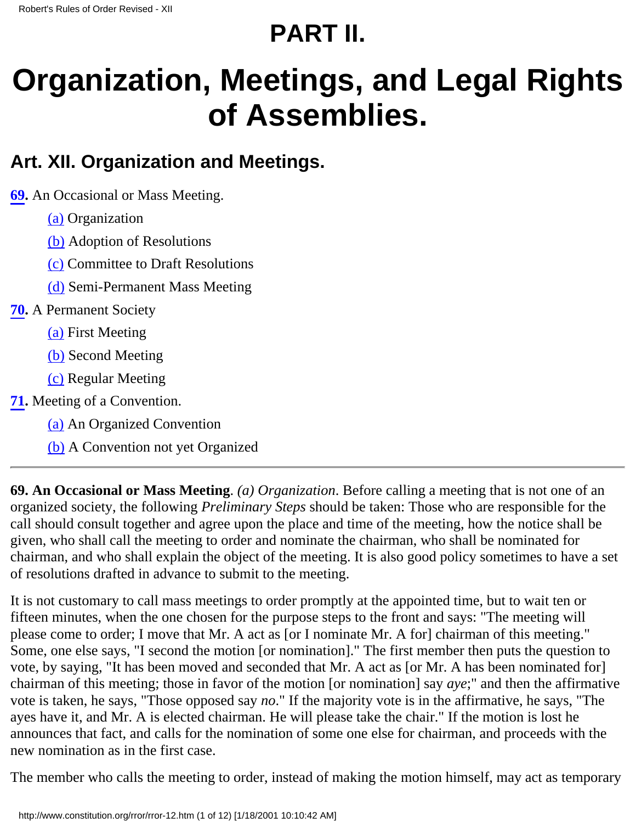# **PART II.**

# **Organization, Meetings, and Legal Rights of Assemblies.**

# **Art. XII. Organization and Meetings.**

**[69](#page-49-0).** An Occasional or Mass Meeting.

- [\(a\)](#page-49-0) Organization
- [\(b\)](#page-50-0) Adoption of Resolutions
- [\(c\)](#page-51-0) Committee to Draft Resolutions
- [\(d\)](#page-52-0) Semi-Permanent Mass Meeting
- **[70](#page-53-0).** A Permanent Society
	- [\(a\)](#page-53-0) First Meeting
		- [\(b\)](#page-54-0) Second Meeting
		- [\(c\)](#page-56-0) Regular Meeting
- **[71](#page-57-0).** Meeting of a Convention.
	- [\(a\)](#page-57-0) An Organized Convention
	- [\(b\)](#page-58-0) A Convention not yet Organized

<span id="page-49-0"></span>**69. An Occasional or Mass Meeting**. *(a) Organization*. Before calling a meeting that is not one of an organized society, the following *Preliminary Steps* should be taken: Those who are responsible for the call should consult together and agree upon the place and time of the meeting, how the notice shall be given, who shall call the meeting to order and nominate the chairman, who shall be nominated for chairman, and who shall explain the object of the meeting. It is also good policy sometimes to have a set of resolutions drafted in advance to submit to the meeting.

It is not customary to call mass meetings to order promptly at the appointed time, but to wait ten or fifteen minutes, when the one chosen for the purpose steps to the front and says: "The meeting will please come to order; I move that Mr. A act as [or I nominate Mr. A for] chairman of this meeting." Some, one else says, "I second the motion [or nomination]." The first member then puts the question to vote, by saying, "It has been moved and seconded that Mr. A act as [or Mr. A has been nominated for] chairman of this meeting; those in favor of the motion [or nomination] say *aye*;" and then the affirmative vote is taken, he says, "Those opposed say *no*." If the majority vote is in the affirmative, he says, "The ayes have it, and Mr. A is elected chairman. He will please take the chair." If the motion is lost he announces that fact, and calls for the nomination of some one else for chairman, and proceeds with the new nomination as in the first case.

The member who calls the meeting to order, instead of making the motion himself, may act as temporary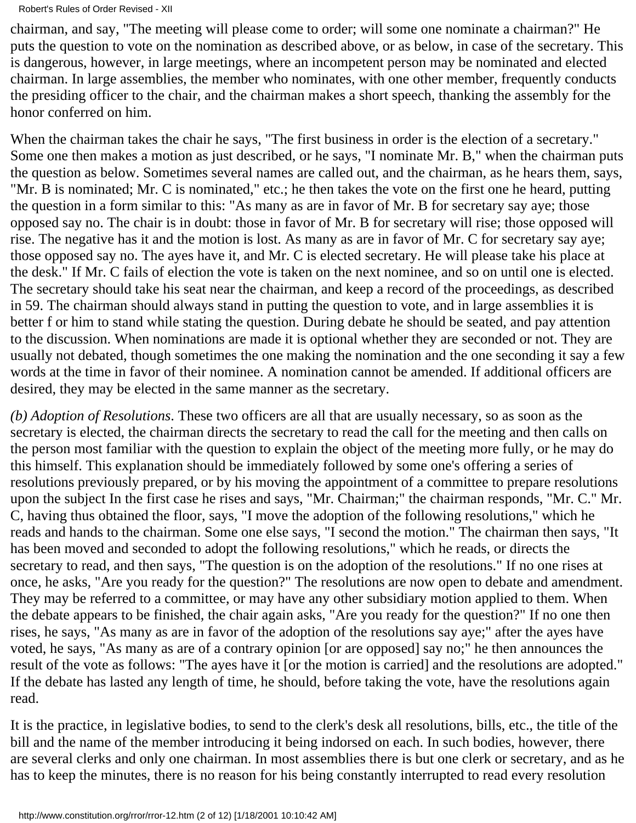chairman, and say, "The meeting will please come to order; will some one nominate a chairman?" He puts the question to vote on the nomination as described above, or as below, in case of the secretary. This is dangerous, however, in large meetings, where an incompetent person may be nominated and elected chairman. In large assemblies, the member who nominates, with one other member, frequently conducts the presiding officer to the chair, and the chairman makes a short speech, thanking the assembly for the honor conferred on him.

When the chairman takes the chair he says, "The first business in order is the election of a secretary." Some one then makes a motion as just described, or he says, "I nominate Mr. B," when the chairman puts the question as below. Sometimes several names are called out, and the chairman, as he hears them, says, "Mr. B is nominated; Mr. C is nominated," etc.; he then takes the vote on the first one he heard, putting the question in a form similar to this: "As many as are in favor of Mr. B for secretary say aye; those opposed say no. The chair is in doubt: those in favor of Mr. B for secretary will rise; those opposed will rise. The negative has it and the motion is lost. As many as are in favor of Mr. C for secretary say aye; those opposed say no. The ayes have it, and Mr. C is elected secretary. He will please take his place at the desk." If Mr. C fails of election the vote is taken on the next nominee, and so on until one is elected. The secretary should take his seat near the chairman, and keep a record of the proceedings, as described in 59. The chairman should always stand in putting the question to vote, and in large assemblies it is better f or him to stand while stating the question. During debate he should be seated, and pay attention to the discussion. When nominations are made it is optional whether they are seconded or not. They are usually not debated, though sometimes the one making the nomination and the one seconding it say a few words at the time in favor of their nominee. A nomination cannot be amended. If additional officers are desired, they may be elected in the same manner as the secretary.

<span id="page-50-0"></span>*(b) Adoption of Resolutions*. These two officers are all that are usually necessary, so as soon as the secretary is elected, the chairman directs the secretary to read the call for the meeting and then calls on the person most familiar with the question to explain the object of the meeting more fully, or he may do this himself. This explanation should be immediately followed by some one's offering a series of resolutions previously prepared, or by his moving the appointment of a committee to prepare resolutions upon the subject In the first case he rises and says, "Mr. Chairman;" the chairman responds, "Mr. C." Mr. C, having thus obtained the floor, says, "I move the adoption of the following resolutions," which he reads and hands to the chairman. Some one else says, "I second the motion." The chairman then says, "It has been moved and seconded to adopt the following resolutions," which he reads, or directs the secretary to read, and then says, "The question is on the adoption of the resolutions." If no one rises at once, he asks, "Are you ready for the question?" The resolutions are now open to debate and amendment. They may be referred to a committee, or may have any other subsidiary motion applied to them. When the debate appears to be finished, the chair again asks, "Are you ready for the question?" If no one then rises, he says, "As many as are in favor of the adoption of the resolutions say aye;" after the ayes have voted, he says, "As many as are of a contrary opinion [or are opposed] say no;" he then announces the result of the vote as follows: "The ayes have it [or the motion is carried] and the resolutions are adopted." If the debate has lasted any length of time, he should, before taking the vote, have the resolutions again read.

It is the practice, in legislative bodies, to send to the clerk's desk all resolutions, bills, etc., the title of the bill and the name of the member introducing it being indorsed on each. In such bodies, however, there are several clerks and only one chairman. In most assemblies there is but one clerk or secretary, and as he has to keep the minutes, there is no reason for his being constantly interrupted to read every resolution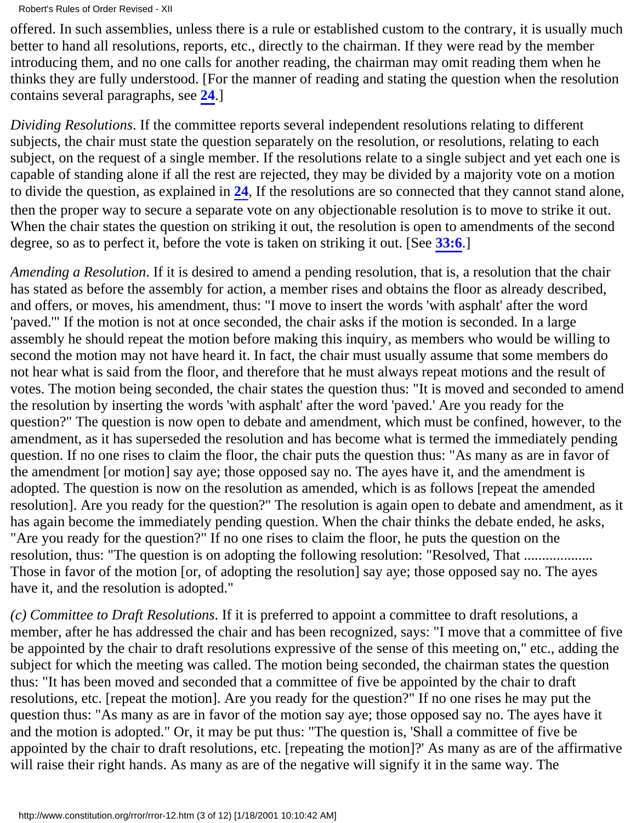offered. In such assemblies, unless there is a rule or established custom to the contrary, it is usually much better to hand all resolutions, reports, etc., directly to the chairman. If they were read by the member introducing them, and no one calls for another reading, the chairman may omit reading them when he thinks they are fully understood. [For the manner of reading and stating the question when the resolution contains several paragraphs, see **[24](#page-27-0)**.]

*Dividing Resolutions*. If the committee reports several independent resolutions relating to different subjects, the chair must state the question separately on the resolution, or resolutions, relating to each subject, on the request of a single member. If the resolutions relate to a single subject and yet each one is capable of standing alone if all the rest are rejected, they may be divided by a majority vote on a motion to divide the question, as explained in **[24](#page-27-0)**, If the resolutions are so connected that they cannot stand alone, then the proper way to secure a separate vote on any objectionable resolution is to move to strike it out. When the chair states the question on striking it out, the resolution is open to amendments of the second degree, so as to perfect it, before the vote is taken on striking it out. [See **[33:6](#page-101-0)**.]

*Amending a Resolution*. If it is desired to amend a pending resolution, that is, a resolution that the chair has stated as before the assembly for action, a member rises and obtains the floor as already described, and offers, or moves, his amendment, thus: "I move to insert the words 'with asphalt' after the word 'paved.'" If the motion is not at once seconded, the chair asks if the motion is seconded. In a large assembly he should repeat the motion before making this inquiry, as members who would be willing to second the motion may not have heard it. In fact, the chair must usually assume that some members do not hear what is said from the floor, and therefore that he must always repeat motions and the result of votes. The motion being seconded, the chair states the question thus: "It is moved and seconded to amend the resolution by inserting the words 'with asphalt' after the word 'paved.' Are you ready for the question?" The question is now open to debate and amendment, which must be confined, however, to the amendment, as it has superseded the resolution and has become what is termed the immediately pending question. If no one rises to claim the floor, the chair puts the question thus: "As many as are in favor of the amendment [or motion] say aye; those opposed say no. The ayes have it, and the amendment is adopted. The question is now on the resolution as amended, which is as follows [repeat the amended resolution]. Are you ready for the question?" The resolution is again open to debate and amendment, as it has again become the immediately pending question. When the chair thinks the debate ended, he asks, "Are you ready for the question?" If no one rises to claim the floor, he puts the question on the resolution, thus: "The question is on adopting the following resolution: "Resolved, That .................... Those in favor of the motion [or, of adopting the resolution] say aye; those opposed say no. The ayes have it, and the resolution is adopted."

<span id="page-51-0"></span>*(c) Committee to Draft Resolutions*. If it is preferred to appoint a committee to draft resolutions, a member, after he has addressed the chair and has been recognized, says: "I move that a committee of five be appointed by the chair to draft resolutions expressive of the sense of this meeting on," etc., adding the subject for which the meeting was called. The motion being seconded, the chairman states the question thus: "It has been moved and seconded that a committee of five be appointed by the chair to draft resolutions, etc. [repeat the motion]. Are you ready for the question?" If no one rises he may put the question thus: "As many as are in favor of the motion say aye; those opposed say no. The ayes have it and the motion is adopted." Or, it may be put thus: "The question is, 'Shall a committee of five be appointed by the chair to draft resolutions, etc. [repeating the motion]?' As many as are of the affirmative will raise their right hands. As many as are of the negative will signify it in the same way. The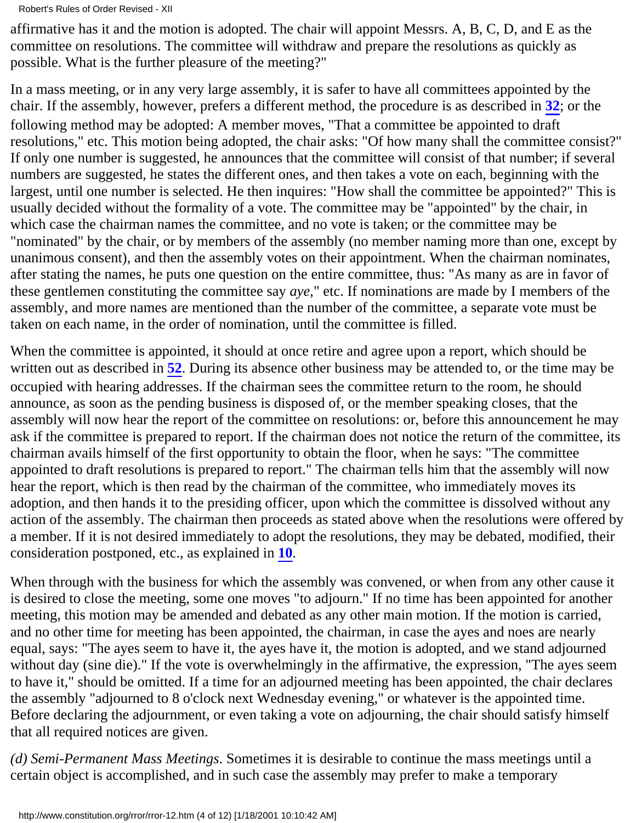affirmative has it and the motion is adopted. The chair will appoint Messrs. A, B, C, D, and E as the committee on resolutions. The committee will withdraw and prepare the resolutions as quickly as possible. What is the further pleasure of the meeting?"

In a mass meeting, or in any very large assembly, it is safer to have all committees appointed by the chair. If the assembly, however, prefers a different method, the procedure is as described in **[32](#page-96-0)**; or the following method may be adopted: A member moves, "That a committee be appointed to draft resolutions," etc. This motion being adopted, the chair asks: "Of how many shall the committee consist?" If only one number is suggested, he announces that the committee will consist of that number; if several numbers are suggested, he states the different ones, and then takes a vote on each, beginning with the largest, until one number is selected. He then inquires: "How shall the committee be appointed?" This is usually decided without the formality of a vote. The committee may be "appointed" by the chair, in which case the chairman names the committee, and no vote is taken; or the committee may be "nominated" by the chair, or by members of the assembly (no member naming more than one, except by unanimous consent), and then the assembly votes on their appointment. When the chairman nominates, after stating the names, he puts one question on the entire committee, thus: "As many as are in favor of these gentlemen constituting the committee say *aye*," etc. If nominations are made by I members of the assembly, and more names are mentioned than the number of the committee, a separate vote must be taken on each name, in the order of nomination, until the committee is filled.

When the committee is appointed, it should at once retire and agree upon a report, which should be written out as described in **[52](#page-109-0)**. During its absence other business may be attended to, or the time may be occupied with hearing addresses. If the chairman sees the committee return to the room, he should announce, as soon as the pending business is disposed of, or the member speaking closes, that the assembly will now hear the report of the committee on resolutions: or, before this announcement he may ask if the committee is prepared to report. If the chairman does not notice the return of the committee, its chairman avails himself of the first opportunity to obtain the floor, when he says: "The committee appointed to draft resolutions is prepared to report." The chairman tells him that the assembly will now hear the report, which is then read by the chairman of the committee, who immediately moves its adoption, and then hands it to the presiding officer, upon which the committee is dissolved without any action of the assembly. The chairman then proceeds as stated above when the resolutions were offered by a member. If it is not desired immediately to adopt the resolutions, they may be debated, modified, their consideration postponed, etc., as explained in **10**.

When through with the business for which the assembly was convened, or when from any other cause it is desired to close the meeting, some one moves "to adjourn." If no time has been appointed for another meeting, this motion may be amended and debated as any other main motion. If the motion is carried, and no other time for meeting has been appointed, the chairman, in case the ayes and noes are nearly equal, says: "The ayes seem to have it, the ayes have it, the motion is adopted, and we stand adjourned without day (sine die)." If the vote is overwhelmingly in the affirmative, the expression, "The ayes seem to have it," should be omitted. If a time for an adjourned meeting has been appointed, the chair declares the assembly "adjourned to 8 o'clock next Wednesday evening," or whatever is the appointed time. Before declaring the adjournment, or even taking a vote on adjourning, the chair should satisfy himself that all required notices are given.

<span id="page-52-0"></span>*(d) Semi-Permanent Mass Meetings*. Sometimes it is desirable to continue the mass meetings until a certain object is accomplished, and in such case the assembly may prefer to make a temporary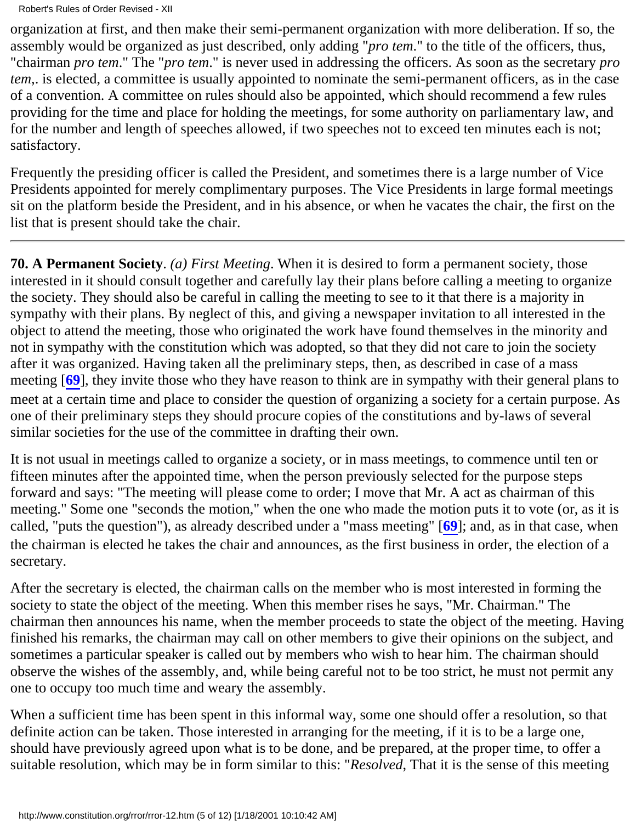organization at first, and then make their semi-permanent organization with more deliberation. If so, the assembly would be organized as just described, only adding "*pro tem*." to the title of the officers, thus, "chairman *pro tem*." The "*pro tem*." is never used in addressing the officers. As soon as the secretary *pro tem*,. is elected, a committee is usually appointed to nominate the semi-permanent officers, as in the case of a convention. A committee on rules should also be appointed, which should recommend a few rules providing for the time and place for holding the meetings, for some authority on parliamentary law, and for the number and length of speeches allowed, if two speeches not to exceed ten minutes each is not; satisfactory.

Frequently the presiding officer is called the President, and sometimes there is a large number of Vice Presidents appointed for merely complimentary purposes. The Vice Presidents in large formal meetings sit on the platform beside the President, and in his absence, or when he vacates the chair, the first on the list that is present should take the chair.

<span id="page-53-0"></span>**70. A Permanent Society**. *(a) First Meeting*. When it is desired to form a permanent society, those interested in it should consult together and carefully lay their plans before calling a meeting to organize the society. They should also be careful in calling the meeting to see to it that there is a majority in sympathy with their plans. By neglect of this, and giving a newspaper invitation to all interested in the object to attend the meeting, those who originated the work have found themselves in the minority and not in sympathy with the constitution which was adopted, so that they did not care to join the society after it was organized. Having taken all the preliminary steps, then, as described in case of a mass meeting [**[69](#page-49-0)**], they invite those who they have reason to think are in sympathy with their general plans to meet at a certain time and place to consider the question of organizing a society for a certain purpose. As one of their preliminary steps they should procure copies of the constitutions and by-laws of several similar societies for the use of the committee in drafting their own.

It is not usual in meetings called to organize a society, or in mass meetings, to commence until ten or fifteen minutes after the appointed time, when the person previously selected for the purpose steps forward and says: "The meeting will please come to order; I move that Mr. A act as chairman of this meeting." Some one "seconds the motion," when the one who made the motion puts it to vote (or, as it is called, "puts the question"), as already described under a "mass meeting" [**[69](#page-49-0)**]; and, as in that case, when the chairman is elected he takes the chair and announces, as the first business in order, the election of a secretary.

After the secretary is elected, the chairman calls on the member who is most interested in forming the society to state the object of the meeting. When this member rises he says, "Mr. Chairman." The chairman then announces his name, when the member proceeds to state the object of the meeting. Having finished his remarks, the chairman may call on other members to give their opinions on the subject, and sometimes a particular speaker is called out by members who wish to hear him. The chairman should observe the wishes of the assembly, and, while being careful not to be too strict, he must not permit any one to occupy too much time and weary the assembly.

When a sufficient time has been spent in this informal way, some one should offer a resolution, so that definite action can be taken. Those interested in arranging for the meeting, if it is to be a large one, should have previously agreed upon what is to be done, and be prepared, at the proper time, to offer a suitable resolution, which may be in form similar to this: "*Resolved*, That it is the sense of this meeting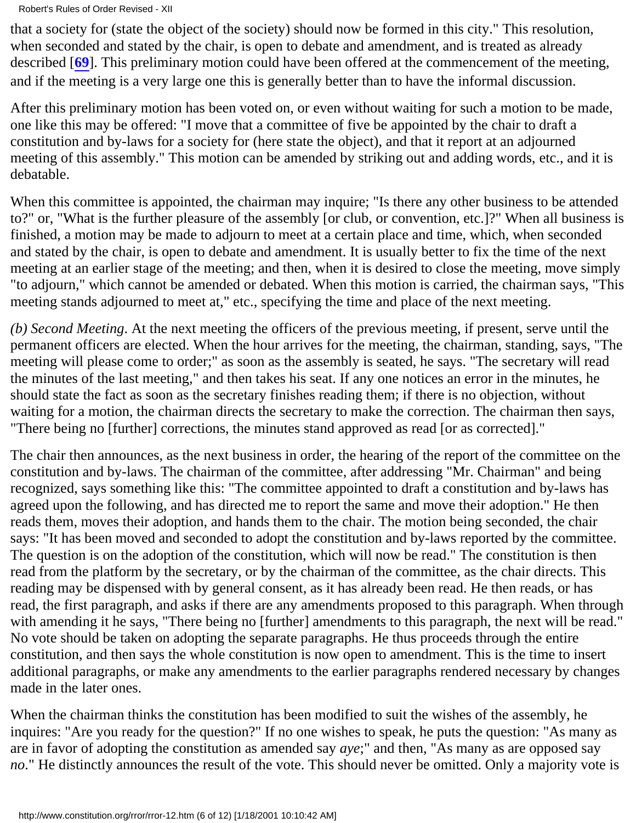that a society for (state the object of the society) should now be formed in this city." This resolution, when seconded and stated by the chair, is open to debate and amendment, and is treated as already described [**[69](#page-49-0)**]. This preliminary motion could have been offered at the commencement of the meeting, and if the meeting is a very large one this is generally better than to have the informal discussion.

After this preliminary motion has been voted on, or even without waiting for such a motion to be made, one like this may be offered: "I move that a committee of five be appointed by the chair to draft a constitution and by-laws for a society for (here state the object), and that it report at an adjourned meeting of this assembly." This motion can be amended by striking out and adding words, etc., and it is debatable.

When this committee is appointed, the chairman may inquire; "Is there any other business to be attended to?" or, "What is the further pleasure of the assembly [or club, or convention, etc.]?" When all business is finished, a motion may be made to adjourn to meet at a certain place and time, which, when seconded and stated by the chair, is open to debate and amendment. It is usually better to fix the time of the next meeting at an earlier stage of the meeting; and then, when it is desired to close the meeting, move simply "to adjourn," which cannot be amended or debated. When this motion is carried, the chairman says, "This meeting stands adjourned to meet at," etc., specifying the time and place of the next meeting.

<span id="page-54-0"></span>*(b) Second Meeting*. At the next meeting the officers of the previous meeting, if present, serve until the permanent officers are elected. When the hour arrives for the meeting, the chairman, standing, says, "The meeting will please come to order;" as soon as the assembly is seated, he says. "The secretary will read the minutes of the last meeting," and then takes his seat. If any one notices an error in the minutes, he should state the fact as soon as the secretary finishes reading them; if there is no objection, without waiting for a motion, the chairman directs the secretary to make the correction. The chairman then says, "There being no [further] corrections, the minutes stand approved as read [or as corrected]."

The chair then announces, as the next business in order, the hearing of the report of the committee on the constitution and by-laws. The chairman of the committee, after addressing "Mr. Chairman" and being recognized, says something like this: "The committee appointed to draft a constitution and by-laws has agreed upon the following, and has directed me to report the same and move their adoption." He then reads them, moves their adoption, and hands them to the chair. The motion being seconded, the chair says: "It has been moved and seconded to adopt the constitution and by-laws reported by the committee. The question is on the adoption of the constitution, which will now be read." The constitution is then read from the platform by the secretary, or by the chairman of the committee, as the chair directs. This reading may be dispensed with by general consent, as it has already been read. He then reads, or has read, the first paragraph, and asks if there are any amendments proposed to this paragraph. When through with amending it he says, "There being no [further] amendments to this paragraph, the next will be read." No vote should be taken on adopting the separate paragraphs. He thus proceeds through the entire constitution, and then says the whole constitution is now open to amendment. This is the time to insert additional paragraphs, or make any amendments to the earlier paragraphs rendered necessary by changes made in the later ones.

When the chairman thinks the constitution has been modified to suit the wishes of the assembly, he inquires: "Are you ready for the question?" If no one wishes to speak, he puts the question: "As many as are in favor of adopting the constitution as amended say *aye*;" and then, "As many as are opposed say *no*." He distinctly announces the result of the vote. This should never be omitted. Only a majority vote is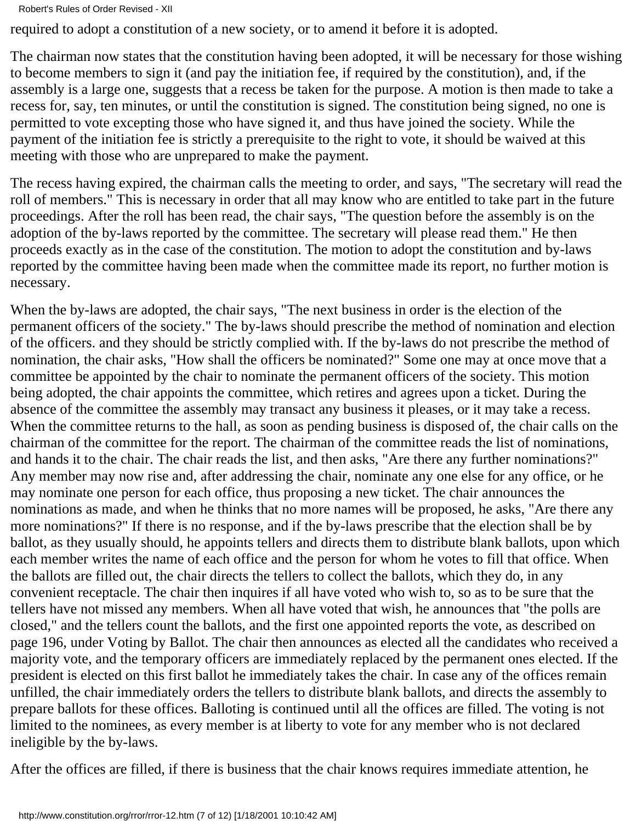required to adopt a constitution of a new society, or to amend it before it is adopted.

The chairman now states that the constitution having been adopted, it will be necessary for those wishing to become members to sign it (and pay the initiation fee, if required by the constitution), and, if the assembly is a large one, suggests that a recess be taken for the purpose. A motion is then made to take a recess for, say, ten minutes, or until the constitution is signed. The constitution being signed, no one is permitted to vote excepting those who have signed it, and thus have joined the society. While the payment of the initiation fee is strictly a prerequisite to the right to vote, it should be waived at this meeting with those who are unprepared to make the payment.

The recess having expired, the chairman calls the meeting to order, and says, "The secretary will read the roll of members." This is necessary in order that all may know who are entitled to take part in the future proceedings. After the roll has been read, the chair says, "The question before the assembly is on the adoption of the by-laws reported by the committee. The secretary will please read them." He then proceeds exactly as in the case of the constitution. The motion to adopt the constitution and by-laws reported by the committee having been made when the committee made its report, no further motion is necessary.

When the by-laws are adopted, the chair says, "The next business in order is the election of the permanent officers of the society." The by-laws should prescribe the method of nomination and election of the officers. and they should be strictly complied with. If the by-laws do not prescribe the method of nomination, the chair asks, "How shall the officers be nominated?" Some one may at once move that a committee be appointed by the chair to nominate the permanent officers of the society. This motion being adopted, the chair appoints the committee, which retires and agrees upon a ticket. During the absence of the committee the assembly may transact any business it pleases, or it may take a recess. When the committee returns to the hall, as soon as pending business is disposed of, the chair calls on the chairman of the committee for the report. The chairman of the committee reads the list of nominations, and hands it to the chair. The chair reads the list, and then asks, "Are there any further nominations?" Any member may now rise and, after addressing the chair, nominate any one else for any office, or he may nominate one person for each office, thus proposing a new ticket. The chair announces the nominations as made, and when he thinks that no more names will be proposed, he asks, "Are there any more nominations?" If there is no response, and if the by-laws prescribe that the election shall be by ballot, as they usually should, he appoints tellers and directs them to distribute blank ballots, upon which each member writes the name of each office and the person for whom he votes to fill that office. When the ballots are filled out, the chair directs the tellers to collect the ballots, which they do, in any convenient receptacle. The chair then inquires if all have voted who wish to, so as to be sure that the tellers have not missed any members. When all have voted that wish, he announces that "the polls are closed," and the tellers count the ballots, and the first one appointed reports the vote, as described on page 196, under Voting by Ballot. The chair then announces as elected all the candidates who received a majority vote, and the temporary officers are immediately replaced by the permanent ones elected. If the president is elected on this first ballot he immediately takes the chair. In case any of the offices remain unfilled, the chair immediately orders the tellers to distribute blank ballots, and directs the assembly to prepare ballots for these offices. Balloting is continued until all the offices are filled. The voting is not limited to the nominees, as every member is at liberty to vote for any member who is not declared ineligible by the by-laws.

After the offices are filled, if there is business that the chair knows requires immediate attention, he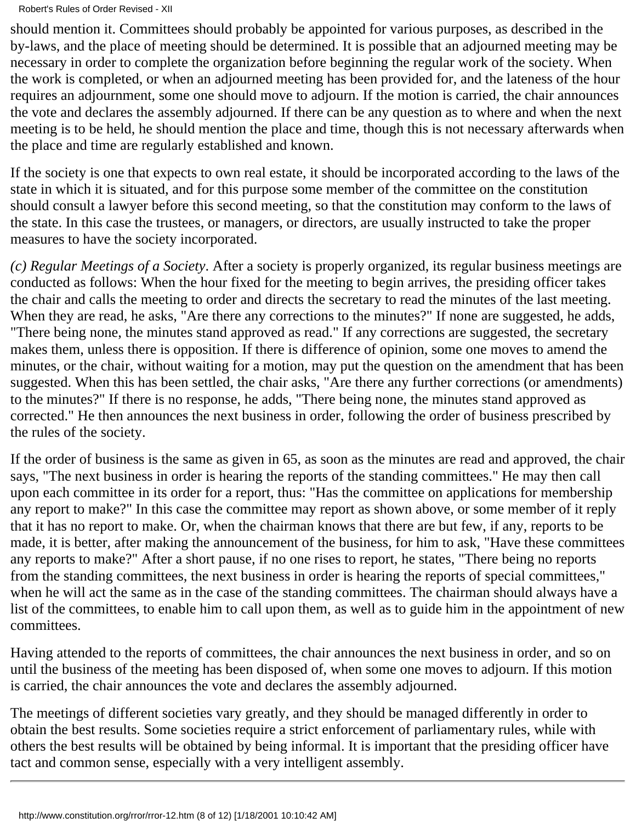should mention it. Committees should probably be appointed for various purposes, as described in the by-laws, and the place of meeting should be determined. It is possible that an adjourned meeting may be necessary in order to complete the organization before beginning the regular work of the society. When the work is completed, or when an adjourned meeting has been provided for, and the lateness of the hour requires an adjournment, some one should move to adjourn. If the motion is carried, the chair announces the vote and declares the assembly adjourned. If there can be any question as to where and when the next meeting is to be held, he should mention the place and time, though this is not necessary afterwards when the place and time are regularly established and known.

If the society is one that expects to own real estate, it should be incorporated according to the laws of the state in which it is situated, and for this purpose some member of the committee on the constitution should consult a lawyer before this second meeting, so that the constitution may conform to the laws of the state. In this case the trustees, or managers, or directors, are usually instructed to take the proper measures to have the society incorporated.

<span id="page-56-0"></span>*(c) Regular Meetings of a Society*. After a society is properly organized, its regular business meetings are conducted as follows: When the hour fixed for the meeting to begin arrives, the presiding officer takes the chair and calls the meeting to order and directs the secretary to read the minutes of the last meeting. When they are read, he asks, "Are there any corrections to the minutes?" If none are suggested, he adds, "There being none, the minutes stand approved as read." If any corrections are suggested, the secretary makes them, unless there is opposition. If there is difference of opinion, some one moves to amend the minutes, or the chair, without waiting for a motion, may put the question on the amendment that has been suggested. When this has been settled, the chair asks, "Are there any further corrections (or amendments) to the minutes?" If there is no response, he adds, "There being none, the minutes stand approved as corrected." He then announces the next business in order, following the order of business prescribed by the rules of the society.

If the order of business is the same as given in 65, as soon as the minutes are read and approved, the chair says, "The next business in order is hearing the reports of the standing committees." He may then call upon each committee in its order for a report, thus: "Has the committee on applications for membership any report to make?" In this case the committee may report as shown above, or some member of it reply that it has no report to make. Or, when the chairman knows that there are but few, if any, reports to be made, it is better, after making the announcement of the business, for him to ask, "Have these committees any reports to make?" After a short pause, if no one rises to report, he states, "There being no reports from the standing committees, the next business in order is hearing the reports of special committees," when he will act the same as in the case of the standing committees. The chairman should always have a list of the committees, to enable him to call upon them, as well as to guide him in the appointment of new committees.

Having attended to the reports of committees, the chair announces the next business in order, and so on until the business of the meeting has been disposed of, when some one moves to adjourn. If this motion is carried, the chair announces the vote and declares the assembly adjourned.

The meetings of different societies vary greatly, and they should be managed differently in order to obtain the best results. Some societies require a strict enforcement of parliamentary rules, while with others the best results will be obtained by being informal. It is important that the presiding officer have tact and common sense, especially with a very intelligent assembly.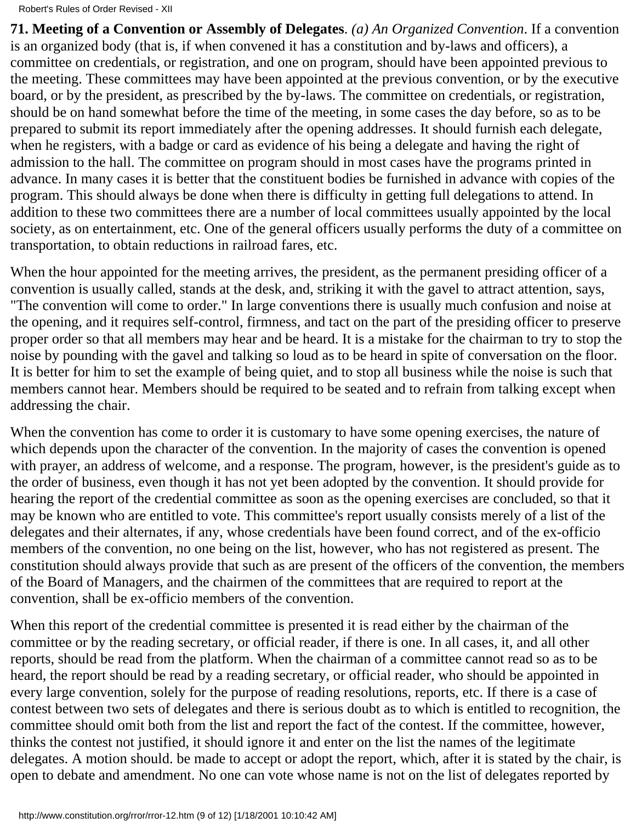<span id="page-57-0"></span>**71. Meeting of a Convention or Assembly of Delegates**. *(a) An Organized Convention*. If a convention is an organized body (that is, if when convened it has a constitution and by-laws and officers), a committee on credentials, or registration, and one on program, should have been appointed previous to the meeting. These committees may have been appointed at the previous convention, or by the executive board, or by the president, as prescribed by the by-laws. The committee on credentials, or registration, should be on hand somewhat before the time of the meeting, in some cases the day before, so as to be prepared to submit its report immediately after the opening addresses. It should furnish each delegate, when he registers, with a badge or card as evidence of his being a delegate and having the right of admission to the hall. The committee on program should in most cases have the programs printed in advance. In many cases it is better that the constituent bodies be furnished in advance with copies of the program. This should always be done when there is difficulty in getting full delegations to attend. In addition to these two committees there are a number of local committees usually appointed by the local society, as on entertainment, etc. One of the general officers usually performs the duty of a committee on transportation, to obtain reductions in railroad fares, etc.

When the hour appointed for the meeting arrives, the president, as the permanent presiding officer of a convention is usually called, stands at the desk, and, striking it with the gavel to attract attention, says, "The convention will come to order." In large conventions there is usually much confusion and noise at the opening, and it requires self-control, firmness, and tact on the part of the presiding officer to preserve proper order so that all members may hear and be heard. It is a mistake for the chairman to try to stop the noise by pounding with the gavel and talking so loud as to be heard in spite of conversation on the floor. It is better for him to set the example of being quiet, and to stop all business while the noise is such that members cannot hear. Members should be required to be seated and to refrain from talking except when addressing the chair.

When the convention has come to order it is customary to have some opening exercises, the nature of which depends upon the character of the convention. In the majority of cases the convention is opened with prayer, an address of welcome, and a response. The program, however, is the president's guide as to the order of business, even though it has not yet been adopted by the convention. It should provide for hearing the report of the credential committee as soon as the opening exercises are concluded, so that it may be known who are entitled to vote. This committee's report usually consists merely of a list of the delegates and their alternates, if any, whose credentials have been found correct, and of the ex-officio members of the convention, no one being on the list, however, who has not registered as present. The constitution should always provide that such as are present of the officers of the convention, the members of the Board of Managers, and the chairmen of the committees that are required to report at the convention, shall be ex-officio members of the convention.

When this report of the credential committee is presented it is read either by the chairman of the committee or by the reading secretary, or official reader, if there is one. In all cases, it, and all other reports, should be read from the platform. When the chairman of a committee cannot read so as to be heard, the report should be read by a reading secretary, or official reader, who should be appointed in every large convention, solely for the purpose of reading resolutions, reports, etc. If there is a case of contest between two sets of delegates and there is serious doubt as to which is entitled to recognition, the committee should omit both from the list and report the fact of the contest. If the committee, however, thinks the contest not justified, it should ignore it and enter on the list the names of the legitimate delegates. A motion should. be made to accept or adopt the report, which, after it is stated by the chair, is open to debate and amendment. No one can vote whose name is not on the list of delegates reported by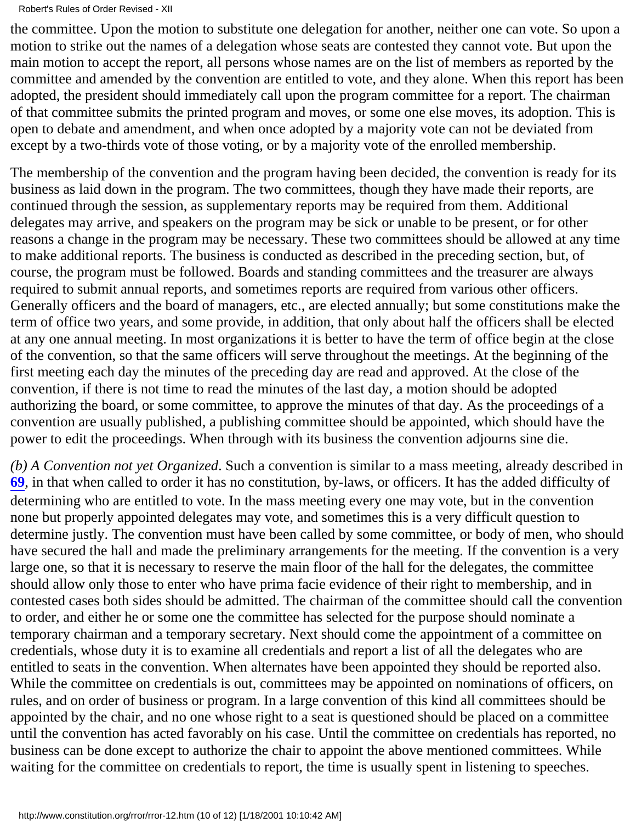the committee. Upon the motion to substitute one delegation for another, neither one can vote. So upon a motion to strike out the names of a delegation whose seats are contested they cannot vote. But upon the main motion to accept the report, all persons whose names are on the list of members as reported by the committee and amended by the convention are entitled to vote, and they alone. When this report has been adopted, the president should immediately call upon the program committee for a report. The chairman of that committee submits the printed program and moves, or some one else moves, its adoption. This is open to debate and amendment, and when once adopted by a majority vote can not be deviated from except by a two-thirds vote of those voting, or by a majority vote of the enrolled membership.

The membership of the convention and the program having been decided, the convention is ready for its business as laid down in the program. The two committees, though they have made their reports, are continued through the session, as supplementary reports may be required from them. Additional delegates may arrive, and speakers on the program may be sick or unable to be present, or for other reasons a change in the program may be necessary. These two committees should be allowed at any time to make additional reports. The business is conducted as described in the preceding section, but, of course, the program must be followed. Boards and standing committees and the treasurer are always required to submit annual reports, and sometimes reports are required from various other officers. Generally officers and the board of managers, etc., are elected annually; but some constitutions make the term of office two years, and some provide, in addition, that only about half the officers shall be elected at any one annual meeting. In most organizations it is better to have the term of office begin at the close of the convention, so that the same officers will serve throughout the meetings. At the beginning of the first meeting each day the minutes of the preceding day are read and approved. At the close of the convention, if there is not time to read the minutes of the last day, a motion should be adopted authorizing the board, or some committee, to approve the minutes of that day. As the proceedings of a convention are usually published, a publishing committee should be appointed, which should have the power to edit the proceedings. When through with its business the convention adjourns sine die.

<span id="page-58-0"></span>*(b) A Convention not yet Organized*. Such a convention is similar to a mass meeting, already described in **[69](#page-49-0)**, in that when called to order it has no constitution, by-laws, or officers. It has the added difficulty of determining who are entitled to vote. In the mass meeting every one may vote, but in the convention none but properly appointed delegates may vote, and sometimes this is a very difficult question to determine justly. The convention must have been called by some committee, or body of men, who should have secured the hall and made the preliminary arrangements for the meeting. If the convention is a very large one, so that it is necessary to reserve the main floor of the hall for the delegates, the committee should allow only those to enter who have prima facie evidence of their right to membership, and in contested cases both sides should be admitted. The chairman of the committee should call the convention to order, and either he or some one the committee has selected for the purpose should nominate a temporary chairman and a temporary secretary. Next should come the appointment of a committee on credentials, whose duty it is to examine all credentials and report a list of all the delegates who are entitled to seats in the convention. When alternates have been appointed they should be reported also. While the committee on credentials is out, committees may be appointed on nominations of officers, on rules, and on order of business or program. In a large convention of this kind all committees should be appointed by the chair, and no one whose right to a seat is questioned should be placed on a committee until the convention has acted favorably on his case. Until the committee on credentials has reported, no business can be done except to authorize the chair to appoint the above mentioned committees. While waiting for the committee on credentials to report, the time is usually spent in listening to speeches.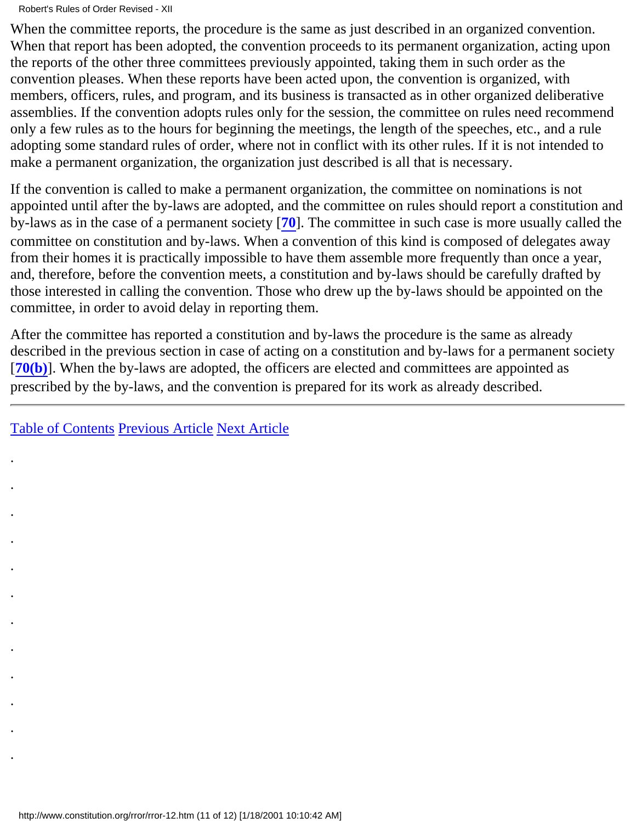When the committee reports, the procedure is the same as just described in an organized convention. When that report has been adopted, the convention proceeds to its permanent organization, acting upon the reports of the other three committees previously appointed, taking them in such order as the convention pleases. When these reports have been acted upon, the convention is organized, with members, officers, rules, and program, and its business is transacted as in other organized deliberative assemblies. If the convention adopts rules only for the session, the committee on rules need recommend only a few rules as to the hours for beginning the meetings, the length of the speeches, etc., and a rule adopting some standard rules of order, where not in conflict with its other rules. If it is not intended to make a permanent organization, the organization just described is all that is necessary.

If the convention is called to make a permanent organization, the committee on nominations is not appointed until after the by-laws are adopted, and the committee on rules should report a constitution and by-laws as in the case of a permanent society [**[70](#page-53-0)**]. The committee in such case is more usually called the committee on constitution and by-laws. When a convention of this kind is composed of delegates away from their homes it is practically impossible to have them assemble more frequently than once a year, and, therefore, before the convention meets, a constitution and by-laws should be carefully drafted by those interested in calling the convention. Those who drew up the by-laws should be appointed on the committee, in order to avoid delay in reporting them.

After the committee has reported a constitution and by-laws the procedure is the same as already described in the previous section in case of acting on a constitution and by-laws for a permanent society [**[70\(b\)](#page-54-0)**]. When the by-laws are adopted, the officers are elected and committees are appointed as prescribed by the by-laws, and the convention is prepared for its work as already described.

[Table of Contents](#page-0-0) [Previous Article](#page-70-0) [Next Article](#page-129-0)

.

.

.

.

.

.

.

.

.

.

.

.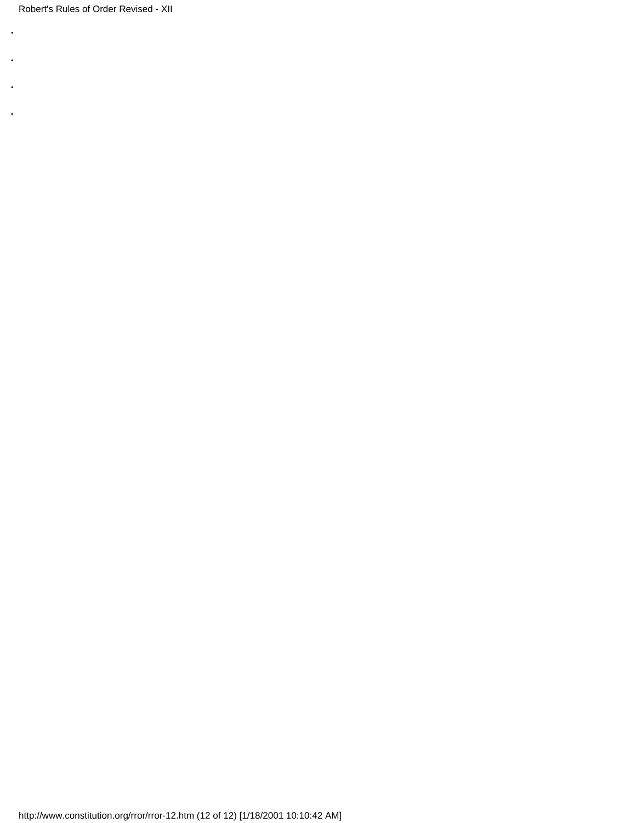.

.

.

.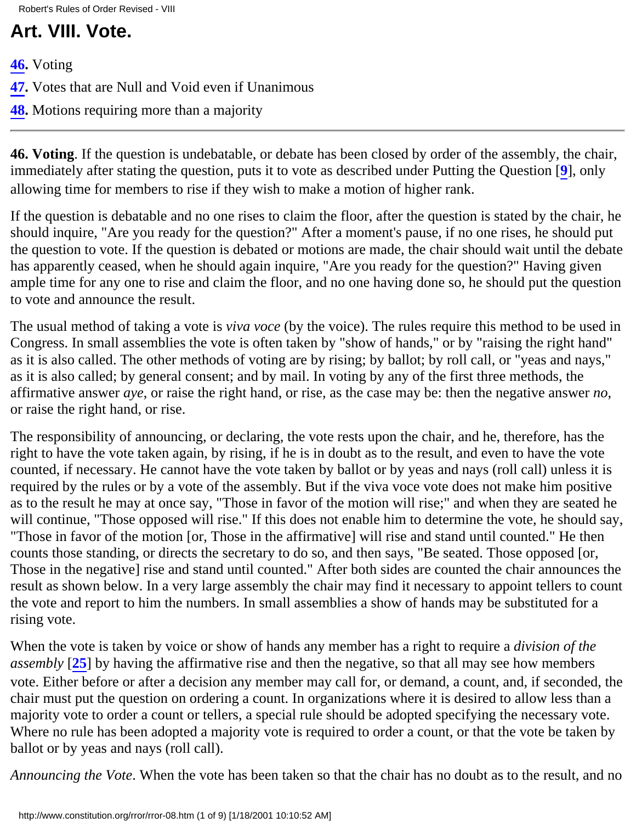# <span id="page-61-0"></span>**Art. VIII. Vote.**

**[46](#page-61-1).** Voting

**[47](#page-66-1).** Votes that are Null and Void even if Unanimous

**[48](#page-66-0).** Motions requiring more than a majority

<span id="page-61-1"></span>**46. Voting**. If the question is undebatable, or debate has been closed by order of the assembly, the chair, immediately after stating the question, puts it to vote as described under Putting the Question [**[9](#page-44-0)**], only allowing time for members to rise if they wish to make a motion of higher rank.

If the question is debatable and no one rises to claim the floor, after the question is stated by the chair, he should inquire, "Are you ready for the question?" After a moment's pause, if no one rises, he should put the question to vote. If the question is debated or motions are made, the chair should wait until the debate has apparently ceased, when he should again inquire, "Are you ready for the question?" Having given ample time for any one to rise and claim the floor, and no one having done so, he should put the question to vote and announce the result.

The usual method of taking a vote is *viva voce* (by the voice). The rules require this method to be used in Congress. In small assemblies the vote is often taken by "show of hands," or by "raising the right hand" as it is also called. The other methods of voting are by rising; by ballot; by roll call, or "yeas and nays," as it is also called; by general consent; and by mail. In voting by any of the first three methods, the affirmative answer *aye*, or raise the right hand, or rise, as the case may be: then the negative answer *no*, or raise the right hand, or rise.

The responsibility of announcing, or declaring, the vote rests upon the chair, and he, therefore, has the right to have the vote taken again, by rising, if he is in doubt as to the result, and even to have the vote counted, if necessary. He cannot have the vote taken by ballot or by yeas and nays (roll call) unless it is required by the rules or by a vote of the assembly. But if the viva voce vote does not make him positive as to the result he may at once say, "Those in favor of the motion will rise;" and when they are seated he will continue, "Those opposed will rise." If this does not enable him to determine the vote, he should say, "Those in favor of the motion [or, Those in the affirmative] will rise and stand until counted." He then counts those standing, or directs the secretary to do so, and then says, "Be seated. Those opposed [or, Those in the negative] rise and stand until counted." After both sides are counted the chair announces the result as shown below. In a very large assembly the chair may find it necessary to appoint tellers to count the vote and report to him the numbers. In small assemblies a show of hands may be substituted for a rising vote.

When the vote is taken by voice or show of hands any member has a right to require a *division of the assembly* [**25**] by having the affirmative rise and then the negative, so that all may see how members vote. Either before or after a decision any member may call for, or demand, a count, and, if seconded, the chair must put the question on ordering a count. In organizations where it is desired to allow less than a majority vote to order a count or tellers, a special rule should be adopted specifying the necessary vote. Where no rule has been adopted a majority vote is required to order a count, or that the vote be taken by ballot or by yeas and nays (roll call).

*Announcing the Vote*. When the vote has been taken so that the chair has no doubt as to the result, and no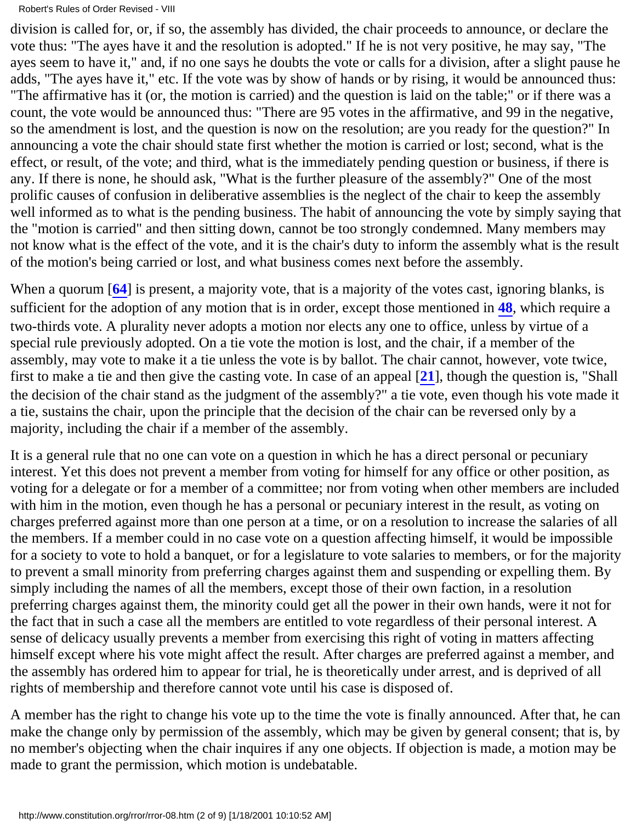division is called for, or, if so, the assembly has divided, the chair proceeds to announce, or declare the vote thus: "The ayes have it and the resolution is adopted." If he is not very positive, he may say, "The ayes seem to have it," and, if no one says he doubts the vote or calls for a division, after a slight pause he adds, "The ayes have it," etc. If the vote was by show of hands or by rising, it would be announced thus: "The affirmative has it (or, the motion is carried) and the question is laid on the table;" or if there was a count, the vote would be announced thus: "There are 95 votes in the affirmative, and 99 in the negative, so the amendment is lost, and the question is now on the resolution; are you ready for the question?" In announcing a vote the chair should state first whether the motion is carried or lost; second, what is the effect, or result, of the vote; and third, what is the immediately pending question or business, if there is any. If there is none, he should ask, "What is the further pleasure of the assembly?" One of the most prolific causes of confusion in deliberative assemblies is the neglect of the chair to keep the assembly well informed as to what is the pending business. The habit of announcing the vote by simply saying that the "motion is carried" and then sitting down, cannot be too strongly condemned. Many members may not know what is the effect of the vote, and it is the chair's duty to inform the assembly what is the result of the motion's being carried or lost, and what business comes next before the assembly.

When a quorum [[64](#page-71-0)] is present, a majority vote, that is a majority of the votes cast, ignoring blanks, is sufficient for the adoption of any motion that is in order, except those mentioned in **[48](#page-66-0)**, which require a two-thirds vote. A plurality never adopts a motion nor elects any one to office, unless by virtue of a special rule previously adopted. On a tie vote the motion is lost, and the chair, if a member of the assembly, may vote to make it a tie unless the vote is by ballot. The chair cannot, however, vote twice, first to make a tie and then give the casting vote. In case of an appeal [**[21](#page-23-0)**], though the question is, "Shall the decision of the chair stand as the judgment of the assembly?" a tie vote, even though his vote made it a tie, sustains the chair, upon the principle that the decision of the chair can be reversed only by a majority, including the chair if a member of the assembly.

It is a general rule that no one can vote on a question in which he has a direct personal or pecuniary interest. Yet this does not prevent a member from voting for himself for any office or other position, as voting for a delegate or for a member of a committee; nor from voting when other members are included with him in the motion, even though he has a personal or pecuniary interest in the result, as voting on charges preferred against more than one person at a time, or on a resolution to increase the salaries of all the members. If a member could in no case vote on a question affecting himself, it would be impossible for a society to vote to hold a banquet, or for a legislature to vote salaries to members, or for the majority to prevent a small minority from preferring charges against them and suspending or expelling them. By simply including the names of all the members, except those of their own faction, in a resolution preferring charges against them, the minority could get all the power in their own hands, were it not for the fact that in such a case all the members are entitled to vote regardless of their personal interest. A sense of delicacy usually prevents a member from exercising this right of voting in matters affecting himself except where his vote might affect the result. After charges are preferred against a member, and the assembly has ordered him to appear for trial, he is theoretically under arrest, and is deprived of all rights of membership and therefore cannot vote until his case is disposed of.

A member has the right to change his vote up to the time the vote is finally announced. After that, he can make the change only by permission of the assembly, which may be given by general consent; that is, by no member's objecting when the chair inquires if any one objects. If objection is made, a motion may be made to grant the permission, which motion is undebatable.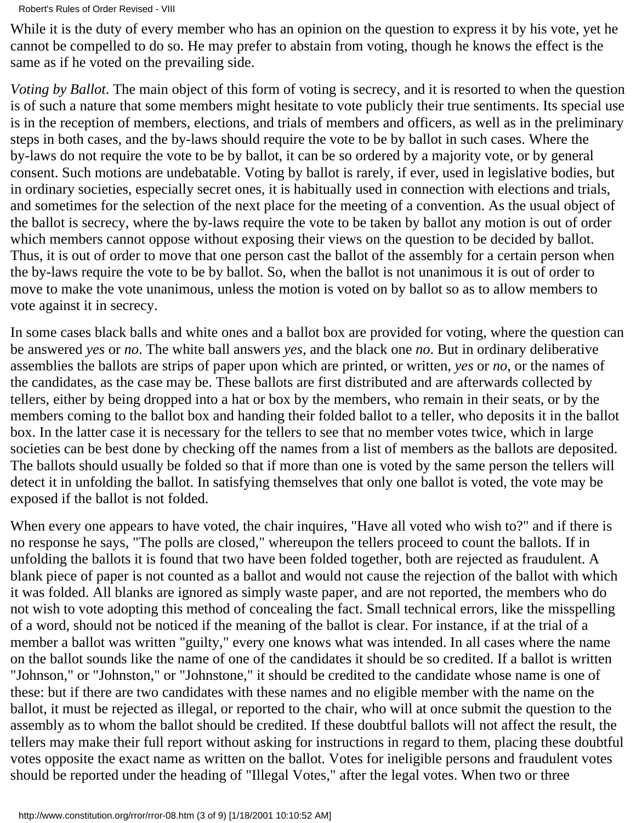While it is the duty of every member who has an opinion on the question to express it by his vote, yet he cannot be compelled to do so. He may prefer to abstain from voting, though he knows the effect is the same as if he voted on the prevailing side.

*Voting by Ballot*. The main object of this form of voting is secrecy, and it is resorted to when the question is of such a nature that some members might hesitate to vote publicly their true sentiments. Its special use is in the reception of members, elections, and trials of members and officers, as well as in the preliminary steps in both cases, and the by-laws should require the vote to be by ballot in such cases. Where the by-laws do not require the vote to be by ballot, it can be so ordered by a majority vote, or by general consent. Such motions are undebatable. Voting by ballot is rarely, if ever, used in legislative bodies, but in ordinary societies, especially secret ones, it is habitually used in connection with elections and trials, and sometimes for the selection of the next place for the meeting of a convention. As the usual object of the ballot is secrecy, where the by-laws require the vote to be taken by ballot any motion is out of order which members cannot oppose without exposing their views on the question to be decided by ballot. Thus, it is out of order to move that one person cast the ballot of the assembly for a certain person when the by-laws require the vote to be by ballot. So, when the ballot is not unanimous it is out of order to move to make the vote unanimous, unless the motion is voted on by ballot so as to allow members to vote against it in secrecy.

In some cases black balls and white ones and a ballot box are provided for voting, where the question can be answered *yes* or *no*. The white ball answers *yes*, and the black one *no*. But in ordinary deliberative assemblies the ballots are strips of paper upon which are printed, or written, *yes* or *no*, or the names of the candidates, as the case may be. These ballots are first distributed and are afterwards collected by tellers, either by being dropped into a hat or box by the members, who remain in their seats, or by the members coming to the ballot box and handing their folded ballot to a teller, who deposits it in the ballot box. In the latter case it is necessary for the tellers to see that no member votes twice, which in large societies can be best done by checking off the names from a list of members as the ballots are deposited. The ballots should usually be folded so that if more than one is voted by the same person the tellers will detect it in unfolding the ballot. In satisfying themselves that only one ballot is voted, the vote may be exposed if the ballot is not folded.

When every one appears to have voted, the chair inquires, "Have all voted who wish to?" and if there is no response he says, "The polls are closed," whereupon the tellers proceed to count the ballots. If in unfolding the ballots it is found that two have been folded together, both are rejected as fraudulent. A blank piece of paper is not counted as a ballot and would not cause the rejection of the ballot with which it was folded. All blanks are ignored as simply waste paper, and are not reported, the members who do not wish to vote adopting this method of concealing the fact. Small technical errors, like the misspelling of a word, should not be noticed if the meaning of the ballot is clear. For instance, if at the trial of a member a ballot was written "guilty," every one knows what was intended. In all cases where the name on the ballot sounds like the name of one of the candidates it should be so credited. If a ballot is written "Johnson," or "Johnston," or "Johnstone," it should be credited to the candidate whose name is one of these: but if there are two candidates with these names and no eligible member with the name on the ballot, it must be rejected as illegal, or reported to the chair, who will at once submit the question to the assembly as to whom the ballot should be credited. If these doubtful ballots will not affect the result, the tellers may make their full report without asking for instructions in regard to them, placing these doubtful votes opposite the exact name as written on the ballot. Votes for ineligible persons and fraudulent votes should be reported under the heading of "Illegal Votes," after the legal votes. When two or three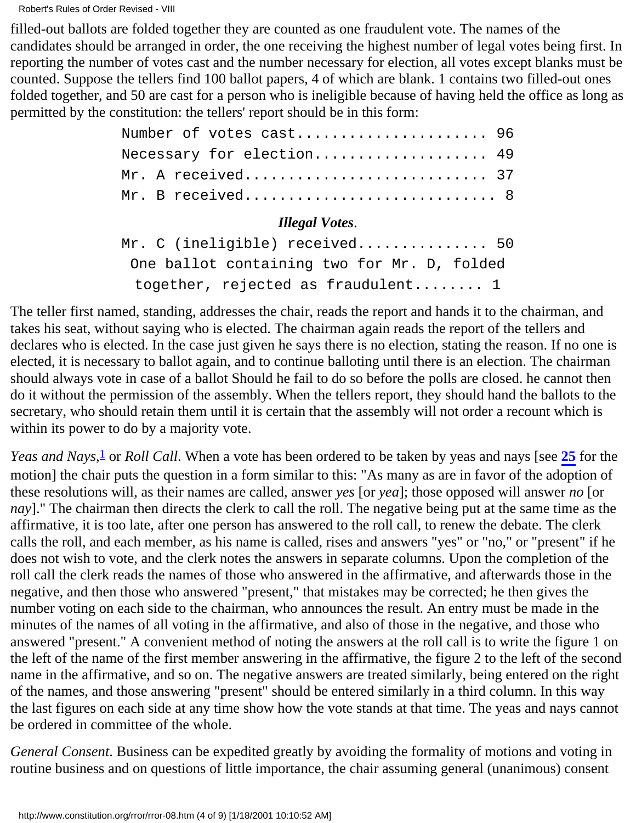filled-out ballots are folded together they are counted as one fraudulent vote. The names of the candidates should be arranged in order, the one receiving the highest number of legal votes being first. In reporting the number of votes cast and the number necessary for election, all votes except blanks must be counted. Suppose the tellers find 100 ballot papers, 4 of which are blank. 1 contains two filled-out ones folded together, and 50 are cast for a person who is ineligible because of having held the office as long as permitted by the constitution: the tellers' report should be in this form:

| Number of votes cast 96                     |  |
|---------------------------------------------|--|
| Necessary for election 49                   |  |
| Mr. A received 37                           |  |
| Mr. B received 8                            |  |
| <b>Illegal Votes.</b>                       |  |
| Mr. C (ineligible) received 50              |  |
| One ballot containing two for Mr. D, folded |  |
| together, rejected as fraudulent 1          |  |

The teller first named, standing, addresses the chair, reads the report and hands it to the chairman, and takes his seat, without saying who is elected. The chairman again reads the report of the tellers and declares who is elected. In the case just given he says there is no election, stating the reason. If no one is elected, it is necessary to ballot again, and to continue balloting until there is an election. The chairman should always vote in case of a ballot Should he fail to do so before the polls are closed. he cannot then do it without the permission of the assembly. When the tellers report, they should hand the ballots to the secretary, who should retain them until it is certain that the assembly will not order a recount which is within its power to do by a majority vote.

*Yeas and Nays*,<sup>1</sup> or *Roll Call*. When a vote has been ordered to be taken by yeas and nays [see 25 for the motion] the chair puts the question in a form similar to this: "As many as are in favor of the adoption of these resolutions will, as their names are called, answer *yes* [or *yea*]; those opposed will answer *no* [or *nay*]." The chairman then directs the clerk to call the roll. The negative being put at the same time as the affirmative, it is too late, after one person has answered to the roll call, to renew the debate. The clerk calls the roll, and each member, as his name is called, rises and answers "yes" or "no," or "present" if he does not wish to vote, and the clerk notes the answers in separate columns. Upon the completion of the roll call the clerk reads the names of those who answered in the affirmative, and afterwards those in the negative, and then those who answered "present," that mistakes may be corrected; he then gives the number voting on each side to the chairman, who announces the result. An entry must be made in the minutes of the names of all voting in the affirmative, and also of those in the negative, and those who answered "present." A convenient method of noting the answers at the roll call is to write the figure 1 on the left of the name of the first member answering in the affirmative, the figure 2 to the left of the second name in the affirmative, and so on. The negative answers are treated similarly, being entered on the right of the names, and those answering "present" should be entered similarly in a third column. In this way the last figures on each side at any time show how the vote stands at that time. The yeas and nays cannot be ordered in committee of the whole.

<span id="page-64-0"></span>*General Consent*. Business can be expedited greatly by avoiding the formality of motions and voting in routine business and on questions of little importance, the chair assuming general (unanimous) consent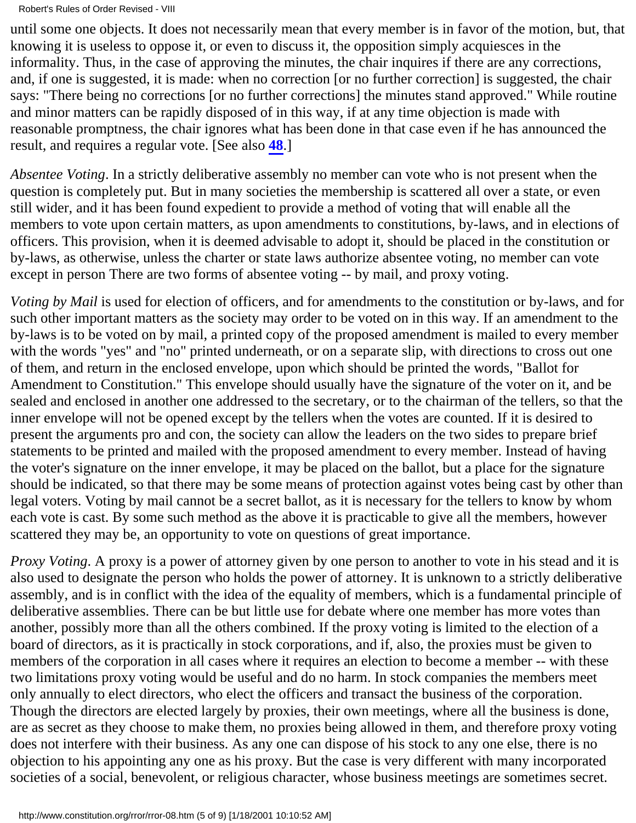until some one objects. It does not necessarily mean that every member is in favor of the motion, but, that knowing it is useless to oppose it, or even to discuss it, the opposition simply acquiesces in the informality. Thus, in the case of approving the minutes, the chair inquires if there are any corrections, and, if one is suggested, it is made: when no correction [or no further correction] is suggested, the chair says: "There being no corrections [or no further corrections] the minutes stand approved." While routine and minor matters can be rapidly disposed of in this way, if at any time objection is made with reasonable promptness, the chair ignores what has been done in that case even if he has announced the result, and requires a regular vote. [See also **[48](#page-66-0)**.]

*Absentee Voting*. In a strictly deliberative assembly no member can vote who is not present when the question is completely put. But in many societies the membership is scattered all over a state, or even still wider, and it has been found expedient to provide a method of voting that will enable all the members to vote upon certain matters, as upon amendments to constitutions, by-laws, and in elections of officers. This provision, when it is deemed advisable to adopt it, should be placed in the constitution or by-laws, as otherwise, unless the charter or state laws authorize absentee voting, no member can vote except in person There are two forms of absentee voting -- by mail, and proxy voting.

*Voting by Mail* is used for election of officers, and for amendments to the constitution or by-laws, and for such other important matters as the society may order to be voted on in this way. If an amendment to the by-laws is to be voted on by mail, a printed copy of the proposed amendment is mailed to every member with the words "yes" and "no" printed underneath, or on a separate slip, with directions to cross out one of them, and return in the enclosed envelope, upon which should be printed the words, "Ballot for Amendment to Constitution." This envelope should usually have the signature of the voter on it, and be sealed and enclosed in another one addressed to the secretary, or to the chairman of the tellers, so that the inner envelope will not be opened except by the tellers when the votes are counted. If it is desired to present the arguments pro and con, the society can allow the leaders on the two sides to prepare brief statements to be printed and mailed with the proposed amendment to every member. Instead of having the voter's signature on the inner envelope, it may be placed on the ballot, but a place for the signature should be indicated, so that there may be some means of protection against votes being cast by other than legal voters. Voting by mail cannot be a secret ballot, as it is necessary for the tellers to know by whom each vote is cast. By some such method as the above it is practicable to give all the members, however scattered they may be, an opportunity to vote on questions of great importance.

*Proxy Voting*. A proxy is a power of attorney given by one person to another to vote in his stead and it is also used to designate the person who holds the power of attorney. It is unknown to a strictly deliberative assembly, and is in conflict with the idea of the equality of members, which is a fundamental principle of deliberative assemblies. There can be but little use for debate where one member has more votes than another, possibly more than all the others combined. If the proxy voting is limited to the election of a board of directors, as it is practically in stock corporations, and if, also, the proxies must be given to members of the corporation in all cases where it requires an election to become a member -- with these two limitations proxy voting would be useful and do no harm. In stock companies the members meet only annually to elect directors, who elect the officers and transact the business of the corporation. Though the directors are elected largely by proxies, their own meetings, where all the business is done, are as secret as they choose to make them, no proxies being allowed in them, and therefore proxy voting does not interfere with their business. As any one can dispose of his stock to any one else, there is no objection to his appointing any one as his proxy. But the case is very different with many incorporated societies of a social, benevolent, or religious character, whose business meetings are sometimes secret.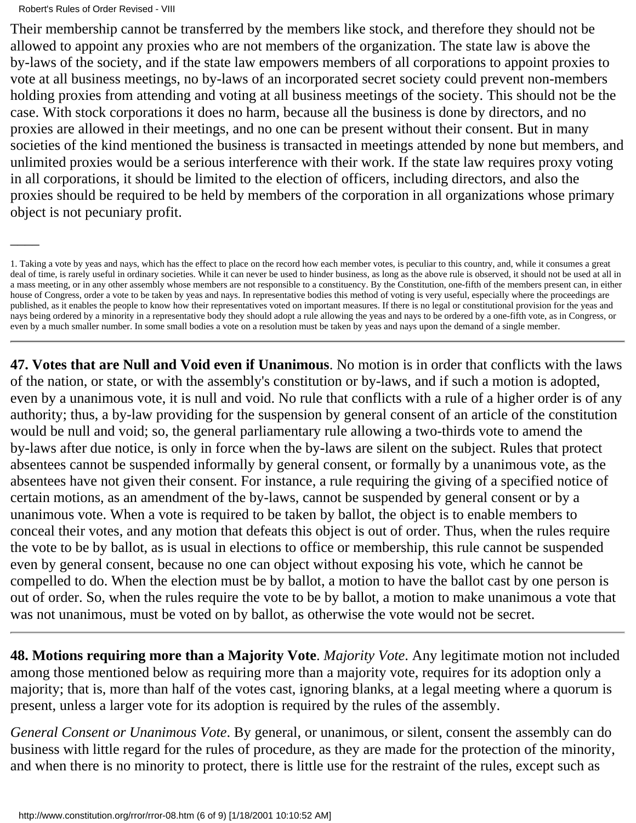$\overline{\phantom{a}}$ 

Their membership cannot be transferred by the members like stock, and therefore they should not be allowed to appoint any proxies who are not members of the organization. The state law is above the by-laws of the society, and if the state law empowers members of all corporations to appoint proxies to vote at all business meetings, no by-laws of an incorporated secret society could prevent non-members holding proxies from attending and voting at all business meetings of the society. This should not be the case. With stock corporations it does no harm, because all the business is done by directors, and no proxies are allowed in their meetings, and no one can be present without their consent. But in many societies of the kind mentioned the business is transacted in meetings attended by none but members, and unlimited proxies would be a serious interference with their work. If the state law requires proxy voting in all corporations, it should be limited to the election of officers, including directors, and also the proxies should be required to be held by members of the corporation in all organizations whose primary object is not pecuniary profit.

<span id="page-66-1"></span>**47. Votes that are Null and Void even if Unanimous**. No motion is in order that conflicts with the laws of the nation, or state, or with the assembly's constitution or by-laws, and if such a motion is adopted, even by a unanimous vote, it is null and void. No rule that conflicts with a rule of a higher order is of any authority; thus, a by-law providing for the suspension by general consent of an article of the constitution would be null and void; so, the general parliamentary rule allowing a two-thirds vote to amend the by-laws after due notice, is only in force when the by-laws are silent on the subject. Rules that protect absentees cannot be suspended informally by general consent, or formally by a unanimous vote, as the absentees have not given their consent. For instance, a rule requiring the giving of a specified notice of certain motions, as an amendment of the by-laws, cannot be suspended by general consent or by a unanimous vote. When a vote is required to be taken by ballot, the object is to enable members to conceal their votes, and any motion that defeats this object is out of order. Thus, when the rules require the vote to be by ballot, as is usual in elections to office or membership, this rule cannot be suspended even by general consent, because no one can object without exposing his vote, which he cannot be compelled to do. When the election must be by ballot, a motion to have the ballot cast by one person is out of order. So, when the rules require the vote to be by ballot, a motion to make unanimous a vote that was not unanimous, must be voted on by ballot, as otherwise the vote would not be secret.

<span id="page-66-0"></span>**48. Motions requiring more than a Majority Vote**. *Majority Vote*. Any legitimate motion not included among those mentioned below as requiring more than a majority vote, requires for its adoption only a majority; that is, more than half of the votes cast, ignoring blanks, at a legal meeting where a quorum is present, unless a larger vote for its adoption is required by the rules of the assembly.

*General Consent or Unanimous Vote*. By general, or unanimous, or silent, consent the assembly can do business with little regard for the rules of procedure, as they are made for the protection of the minority, and when there is no minority to protect, there is little use for the restraint of the rules, except such as

<span id="page-66-2"></span><sup>1.</sup> Taking a vote by yeas and nays, which has the effect to place on the record how each member votes, is peculiar to this country, and, while it consumes a great deal of time, is rarely useful in ordinary societies. While it can never be used to hinder business, as long as the above rule is observed, it should not be used at all in a mass meeting, or in any other assembly whose members are not responsible to a constituency. By the Constitution, one-fifth of the members present can, in either house of Congress, order a vote to be taken by yeas and nays. In representative bodies this method of voting is very useful, especially where the proceedings are published, as it enables the people to know how their representatives voted on important measures. If there is no legal or constitutional provision for the yeas and nays being ordered by a minority in a representative body they should adopt a rule allowing the yeas and nays to be ordered by a one-fifth vote, as in Congress, or even by a much smaller number. In some small bodies a vote on a resolution must be taken by yeas and nays upon the demand of a single member.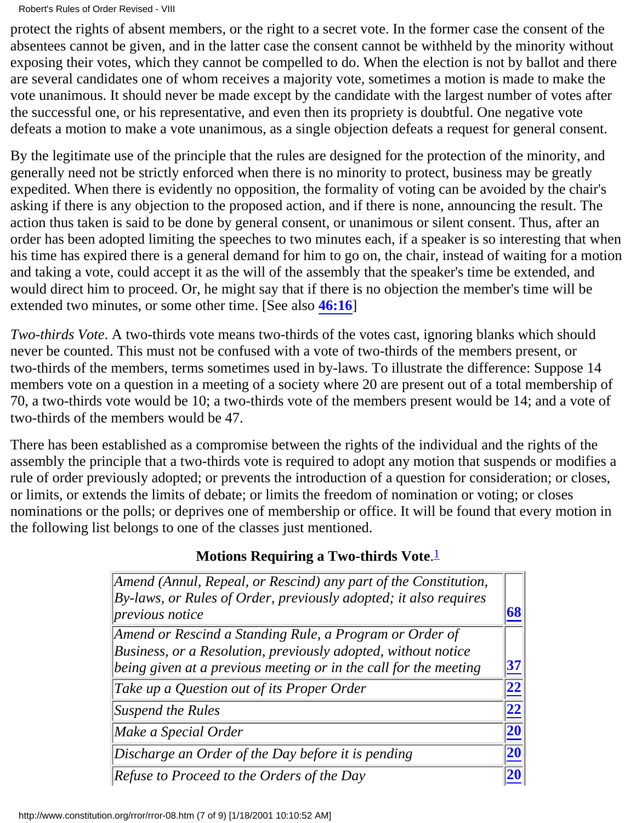protect the rights of absent members, or the right to a secret vote. In the former case the consent of the absentees cannot be given, and in the latter case the consent cannot be withheld by the minority without exposing their votes, which they cannot be compelled to do. When the election is not by ballot and there are several candidates one of whom receives a majority vote, sometimes a motion is made to make the vote unanimous. It should never be made except by the candidate with the largest number of votes after the successful one, or his representative, and even then its propriety is doubtful. One negative vote defeats a motion to make a vote unanimous, as a single objection defeats a request for general consent.

By the legitimate use of the principle that the rules are designed for the protection of the minority, and generally need not be strictly enforced when there is no minority to protect, business may be greatly expedited. When there is evidently no opposition, the formality of voting can be avoided by the chair's asking if there is any objection to the proposed action, and if there is none, announcing the result. The action thus taken is said to be done by general consent, or unanimous or silent consent. Thus, after an order has been adopted limiting the speeches to two minutes each, if a speaker is so interesting that when his time has expired there is a general demand for him to go on, the chair, instead of waiting for a motion and taking a vote, could accept it as the will of the assembly that the speaker's time be extended, and would direct him to proceed. Or, he might say that if there is no objection the member's time will be extended two minutes, or some other time. [See also **[46:16](#page-64-0)**]

*Two-thirds Vote*. A two-thirds vote means two-thirds of the votes cast, ignoring blanks which should never be counted. This must not be confused with a vote of two-thirds of the members present, or two-thirds of the members, terms sometimes used in by-laws. To illustrate the difference: Suppose 14 members vote on a question in a meeting of a society where 20 are present out of a total membership of 70, a two-thirds vote would be 10; a two-thirds vote of the members present would be 14; and a vote of two-thirds of the members would be 47.

There has been established as a compromise between the rights of the individual and the rights of the assembly the principle that a two-thirds vote is required to adopt any motion that suspends or modifies a rule of order previously adopted; or prevents the introduction of a question for consideration; or closes, or limits, or extends the limits of debate; or limits the freedom of nomination or voting; or closes nominations or the polls; or deprives one of membership or office. It will be found that every motion in the following list belongs to one of the classes just mentioned.

## **Motions Requiring a Two-thirds Vote.**<sup>[1](#page-68-0)</sup>

| Amend (Annul, Repeal, or Rescind) any part of the Constitution,<br>$ By$ -laws, or Rules of Order, previously adopted; it also requires |                          |
|-----------------------------------------------------------------------------------------------------------------------------------------|--------------------------|
| $ previous $ notice                                                                                                                     |                          |
| Amend or Rescind a Standing Rule, a Program or Order of<br>Business, or a Resolution, previously adopted, without notice                |                          |
| being given at a previous meeting or in the call for the meeting                                                                        |                          |
| Take up a Question out of its Proper Order                                                                                              | $\overline{\mathbf{22}}$ |
| Suspend the Rules                                                                                                                       | $\overline{22}$          |
| Make a Special Order                                                                                                                    | $\boxed{20}$             |
| Discharge an Order of the Day before it is pending                                                                                      | 20                       |
| Refuse to Proceed to the Orders of the Day                                                                                              |                          |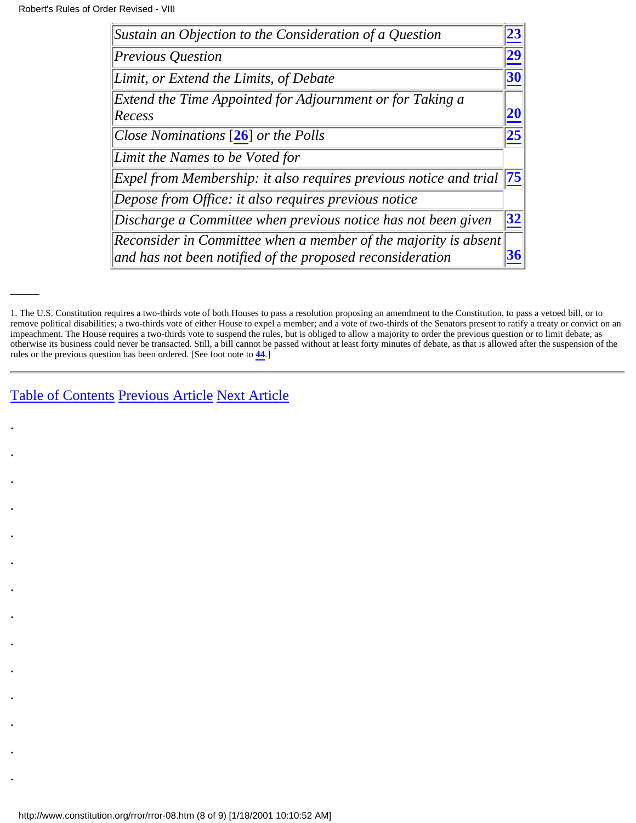$\overline{\phantom{a}}$ 

.

.

.

.

.

.

.

.

.

.

.

.

.

.

| Sustain an Objection to the Consideration of a Question           |                          |
|-------------------------------------------------------------------|--------------------------|
| Previous Question                                                 | 29                       |
| Limit, or Extend the Limits, of Debate                            | 30                       |
| Extend the Time Appointed for Adjournment or for Taking a         |                          |
| Recess                                                            | $\overline{\mathbf{20}}$ |
| Close Nominations [26] or the Polls                               | 25                       |
| Limit the Names to be Voted for                                   |                          |
| Expel from Membership: it also requires previous notice and trial | 75                       |
| Depose from Office: it also requires previous notice              |                          |
| Discharge a Committee when previous notice has not been given     | 32                       |
| Reconsider in Committee when a member of the majority is absent   |                          |
| and has not been notified of the proposed reconsideration         |                          |

<span id="page-68-0"></span><sup>1.</sup> The U.S. Constitution requires a two-thirds vote of both Houses to pass a resolution proposing an amendment to the Constitution, to pass a vetoed bill, or to remove political disabilities; a two-thirds vote of either House to expel a member; and a vote of two-thirds of the Senators present to ratify a treaty or convict on an impeachment. The House requires a two-thirds vote to suspend the rules, but is obliged to allow a majority to order the previous question or to limit debate, as otherwise its business could never be transacted. Still, a bill cannot be passed without at least forty minutes of debate, as that is allowed after the suspension of the rules or the previous question has been ordered. [See foot note to **[44](#page-34-1)**.]

[Table of Contents](#page-0-0) [Previous Article](#page-33-1) [Next Article](#page-108-0)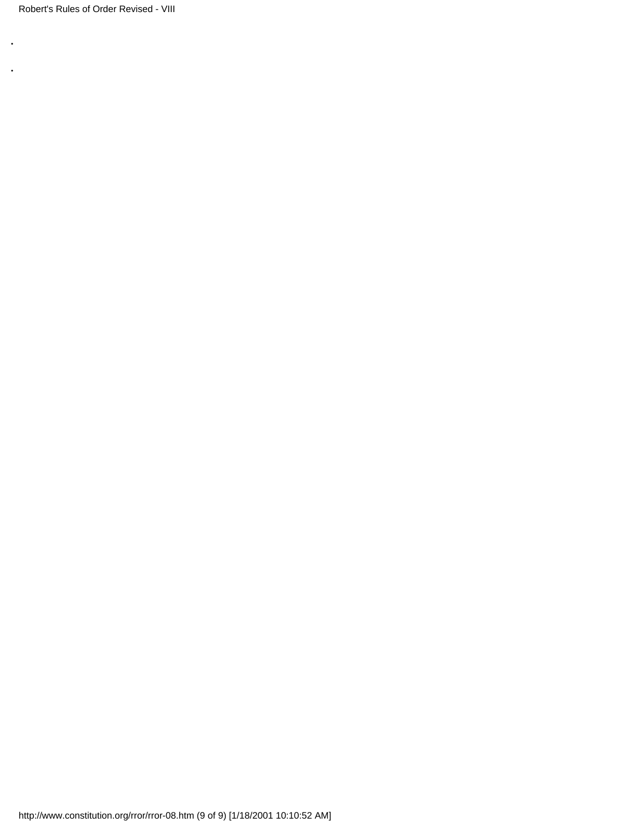.

.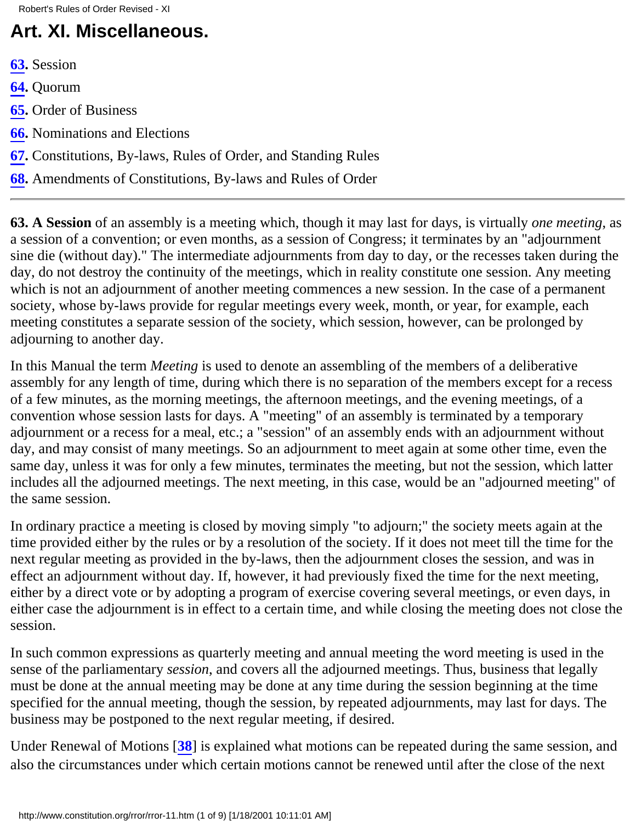# <span id="page-70-0"></span>**Art. XI. Miscellaneous.**

- **[63](#page-70-1).** Session
- **[64](#page-71-0).** Quorum
- **[65](#page-73-0).** Order of Business
- **[66](#page-74-0).** Nominations and Elections
- **[67](#page-74-1).** Constitutions, By-laws, Rules of Order, and Standing Rules
- **68.** Amendments of Constitutions, By-laws and Rules of Order

<span id="page-70-1"></span>**63. A Session** of an assembly is a meeting which, though it may last for days, is virtually *one meeting*, as a session of a convention; or even months, as a session of Congress; it terminates by an "adjournment sine die (without day)." The intermediate adjournments from day to day, or the recesses taken during the day, do not destroy the continuity of the meetings, which in reality constitute one session. Any meeting which is not an adjournment of another meeting commences a new session. In the case of a permanent society, whose by-laws provide for regular meetings every week, month, or year, for example, each meeting constitutes a separate session of the society, which session, however, can be prolonged by adjourning to another day.

In this Manual the term *Meeting* is used to denote an assembling of the members of a deliberative assembly for any length of time, during which there is no separation of the members except for a recess of a few minutes, as the morning meetings, the afternoon meetings, and the evening meetings, of a convention whose session lasts for days. A "meeting" of an assembly is terminated by a temporary adjournment or a recess for a meal, etc.; a "session" of an assembly ends with an adjournment without day, and may consist of many meetings. So an adjournment to meet again at some other time, even the same day, unless it was for only a few minutes, terminates the meeting, but not the session, which latter includes all the adjourned meetings. The next meeting, in this case, would be an "adjourned meeting" of the same session.

In ordinary practice a meeting is closed by moving simply "to adjourn;" the society meets again at the time provided either by the rules or by a resolution of the society. If it does not meet till the time for the next regular meeting as provided in the by-laws, then the adjournment closes the session, and was in effect an adjournment without day. If, however, it had previously fixed the time for the next meeting, either by a direct vote or by adopting a program of exercise covering several meetings, or even days, in either case the adjournment is in effect to a certain time, and while closing the meeting does not close the session.

In such common expressions as quarterly meeting and annual meeting the word meeting is used in the sense of the parliamentary *session*, and covers all the adjourned meetings. Thus, business that legally must be done at the annual meeting may be done at any time during the session beginning at the time specified for the annual meeting, though the session, by repeated adjournments, may last for days. The business may be postponed to the next regular meeting, if desired.

Under Renewal of Motions [**[38](#page-84-1)**] is explained what motions can be repeated during the same session, and also the circumstances under which certain motions cannot be renewed until after the close of the next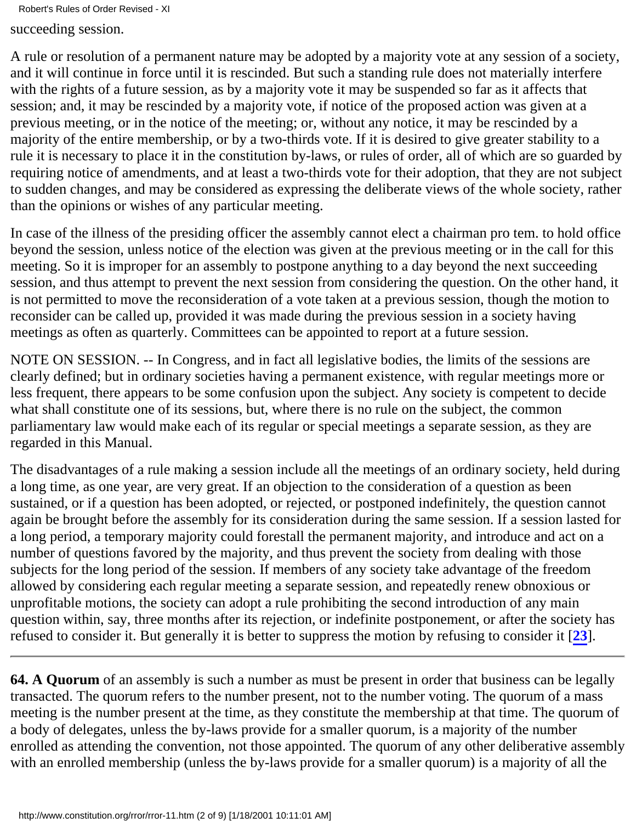succeeding session.

A rule or resolution of a permanent nature may be adopted by a majority vote at any session of a society, and it will continue in force until it is rescinded. But such a standing rule does not materially interfere with the rights of a future session, as by a majority vote it may be suspended so far as it affects that session; and, it may be rescinded by a majority vote, if notice of the proposed action was given at a previous meeting, or in the notice of the meeting; or, without any notice, it may be rescinded by a majority of the entire membership, or by a two-thirds vote. If it is desired to give greater stability to a rule it is necessary to place it in the constitution by-laws, or rules of order, all of which are so guarded by requiring notice of amendments, and at least a two-thirds vote for their adoption, that they are not subject to sudden changes, and may be considered as expressing the deliberate views of the whole society, rather than the opinions or wishes of any particular meeting.

In case of the illness of the presiding officer the assembly cannot elect a chairman pro tem. to hold office beyond the session, unless notice of the election was given at the previous meeting or in the call for this meeting. So it is improper for an assembly to postpone anything to a day beyond the next succeeding session, and thus attempt to prevent the next session from considering the question. On the other hand, it is not permitted to move the reconsideration of a vote taken at a previous session, though the motion to reconsider can be called up, provided it was made during the previous session in a society having meetings as often as quarterly. Committees can be appointed to report at a future session.

NOTE ON SESSION. -- In Congress, and in fact all legislative bodies, the limits of the sessions are clearly defined; but in ordinary societies having a permanent existence, with regular meetings more or less frequent, there appears to be some confusion upon the subject. Any society is competent to decide what shall constitute one of its sessions, but, where there is no rule on the subject, the common parliamentary law would make each of its regular or special meetings a separate session, as they are regarded in this Manual.

The disadvantages of a rule making a session include all the meetings of an ordinary society, held during a long time, as one year, are very great. If an objection to the consideration of a question as been sustained, or if a question has been adopted, or rejected, or postponed indefinitely, the question cannot again be brought before the assembly for its consideration during the same session. If a session lasted for a long period, a temporary majority could forestall the permanent majority, and introduce and act on a number of questions favored by the majority, and thus prevent the society from dealing with those subjects for the long period of the session. If members of any society take advantage of the freedom allowed by considering each regular meeting a separate session, and repeatedly renew obnoxious or unprofitable motions, the society can adopt a rule prohibiting the second introduction of any main question within, say, three months after its rejection, or indefinite postponement, or after the society has refused to consider it. But generally it is better to suppress the motion by refusing to consider it [**[23](#page-26-0)**].

<span id="page-71-0"></span>**64. A Quorum** of an assembly is such a number as must be present in order that business can be legally transacted. The quorum refers to the number present, not to the number voting. The quorum of a mass meeting is the number present at the time, as they constitute the membership at that time. The quorum of a body of delegates, unless the by-laws provide for a smaller quorum, is a majority of the number enrolled as attending the convention, not those appointed. The quorum of any other deliberative assembly with an enrolled membership (unless the by-laws provide for a smaller quorum) is a majority of all the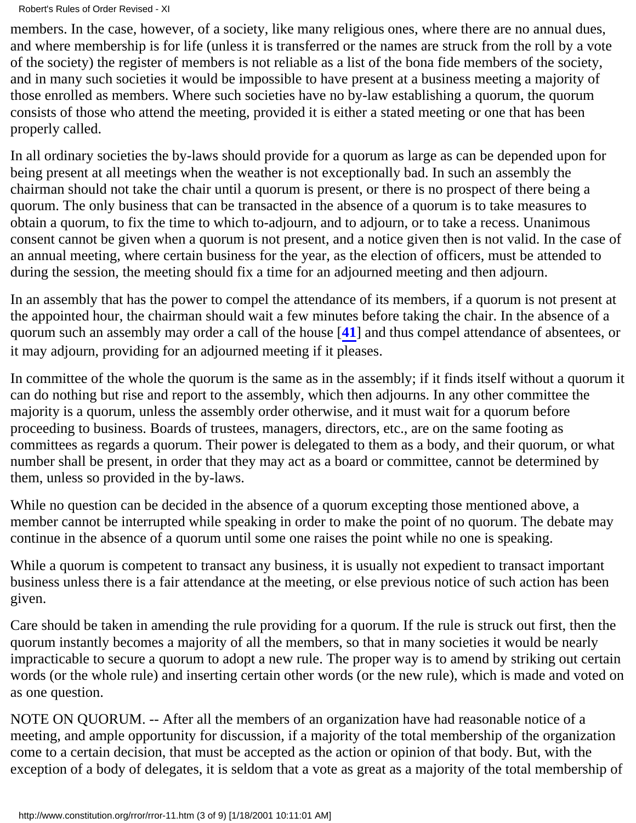members. In the case, however, of a society, like many religious ones, where there are no annual dues, and where membership is for life (unless it is transferred or the names are struck from the roll by a vote of the society) the register of members is not reliable as a list of the bona fide members of the society, and in many such societies it would be impossible to have present at a business meeting a majority of those enrolled as members. Where such societies have no by-law establishing a quorum, the quorum consists of those who attend the meeting, provided it is either a stated meeting or one that has been properly called.

In all ordinary societies the by-laws should provide for a quorum as large as can be depended upon for being present at all meetings when the weather is not exceptionally bad. In such an assembly the chairman should not take the chair until a quorum is present, or there is no prospect of there being a quorum. The only business that can be transacted in the absence of a quorum is to take measures to obtain a quorum, to fix the time to which to-adjourn, and to adjourn, or to take a recess. Unanimous consent cannot be given when a quorum is not present, and a notice given then is not valid. In the case of an annual meeting, where certain business for the year, as the election of officers, must be attended to during the session, the meeting should fix a time for an adjourned meeting and then adjourn.

In an assembly that has the power to compel the attendance of its members, if a quorum is not present at the appointed hour, the chairman should wait a few minutes before taking the chair. In the absence of a quorum such an assembly may order a call of the house [**[41](#page-86-0)**] and thus compel attendance of absentees, or it may adjourn, providing for an adjourned meeting if it pleases.

In committee of the whole the quorum is the same as in the assembly; if it finds itself without a quorum it can do nothing but rise and report to the assembly, which then adjourns. In any other committee the majority is a quorum, unless the assembly order otherwise, and it must wait for a quorum before proceeding to business. Boards of trustees, managers, directors, etc., are on the same footing as committees as regards a quorum. Their power is delegated to them as a body, and their quorum, or what number shall be present, in order that they may act as a board or committee, cannot be determined by them, unless so provided in the by-laws.

While no question can be decided in the absence of a quorum excepting those mentioned above, a member cannot be interrupted while speaking in order to make the point of no quorum. The debate may continue in the absence of a quorum until some one raises the point while no one is speaking.

While a quorum is competent to transact any business, it is usually not expedient to transact important business unless there is a fair attendance at the meeting, or else previous notice of such action has been given.

Care should be taken in amending the rule providing for a quorum. If the rule is struck out first, then the quorum instantly becomes a majority of all the members, so that in many societies it would be nearly impracticable to secure a quorum to adopt a new rule. The proper way is to amend by striking out certain words (or the whole rule) and inserting certain other words (or the new rule), which is made and voted on as one question.

NOTE ON QUORUM. -- After all the members of an organization have had reasonable notice of a meeting, and ample opportunity for discussion, if a majority of the total membership of the organization come to a certain decision, that must be accepted as the action or opinion of that body. But, with the exception of a body of delegates, it is seldom that a vote as great as a majority of the total membership of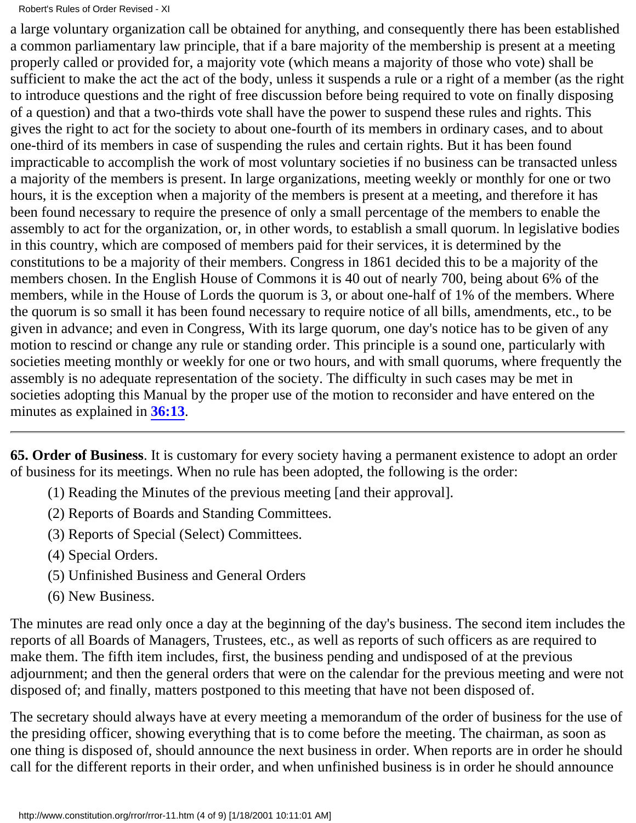a large voluntary organization call be obtained for anything, and consequently there has been established a common parliamentary law principle, that if a bare majority of the membership is present at a meeting properly called or provided for, a majority vote (which means a majority of those who vote) shall be sufficient to make the act the act of the body, unless it suspends a rule or a right of a member (as the right to introduce questions and the right of free discussion before being required to vote on finally disposing of a question) and that a two-thirds vote shall have the power to suspend these rules and rights. This gives the right to act for the society to about one-fourth of its members in ordinary cases, and to about one-third of its members in case of suspending the rules and certain rights. But it has been found impracticable to accomplish the work of most voluntary societies if no business can be transacted unless a majority of the members is present. In large organizations, meeting weekly or monthly for one or two hours, it is the exception when a majority of the members is present at a meeting, and therefore it has been found necessary to require the presence of only a small percentage of the members to enable the assembly to act for the organization, or, in other words, to establish a small quorum. ln legislative bodies in this country, which are composed of members paid for their services, it is determined by the constitutions to be a majority of their members. Congress in 1861 decided this to be a majority of the members chosen. In the English House of Commons it is 40 out of nearly 700, being about 6% of the members, while in the House of Lords the quorum is 3, or about one-half of 1% of the members. Where the quorum is so small it has been found necessary to require notice of all bills, amendments, etc., to be given in advance; and even in Congress, With its large quorum, one day's notice has to be given of any motion to rescind or change any rule or standing order. This principle is a sound one, particularly with societies meeting monthly or weekly for one or two hours, and with small quorums, where frequently the assembly is no adequate representation of the society. The difficulty in such cases may be met in societies adopting this Manual by the proper use of the motion to reconsider and have entered on the minutes as explained in **[36:13](#page-82-0)**.

**65. Order of Business**. It is customary for every society having a permanent existence to adopt an order of business for its meetings. When no rule has been adopted, the following is the order:

- (1) Reading the Minutes of the previous meeting [and their approval].
- (2) Reports of Boards and Standing Committees.
- (3) Reports of Special (Select) Committees.
- (4) Special Orders.
- (5) Unfinished Business and General Orders
- (6) New Business.

The minutes are read only once a day at the beginning of the day's business. The second item includes the reports of all Boards of Managers, Trustees, etc., as well as reports of such officers as are required to make them. The fifth item includes, first, the business pending and undisposed of at the previous adjournment; and then the general orders that were on the calendar for the previous meeting and were not disposed of; and finally, matters postponed to this meeting that have not been disposed of.

The secretary should always have at every meeting a memorandum of the order of business for the use of the presiding officer, showing everything that is to come before the meeting. The chairman, as soon as one thing is disposed of, should announce the next business in order. When reports are in order he should call for the different reports in their order, and when unfinished business is in order he should announce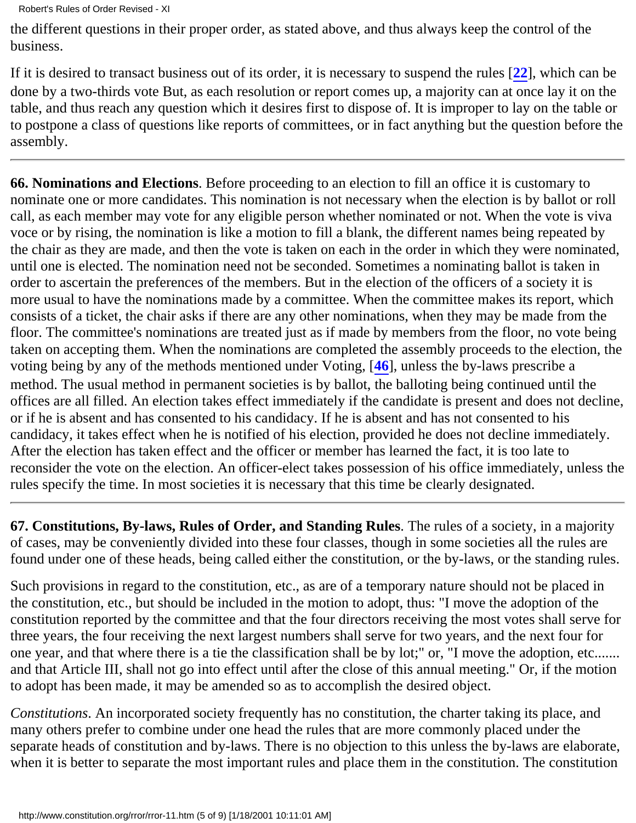```
Robert's Rules of Order Revised - XI
```
the different questions in their proper order, as stated above, and thus always keep the control of the business.

If it is desired to transact business out of its order, it is necessary to suspend the rules [**[22](#page-24-0)**], which can be done by a two-thirds vote But, as each resolution or report comes up, a majority can at once lay it on the table, and thus reach any question which it desires first to dispose of. It is improper to lay on the table or to postpone a class of questions like reports of committees, or in fact anything but the question before the assembly.

<span id="page-74-0"></span>**66. Nominations and Elections**. Before proceeding to an election to fill an office it is customary to nominate one or more candidates. This nomination is not necessary when the election is by ballot or roll call, as each member may vote for any eligible person whether nominated or not. When the vote is viva voce or by rising, the nomination is like a motion to fill a blank, the different names being repeated by the chair as they are made, and then the vote is taken on each in the order in which they were nominated, until one is elected. The nomination need not be seconded. Sometimes a nominating ballot is taken in order to ascertain the preferences of the members. But in the election of the officers of a society it is more usual to have the nominations made by a committee. When the committee makes its report, which consists of a ticket, the chair asks if there are any other nominations, when they may be made from the floor. The committee's nominations are treated just as if made by members from the floor, no vote being taken on accepting them. When the nominations are completed the assembly proceeds to the election, the voting being by any of the methods mentioned under Voting, [**[46](#page-61-0)**], unless the by-laws prescribe a method. The usual method in permanent societies is by ballot, the balloting being continued until the offices are all filled. An election takes effect immediately if the candidate is present and does not decline, or if he is absent and has consented to his candidacy. If he is absent and has not consented to his candidacy, it takes effect when he is notified of his election, provided he does not decline immediately. After the election has taken effect and the officer or member has learned the fact, it is too late to reconsider the vote on the election. An officer-elect takes possession of his office immediately, unless the rules specify the time. In most societies it is necessary that this time be clearly designated.

**67. Constitutions, By-laws, Rules of Order, and Standing Rules**. The rules of a society, in a majority of cases, may be conveniently divided into these four classes, though in some societies all the rules are found under one of these heads, being called either the constitution, or the by-laws, or the standing rules.

Such provisions in regard to the constitution, etc., as are of a temporary nature should not be placed in the constitution, etc., but should be included in the motion to adopt, thus: "I move the adoption of the constitution reported by the committee and that the four directors receiving the most votes shall serve for three years, the four receiving the next largest numbers shall serve for two years, and the next four for one year, and that where there is a tie the classification shall be by lot;" or, "I move the adoption, etc....... and that Article III, shall not go into effect until after the close of this annual meeting." Or, if the motion to adopt has been made, it may be amended so as to accomplish the desired object.

*Constitutions*. An incorporated society frequently has no constitution, the charter taking its place, and many others prefer to combine under one head the rules that are more commonly placed under the separate heads of constitution and by-laws. There is no objection to this unless the by-laws are elaborate, when it is better to separate the most important rules and place them in the constitution. The constitution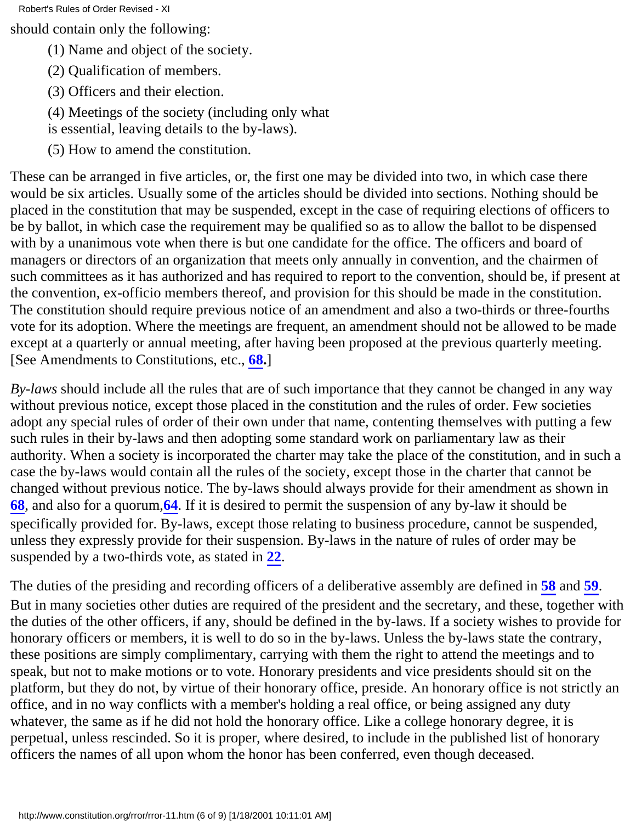should contain only the following:

- (1) Name and object of the society.
- (2) Qualification of members.
- (3) Officers and their election.
- (4) Meetings of the society (including only what
- is essential, leaving details to the by-laws).
- (5) How to amend the constitution.

These can be arranged in five articles, or, the first one may be divided into two, in which case there would be six articles. Usually some of the articles should be divided into sections. Nothing should be placed in the constitution that may be suspended, except in the case of requiring elections of officers to be by ballot, in which case the requirement may be qualified so as to allow the ballot to be dispensed with by a unanimous vote when there is but one candidate for the office. The officers and board of managers or directors of an organization that meets only annually in convention, and the chairmen of such committees as it has authorized and has required to report to the convention, should be, if present at the convention, ex-officio members thereof, and provision for this should be made in the constitution. The constitution should require previous notice of an amendment and also a two-thirds or three-fourths vote for its adoption. Where the meetings are frequent, an amendment should not be allowed to be made except at a quarterly or annual meeting, after having been proposed at the previous quarterly meeting. [See Amendments to Constitutions, etc., **68.**]

*By-laws* should include all the rules that are of such importance that they cannot be changed in any way without previous notice, except those placed in the constitution and the rules of order. Few societies adopt any special rules of order of their own under that name, contenting themselves with putting a few such rules in their by-laws and then adopting some standard work on parliamentary law as their authority. When a society is incorporated the charter may take the place of the constitution, and in such a case the by-laws would contain all the rules of the society, except those in the charter that cannot be changed without previous notice. The by-laws should always provide for their amendment as shown in **68**, and also for a quorum,**[64](#page-71-0)**. If it is desired to permit the suspension of any by-law it should be specifically provided for. By-laws, except those relating to business procedure, cannot be suspended, unless they expressly provide for their suspension. By-laws in the nature of rules of order may be suspended by a two-thirds vote, as stated in **[22](#page-24-0)**.

The duties of the presiding and recording officers of a deliberative assembly are defined in **[58](#page-120-0)** and **[59](#page-124-0)**. But in many societies other duties are required of the president and the secretary, and these, together with the duties of the other officers, if any, should be defined in the by-laws. If a society wishes to provide for honorary officers or members, it is well to do so in the by-laws. Unless the by-laws state the contrary, these positions are simply complimentary, carrying with them the right to attend the meetings and to speak, but not to make motions or to vote. Honorary presidents and vice presidents should sit on the platform, but they do not, by virtue of their honorary office, preside. An honorary office is not strictly an office, and in no way conflicts with a member's holding a real office, or being assigned any duty whatever, the same as if he did not hold the honorary office. Like a college honorary degree, it is perpetual, unless rescinded. So it is proper, where desired, to include in the published list of honorary officers the names of all upon whom the honor has been conferred, even though deceased.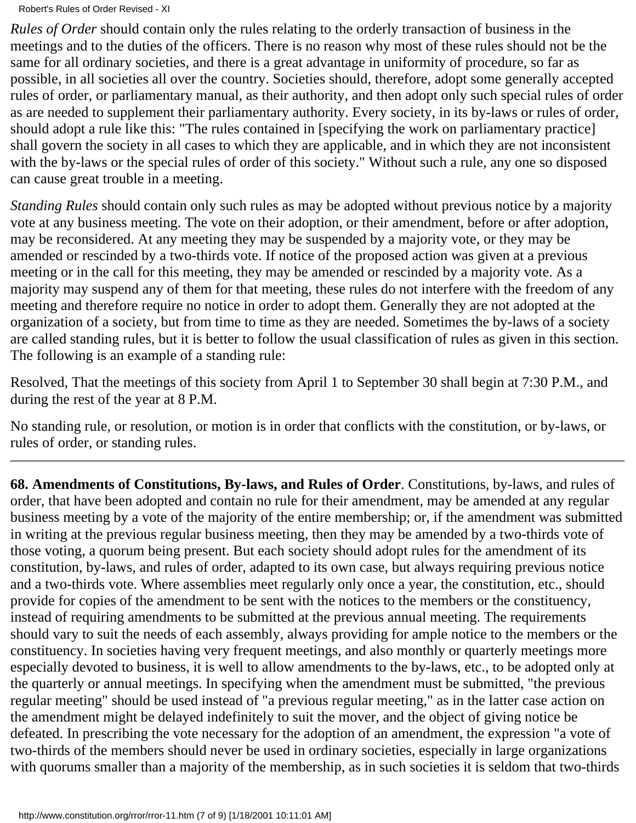*Rules of Order* should contain only the rules relating to the orderly transaction of business in the meetings and to the duties of the officers. There is no reason why most of these rules should not be the same for all ordinary societies, and there is a great advantage in uniformity of procedure, so far as possible, in all societies all over the country. Societies should, therefore, adopt some generally accepted rules of order, or parliamentary manual, as their authority, and then adopt only such special rules of order as are needed to supplement their parliamentary authority. Every society, in its by-laws or rules of order, should adopt a rule like this: "The rules contained in [specifying the work on parliamentary practice] shall govern the society in all cases to which they are applicable, and in which they are not inconsistent with the by-laws or the special rules of order of this society." Without such a rule, any one so disposed can cause great trouble in a meeting.

*Standing Rules* should contain only such rules as may be adopted without previous notice by a majority vote at any business meeting. The vote on their adoption, or their amendment, before or after adoption, may be reconsidered. At any meeting they may be suspended by a majority vote, or they may be amended or rescinded by a two-thirds vote. If notice of the proposed action was given at a previous meeting or in the call for this meeting, they may be amended or rescinded by a majority vote. As a majority may suspend any of them for that meeting, these rules do not interfere with the freedom of any meeting and therefore require no notice in order to adopt them. Generally they are not adopted at the organization of a society, but from time to time as they are needed. Sometimes the by-laws of a society are called standing rules, but it is better to follow the usual classification of rules as given in this section. The following is an example of a standing rule:

Resolved, That the meetings of this society from April 1 to September 30 shall begin at 7:30 P.M., and during the rest of the year at 8 P.M.

No standing rule, or resolution, or motion is in order that conflicts with the constitution, or by-laws, or rules of order, or standing rules.

**68. Amendments of Constitutions, By-laws, and Rules of Order**. Constitutions, by-laws, and rules of order, that have been adopted and contain no rule for their amendment, may be amended at any regular business meeting by a vote of the majority of the entire membership; or, if the amendment was submitted in writing at the previous regular business meeting, then they may be amended by a two-thirds vote of those voting, a quorum being present. But each society should adopt rules for the amendment of its constitution, by-laws, and rules of order, adapted to its own case, but always requiring previous notice and a two-thirds vote. Where assemblies meet regularly only once a year, the constitution, etc., should provide for copies of the amendment to be sent with the notices to the members or the constituency, instead of requiring amendments to be submitted at the previous annual meeting. The requirements should vary to suit the needs of each assembly, always providing for ample notice to the members or the constituency. In societies having very frequent meetings, and also monthly or quarterly meetings more especially devoted to business, it is well to allow amendments to the by-laws, etc., to be adopted only at the quarterly or annual meetings. In specifying when the amendment must be submitted, "the previous regular meeting" should be used instead of "a previous regular meeting," as in the latter case action on the amendment might be delayed indefinitely to suit the mover, and the object of giving notice be defeated. In prescribing the vote necessary for the adoption of an amendment, the expression "a vote of two-thirds of the members should never be used in ordinary societies, especially in large organizations with quorums smaller than a majority of the membership, as in such societies it is seldom that two-thirds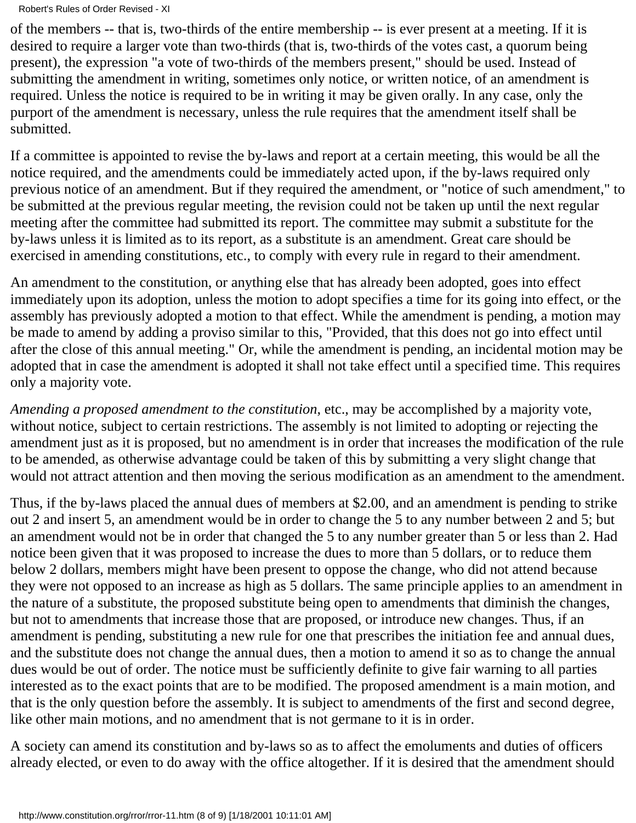of the members -- that is, two-thirds of the entire membership -- is ever present at a meeting. If it is desired to require a larger vote than two-thirds (that is, two-thirds of the votes cast, a quorum being present), the expression "a vote of two-thirds of the members present," should be used. Instead of submitting the amendment in writing, sometimes only notice, or written notice, of an amendment is required. Unless the notice is required to be in writing it may be given orally. In any case, only the purport of the amendment is necessary, unless the rule requires that the amendment itself shall be submitted.

If a committee is appointed to revise the by-laws and report at a certain meeting, this would be all the notice required, and the amendments could be immediately acted upon, if the by-laws required only previous notice of an amendment. But if they required the amendment, or "notice of such amendment," to be submitted at the previous regular meeting, the revision could not be taken up until the next regular meeting after the committee had submitted its report. The committee may submit a substitute for the by-laws unless it is limited as to its report, as a substitute is an amendment. Great care should be exercised in amending constitutions, etc., to comply with every rule in regard to their amendment.

An amendment to the constitution, or anything else that has already been adopted, goes into effect immediately upon its adoption, unless the motion to adopt specifies a time for its going into effect, or the assembly has previously adopted a motion to that effect. While the amendment is pending, a motion may be made to amend by adding a proviso similar to this, "Provided, that this does not go into effect until after the close of this annual meeting." Or, while the amendment is pending, an incidental motion may be adopted that in case the amendment is adopted it shall not take effect until a specified time. This requires only a majority vote.

*Amending a proposed amendment to the constitution*, etc., may be accomplished by a majority vote, without notice, subject to certain restrictions. The assembly is not limited to adopting or rejecting the amendment just as it is proposed, but no amendment is in order that increases the modification of the rule to be amended, as otherwise advantage could be taken of this by submitting a very slight change that would not attract attention and then moving the serious modification as an amendment to the amendment.

Thus, if the by-laws placed the annual dues of members at \$2.00, and an amendment is pending to strike out 2 and insert 5, an amendment would be in order to change the 5 to any number between 2 and 5; but an amendment would not be in order that changed the 5 to any number greater than 5 or less than 2. Had notice been given that it was proposed to increase the dues to more than 5 dollars, or to reduce them below 2 dollars, members might have been present to oppose the change, who did not attend because they were not opposed to an increase as high as 5 dollars. The same principle applies to an amendment in the nature of a substitute, the proposed substitute being open to amendments that diminish the changes, but not to amendments that increase those that are proposed, or introduce new changes. Thus, if an amendment is pending, substituting a new rule for one that prescribes the initiation fee and annual dues, and the substitute does not change the annual dues, then a motion to amend it so as to change the annual dues would be out of order. The notice must be sufficiently definite to give fair warning to all parties interested as to the exact points that are to be modified. The proposed amendment is a main motion, and that is the only question before the assembly. It is subject to amendments of the first and second degree, like other main motions, and no amendment that is not germane to it is in order.

A society can amend its constitution and by-laws so as to affect the emoluments and duties of officers already elected, or even to do away with the office altogether. If it is desired that the amendment should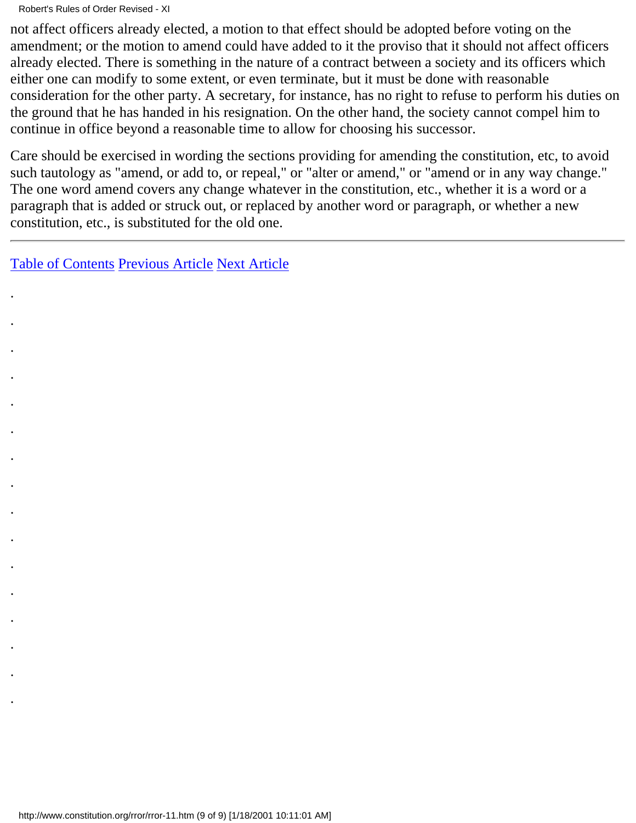.

.

.

.

.

.

.

.

.

.

.

.

.

.

.

.

not affect officers already elected, a motion to that effect should be adopted before voting on the amendment; or the motion to amend could have added to it the proviso that it should not affect officers already elected. There is something in the nature of a contract between a society and its officers which either one can modify to some extent, or even terminate, but it must be done with reasonable consideration for the other party. A secretary, for instance, has no right to refuse to perform his duties on the ground that he has handed in his resignation. On the other hand, the society cannot compel him to continue in office beyond a reasonable time to allow for choosing his successor.

Care should be exercised in wording the sections providing for amending the constitution, etc, to avoid such tautology as "amend, or add to, or repeal," or "alter or amend," or "amend or in any way change." The one word amend covers any change whatever in the constitution, etc., whether it is a word or a paragraph that is added or struck out, or replaced by another word or paragraph, or whether a new constitution, etc., is substituted for the old one.

[Table of Contents](#page-0-0) [Previous Article](#page-120-1) [Next Article](#page-49-0)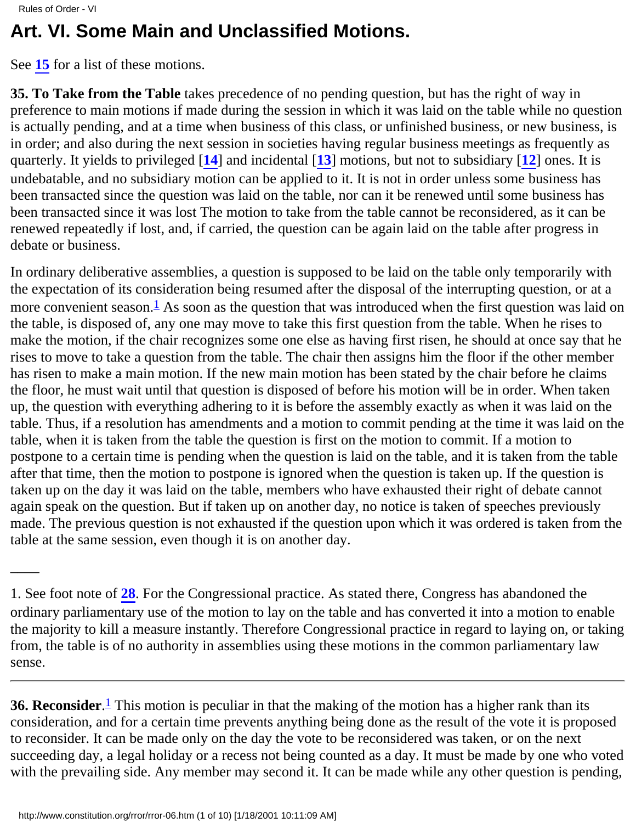<span id="page-79-3"></span>Rules of Order - VI

 $\overline{\phantom{a}}$ 

## **Art. VI. Some Main and Unclassified Motions.**

See **15** for a list of these motions.

<span id="page-79-1"></span>**35. To Take from the Table** takes precedence of no pending question, but has the right of way in preference to main motions if made during the session in which it was laid on the table while no question is actually pending, and at a time when business of this class, or unfinished business, or new business, is in order; and also during the next session in societies having regular business meetings as frequently as quarterly. It yields to privileged [**14**] and incidental [**13**] motions, but not to subsidiary [**12**] ones. It is undebatable, and no subsidiary motion can be applied to it. It is not in order unless some business has been transacted since the question was laid on the table, nor can it be renewed until some business has been transacted since it was lost The motion to take from the table cannot be reconsidered, as it can be renewed repeatedly if lost, and, if carried, the question can be again laid on the table after progress in debate or business.

In ordinary deliberative assemblies, a question is supposed to be laid on the table only temporarily with the expectation of its consideration being resumed after the disposal of the interrupting question, or at a more convenient season. $\frac{1}{4}$  As soon as the question that was introduced when the first question was laid on the table, is disposed of, any one may move to take this first question from the table. When he rises to make the motion, if the chair recognizes some one else as having first risen, he should at once say that he rises to move to take a question from the table. The chair then assigns him the floor if the other member has risen to make a main motion. If the new main motion has been stated by the chair before he claims the floor, he must wait until that question is disposed of before his motion will be in order. When taken up, the question with everything adhering to it is before the assembly exactly as when it was laid on the table. Thus, if a resolution has amendments and a motion to commit pending at the time it was laid on the table, when it is taken from the table the question is first on the motion to commit. If a motion to postpone to a certain time is pending when the question is laid on the table, and it is taken from the table after that time, then the motion to postpone is ignored when the question is taken up. If the question is taken up on the day it was laid on the table, members who have exhausted their right of debate cannot again speak on the question. But if taken up on another day, no notice is taken of speeches previously made. The previous question is not exhausted if the question upon which it was ordered is taken from the table at the same session, even though it is on another day.

<span id="page-79-2"></span>**36. Reconsider.** This motion is peculiar in that the making of the motion has a higher rank than its consideration, and for a certain time prevents anything being done as the result of the vote it is proposed to reconsider. It can be made only on the day the vote to be reconsidered was taken, or on the next succeeding day, a legal holiday or a recess not being counted as a day. It must be made by one who voted with the prevailing side. Any member may second it. It can be made while any other question is pending,

<span id="page-79-0"></span><sup>1.</sup> See foot note of **[28](#page-89-0)**. For the Congressional practice. As stated there, Congress has abandoned the ordinary parliamentary use of the motion to lay on the table and has converted it into a motion to enable the majority to kill a measure instantly. Therefore Congressional practice in regard to laying on, or taking from, the table is of no authority in assemblies using these motions in the common parliamentary law sense.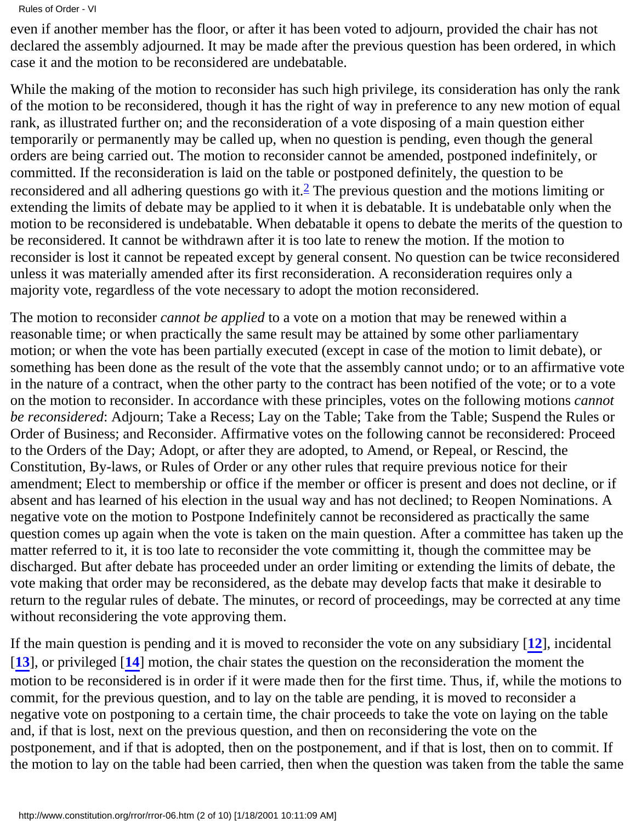#### Rules of Order - VI

even if another member has the floor, or after it has been voted to adjourn, provided the chair has not declared the assembly adjourned. It may be made after the previous question has been ordered, in which case it and the motion to be reconsidered are undebatable.

While the making of the motion to reconsider has such high privilege, its consideration has only the rank of the motion to be reconsidered, though it has the right of way in preference to any new motion of equal rank, as illustrated further on; and the reconsideration of a vote disposing of a main question either temporarily or permanently may be called up, when no question is pending, even though the general orders are being carried out. The motion to reconsider cannot be amended, postponed indefinitely, or committed. If the reconsideration is laid on the table or postponed definitely, the question to be reconsidered and all adhering questions go with it.<sup>2</sup> The previous question and the motions limiting or extending the limits of debate may be applied to it when it is debatable. It is undebatable only when the motion to be reconsidered is undebatable. When debatable it opens to debate the merits of the question to be reconsidered. It cannot be withdrawn after it is too late to renew the motion. If the motion to reconsider is lost it cannot be repeated except by general consent. No question can be twice reconsidered unless it was materially amended after its first reconsideration. A reconsideration requires only a majority vote, regardless of the vote necessary to adopt the motion reconsidered.

The motion to reconsider *cannot be applied* to a vote on a motion that may be renewed within a reasonable time; or when practically the same result may be attained by some other parliamentary motion; or when the vote has been partially executed (except in case of the motion to limit debate), or something has been done as the result of the vote that the assembly cannot undo; or to an affirmative vote in the nature of a contract, when the other party to the contract has been notified of the vote; or to a vote on the motion to reconsider. In accordance with these principles, votes on the following motions *cannot be reconsidered*: Adjourn; Take a Recess; Lay on the Table; Take from the Table; Suspend the Rules or Order of Business; and Reconsider. Affirmative votes on the following cannot be reconsidered: Proceed to the Orders of the Day; Adopt, or after they are adopted, to Amend, or Repeal, or Rescind, the Constitution, By-laws, or Rules of Order or any other rules that require previous notice for their amendment; Elect to membership or office if the member or officer is present and does not decline, or if absent and has learned of his election in the usual way and has not declined; to Reopen Nominations. A negative vote on the motion to Postpone Indefinitely cannot be reconsidered as practically the same question comes up again when the vote is taken on the main question. After a committee has taken up the matter referred to it, it is too late to reconsider the vote committing it, though the committee may be discharged. But after debate has proceeded under an order limiting or extending the limits of debate, the vote making that order may be reconsidered, as the debate may develop facts that make it desirable to return to the regular rules of debate. The minutes, or record of proceedings, may be corrected at any time without reconsidering the vote approving them.

If the main question is pending and it is moved to reconsider the vote on any subsidiary [**12**], incidental [**13**], or privileged [**14**] motion, the chair states the question on the reconsideration the moment the motion to be reconsidered is in order if it were made then for the first time. Thus, if, while the motions to commit, for the previous question, and to lay on the table are pending, it is moved to reconsider a negative vote on postponing to a certain time, the chair proceeds to take the vote on laying on the table and, if that is lost, next on the previous question, and then on reconsidering the vote on the postponement, and if that is adopted, then on the postponement, and if that is lost, then on to commit. If the motion to lay on the table had been carried, then when the question was taken from the table the same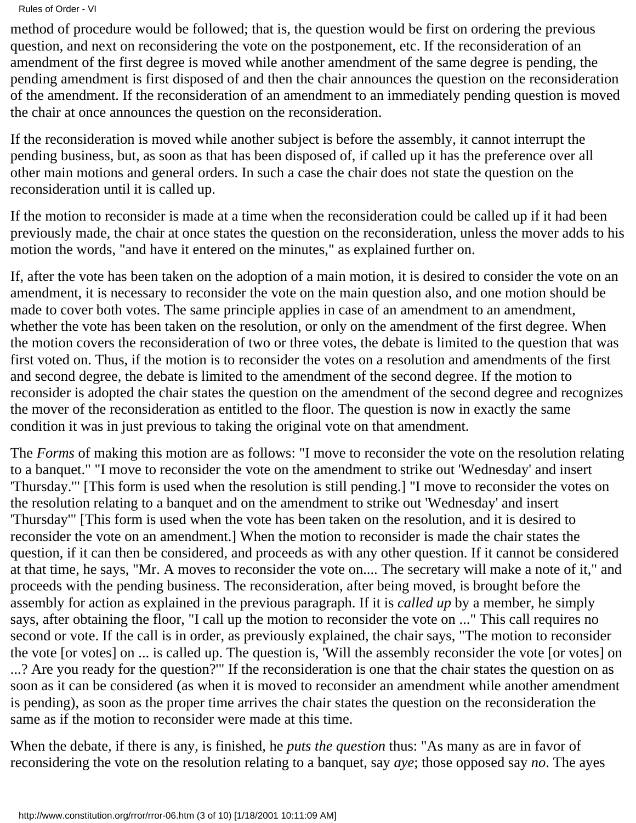```
Rules of Order - VI
```
method of procedure would be followed; that is, the question would be first on ordering the previous question, and next on reconsidering the vote on the postponement, etc. If the reconsideration of an amendment of the first degree is moved while another amendment of the same degree is pending, the pending amendment is first disposed of and then the chair announces the question on the reconsideration of the amendment. If the reconsideration of an amendment to an immediately pending question is moved the chair at once announces the question on the reconsideration.

If the reconsideration is moved while another subject is before the assembly, it cannot interrupt the pending business, but, as soon as that has been disposed of, if called up it has the preference over all other main motions and general orders. In such a case the chair does not state the question on the reconsideration until it is called up.

If the motion to reconsider is made at a time when the reconsideration could be called up if it had been previously made, the chair at once states the question on the reconsideration, unless the mover adds to his motion the words, "and have it entered on the minutes," as explained further on.

If, after the vote has been taken on the adoption of a main motion, it is desired to consider the vote on an amendment, it is necessary to reconsider the vote on the main question also, and one motion should be made to cover both votes. The same principle applies in case of an amendment to an amendment, whether the vote has been taken on the resolution, or only on the amendment of the first degree. When the motion covers the reconsideration of two or three votes, the debate is limited to the question that was first voted on. Thus, if the motion is to reconsider the votes on a resolution and amendments of the first and second degree, the debate is limited to the amendment of the second degree. If the motion to reconsider is adopted the chair states the question on the amendment of the second degree and recognizes the mover of the reconsideration as entitled to the floor. The question is now in exactly the same condition it was in just previous to taking the original vote on that amendment.

The *Forms* of making this motion are as follows: "I move to reconsider the vote on the resolution relating to a banquet." "I move to reconsider the vote on the amendment to strike out 'Wednesday' and insert 'Thursday.'" [This form is used when the resolution is still pending.] "I move to reconsider the votes on the resolution relating to a banquet and on the amendment to strike out 'Wednesday' and insert 'Thursday'" [This form is used when the vote has been taken on the resolution, and it is desired to reconsider the vote on an amendment.] When the motion to reconsider is made the chair states the question, if it can then be considered, and proceeds as with any other question. If it cannot be considered at that time, he says, "Mr. A moves to reconsider the vote on.... The secretary will make a note of it," and proceeds with the pending business. The reconsideration, after being moved, is brought before the assembly for action as explained in the previous paragraph. If it is *called up* by a member, he simply says, after obtaining the floor, "I call up the motion to reconsider the vote on ..." This call requires no second or vote. If the call is in order, as previously explained, the chair says, "The motion to reconsider the vote [or votes] on ... is called up. The question is, 'Will the assembly reconsider the vote [or votes] on ...? Are you ready for the question?'" If the reconsideration is one that the chair states the question on as soon as it can be considered (as when it is moved to reconsider an amendment while another amendment is pending), as soon as the proper time arrives the chair states the question on the reconsideration the same as if the motion to reconsider were made at this time.

When the debate, if there is any, is finished, he *puts the question* thus: "As many as are in favor of reconsidering the vote on the resolution relating to a banquet, say *aye*; those opposed say *no*. The ayes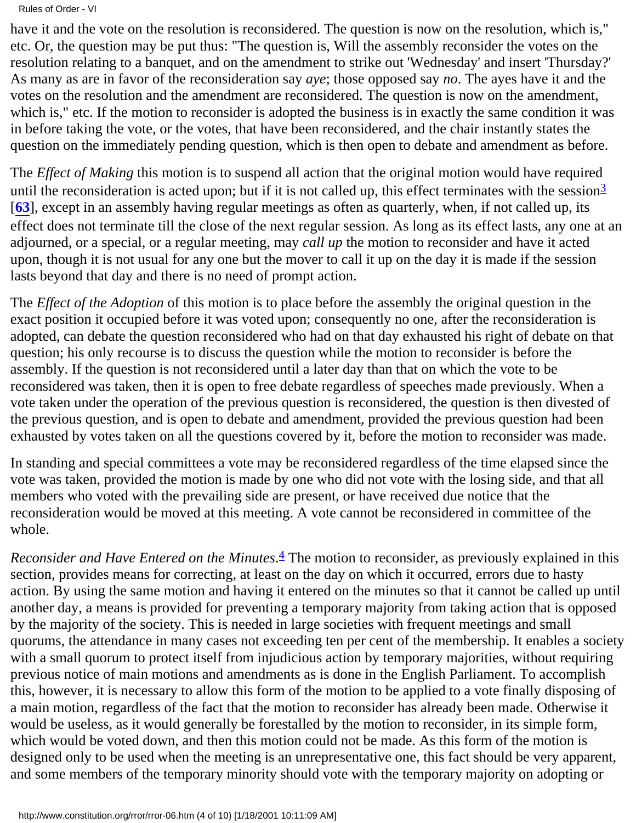```
Rules of Order - VI
```
have it and the vote on the resolution is reconsidered. The question is now on the resolution, which is," etc. Or, the question may be put thus: "The question is, Will the assembly reconsider the votes on the resolution relating to a banquet, and on the amendment to strike out 'Wednesday' and insert 'Thursday?' As many as are in favor of the reconsideration say *aye*; those opposed say *no*. The ayes have it and the votes on the resolution and the amendment are reconsidered. The question is now on the amendment, which is," etc. If the motion to reconsider is adopted the business is in exactly the same condition it was in before taking the vote, or the votes, that have been reconsidered, and the chair instantly states the question on the immediately pending question, which is then open to debate and amendment as before.

The *Effect of Making* this motion is to suspend all action that the original motion would have required until the reconsideration is acted upon; but if it is not called up, this effect terminates with the session $\frac{3}{2}$ [**[63](#page-70-0)**], except in an assembly having regular meetings as often as quarterly, when, if not called up, its effect does not terminate till the close of the next regular session. As long as its effect lasts, any one at an adjourned, or a special, or a regular meeting, may *call up* the motion to reconsider and have it acted upon, though it is not usual for any one but the mover to call it up on the day it is made if the session lasts beyond that day and there is no need of prompt action.

The *Effect of the Adoption* of this motion is to place before the assembly the original question in the exact position it occupied before it was voted upon; consequently no one, after the reconsideration is adopted, can debate the question reconsidered who had on that day exhausted his right of debate on that question; his only recourse is to discuss the question while the motion to reconsider is before the assembly. If the question is not reconsidered until a later day than that on which the vote to be reconsidered was taken, then it is open to free debate regardless of speeches made previously. When a vote taken under the operation of the previous question is reconsidered, the question is then divested of the previous question, and is open to debate and amendment, provided the previous question had been exhausted by votes taken on all the questions covered by it, before the motion to reconsider was made.

In standing and special committees a vote may be reconsidered regardless of the time elapsed since the vote was taken, provided the motion is made by one who did not vote with the losing side, and that all members who voted with the prevailing side are present, or have received due notice that the reconsideration would be moved at this meeting. A vote cannot be reconsidered in committee of the whole.

<span id="page-82-0"></span>*Reconsider and Have Entered on the Minutes*. [4](#page-84-1) The motion to reconsider, as previously explained in this section, provides means for correcting, at least on the day on which it occurred, errors due to hasty action. By using the same motion and having it entered on the minutes so that it cannot be called up until another day, a means is provided for preventing a temporary majority from taking action that is opposed by the majority of the society. This is needed in large societies with frequent meetings and small quorums, the attendance in many cases not exceeding ten per cent of the membership. It enables a society with a small quorum to protect itself from injudicious action by temporary majorities, without requiring previous notice of main motions and amendments as is done in the English Parliament. To accomplish this, however, it is necessary to allow this form of the motion to be applied to a vote finally disposing of a main motion, regardless of the fact that the motion to reconsider has already been made. Otherwise it would be useless, as it would generally be forestalled by the motion to reconsider, in its simple form, which would be voted down, and then this motion could not be made. As this form of the motion is designed only to be used when the meeting is an unrepresentative one, this fact should be very apparent, and some members of the temporary minority should vote with the temporary majority on adopting or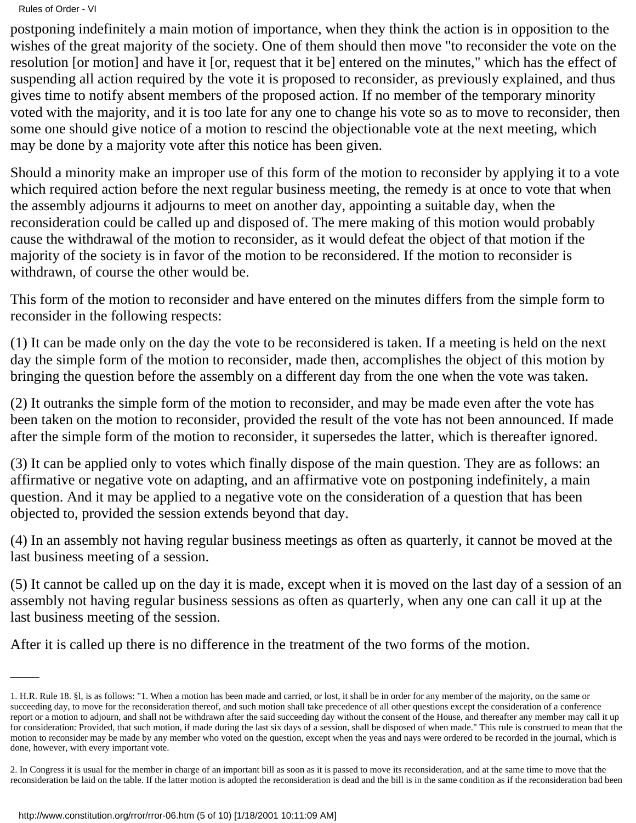#### Rules of Order - VI

 $\overline{\phantom{a}}$ 

postponing indefinitely a main motion of importance, when they think the action is in opposition to the wishes of the great majority of the society. One of them should then move "to reconsider the vote on the resolution [or motion] and have it [or, request that it be] entered on the minutes," which has the effect of suspending all action required by the vote it is proposed to reconsider, as previously explained, and thus gives time to notify absent members of the proposed action. If no member of the temporary minority voted with the majority, and it is too late for any one to change his vote so as to move to reconsider, then some one should give notice of a motion to rescind the objectionable vote at the next meeting, which may be done by a majority vote after this notice has been given.

Should a minority make an improper use of this form of the motion to reconsider by applying it to a vote which required action before the next regular business meeting, the remedy is at once to vote that when the assembly adjourns it adjourns to meet on another day, appointing a suitable day, when the reconsideration could be called up and disposed of. The mere making of this motion would probably cause the withdrawal of the motion to reconsider, as it would defeat the object of that motion if the majority of the society is in favor of the motion to be reconsidered. If the motion to reconsider is withdrawn, of course the other would be.

This form of the motion to reconsider and have entered on the minutes differs from the simple form to reconsider in the following respects:

(1) It can be made only on the day the vote to be reconsidered is taken. If a meeting is held on the next day the simple form of the motion to reconsider, made then, accomplishes the object of this motion by bringing the question before the assembly on a different day from the one when the vote was taken.

(2) It outranks the simple form of the motion to reconsider, and may be made even after the vote has been taken on the motion to reconsider, provided the result of the vote has not been announced. If made after the simple form of the motion to reconsider, it supersedes the latter, which is thereafter ignored.

(3) It can be applied only to votes which finally dispose of the main question. They are as follows: an affirmative or negative vote on adapting, and an affirmative vote on postponing indefinitely, a main question. And it may be applied to a negative vote on the consideration of a question that has been objected to, provided the session extends beyond that day.

(4) In an assembly not having regular business meetings as often as quarterly, it cannot be moved at the last business meeting of a session.

(5) It cannot be called up on the day it is made, except when it is moved on the last day of a session of an assembly not having regular business sessions as often as quarterly, when any one can call it up at the last business meeting of the session.

After it is called up there is no difference in the treatment of the two forms of the motion.

<span id="page-83-0"></span><sup>1.</sup> H.R. Rule 18. §l, is as follows: "1. When a motion has been made and carried, or lost, it shall be in order for any member of the majority, on the same or succeeding day, to move for the reconsideration thereof, and such motion shall take precedence of all other questions except the consideration of a conference report or a motion to adjourn, and shall not be withdrawn after the said succeeding day without the consent of the House, and thereafter any member may call it up for consideration: Provided, that such motion, if made during the last six days of a session, shall be disposed of when made." This rule is construed to mean that the motion to reconsider may be made by any member who voted on the question, except when the yeas and nays were ordered to be recorded in the journal, which is done, however, with every important vote.

<span id="page-83-1"></span><sup>2.</sup> In Congress it is usual for the member in charge of an important bill as soon as it is passed to move its reconsideration, and at the same time to move that the reconsideration be laid on the table. If the latter motion is adopted the reconsideration is dead and the bill is in the same condition as if the reconsideration bad been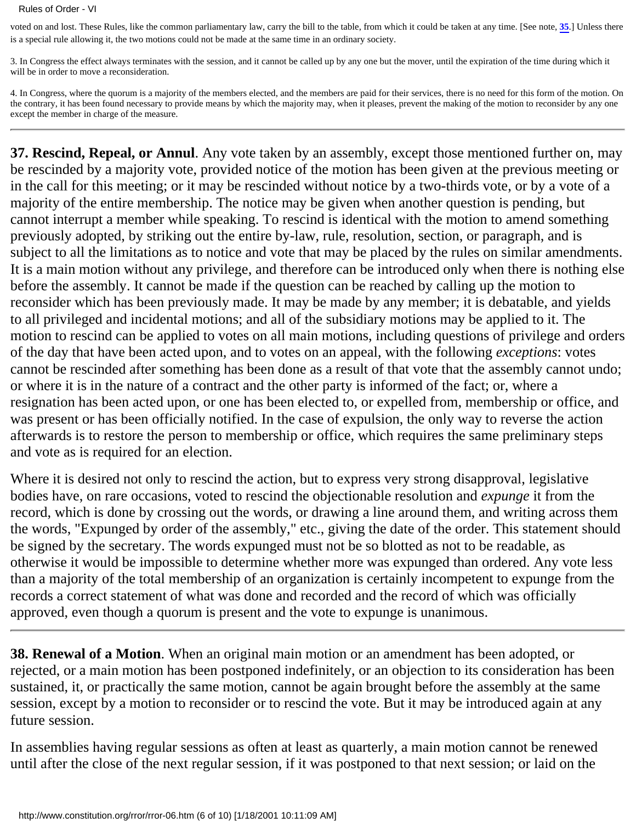#### Rules of Order - VI

voted on and lost. These Rules, like the common parliamentary law, carry the bill to the table, from which it could be taken at any time. [See note, **[35](#page-79-1)**.] Unless there is a special rule allowing it, the two motions could not be made at the same time in an ordinary society.

<span id="page-84-0"></span>3. In Congress the effect always terminates with the session, and it cannot be called up by any one but the mover, until the expiration of the time during which it will be in order to move a reconsideration.

<span id="page-84-1"></span>4. In Congress, where the quorum is a majority of the members elected, and the members are paid for their services, there is no need for this form of the motion. On the contrary, it has been found necessary to provide means by which the majority may, when it pleases, prevent the making of the motion to reconsider by any one except the member in charge of the measure.

<span id="page-84-2"></span>**37. Rescind, Repeal, or Annul**. Any vote taken by an assembly, except those mentioned further on, may be rescinded by a majority vote, provided notice of the motion has been given at the previous meeting or in the call for this meeting; or it may be rescinded without notice by a two-thirds vote, or by a vote of a majority of the entire membership. The notice may be given when another question is pending, but cannot interrupt a member while speaking. To rescind is identical with the motion to amend something previously adopted, by striking out the entire by-law, rule, resolution, section, or paragraph, and is subject to all the limitations as to notice and vote that may be placed by the rules on similar amendments. It is a main motion without any privilege, and therefore can be introduced only when there is nothing else before the assembly. It cannot be made if the question can be reached by calling up the motion to reconsider which has been previously made. It may be made by any member; it is debatable, and yields to all privileged and incidental motions; and all of the subsidiary motions may be applied to it. The motion to rescind can be applied to votes on all main motions, including questions of privilege and orders of the day that have been acted upon, and to votes on an appeal, with the following *exceptions*: votes cannot be rescinded after something has been done as a result of that vote that the assembly cannot undo; or where it is in the nature of a contract and the other party is informed of the fact; or, where a resignation has been acted upon, or one has been elected to, or expelled from, membership or office, and was present or has been officially notified. In the case of expulsion, the only way to reverse the action afterwards is to restore the person to membership or office, which requires the same preliminary steps and vote as is required for an election.

Where it is desired not only to rescind the action, but to express very strong disapproval, legislative bodies have, on rare occasions, voted to rescind the objectionable resolution and *expunge* it from the record, which is done by crossing out the words, or drawing a line around them, and writing across them the words, "Expunged by order of the assembly," etc., giving the date of the order. This statement should be signed by the secretary. The words expunged must not be so blotted as not to be readable, as otherwise it would be impossible to determine whether more was expunged than ordered. Any vote less than a majority of the total membership of an organization is certainly incompetent to expunge from the records a correct statement of what was done and recorded and the record of which was officially approved, even though a quorum is present and the vote to expunge is unanimous.

**38. Renewal of a Motion**. When an original main motion or an amendment has been adopted, or rejected, or a main motion has been postponed indefinitely, or an objection to its consideration has been sustained, it, or practically the same motion, cannot be again brought before the assembly at the same session, except by a motion to reconsider or to rescind the vote. But it may be introduced again at any future session.

In assemblies having regular sessions as often at least as quarterly, a main motion cannot be renewed until after the close of the next regular session, if it was postponed to that next session; or laid on the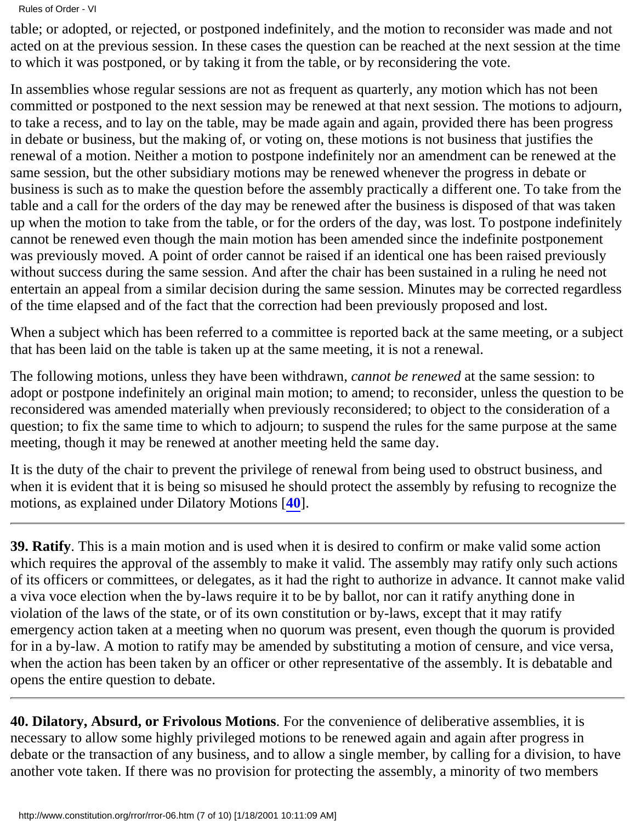Rules of Order - VI

table; or adopted, or rejected, or postponed indefinitely, and the motion to reconsider was made and not acted on at the previous session. In these cases the question can be reached at the next session at the time to which it was postponed, or by taking it from the table, or by reconsidering the vote.

In assemblies whose regular sessions are not as frequent as quarterly, any motion which has not been committed or postponed to the next session may be renewed at that next session. The motions to adjourn, to take a recess, and to lay on the table, may be made again and again, provided there has been progress in debate or business, but the making of, or voting on, these motions is not business that justifies the renewal of a motion. Neither a motion to postpone indefinitely nor an amendment can be renewed at the same session, but the other subsidiary motions may be renewed whenever the progress in debate or business is such as to make the question before the assembly practically a different one. To take from the table and a call for the orders of the day may be renewed after the business is disposed of that was taken up when the motion to take from the table, or for the orders of the day, was lost. To postpone indefinitely cannot be renewed even though the main motion has been amended since the indefinite postponement was previously moved. A point of order cannot be raised if an identical one has been raised previously without success during the same session. And after the chair has been sustained in a ruling he need not entertain an appeal from a similar decision during the same session. Minutes may be corrected regardless of the time elapsed and of the fact that the correction had been previously proposed and lost.

When a subject which has been referred to a committee is reported back at the same meeting, or a subject that has been laid on the table is taken up at the same meeting, it is not a renewal.

The following motions, unless they have been withdrawn, *cannot be renewed* at the same session: to adopt or postpone indefinitely an original main motion; to amend; to reconsider, unless the question to be reconsidered was amended materially when previously reconsidered; to object to the consideration of a question; to fix the same time to which to adjourn; to suspend the rules for the same purpose at the same meeting, though it may be renewed at another meeting held the same day.

It is the duty of the chair to prevent the privilege of renewal from being used to obstruct business, and when it is evident that it is being so misused he should protect the assembly by refusing to recognize the motions, as explained under Dilatory Motions [**[40](#page-85-0)**].

**39. Ratify**. This is a main motion and is used when it is desired to confirm or make valid some action which requires the approval of the assembly to make it valid. The assembly may ratify only such actions of its officers or committees, or delegates, as it had the right to authorize in advance. It cannot make valid a viva voce election when the by-laws require it to be by ballot, nor can it ratify anything done in violation of the laws of the state, or of its own constitution or by-laws, except that it may ratify emergency action taken at a meeting when no quorum was present, even though the quorum is provided for in a by-law. A motion to ratify may be amended by substituting a motion of censure, and vice versa, when the action has been taken by an officer or other representative of the assembly. It is debatable and opens the entire question to debate.

<span id="page-85-0"></span>**40. Dilatory, Absurd, or Frivolous Motions**. For the convenience of deliberative assemblies, it is necessary to allow some highly privileged motions to be renewed again and again after progress in debate or the transaction of any business, and to allow a single member, by calling for a division, to have another vote taken. If there was no provision for protecting the assembly, a minority of two members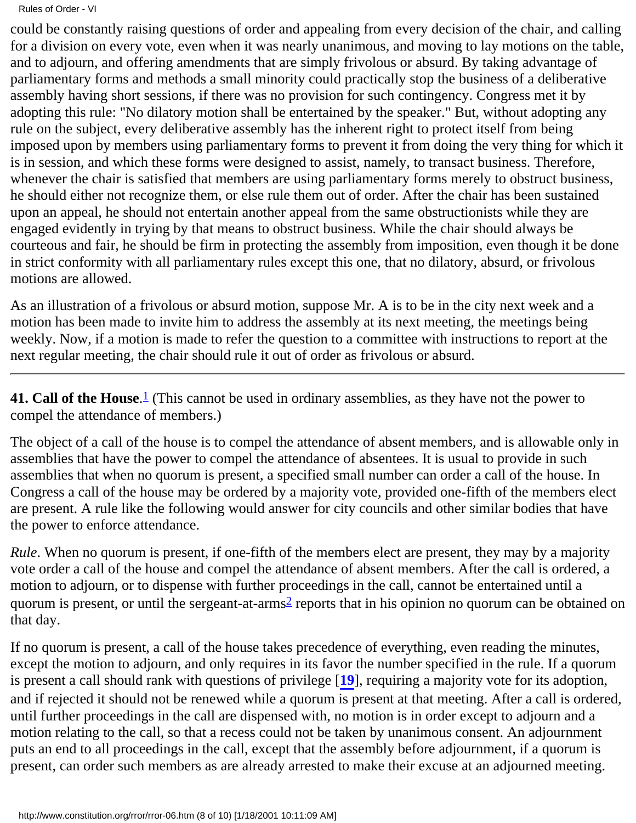```
Rules of Order - VI
```
could be constantly raising questions of order and appealing from every decision of the chair, and calling for a division on every vote, even when it was nearly unanimous, and moving to lay motions on the table, and to adjourn, and offering amendments that are simply frivolous or absurd. By taking advantage of parliamentary forms and methods a small minority could practically stop the business of a deliberative assembly having short sessions, if there was no provision for such contingency. Congress met it by adopting this rule: "No dilatory motion shall be entertained by the speaker." But, without adopting any rule on the subject, every deliberative assembly has the inherent right to protect itself from being imposed upon by members using parliamentary forms to prevent it from doing the very thing for which it is in session, and which these forms were designed to assist, namely, to transact business. Therefore, whenever the chair is satisfied that members are using parliamentary forms merely to obstruct business, he should either not recognize them, or else rule them out of order. After the chair has been sustained upon an appeal, he should not entertain another appeal from the same obstructionists while they are engaged evidently in trying by that means to obstruct business. While the chair should always be courteous and fair, he should be firm in protecting the assembly from imposition, even though it be done in strict conformity with all parliamentary rules except this one, that no dilatory, absurd, or frivolous motions are allowed.

As an illustration of a frivolous or absurd motion, suppose Mr. A is to be in the city next week and a motion has been made to invite him to address the assembly at its next meeting, the meetings being weekly. Now, if a motion is made to refer the question to a committee with instructions to report at the next regular meeting, the chair should rule it out of order as frivolous or absurd.

<span id="page-86-0"></span>**4[1](#page-87-0). Call of the House.**<sup>1</sup> (This cannot be used in ordinary assemblies, as they have not the power to compel the attendance of members.)

The object of a call of the house is to compel the attendance of absent members, and is allowable only in assemblies that have the power to compel the attendance of absentees. It is usual to provide in such assemblies that when no quorum is present, a specified small number can order a call of the house. In Congress a call of the house may be ordered by a majority vote, provided one-fifth of the members elect are present. A rule like the following would answer for city councils and other similar bodies that have the power to enforce attendance.

*Rule*. When no quorum is present, if one-fifth of the members elect are present, they may by a majority vote order a call of the house and compel the attendance of absent members. After the call is ordered, a motion to adjourn, or to dispense with further proceedings in the call, cannot be entertained until a quorum is present, or until the sergeant-at-arms[2](#page-87-1) reports that in his opinion no quorum can be obtained on that day.

If no quorum is present, a call of the house takes precedence of everything, even reading the minutes, except the motion to adjourn, and only requires in its favor the number specified in the rule. If a quorum is present a call should rank with questions of privilege [**[19](#page-12-0)**], requiring a majority vote for its adoption, and if rejected it should not be renewed while a quorum is present at that meeting. After a call is ordered, until further proceedings in the call are dispensed with, no motion is in order except to adjourn and a motion relating to the call, so that a recess could not be taken by unanimous consent. An adjournment puts an end to all proceedings in the call, except that the assembly before adjournment, if a quorum is present, can order such members as are already arrested to make their excuse at an adjourned meeting.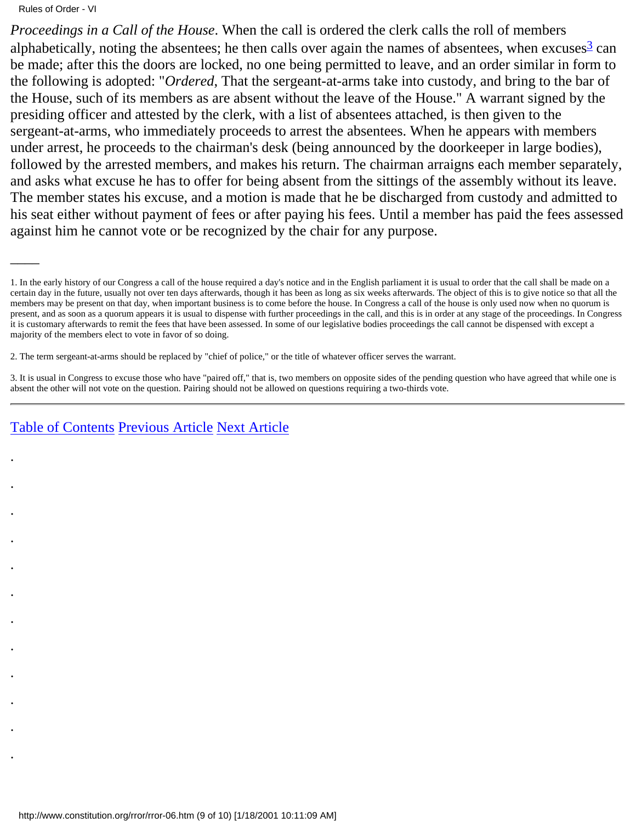#### Rules of Order - VI

\_\_\_\_

.

.

.

.

.

.

.

.

.

.

.

.

*Proceedings in a Call of the House*. When the call is ordered the clerk calls the roll of members alphabetically, noting the absentees; he then calls over again the names of absentees, when excuses  $\frac{3}{2}$  can be made; after this the doors are locked, no one being permitted to leave, and an order similar in form to the following is adopted: "*Ordered*, That the sergeant-at-arms take into custody, and bring to the bar of the House, such of its members as are absent without the leave of the House." A warrant signed by the presiding officer and attested by the clerk, with a list of absentees attached, is then given to the sergeant-at-arms, who immediately proceeds to arrest the absentees. When he appears with members under arrest, he proceeds to the chairman's desk (being announced by the doorkeeper in large bodies), followed by the arrested members, and makes his return. The chairman arraigns each member separately, and asks what excuse he has to offer for being absent from the sittings of the assembly without its leave. The member states his excuse, and a motion is made that he be discharged from custody and admitted to his seat either without payment of fees or after paying his fees. Until a member has paid the fees assessed against him he cannot vote or be recognized by the chair for any purpose.

[Table of Contents](#page-0-0) [Previous Article](#page-89-1) [Next Article](#page-33-0)

<span id="page-87-0"></span><sup>1.</sup> In the early history of our Congress a call of the house required a day's notice and in the English parliament it is usual to order that the call shall be made on a certain day in the future, usually not over ten days afterwards, though it has been as long as six weeks afterwards. The object of this is to give notice so that all the members may be present on that day, when important business is to come before the house. In Congress a call of the house is only used now when no quorum is present, and as soon as a quorum appears it is usual to dispense with further proceedings in the call, and this is in order at any stage of the proceedings. In Congress it is customary afterwards to remit the fees that have been assessed. In some of our legislative bodies proceedings the call cannot be dispensed with except a majority of the members elect to vote in favor of so doing.

<span id="page-87-1"></span><sup>2.</sup> The term sergeant-at-arms should be replaced by "chief of police," or the title of whatever officer serves the warrant.

<span id="page-87-2"></span><sup>3.</sup> It is usual in Congress to excuse those who have "paired off," that is, two members on opposite sides of the pending question who have agreed that while one is absent the other will not vote on the question. Pairing should not be allowed on questions requiring a two-thirds vote.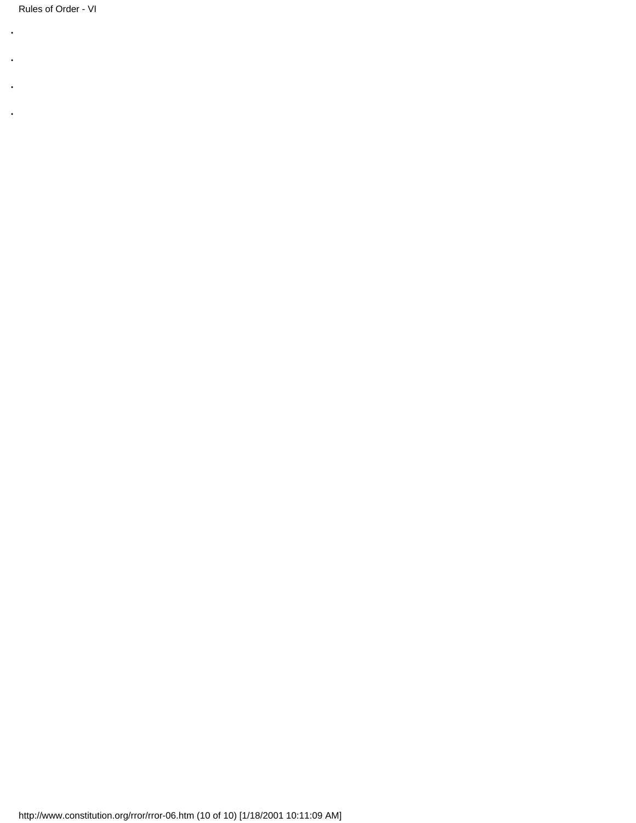Rules of Order - VI

.

.

.

.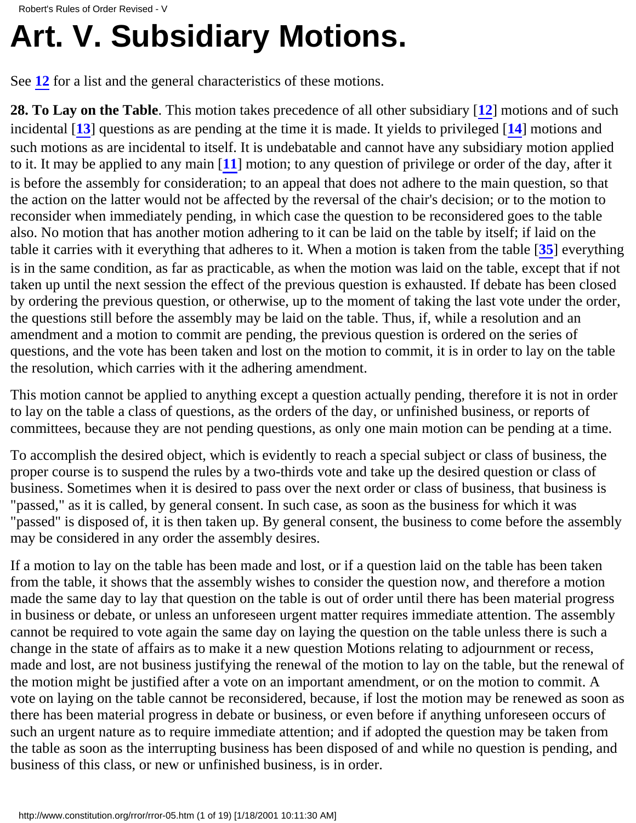# <span id="page-89-1"></span>**Art. V. Subsidiary Motions.**

See **12** for a list and the general characteristics of these motions.

<span id="page-89-0"></span>**28. To Lay on the Table**. This motion takes precedence of all other subsidiary [**12**] motions and of such incidental [**13**] questions as are pending at the time it is made. It yields to privileged [**14**] motions and such motions as are incidental to itself. It is undebatable and cannot have any subsidiary motion applied to it. It may be applied to any main [**11**] motion; to any question of privilege or order of the day, after it is before the assembly for consideration; to an appeal that does not adhere to the main question, so that the action on the latter would not be affected by the reversal of the chair's decision; or to the motion to reconsider when immediately pending, in which case the question to be reconsidered goes to the table also. No motion that has another motion adhering to it can be laid on the table by itself; if laid on the table it carries with it everything that adheres to it. When a motion is taken from the table [**[35](#page-79-1)**] everything is in the same condition, as far as practicable, as when the motion was laid on the table, except that if not taken up until the next session the effect of the previous question is exhausted. If debate has been closed by ordering the previous question, or otherwise, up to the moment of taking the last vote under the order, the questions still before the assembly may be laid on the table. Thus, if, while a resolution and an amendment and a motion to commit are pending, the previous question is ordered on the series of questions, and the vote has been taken and lost on the motion to commit, it is in order to lay on the table the resolution, which carries with it the adhering amendment.

This motion cannot be applied to anything except a question actually pending, therefore it is not in order to lay on the table a class of questions, as the orders of the day, or unfinished business, or reports of committees, because they are not pending questions, as only one main motion can be pending at a time.

To accomplish the desired object, which is evidently to reach a special subject or class of business, the proper course is to suspend the rules by a two-thirds vote and take up the desired question or class of business. Sometimes when it is desired to pass over the next order or class of business, that business is "passed," as it is called, by general consent. In such case, as soon as the business for which it was "passed" is disposed of, it is then taken up. By general consent, the business to come before the assembly may be considered in any order the assembly desires.

If a motion to lay on the table has been made and lost, or if a question laid on the table has been taken from the table, it shows that the assembly wishes to consider the question now, and therefore a motion made the same day to lay that question on the table is out of order until there has been material progress in business or debate, or unless an unforeseen urgent matter requires immediate attention. The assembly cannot be required to vote again the same day on laying the question on the table unless there is such a change in the state of affairs as to make it a new question Motions relating to adjournment or recess, made and lost, are not business justifying the renewal of the motion to lay on the table, but the renewal of the motion might be justified after a vote on an important amendment, or on the motion to commit. A vote on laying on the table cannot be reconsidered, because, if lost the motion may be renewed as soon as there has been material progress in debate or business, or even before if anything unforeseen occurs of such an urgent nature as to require immediate attention; and if adopted the question may be taken from the table as soon as the interrupting business has been disposed of and while no question is pending, and business of this class, or new or unfinished business, is in order.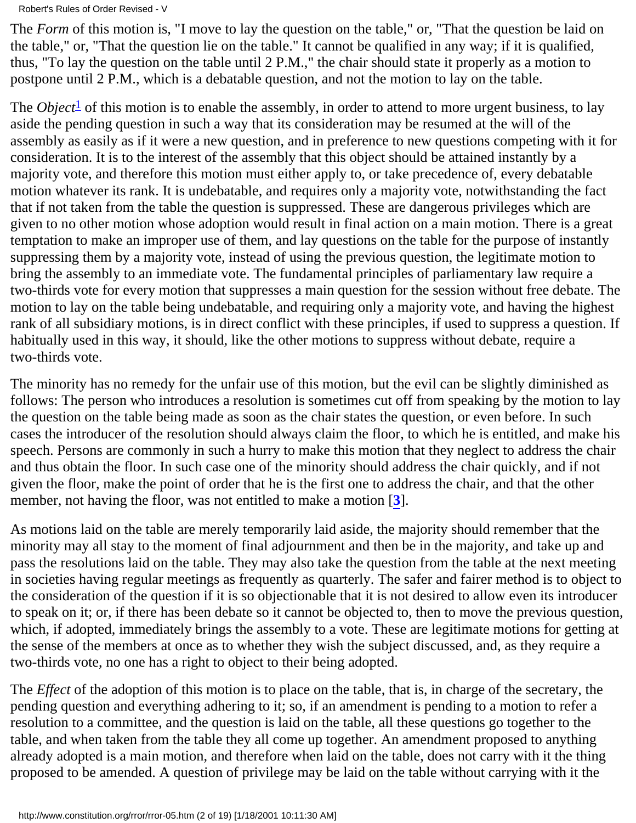The *Form* of this motion is, "I move to lay the question on the table," or, "That the question be laid on the table," or, "That the question lie on the table." It cannot be qualified in any way; if it is qualified, thus, "To lay the question on the table until 2 P.M.," the chair should state it properly as a motion to postpone until 2 P.M., which is a debatable question, and not the motion to lay on the table.

The *Object*<sup>[1](#page-91-0)</sup> of this motion is to enable the assembly, in order to attend to more urgent business, to lay aside the pending question in such a way that its consideration may be resumed at the will of the assembly as easily as if it were a new question, and in preference to new questions competing with it for consideration. It is to the interest of the assembly that this object should be attained instantly by a majority vote, and therefore this motion must either apply to, or take precedence of, every debatable motion whatever its rank. It is undebatable, and requires only a majority vote, notwithstanding the fact that if not taken from the table the question is suppressed. These are dangerous privileges which are given to no other motion whose adoption would result in final action on a main motion. There is a great temptation to make an improper use of them, and lay questions on the table for the purpose of instantly suppressing them by a majority vote, instead of using the previous question, the legitimate motion to bring the assembly to an immediate vote. The fundamental principles of parliamentary law require a two-thirds vote for every motion that suppresses a main question for the session without free debate. The motion to lay on the table being undebatable, and requiring only a majority vote, and having the highest rank of all subsidiary motions, is in direct conflict with these principles, if used to suppress a question. If habitually used in this way, it should, like the other motions to suppress without debate, require a two-thirds vote.

The minority has no remedy for the unfair use of this motion, but the evil can be slightly diminished as follows: The person who introduces a resolution is sometimes cut off from speaking by the motion to lay the question on the table being made as soon as the chair states the question, or even before. In such cases the introducer of the resolution should always claim the floor, to which he is entitled, and make his speech. Persons are commonly in such a hurry to make this motion that they neglect to address the chair and thus obtain the floor. In such case one of the minority should address the chair quickly, and if not given the floor, make the point of order that he is the first one to address the chair, and that the other member, not having the floor, was not entitled to make a motion [**3**].

As motions laid on the table are merely temporarily laid aside, the majority should remember that the minority may all stay to the moment of final adjournment and then be in the majority, and take up and pass the resolutions laid on the table. They may also take the question from the table at the next meeting in societies having regular meetings as frequently as quarterly. The safer and fairer method is to object to the consideration of the question if it is so objectionable that it is not desired to allow even its introducer to speak on it; or, if there has been debate so it cannot be objected to, then to move the previous question, which, if adopted, immediately brings the assembly to a vote. These are legitimate motions for getting at the sense of the members at once as to whether they wish the subject discussed, and, as they require a two-thirds vote, no one has a right to object to their being adopted.

The *Effect* of the adoption of this motion is to place on the table, that is, in charge of the secretary, the pending question and everything adhering to it; so, if an amendment is pending to a motion to refer a resolution to a committee, and the question is laid on the table, all these questions go together to the table, and when taken from the table they all come up together. An amendment proposed to anything already adopted is a main motion, and therefore when laid on the table, does not carry with it the thing proposed to be amended. A question of privilege may be laid on the table without carrying with it the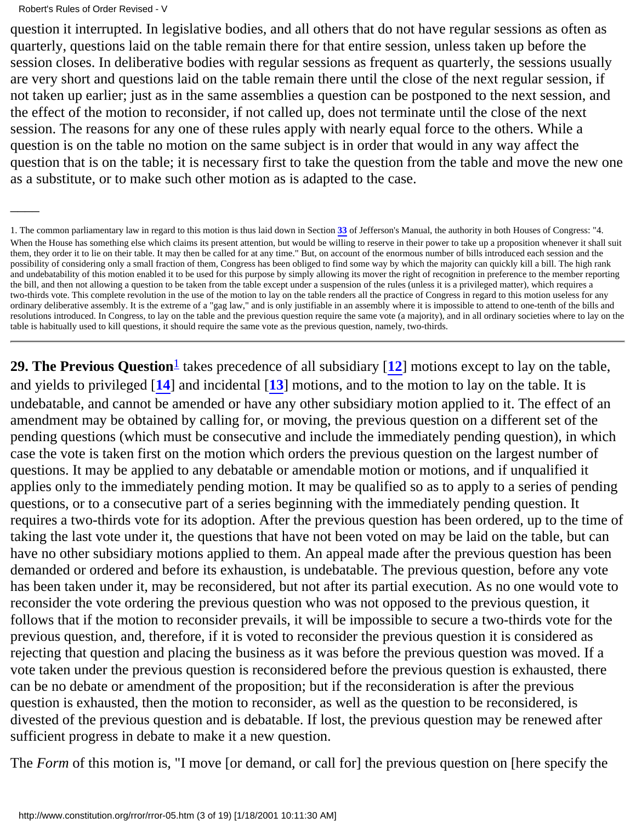$\overline{\phantom{a}}$ 

question it interrupted. In legislative bodies, and all others that do not have regular sessions as often as quarterly, questions laid on the table remain there for that entire session, unless taken up before the session closes. In deliberative bodies with regular sessions as frequent as quarterly, the sessions usually are very short and questions laid on the table remain there until the close of the next regular session, if not taken up earlier; just as in the same assemblies a question can be postponed to the next session, and the effect of the motion to reconsider, if not called up, does not terminate until the close of the next session. The reasons for any one of these rules apply with nearly equal force to the others. While a question is on the table no motion on the same subject is in order that would in any way affect the question that is on the table; it is necessary first to take the question from the table and move the new one as a substitute, or to make such other motion as is adapted to the case.

<span id="page-91-1"></span>**29. The Previous Question** takes precedence of all subsidiary [12] motions except to lay on the table, and yields to privileged [**14**] and incidental [**13**] motions, and to the motion to lay on the table. It is undebatable, and cannot be amended or have any other subsidiary motion applied to it. The effect of an amendment may be obtained by calling for, or moving, the previous question on a different set of the pending questions (which must be consecutive and include the immediately pending question), in which case the vote is taken first on the motion which orders the previous question on the largest number of questions. It may be applied to any debatable or amendable motion or motions, and if unqualified it applies only to the immediately pending motion. It may be qualified so as to apply to a series of pending questions, or to a consecutive part of a series beginning with the immediately pending question. It requires a two-thirds vote for its adoption. After the previous question has been ordered, up to the time of taking the last vote under it, the questions that have not been voted on may be laid on the table, but can have no other subsidiary motions applied to them. An appeal made after the previous question has been demanded or ordered and before its exhaustion, is undebatable. The previous question, before any vote has been taken under it, may be reconsidered, but not after its partial execution. As no one would vote to reconsider the vote ordering the previous question who was not opposed to the previous question, it follows that if the motion to reconsider prevails, it will be impossible to secure a two-thirds vote for the previous question, and, therefore, if it is voted to reconsider the previous question it is considered as rejecting that question and placing the business as it was before the previous question was moved. If a vote taken under the previous question is reconsidered before the previous question is exhausted, there can be no debate or amendment of the proposition; but if the reconsideration is after the previous question is exhausted, then the motion to reconsider, as well as the question to be reconsidered, is divested of the previous question and is debatable. If lost, the previous question may be renewed after sufficient progress in debate to make it a new question.

The *Form* of this motion is, "I move [or demand, or call for] the previous question on [here specify the

<span id="page-91-0"></span><sup>1.</sup> The common parliamentary law in regard to this motion is thus laid down in Section **[33](#page-99-0)** of Jefferson's Manual, the authority in both Houses of Congress: "4. When the House has something else which claims its present attention, but would be willing to reserve in their power to take up a proposition whenever it shall suit them, they order it to lie on their table. It may then be called for at any time." But, on account of the enormous number of bills introduced each session and the possibility of considering only a small fraction of them, Congress has been obliged to find some way by which the majority can quickly kill a bill. The high rank and undebatability of this motion enabled it to be used for this purpose by simply allowing its mover the right of recognition in preference to the member reporting the bill, and then not allowing a question to be taken from the table except under a suspension of the rules (unless it is a privileged matter), which requires a two-thirds vote. This complete revolution in the use of the motion to lay on the table renders all the practice of Congress in regard to this motion useless for any ordinary deliberative assembly. It is the extreme of a "gag law," and is only justifiable in an assembly where it is impossible to attend to one-tenth of the bills and resolutions introduced. In Congress, to lay on the table and the previous question require the same vote (a majority), and in all ordinary societies where to lay on the table is habitually used to kill questions, it should require the same vote as the previous question, namely, two-thirds.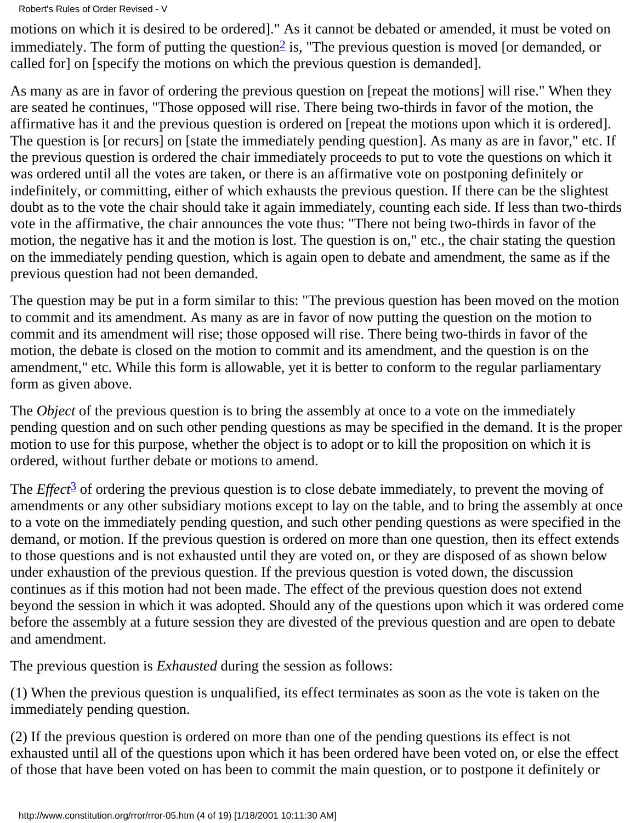motions on which it is desired to be ordered]." As it cannot be debated or amended, it must be voted on immediately. The form of putting the question $\frac{2}{3}$  is, "The previous question is moved [or demanded, or called for] on [specify the motions on which the previous question is demanded].

As many as are in favor of ordering the previous question on [repeat the motions] will rise." When they are seated he continues, "Those opposed will rise. There being two-thirds in favor of the motion, the affirmative has it and the previous question is ordered on [repeat the motions upon which it is ordered]. The question is [or recurs] on [state the immediately pending question]. As many as are in favor," etc. If the previous question is ordered the chair immediately proceeds to put to vote the questions on which it was ordered until all the votes are taken, or there is an affirmative vote on postponing definitely or indefinitely, or committing, either of which exhausts the previous question. If there can be the slightest doubt as to the vote the chair should take it again immediately, counting each side. If less than two-thirds vote in the affirmative, the chair announces the vote thus: "There not being two-thirds in favor of the motion, the negative has it and the motion is lost. The question is on," etc., the chair stating the question on the immediately pending question, which is again open to debate and amendment, the same as if the previous question had not been demanded.

The question may be put in a form similar to this: "The previous question has been moved on the motion to commit and its amendment. As many as are in favor of now putting the question on the motion to commit and its amendment will rise; those opposed will rise. There being two-thirds in favor of the motion, the debate is closed on the motion to commit and its amendment, and the question is on the amendment," etc. While this form is allowable, yet it is better to conform to the regular parliamentary form as given above.

The *Object* of the previous question is to bring the assembly at once to a vote on the immediately pending question and on such other pending questions as may be specified in the demand. It is the proper motion to use for this purpose, whether the object is to adopt or to kill the proposition on which it is ordered, without further debate or motions to amend.

The *Effect*<sup>2</sup> of ordering the previous question is to close debate immediately, to prevent the moving of amendments or any other subsidiary motions except to lay on the table, and to bring the assembly at once to a vote on the immediately pending question, and such other pending questions as were specified in the demand, or motion. If the previous question is ordered on more than one question, then its effect extends to those questions and is not exhausted until they are voted on, or they are disposed of as shown below under exhaustion of the previous question. If the previous question is voted down, the discussion continues as if this motion had not been made. The effect of the previous question does not extend beyond the session in which it was adopted. Should any of the questions upon which it was ordered come before the assembly at a future session they are divested of the previous question and are open to debate and amendment.

The previous question is *Exhausted* during the session as follows:

(1) When the previous question is unqualified, its effect terminates as soon as the vote is taken on the immediately pending question.

(2) If the previous question is ordered on more than one of the pending questions its effect is not exhausted until all of the questions upon which it has been ordered have been voted on, or else the effect of those that have been voted on has been to commit the main question, or to postpone it definitely or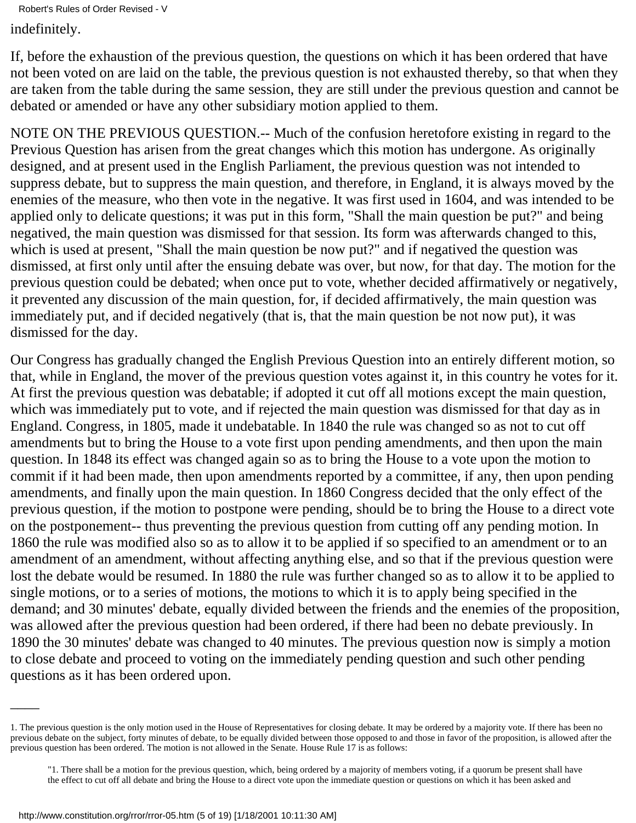indefinitely.

 $\overline{\phantom{a}}$ 

If, before the exhaustion of the previous question, the questions on which it has been ordered that have not been voted on are laid on the table, the previous question is not exhausted thereby, so that when they are taken from the table during the same session, they are still under the previous question and cannot be debated or amended or have any other subsidiary motion applied to them.

NOTE ON THE PREVIOUS QUESTION.-- Much of the confusion heretofore existing in regard to the Previous Question has arisen from the great changes which this motion has undergone. As originally designed, and at present used in the English Parliament, the previous question was not intended to suppress debate, but to suppress the main question, and therefore, in England, it is always moved by the enemies of the measure, who then vote in the negative. It was first used in 1604, and was intended to be applied only to delicate questions; it was put in this form, "Shall the main question be put?" and being negatived, the main question was dismissed for that session. Its form was afterwards changed to this, which is used at present, "Shall the main question be now put?" and if negatived the question was dismissed, at first only until after the ensuing debate was over, but now, for that day. The motion for the previous question could be debated; when once put to vote, whether decided affirmatively or negatively, it prevented any discussion of the main question, for, if decided affirmatively, the main question was immediately put, and if decided negatively (that is, that the main question be not now put), it was dismissed for the day.

Our Congress has gradually changed the English Previous Question into an entirely different motion, so that, while in England, the mover of the previous question votes against it, in this country he votes for it. At first the previous question was debatable; if adopted it cut off all motions except the main question, which was immediately put to vote, and if rejected the main question was dismissed for that day as in England. Congress, in 1805, made it undebatable. In 1840 the rule was changed so as not to cut off amendments but to bring the House to a vote first upon pending amendments, and then upon the main question. In 1848 its effect was changed again so as to bring the House to a vote upon the motion to commit if it had been made, then upon amendments reported by a committee, if any, then upon pending amendments, and finally upon the main question. In 1860 Congress decided that the only effect of the previous question, if the motion to postpone were pending, should be to bring the House to a direct vote on the postponement-- thus preventing the previous question from cutting off any pending motion. In 1860 the rule was modified also so as to allow it to be applied if so specified to an amendment or to an amendment of an amendment, without affecting anything else, and so that if the previous question were lost the debate would be resumed. In 1880 the rule was further changed so as to allow it to be applied to single motions, or to a series of motions, the motions to which it is to apply being specified in the demand; and 30 minutes' debate, equally divided between the friends and the enemies of the proposition, was allowed after the previous question had been ordered, if there had been no debate previously. In 1890 the 30 minutes' debate was changed to 40 minutes. The previous question now is simply a motion to close debate and proceed to voting on the immediately pending question and such other pending questions as it has been ordered upon.

<span id="page-93-0"></span><sup>1.</sup> The previous question is the only motion used in the House of Representatives for closing debate. It may be ordered by a majority vote. If there has been no previous debate on the subject, forty minutes of debate, to be equally divided between those opposed to and those in favor of the proposition, is allowed after the previous question has been ordered. The motion is not allowed in the Senate. House Rule 17 is as follows:

<sup>&</sup>quot;1. There shall be a motion for the previous question, which, being ordered by a majority of members voting, if a quorum be present shall have the effect to cut off all debate and bring the House to a direct vote upon the immediate question or questions on which it has been asked and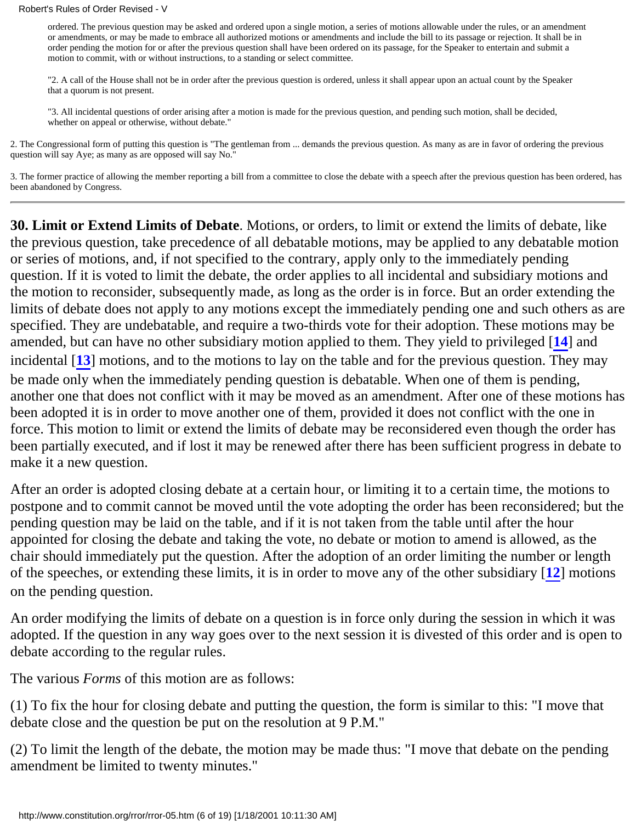ordered. The previous question may be asked and ordered upon a single motion, a series of motions allowable under the rules, or an amendment or amendments, or may be made to embrace all authorized motions or amendments and include the bill to its passage or rejection. It shall be in order pending the motion for or after the previous question shall have been ordered on its passage, for the Speaker to entertain and submit a motion to commit, with or without instructions, to a standing or select committee.

"2. A call of the House shall not be in order after the previous question is ordered, unless it shall appear upon an actual count by the Speaker that a quorum is not present.

"3. All incidental questions of order arising after a motion is made for the previous question, and pending such motion, shall be decided, whether on appeal or otherwise, without debate."

<span id="page-94-0"></span>2. The Congressional form of putting this question is "The gentleman from ... demands the previous question. As many as are in favor of ordering the previous question will say Aye; as many as are opposed will say No."

<span id="page-94-1"></span>3. The former practice of allowing the member reporting a bill from a committee to close the debate with a speech after the previous question has been ordered, has been abandoned by Congress.

**30. Limit or Extend Limits of Debate**. Motions, or orders, to limit or extend the limits of debate, like the previous question, take precedence of all debatable motions, may be applied to any debatable motion or series of motions, and, if not specified to the contrary, apply only to the immediately pending question. If it is voted to limit the debate, the order applies to all incidental and subsidiary motions and the motion to reconsider, subsequently made, as long as the order is in force. But an order extending the limits of debate does not apply to any motions except the immediately pending one and such others as are specified. They are undebatable, and require a two-thirds vote for their adoption. These motions may be amended, but can have no other subsidiary motion applied to them. They yield to privileged [**14**] and incidental [**13**] motions, and to the motions to lay on the table and for the previous question. They may be made only when the immediately pending question is debatable. When one of them is pending, another one that does not conflict with it may be moved as an amendment. After one of these motions has been adopted it is in order to move another one of them, provided it does not conflict with the one in force. This motion to limit or extend the limits of debate may be reconsidered even though the order has been partially executed, and if lost it may be renewed after there has been sufficient progress in debate to make it a new question.

After an order is adopted closing debate at a certain hour, or limiting it to a certain time, the motions to postpone and to commit cannot be moved until the vote adopting the order has been reconsidered; but the pending question may be laid on the table, and if it is not taken from the table until after the hour appointed for closing the debate and taking the vote, no debate or motion to amend is allowed, as the chair should immediately put the question. After the adoption of an order limiting the number or length of the speeches, or extending these limits, it is in order to move any of the other subsidiary [**12**] motions on the pending question.

An order modifying the limits of debate on a question is in force only during the session in which it was adopted. If the question in any way goes over to the next session it is divested of this order and is open to debate according to the regular rules.

The various *Forms* of this motion are as follows:

(1) To fix the hour for closing debate and putting the question, the form is similar to this: "I move that debate close and the question be put on the resolution at 9 P.M."

(2) To limit the length of the debate, the motion may be made thus: "I move that debate on the pending amendment be limited to twenty minutes."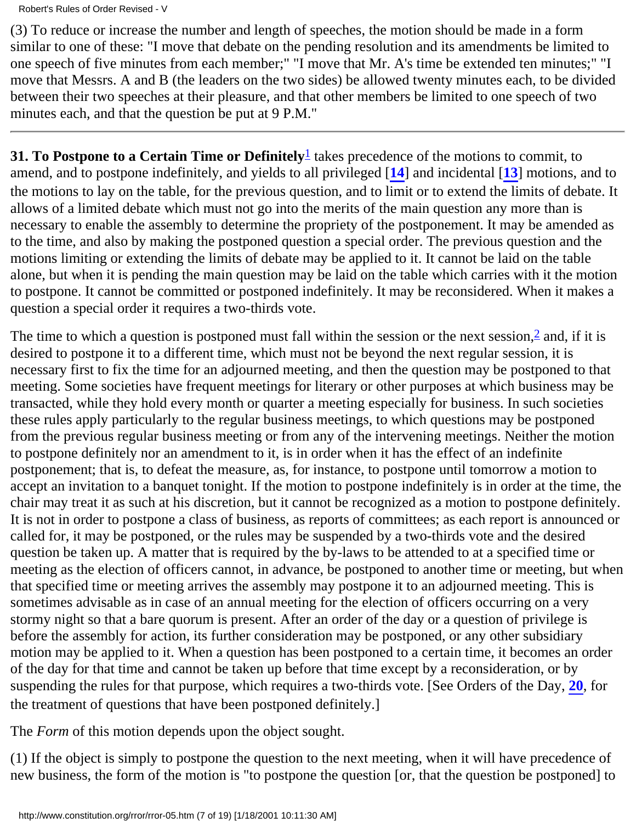(3) To reduce or increase the number and length of speeches, the motion should be made in a form similar to one of these: "I move that debate on the pending resolution and its amendments be limited to one speech of five minutes from each member;" "I move that Mr. A's time be extended ten minutes;" "I move that Messrs. A and B (the leaders on the two sides) be allowed twenty minutes each, to be divided between their two speeches at their pleasure, and that other members be limited to one speech of two minutes each, and that the question be put at 9 P.M."

**3[1](#page-96-0). To Postpone to a Certain Time or Definitely<sup>1</sup> takes precedence of the motions to commit, to** amend, and to postpone indefinitely, and yields to all privileged [**14**] and incidental [**13**] motions, and to the motions to lay on the table, for the previous question, and to limit or to extend the limits of debate. It allows of a limited debate which must not go into the merits of the main question any more than is necessary to enable the assembly to determine the propriety of the postponement. It may be amended as to the time, and also by making the postponed question a special order. The previous question and the motions limiting or extending the limits of debate may be applied to it. It cannot be laid on the table alone, but when it is pending the main question may be laid on the table which carries with it the motion to postpone. It cannot be committed or postponed indefinitely. It may be reconsidered. When it makes a question a special order it requires a two-thirds vote.

The time to which a question is postponed must fall within the session or the next session, $\frac{2}{3}$  and, if it is desired to postpone it to a different time, which must not be beyond the next regular session, it is necessary first to fix the time for an adjourned meeting, and then the question may be postponed to that meeting. Some societies have frequent meetings for literary or other purposes at which business may be transacted, while they hold every month or quarter a meeting especially for business. In such societies these rules apply particularly to the regular business meetings, to which questions may be postponed from the previous regular business meeting or from any of the intervening meetings. Neither the motion to postpone definitely nor an amendment to it, is in order when it has the effect of an indefinite postponement; that is, to defeat the measure, as, for instance, to postpone until tomorrow a motion to accept an invitation to a banquet tonight. If the motion to postpone indefinitely is in order at the time, the chair may treat it as such at his discretion, but it cannot be recognized as a motion to postpone definitely. It is not in order to postpone a class of business, as reports of committees; as each report is announced or called for, it may be postponed, or the rules may be suspended by a two-thirds vote and the desired question be taken up. A matter that is required by the by-laws to be attended to at a specified time or meeting as the election of officers cannot, in advance, be postponed to another time or meeting, but when that specified time or meeting arrives the assembly may postpone it to an adjourned meeting. This is sometimes advisable as in case of an annual meeting for the election of officers occurring on a very stormy night so that a bare quorum is present. After an order of the day or a question of privilege is before the assembly for action, its further consideration may be postponed, or any other subsidiary motion may be applied to it. When a question has been postponed to a certain time, it becomes an order of the day for that time and cannot be taken up before that time except by a reconsideration, or by suspending the rules for that purpose, which requires a two-thirds vote. [See Orders of the Day, **[20](#page-13-0)**, for the treatment of questions that have been postponed definitely.]

The *Form* of this motion depends upon the object sought.

(1) If the object is simply to postpone the question to the next meeting, when it will have precedence of new business, the form of the motion is "to postpone the question [or, that the question be postponed] to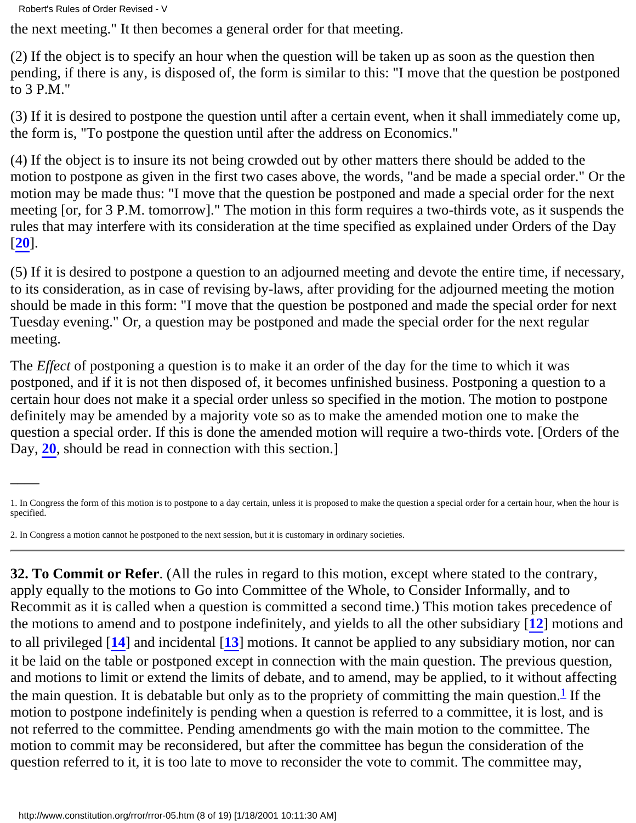$\overline{\phantom{a}}$ 

the next meeting." It then becomes a general order for that meeting.

(2) If the object is to specify an hour when the question will be taken up as soon as the question then pending, if there is any, is disposed of, the form is similar to this: "I move that the question be postponed to 3 P.M."

(3) If it is desired to postpone the question until after a certain event, when it shall immediately come up, the form is, "To postpone the question until after the address on Economics."

(4) If the object is to insure its not being crowded out by other matters there should be added to the motion to postpone as given in the first two cases above, the words, "and be made a special order." Or the motion may be made thus: "I move that the question be postponed and made a special order for the next meeting [or, for 3 P.M. tomorrow]." The motion in this form requires a two-thirds vote, as it suspends the rules that may interfere with its consideration at the time specified as explained under Orders of the Day [**[20](#page-13-0)**].

(5) If it is desired to postpone a question to an adjourned meeting and devote the entire time, if necessary, to its consideration, as in case of revising by-laws, after providing for the adjourned meeting the motion should be made in this form: "I move that the question be postponed and made the special order for next Tuesday evening." Or, a question may be postponed and made the special order for the next regular meeting.

The *Effect* of postponing a question is to make it an order of the day for the time to which it was postponed, and if it is not then disposed of, it becomes unfinished business. Postponing a question to a certain hour does not make it a special order unless so specified in the motion. The motion to postpone definitely may be amended by a majority vote so as to make the amended motion one to make the question a special order. If this is done the amended motion will require a two-thirds vote. [Orders of the Day, **[20](#page-13-0)**, should be read in connection with this section.]

**32. To Commit or Refer**. (All the rules in regard to this motion, except where stated to the contrary, apply equally to the motions to Go into Committee of the Whole, to Consider Informally, and to Recommit as it is called when a question is committed a second time.) This motion takes precedence of the motions to amend and to postpone indefinitely, and yields to all the other subsidiary [**12**] motions and to all privileged [**14**] and incidental [**13**] motions. It cannot be applied to any subsidiary motion, nor can it be laid on the table or postponed except in connection with the main question. The previous question, and motions to limit or extend the limits of debate, and to amend, may be applied, to it without affecting the main question. It is debatable but only as to the propriety of committing the main question. $\frac{1}{2}$  $\frac{1}{2}$  $\frac{1}{2}$  If the motion to postpone indefinitely is pending when a question is referred to a committee, it is lost, and is not referred to the committee. Pending amendments go with the main motion to the committee. The motion to commit may be reconsidered, but after the committee has begun the consideration of the question referred to it, it is too late to move to reconsider the vote to commit. The committee may,

<span id="page-96-0"></span><sup>1.</sup> In Congress the form of this motion is to postpone to a day certain, unless it is proposed to make the question a special order for a certain hour, when the hour is specified.

<span id="page-96-1"></span><sup>2.</sup> In Congress a motion cannot he postponed to the next session, but it is customary in ordinary societies.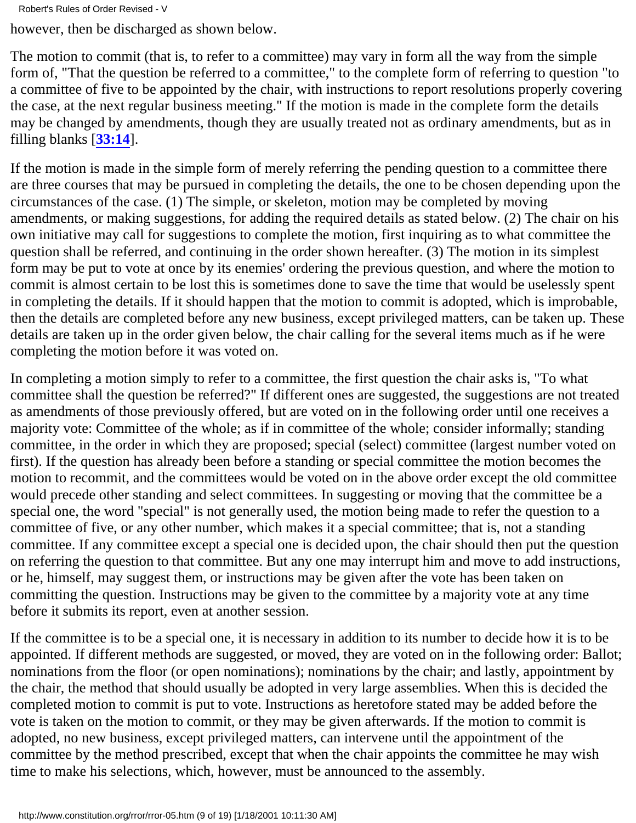however, then be discharged as shown below.

The motion to commit (that is, to refer to a committee) may vary in form all the way from the simple form of, "That the question be referred to a committee," to the complete form of referring to question "to a committee of five to be appointed by the chair, with instructions to report resolutions properly covering the case, at the next regular business meeting." If the motion is made in the complete form the details may be changed by amendments, though they are usually treated not as ordinary amendments, but as in filling blanks [**[33:14](#page-104-0)**].

If the motion is made in the simple form of merely referring the pending question to a committee there are three courses that may be pursued in completing the details, the one to be chosen depending upon the circumstances of the case. (1) The simple, or skeleton, motion may be completed by moving amendments, or making suggestions, for adding the required details as stated below. (2) The chair on his own initiative may call for suggestions to complete the motion, first inquiring as to what committee the question shall be referred, and continuing in the order shown hereafter. (3) The motion in its simplest form may be put to vote at once by its enemies' ordering the previous question, and where the motion to commit is almost certain to be lost this is sometimes done to save the time that would be uselessly spent in completing the details. If it should happen that the motion to commit is adopted, which is improbable, then the details are completed before any new business, except privileged matters, can be taken up. These details are taken up in the order given below, the chair calling for the several items much as if he were completing the motion before it was voted on.

In completing a motion simply to refer to a committee, the first question the chair asks is, "To what committee shall the question be referred?" If different ones are suggested, the suggestions are not treated as amendments of those previously offered, but are voted on in the following order until one receives a majority vote: Committee of the whole; as if in committee of the whole; consider informally; standing committee, in the order in which they are proposed; special (select) committee (largest number voted on first). If the question has already been before a standing or special committee the motion becomes the motion to recommit, and the committees would be voted on in the above order except the old committee would precede other standing and select committees. In suggesting or moving that the committee be a special one, the word "special" is not generally used, the motion being made to refer the question to a committee of five, or any other number, which makes it a special committee; that is, not a standing committee. If any committee except a special one is decided upon, the chair should then put the question on referring the question to that committee. But any one may interrupt him and move to add instructions, or he, himself, may suggest them, or instructions may be given after the vote has been taken on committing the question. Instructions may be given to the committee by a majority vote at any time before it submits its report, even at another session.

If the committee is to be a special one, it is necessary in addition to its number to decide how it is to be appointed. If different methods are suggested, or moved, they are voted on in the following order: Ballot; nominations from the floor (or open nominations); nominations by the chair; and lastly, appointment by the chair, the method that should usually be adopted in very large assemblies. When this is decided the completed motion to commit is put to vote. Instructions as heretofore stated may be added before the vote is taken on the motion to commit, or they may be given afterwards. If the motion to commit is adopted, no new business, except privileged matters, can intervene until the appointment of the committee by the method prescribed, except that when the chair appoints the committee he may wish time to make his selections, which, however, must be announced to the assembly.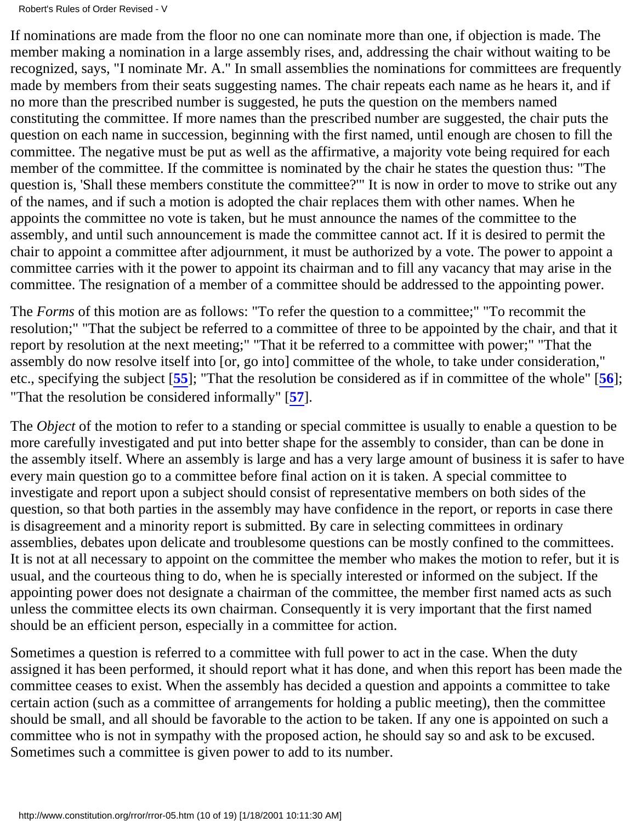If nominations are made from the floor no one can nominate more than one, if objection is made. The member making a nomination in a large assembly rises, and, addressing the chair without waiting to be recognized, says, "I nominate Mr. A." In small assemblies the nominations for committees are frequently made by members from their seats suggesting names. The chair repeats each name as he hears it, and if no more than the prescribed number is suggested, he puts the question on the members named constituting the committee. If more names than the prescribed number are suggested, the chair puts the question on each name in succession, beginning with the first named, until enough are chosen to fill the committee. The negative must be put as well as the affirmative, a majority vote being required for each member of the committee. If the committee is nominated by the chair he states the question thus: "The question is, 'Shall these members constitute the committee?'" It is now in order to move to strike out any of the names, and if such a motion is adopted the chair replaces them with other names. When he appoints the committee no vote is taken, but he must announce the names of the committee to the assembly, and until such announcement is made the committee cannot act. If it is desired to permit the chair to appoint a committee after adjournment, it must be authorized by a vote. The power to appoint a committee carries with it the power to appoint its chairman and to fill any vacancy that may arise in the committee. The resignation of a member of a committee should be addressed to the appointing power.

The *Forms* of this motion are as follows: "To refer the question to a committee;" "To recommit the resolution;" "That the subject be referred to a committee of three to be appointed by the chair, and that it report by resolution at the next meeting;" "That it be referred to a committee with power;" "That the assembly do now resolve itself into [or, go into] committee of the whole, to take under consideration," etc., specifying the subject [**[55](#page-116-0)**]; "That the resolution be considered as if in committee of the whole" [**[56](#page-117-0)**]; "That the resolution be considered informally" [**[57](#page-118-0)**].

The *Object* of the motion to refer to a standing or special committee is usually to enable a question to be more carefully investigated and put into better shape for the assembly to consider, than can be done in the assembly itself. Where an assembly is large and has a very large amount of business it is safer to have every main question go to a committee before final action on it is taken. A special committee to investigate and report upon a subject should consist of representative members on both sides of the question, so that both parties in the assembly may have confidence in the report, or reports in case there is disagreement and a minority report is submitted. By care in selecting committees in ordinary assemblies, debates upon delicate and troublesome questions can be mostly confined to the committees. It is not at all necessary to appoint on the committee the member who makes the motion to refer, but it is usual, and the courteous thing to do, when he is specially interested or informed on the subject. If the appointing power does not designate a chairman of the committee, the member first named acts as such unless the committee elects its own chairman. Consequently it is very important that the first named should be an efficient person, especially in a committee for action.

Sometimes a question is referred to a committee with full power to act in the case. When the duty assigned it has been performed, it should report what it has done, and when this report has been made the committee ceases to exist. When the assembly has decided a question and appoints a committee to take certain action (such as a committee of arrangements for holding a public meeting), then the committee should be small, and all should be favorable to the action to be taken. If any one is appointed on such a committee who is not in sympathy with the proposed action, he should say so and ask to be excused. Sometimes such a committee is given power to add to its number.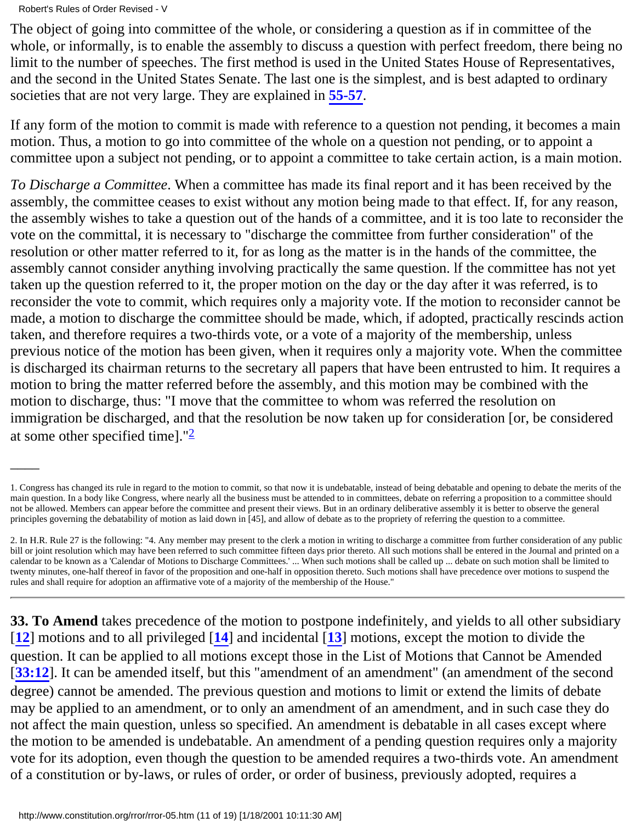$\overline{\phantom{a}}$ 

The object of going into committee of the whole, or considering a question as if in committee of the whole, or informally, is to enable the assembly to discuss a question with perfect freedom, there being no limit to the number of speeches. The first method is used in the United States House of Representatives, and the second in the United States Senate. The last one is the simplest, and is best adapted to ordinary societies that are not very large. They are explained in **[55-57](#page-116-0)**.

If any form of the motion to commit is made with reference to a question not pending, it becomes a main motion. Thus, a motion to go into committee of the whole on a question not pending, or to appoint a committee upon a subject not pending, or to appoint a committee to take certain action, is a main motion.

*To Discharge a Committee*. When a committee has made its final report and it has been received by the assembly, the committee ceases to exist without any motion being made to that effect. If, for any reason, the assembly wishes to take a question out of the hands of a committee, and it is too late to reconsider the vote on the committal, it is necessary to "discharge the committee from further consideration" of the resolution or other matter referred to it, for as long as the matter is in the hands of the committee, the assembly cannot consider anything involving practically the same question. lf the committee has not yet taken up the question referred to it, the proper motion on the day or the day after it was referred, is to reconsider the vote to commit, which requires only a majority vote. If the motion to reconsider cannot be made, a motion to discharge the committee should be made, which, if adopted, practically rescinds action taken, and therefore requires a two-thirds vote, or a vote of a majority of the membership, unless previous notice of the motion has been given, when it requires only a majority vote. When the committee is discharged its chairman returns to the secretary all papers that have been entrusted to him. It requires a motion to bring the matter referred before the assembly, and this motion may be combined with the motion to discharge, thus: "I move that the committee to whom was referred the resolution on immigration be discharged, and that the resolution be now taken up for consideration [or, be considered at some other specified time]." $\frac{2}{3}$  $\frac{2}{3}$  $\frac{2}{3}$ 

<span id="page-99-0"></span>**33. To Amend** takes precedence of the motion to postpone indefinitely, and yields to all other subsidiary [**12**] motions and to all privileged [**14**] and incidental [**13**] motions, except the motion to divide the question. It can be applied to all motions except those in the List of Motions that Cannot be Amended [[33:12](#page-103-0)]. It can be amended itself, but this "amendment of an amendment" (an amendment of the second degree) cannot be amended. The previous question and motions to limit or extend the limits of debate may be applied to an amendment, or to only an amendment of an amendment, and in such case they do not affect the main question, unless so specified. An amendment is debatable in all cases except where the motion to be amended is undebatable. An amendment of a pending question requires only a majority vote for its adoption, even though the question to be amended requires a two-thirds vote. An amendment of a constitution or by-laws, or rules of order, or order of business, previously adopted, requires a

<span id="page-99-1"></span><sup>1.</sup> Congress has changed its rule in regard to the motion to commit, so that now it is undebatable, instead of being debatable and opening to debate the merits of the main question. In a body like Congress, where nearly all the business must be attended to in committees, debate on referring a proposition to a committee should not be allowed. Members can appear before the committee and present their views. But in an ordinary deliberative assembly it is better to observe the general principles governing the debatability of motion as laid down in [45], and allow of debate as to the propriety of referring the question to a committee.

<span id="page-99-2"></span><sup>2.</sup> In H.R. Rule 27 is the following: "4. Any member may present to the clerk a motion in writing to discharge a committee from further consideration of any public bill or joint resolution which may have been referred to such committee fifteen days prior thereto. All such motions shall be entered in the Journal and printed on a calendar to be known as a 'Calendar of Motions to Discharge Committees.' ... When such motions shall be called up ... debate on such motion shall be limited to twenty minutes, one-half thereof in favor of the proposition and one-half in opposition thereto. Such motions shall have precedence over motions to suspend the rules and shall require for adoption an affirmative vote of a majority of the membership of the House."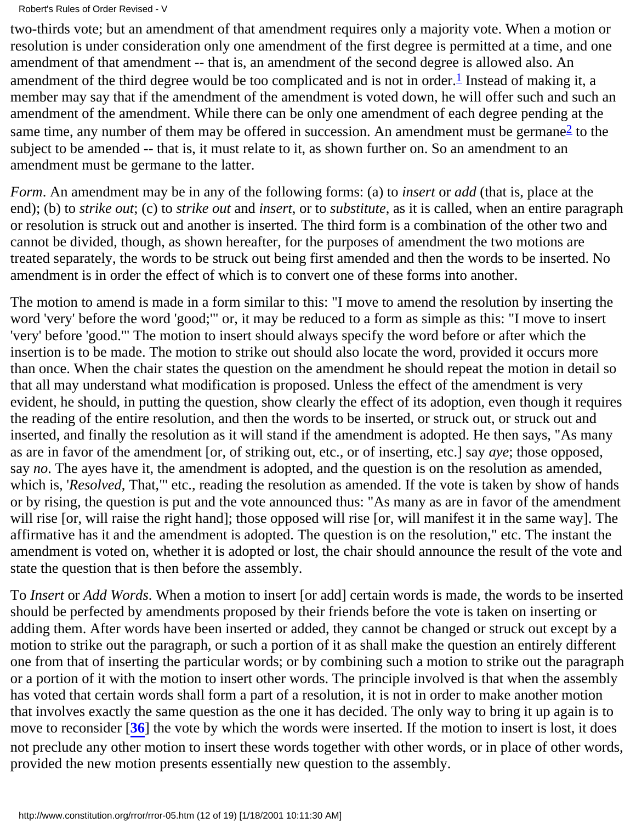two-thirds vote; but an amendment of that amendment requires only a majority vote. When a motion or resolution is under consideration only one amendment of the first degree is permitted at a time, and one amendment of that amendment -- that is, an amendment of the second degree is allowed also. An amendment of the third degree would be too complicated and is not in order. $\frac{1}{2}$  Instead of making it, a member may say that if the amendment of the amendment is voted down, he will offer such and such an amendment of the amendment. While there can be only one amendment of each degree pending at the same time, any number of them may be offered in succession. An amendment must be germane<sup>2</sup> to the subject to be amended -- that is, it must relate to it, as shown further on. So an amendment to an amendment must be germane to the latter.

*Form*. An amendment may be in any of the following forms: (a) to *insert* or *add* (that is, place at the end); (b) to *strike out*; (c) to *strike out* and *insert*, or to *substitute*, as it is called, when an entire paragraph or resolution is struck out and another is inserted. The third form is a combination of the other two and cannot be divided, though, as shown hereafter, for the purposes of amendment the two motions are treated separately, the words to be struck out being first amended and then the words to be inserted. No amendment is in order the effect of which is to convert one of these forms into another.

The motion to amend is made in a form similar to this: "I move to amend the resolution by inserting the word 'very' before the word 'good;'" or, it may be reduced to a form as simple as this: "I move to insert 'very' before 'good.'" The motion to insert should always specify the word before or after which the insertion is to be made. The motion to strike out should also locate the word, provided it occurs more than once. When the chair states the question on the amendment he should repeat the motion in detail so that all may understand what modification is proposed. Unless the effect of the amendment is very evident, he should, in putting the question, show clearly the effect of its adoption, even though it requires the reading of the entire resolution, and then the words to be inserted, or struck out, or struck out and inserted, and finally the resolution as it will stand if the amendment is adopted. He then says, "As many as are in favor of the amendment [or, of striking out, etc., or of inserting, etc.] say *aye*; those opposed, say *no*. The ayes have it, the amendment is adopted, and the question is on the resolution as amended, which is, '*Resolved*, That," etc., reading the resolution as amended. If the vote is taken by show of hands or by rising, the question is put and the vote announced thus: "As many as are in favor of the amendment will rise [or, will raise the right hand]; those opposed will rise [or, will manifest it in the same way]. The affirmative has it and the amendment is adopted. The question is on the resolution," etc. The instant the amendment is voted on, whether it is adopted or lost, the chair should announce the result of the vote and state the question that is then before the assembly.

To *Insert* or *Add Words*. When a motion to insert [or add] certain words is made, the words to be inserted should be perfected by amendments proposed by their friends before the vote is taken on inserting or adding them. After words have been inserted or added, they cannot be changed or struck out except by a motion to strike out the paragraph, or such a portion of it as shall make the question an entirely different one from that of inserting the particular words; or by combining such a motion to strike out the paragraph or a portion of it with the motion to insert other words. The principle involved is that when the assembly has voted that certain words shall form a part of a resolution, it is not in order to make another motion that involves exactly the same question as the one it has decided. The only way to bring it up again is to move to reconsider [**[36](#page-79-2)**] the vote by which the words were inserted. If the motion to insert is lost, it does not preclude any other motion to insert these words together with other words, or in place of other words, provided the new motion presents essentially new question to the assembly.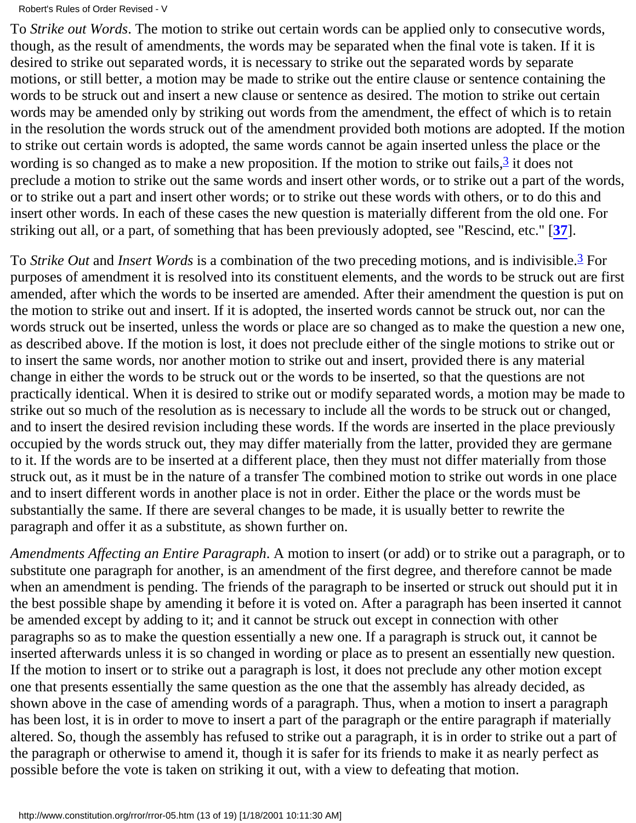To *Strike out Words*. The motion to strike out certain words can be applied only to consecutive words, though, as the result of amendments, the words may be separated when the final vote is taken. If it is desired to strike out separated words, it is necessary to strike out the separated words by separate motions, or still better, a motion may be made to strike out the entire clause or sentence containing the words to be struck out and insert a new clause or sentence as desired. The motion to strike out certain words may be amended only by striking out words from the amendment, the effect of which is to retain in the resolution the words struck out of the amendment provided both motions are adopted. If the motion to strike out certain words is adopted, the same words cannot be again inserted unless the place or the wording is so changed as to make a new proposition. If the motion to strike out fails,  $\frac{3}{2}$  it does not preclude a motion to strike out the same words and insert other words, or to strike out a part of the words, or to strike out a part and insert other words; or to strike out these words with others, or to do this and insert other words. In each of these cases the new question is materially different from the old one. For striking out all, or a part, of something that has been previously adopted, see "Rescind, etc." [**[37](#page-84-2)**].

To *Strike Out* and *Insert Words* is a combination of the two preceding motions, and is indivisible.[3](#page-106-0) For purposes of amendment it is resolved into its constituent elements, and the words to be struck out are first amended, after which the words to be inserted are amended. After their amendment the question is put on the motion to strike out and insert. If it is adopted, the inserted words cannot be struck out, nor can the words struck out be inserted, unless the words or place are so changed as to make the question a new one, as described above. If the motion is lost, it does not preclude either of the single motions to strike out or to insert the same words, nor another motion to strike out and insert, provided there is any material change in either the words to be struck out or the words to be inserted, so that the questions are not practically identical. When it is desired to strike out or modify separated words, a motion may be made to strike out so much of the resolution as is necessary to include all the words to be struck out or changed, and to insert the desired revision including these words. If the words are inserted in the place previously occupied by the words struck out, they may differ materially from the latter, provided they are germane to it. If the words are to be inserted at a different place, then they must not differ materially from those struck out, as it must be in the nature of a transfer The combined motion to strike out words in one place and to insert different words in another place is not in order. Either the place or the words must be substantially the same. If there are several changes to be made, it is usually better to rewrite the paragraph and offer it as a substitute, as shown further on.

*Amendments Affecting an Entire Paragraph*. A motion to insert (or add) or to strike out a paragraph, or to substitute one paragraph for another, is an amendment of the first degree, and therefore cannot be made when an amendment is pending. The friends of the paragraph to be inserted or struck out should put it in the best possible shape by amending it before it is voted on. After a paragraph has been inserted it cannot be amended except by adding to it; and it cannot be struck out except in connection with other paragraphs so as to make the question essentially a new one. If a paragraph is struck out, it cannot be inserted afterwards unless it is so changed in wording or place as to present an essentially new question. If the motion to insert or to strike out a paragraph is lost, it does not preclude any other motion except one that presents essentially the same question as the one that the assembly has already decided, as shown above in the case of amending words of a paragraph. Thus, when a motion to insert a paragraph has been lost, it is in order to move to insert a part of the paragraph or the entire paragraph if materially altered. So, though the assembly has refused to strike out a paragraph, it is in order to strike out a part of the paragraph or otherwise to amend it, though it is safer for its friends to make it as nearly perfect as possible before the vote is taken on striking it out, with a view to defeating that motion.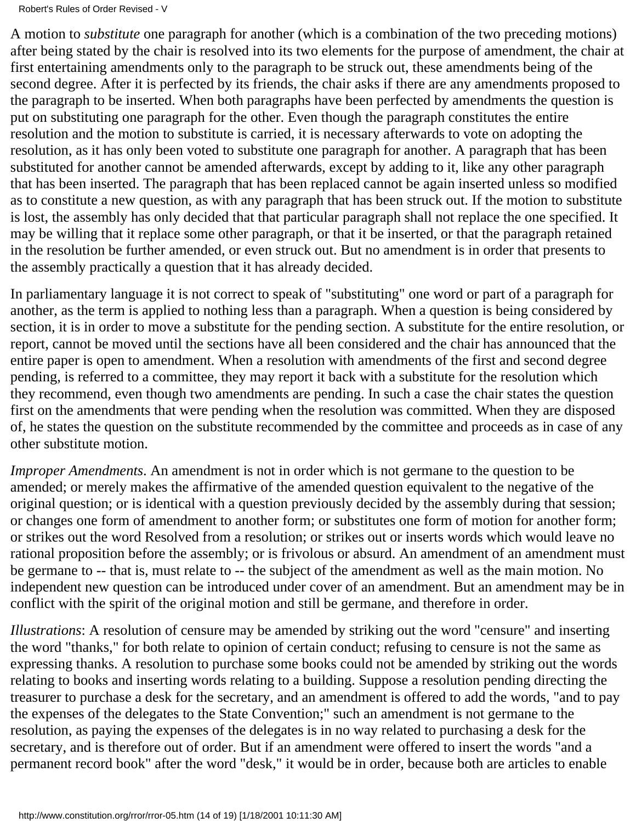A motion to *substitute* one paragraph for another (which is a combination of the two preceding motions) after being stated by the chair is resolved into its two elements for the purpose of amendment, the chair at first entertaining amendments only to the paragraph to be struck out, these amendments being of the second degree. After it is perfected by its friends, the chair asks if there are any amendments proposed to the paragraph to be inserted. When both paragraphs have been perfected by amendments the question is put on substituting one paragraph for the other. Even though the paragraph constitutes the entire resolution and the motion to substitute is carried, it is necessary afterwards to vote on adopting the resolution, as it has only been voted to substitute one paragraph for another. A paragraph that has been substituted for another cannot be amended afterwards, except by adding to it, like any other paragraph that has been inserted. The paragraph that has been replaced cannot be again inserted unless so modified as to constitute a new question, as with any paragraph that has been struck out. If the motion to substitute is lost, the assembly has only decided that that particular paragraph shall not replace the one specified. It may be willing that it replace some other paragraph, or that it be inserted, or that the paragraph retained in the resolution be further amended, or even struck out. But no amendment is in order that presents to the assembly practically a question that it has already decided.

In parliamentary language it is not correct to speak of "substituting" one word or part of a paragraph for another, as the term is applied to nothing less than a paragraph. When a question is being considered by section, it is in order to move a substitute for the pending section. A substitute for the entire resolution, or report, cannot be moved until the sections have all been considered and the chair has announced that the entire paper is open to amendment. When a resolution with amendments of the first and second degree pending, is referred to a committee, they may report it back with a substitute for the resolution which they recommend, even though two amendments are pending. In such a case the chair states the question first on the amendments that were pending when the resolution was committed. When they are disposed of, he states the question on the substitute recommended by the committee and proceeds as in case of any other substitute motion.

*Improper Amendments*. An amendment is not in order which is not germane to the question to be amended; or merely makes the affirmative of the amended question equivalent to the negative of the original question; or is identical with a question previously decided by the assembly during that session; or changes one form of amendment to another form; or substitutes one form of motion for another form; or strikes out the word Resolved from a resolution; or strikes out or inserts words which would leave no rational proposition before the assembly; or is frivolous or absurd. An amendment of an amendment must be germane to -- that is, must relate to -- the subject of the amendment as well as the main motion. No independent new question can be introduced under cover of an amendment. But an amendment may be in conflict with the spirit of the original motion and still be germane, and therefore in order.

*Illustrations*: A resolution of censure may be amended by striking out the word "censure" and inserting the word "thanks," for both relate to opinion of certain conduct; refusing to censure is not the same as expressing thanks. A resolution to purchase some books could not be amended by striking out the words relating to books and inserting words relating to a building. Suppose a resolution pending directing the treasurer to purchase a desk for the secretary, and an amendment is offered to add the words, "and to pay the expenses of the delegates to the State Convention;" such an amendment is not germane to the resolution, as paying the expenses of the delegates is in no way related to purchasing a desk for the secretary, and is therefore out of order. But if an amendment were offered to insert the words "and a permanent record book" after the word "desk," it would be in order, because both are articles to enable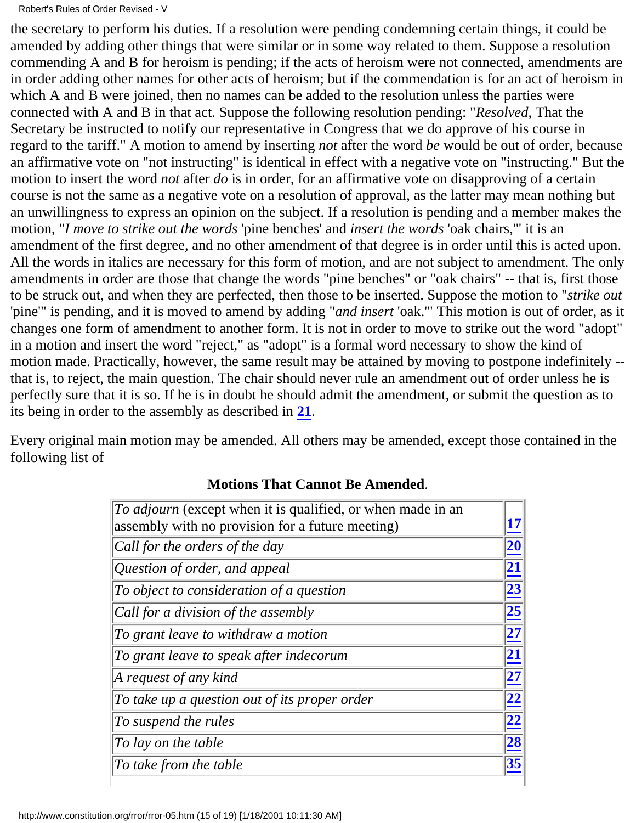the secretary to perform his duties. If a resolution were pending condemning certain things, it could be amended by adding other things that were similar or in some way related to them. Suppose a resolution commending A and B for heroism is pending; if the acts of heroism were not connected, amendments are in order adding other names for other acts of heroism; but if the commendation is for an act of heroism in which A and B were joined, then no names can be added to the resolution unless the parties were connected with A and B in that act. Suppose the following resolution pending: "*Resolved*, That the Secretary be instructed to notify our representative in Congress that we do approve of his course in regard to the tariff." A motion to amend by inserting *not* after the word *be* would be out of order, because an affirmative vote on "not instructing" is identical in effect with a negative vote on "instructing." But the motion to insert the word *not* after *do* is in order, for an affirmative vote on disapproving of a certain course is not the same as a negative vote on a resolution of approval, as the latter may mean nothing but an unwillingness to express an opinion on the subject. If a resolution is pending and a member makes the motion, "*I move to strike out the words* 'pine benches' and *insert the words* 'oak chairs,'" it is an amendment of the first degree, and no other amendment of that degree is in order until this is acted upon. All the words in italics are necessary for this form of motion, and are not subject to amendment. The only amendments in order are those that change the words "pine benches" or "oak chairs" -- that is, first those to be struck out, and when they are perfected, then those to be inserted. Suppose the motion to "*strike out* 'pine'" is pending, and it is moved to amend by adding "*and insert* 'oak.'" This motion is out of order, as it changes one form of amendment to another form. It is not in order to move to strike out the word "adopt" in a motion and insert the word "reject," as "adopt" is a formal word necessary to show the kind of motion made. Practically, however, the same result may be attained by moving to postpone indefinitely - that is, to reject, the main question. The chair should never rule an amendment out of order unless he is perfectly sure that it is so. If he is in doubt he should admit the amendment, or submit the question as to its being in order to the assembly as described in **[21](#page-23-0)**.

<span id="page-103-0"></span>Every original main motion may be amended. All others may be amended, except those contained in the following list of

| <i>To adjourn</i> (except when it is qualified, or when made in an |                          |
|--------------------------------------------------------------------|--------------------------|
| assembly with no provision for a future meeting)                   |                          |
| Call for the orders of the day                                     | $\overline{\mathbf{20}}$ |
| Question of order, and appeal                                      | $\boldsymbol{21}$        |
| $ To$ object to consideration of a question                        | <u>23</u>                |
| Call for a division of the assembly                                | <u>25</u>                |
| $ To\ $ grant leave to withdraw a motion                           | 27                       |
| $ To\> grant\; leave\ to\ speak\ after\ indecorum$                 | $\overline{21}$          |
| $ A \text{ request of any kind} $                                  | $\overline{27}$          |
| $ To$ take up a question out of its proper order                   | <u>22</u>                |
| To suspend the rules                                               |                          |
| To lay on the table                                                | 28                       |
| $ To\;take\; from\; the\; table$                                   |                          |
|                                                                    |                          |

### **Motions That Cannot Be Amended**.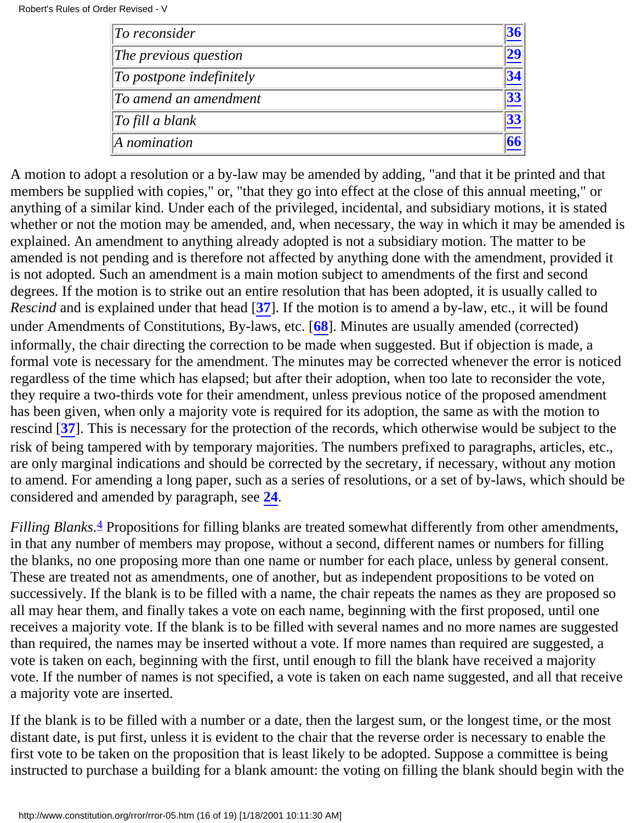| $\ To$ reconsider                 |    |
|-----------------------------------|----|
| $\ $ The previous question        |    |
| $\ To\ postcone\ indefinitely$    |    |
| $\parallel$ To amend an amendment | 33 |
| $\ To fill$ a blank               |    |
| $\parallel$ A nomination          |    |

A motion to adopt a resolution or a by-law may be amended by adding, "and that it be printed and that members be supplied with copies," or, "that they go into effect at the close of this annual meeting," or anything of a similar kind. Under each of the privileged, incidental, and subsidiary motions, it is stated whether or not the motion may be amended, and, when necessary, the way in which it may be amended is explained. An amendment to anything already adopted is not a subsidiary motion. The matter to be amended is not pending and is therefore not affected by anything done with the amendment, provided it is not adopted. Such an amendment is a main motion subject to amendments of the first and second degrees. If the motion is to strike out an entire resolution that has been adopted, it is usually called to *Rescind* and is explained under that head [**[37](#page-84-2)**]. If the motion is to amend a by-law, etc., it will be found under Amendments of Constitutions, By-laws, etc. [**68**]. Minutes are usually amended (corrected) informally, the chair directing the correction to be made when suggested. But if objection is made, a formal vote is necessary for the amendment. The minutes may be corrected whenever the error is noticed regardless of the time which has elapsed; but after their adoption, when too late to reconsider the vote, they require a two-thirds vote for their amendment, unless previous notice of the proposed amendment has been given, when only a majority vote is required for its adoption, the same as with the motion to rescind [**[37](#page-84-2)**]. This is necessary for the protection of the records, which otherwise would be subject to the risk of being tampered with by temporary majorities. The numbers prefixed to paragraphs, articles, etc., are only marginal indications and should be corrected by the secretary, if necessary, without any motion to amend. For amending a long paper, such as a series of resolutions, or a set of by-laws, which should be considered and amended by paragraph, see **[24](#page-27-0)**.

<span id="page-104-0"></span>*Filling Blanks*. [4](#page-106-2) Propositions for filling blanks are treated somewhat differently from other amendments, in that any number of members may propose, without a second, different names or numbers for filling the blanks, no one proposing more than one name or number for each place, unless by general consent. These are treated not as amendments, one of another, but as independent propositions to be voted on successively. If the blank is to be filled with a name, the chair repeats the names as they are proposed so all may hear them, and finally takes a vote on each name, beginning with the first proposed, until one receives a majority vote. If the blank is to be filled with several names and no more names are suggested than required, the names may be inserted without a vote. If more names than required are suggested, a vote is taken on each, beginning with the first, until enough to fill the blank have received a majority vote. If the number of names is not specified, a vote is taken on each name suggested, and all that receive a majority vote are inserted.

If the blank is to be filled with a number or a date, then the largest sum, or the longest time, or the most distant date, is put first, unless it is evident to the chair that the reverse order is necessary to enable the first vote to be taken on the proposition that is least likely to be adopted. Suppose a committee is being instructed to purchase a building for a blank amount: the voting on filling the blank should begin with the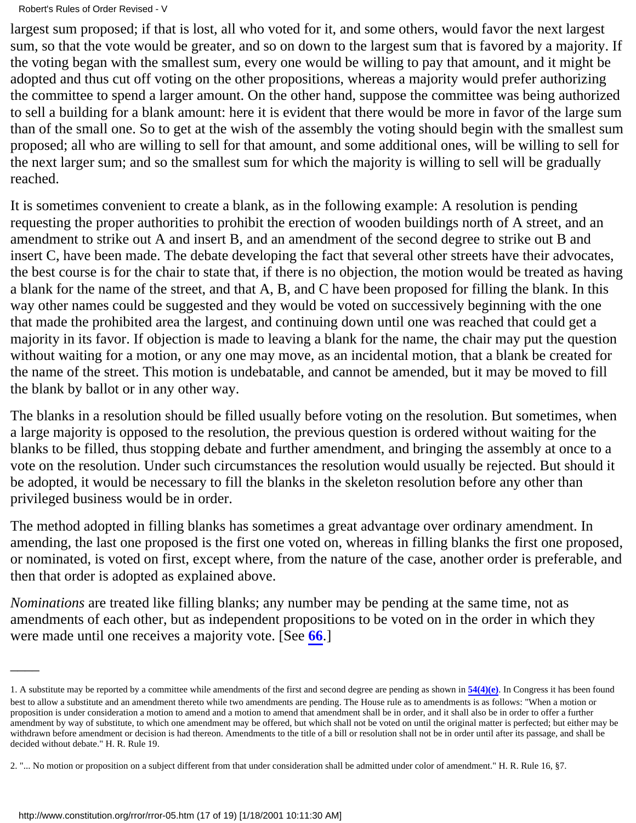largest sum proposed; if that is lost, all who voted for it, and some others, would favor the next largest sum, so that the vote would be greater, and so on down to the largest sum that is favored by a majority. If the voting began with the smallest sum, every one would be willing to pay that amount, and it might be adopted and thus cut off voting on the other propositions, whereas a majority would prefer authorizing the committee to spend a larger amount. On the other hand, suppose the committee was being authorized to sell a building for a blank amount: here it is evident that there would be more in favor of the large sum than of the small one. So to get at the wish of the assembly the voting should begin with the smallest sum proposed; all who are willing to sell for that amount, and some additional ones, will be willing to sell for the next larger sum; and so the smallest sum for which the majority is willing to sell will be gradually reached.

It is sometimes convenient to create a blank, as in the following example: A resolution is pending requesting the proper authorities to prohibit the erection of wooden buildings north of A street, and an amendment to strike out A and insert B, and an amendment of the second degree to strike out B and insert C, have been made. The debate developing the fact that several other streets have their advocates, the best course is for the chair to state that, if there is no objection, the motion would be treated as having a blank for the name of the street, and that A, B, and C have been proposed for filling the blank. In this way other names could be suggested and they would be voted on successively beginning with the one that made the prohibited area the largest, and continuing down until one was reached that could get a majority in its favor. If objection is made to leaving a blank for the name, the chair may put the question without waiting for a motion, or any one may move, as an incidental motion, that a blank be created for the name of the street. This motion is undebatable, and cannot be amended, but it may be moved to fill the blank by ballot or in any other way.

The blanks in a resolution should be filled usually before voting on the resolution. But sometimes, when a large majority is opposed to the resolution, the previous question is ordered without waiting for the blanks to be filled, thus stopping debate and further amendment, and bringing the assembly at once to a vote on the resolution. Under such circumstances the resolution would usually be rejected. But should it be adopted, it would be necessary to fill the blanks in the skeleton resolution before any other than privileged business would be in order.

The method adopted in filling blanks has sometimes a great advantage over ordinary amendment. In amending, the last one proposed is the first one voted on, whereas in filling blanks the first one proposed, or nominated, is voted on first, except where, from the nature of the case, another order is preferable, and then that order is adopted as explained above.

*Nominations* are treated like filling blanks; any number may be pending at the same time, not as amendments of each other, but as independent propositions to be voted on in the order in which they were made until one receives a majority vote. [See **[66](#page-74-0)**.]

 $\overline{\phantom{a}}$ 

<span id="page-105-0"></span><sup>1.</sup> A substitute may be reported by a committee while amendments of the first and second degree are pending as shown in **[54\(4\)\(e\)](#page-115-0)**. In Congress it has been found best to allow a substitute and an amendment thereto while two amendments are pending. The House rule as to amendments is as follows: "When a motion or proposition is under consideration a motion to amend and a motion to amend that amendment shall be in order, and it shall also be in order to offer a further amendment by way of substitute, to which one amendment may be offered, but which shall not be voted on until the original matter is perfected; but either may be withdrawn before amendment or decision is had thereon. Amendments to the title of a bill or resolution shall not be in order until after its passage, and shall be decided without debate." H. R. Rule 19.

<span id="page-105-1"></span><sup>2. &</sup>quot;... No motion or proposition on a subject different from that under consideration shall be admitted under color of amendment." H. R. Rule 16, §7.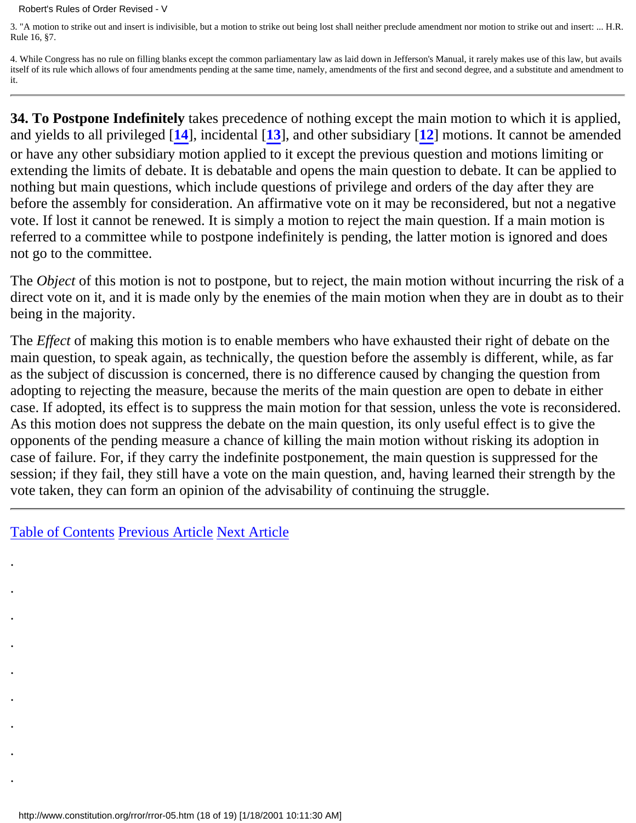<span id="page-106-0"></span>3. "A motion to strike out and insert is indivisible, but a motion to strike out being lost shall neither preclude amendment nor motion to strike out and insert: ... H.R. Rule 16, §7.

<span id="page-106-2"></span>4. While Congress has no rule on filling blanks except the common parliamentary law as laid down in Jefferson's Manual, it rarely makes use of this law, but avails itself of its rule which allows of four amendments pending at the same time, namely, amendments of the first and second degree, and a substitute and amendment to it.

<span id="page-106-1"></span>**34. To Postpone Indefinitely** takes precedence of nothing except the main motion to which it is applied, and yields to all privileged [**14**], incidental [**13**], and other subsidiary [**12**] motions. It cannot be amended or have any other subsidiary motion applied to it except the previous question and motions limiting or extending the limits of debate. It is debatable and opens the main question to debate. It can be applied to nothing but main questions, which include questions of privilege and orders of the day after they are before the assembly for consideration. An affirmative vote on it may be reconsidered, but not a negative vote. If lost it cannot be renewed. It is simply a motion to reject the main question. If a main motion is referred to a committee while to postpone indefinitely is pending, the latter motion is ignored and does not go to the committee.

The *Object* of this motion is not to postpone, but to reject, the main motion without incurring the risk of a direct vote on it, and it is made only by the enemies of the main motion when they are in doubt as to their being in the majority.

The *Effect* of making this motion is to enable members who have exhausted their right of debate on the main question, to speak again, as technically, the question before the assembly is different, while, as far as the subject of discussion is concerned, there is no difference caused by changing the question from adopting to rejecting the measure, because the merits of the main question are open to debate in either case. If adopted, its effect is to suppress the main motion for that session, unless the vote is reconsidered. As this motion does not suppress the debate on the main question, its only useful effect is to give the opponents of the pending measure a chance of killing the main motion without risking its adoption in case of failure. For, if they carry the indefinite postponement, the main question is suppressed for the session; if they fail, they still have a vote on the main question, and, having learned their strength by the vote taken, they can form an opinion of the advisability of continuing the struggle.

[Table of Contents](#page-0-0) [Previous Article](#page-23-1) [Next Article](#page-79-3)

.

.

.

.

.

.

.

.

.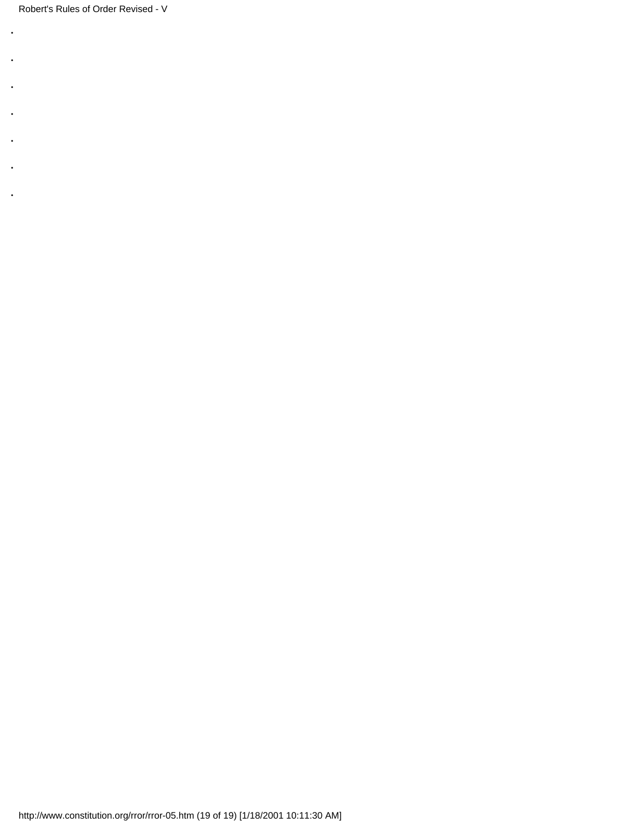.

.

.

.

.

.

.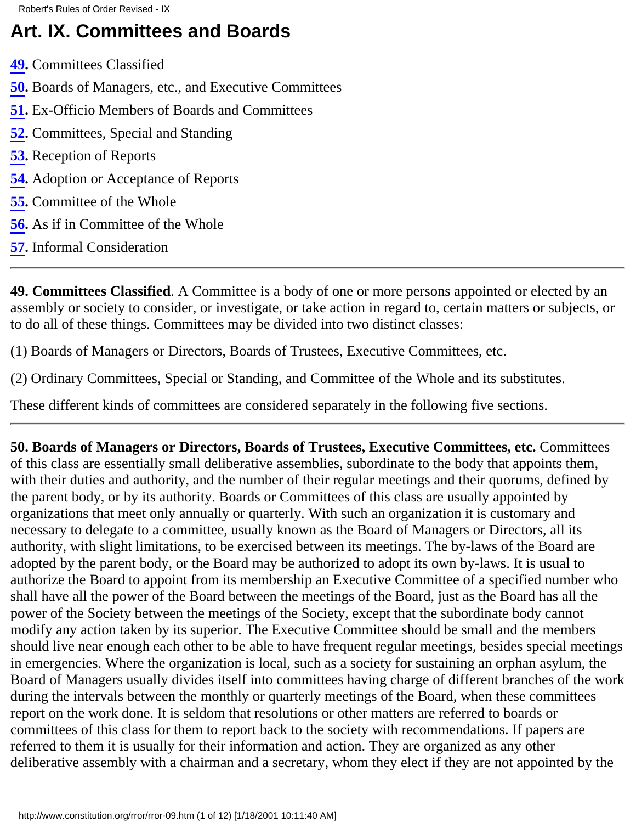# <span id="page-108-2"></span>**Art. IX. Committees and Boards**

- **[49](#page-108-0).** Committees Classified
- **[50](#page-108-1).** Boards of Managers, etc., and Executive Committees
- **[51](#page-109-0).** Ex-Officio Members of Boards and Committees
- **[52](#page-109-1).** Committees, Special and Standing
- **[53](#page-113-0).** Reception of Reports
- **[54](#page-114-0).** Adoption or Acceptance of Reports
- **[55](#page-116-0).** Committee of the Whole
- **[56](#page-117-0).** As if in Committee of the Whole
- **[57](#page-118-0).** Informal Consideration

<span id="page-108-0"></span>**49. Committees Classified**. A Committee is a body of one or more persons appointed or elected by an assembly or society to consider, or investigate, or take action in regard to, certain matters or subjects, or to do all of these things. Committees may be divided into two distinct classes:

(1) Boards of Managers or Directors, Boards of Trustees, Executive Committees, etc.

(2) Ordinary Committees, Special or Standing, and Committee of the Whole and its substitutes.

These different kinds of committees are considered separately in the following five sections.

<span id="page-108-1"></span>**50. Boards of Managers or Directors, Boards of Trustees, Executive Committees, etc.** Committees of this class are essentially small deliberative assemblies, subordinate to the body that appoints them, with their duties and authority, and the number of their regular meetings and their quorums, defined by the parent body, or by its authority. Boards or Committees of this class are usually appointed by organizations that meet only annually or quarterly. With such an organization it is customary and necessary to delegate to a committee, usually known as the Board of Managers or Directors, all its authority, with slight limitations, to be exercised between its meetings. The by-laws of the Board are adopted by the parent body, or the Board may be authorized to adopt its own by-laws. It is usual to authorize the Board to appoint from its membership an Executive Committee of a specified number who shall have all the power of the Board between the meetings of the Board, just as the Board has all the power of the Society between the meetings of the Society, except that the subordinate body cannot modify any action taken by its superior. The Executive Committee should be small and the members should live near enough each other to be able to have frequent regular meetings, besides special meetings in emergencies. Where the organization is local, such as a society for sustaining an orphan asylum, the Board of Managers usually divides itself into committees having charge of different branches of the work during the intervals between the monthly or quarterly meetings of the Board, when these committees report on the work done. It is seldom that resolutions or other matters are referred to boards or committees of this class for them to report back to the society with recommendations. If papers are referred to them it is usually for their information and action. They are organized as any other deliberative assembly with a chairman and a secretary, whom they elect if they are not appointed by the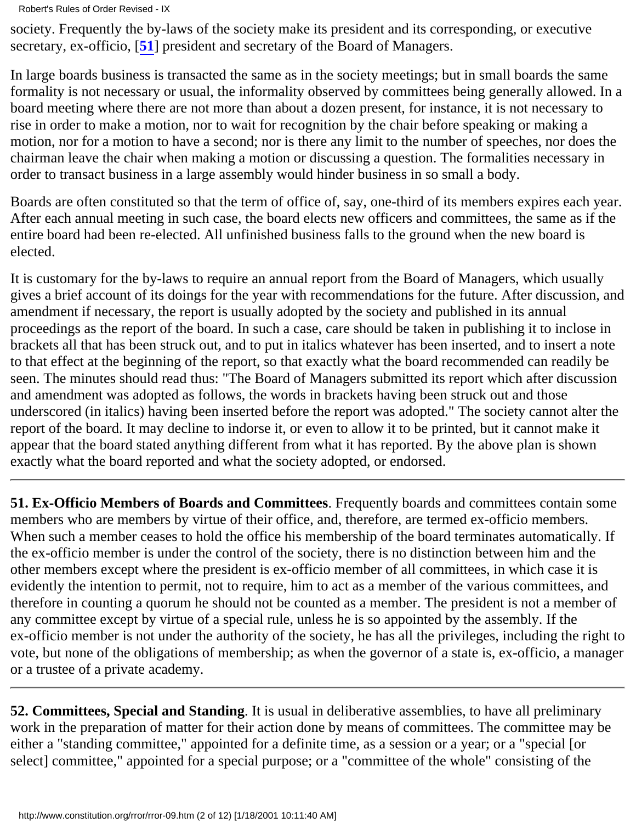society. Frequently the by-laws of the society make its president and its corresponding, or executive secretary, ex-officio, [**[51](#page-109-0)**] president and secretary of the Board of Managers.

In large boards business is transacted the same as in the society meetings; but in small boards the same formality is not necessary or usual, the informality observed by committees being generally allowed. In a board meeting where there are not more than about a dozen present, for instance, it is not necessary to rise in order to make a motion, nor to wait for recognition by the chair before speaking or making a motion, nor for a motion to have a second; nor is there any limit to the number of speeches, nor does the chairman leave the chair when making a motion or discussing a question. The formalities necessary in order to transact business in a large assembly would hinder business in so small a body.

Boards are often constituted so that the term of office of, say, one-third of its members expires each year. After each annual meeting in such case, the board elects new officers and committees, the same as if the entire board had been re-elected. All unfinished business falls to the ground when the new board is elected.

It is customary for the by-laws to require an annual report from the Board of Managers, which usually gives a brief account of its doings for the year with recommendations for the future. After discussion, and amendment if necessary, the report is usually adopted by the society and published in its annual proceedings as the report of the board. In such a case, care should be taken in publishing it to inclose in brackets all that has been struck out, and to put in italics whatever has been inserted, and to insert a note to that effect at the beginning of the report, so that exactly what the board recommended can readily be seen. The minutes should read thus: "The Board of Managers submitted its report which after discussion and amendment was adopted as follows, the words in brackets having been struck out and those underscored (in italics) having been inserted before the report was adopted." The society cannot alter the report of the board. It may decline to indorse it, or even to allow it to be printed, but it cannot make it appear that the board stated anything different from what it has reported. By the above plan is shown exactly what the board reported and what the society adopted, or endorsed.

<span id="page-109-0"></span>**51. Ex-Officio Members of Boards and Committees**. Frequently boards and committees contain some members who are members by virtue of their office, and, therefore, are termed ex-officio members. When such a member ceases to hold the office his membership of the board terminates automatically. If the ex-officio member is under the control of the society, there is no distinction between him and the other members except where the president is ex-officio member of all committees, in which case it is evidently the intention to permit, not to require, him to act as a member of the various committees, and therefore in counting a quorum he should not be counted as a member. The president is not a member of any committee except by virtue of a special rule, unless he is so appointed by the assembly. If the ex-officio member is not under the authority of the society, he has all the privileges, including the right to vote, but none of the obligations of membership; as when the governor of a state is, ex-officio, a manager or a trustee of a private academy.

<span id="page-109-1"></span>**52. Committees, Special and Standing**. It is usual in deliberative assemblies, to have all preliminary work in the preparation of matter for their action done by means of committees. The committee may be either a "standing committee," appointed for a definite time, as a session or a year; or a "special [or select] committee," appointed for a special purpose; or a "committee of the whole" consisting of the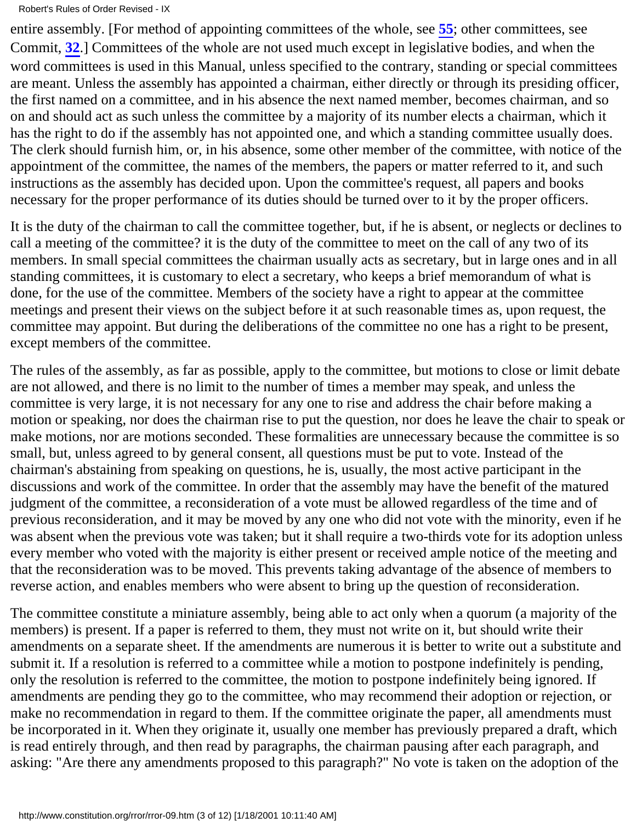entire assembly. [For method of appointing committees of the whole, see **[55](#page-116-0)**; other committees, see Commit, **[32](#page-96-0)**.] Committees of the whole are not used much except in legislative bodies, and when the word committees is used in this Manual, unless specified to the contrary, standing or special committees are meant. Unless the assembly has appointed a chairman, either directly or through its presiding officer, the first named on a committee, and in his absence the next named member, becomes chairman, and so on and should act as such unless the committee by a majority of its number elects a chairman, which it has the right to do if the assembly has not appointed one, and which a standing committee usually does. The clerk should furnish him, or, in his absence, some other member of the committee, with notice of the appointment of the committee, the names of the members, the papers or matter referred to it, and such instructions as the assembly has decided upon. Upon the committee's request, all papers and books necessary for the proper performance of its duties should be turned over to it by the proper officers.

It is the duty of the chairman to call the committee together, but, if he is absent, or neglects or declines to call a meeting of the committee? it is the duty of the committee to meet on the call of any two of its members. In small special committees the chairman usually acts as secretary, but in large ones and in all standing committees, it is customary to elect a secretary, who keeps a brief memorandum of what is done, for the use of the committee. Members of the society have a right to appear at the committee meetings and present their views on the subject before it at such reasonable times as, upon request, the committee may appoint. But during the deliberations of the committee no one has a right to be present, except members of the committee.

The rules of the assembly, as far as possible, apply to the committee, but motions to close or limit debate are not allowed, and there is no limit to the number of times a member may speak, and unless the committee is very large, it is not necessary for any one to rise and address the chair before making a motion or speaking, nor does the chairman rise to put the question, nor does he leave the chair to speak or make motions, nor are motions seconded. These formalities are unnecessary because the committee is so small, but, unless agreed to by general consent, all questions must be put to vote. Instead of the chairman's abstaining from speaking on questions, he is, usually, the most active participant in the discussions and work of the committee. In order that the assembly may have the benefit of the matured judgment of the committee, a reconsideration of a vote must be allowed regardless of the time and of previous reconsideration, and it may be moved by any one who did not vote with the minority, even if he was absent when the previous vote was taken; but it shall require a two-thirds vote for its adoption unless every member who voted with the majority is either present or received ample notice of the meeting and that the reconsideration was to be moved. This prevents taking advantage of the absence of members to reverse action, and enables members who were absent to bring up the question of reconsideration.

The committee constitute a miniature assembly, being able to act only when a quorum (a majority of the members) is present. If a paper is referred to them, they must not write on it, but should write their amendments on a separate sheet. If the amendments are numerous it is better to write out a substitute and submit it. If a resolution is referred to a committee while a motion to postpone indefinitely is pending, only the resolution is referred to the committee, the motion to postpone indefinitely being ignored. If amendments are pending they go to the committee, who may recommend their adoption or rejection, or make no recommendation in regard to them. If the committee originate the paper, all amendments must be incorporated in it. When they originate it, usually one member has previously prepared a draft, which is read entirely through, and then read by paragraphs, the chairman pausing after each paragraph, and asking: "Are there any amendments proposed to this paragraph?" No vote is taken on the adoption of the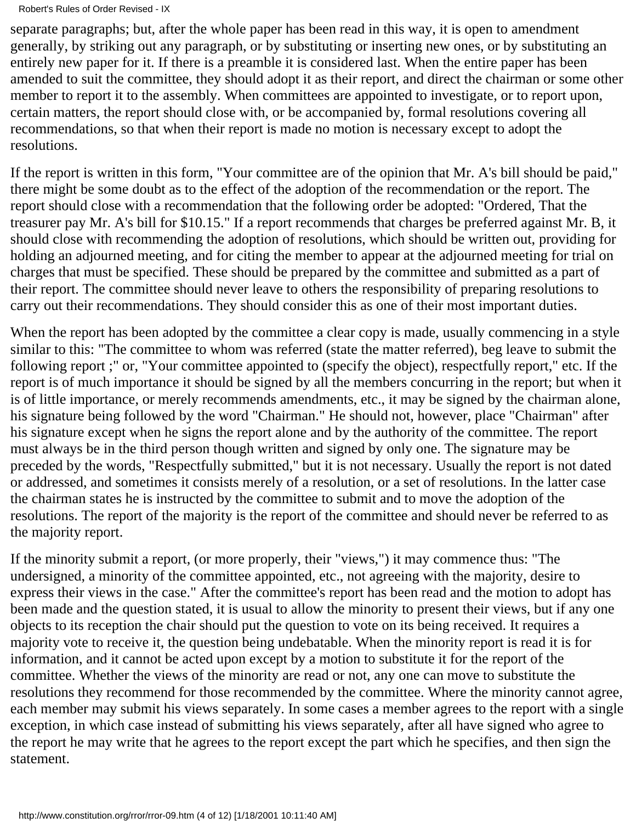separate paragraphs; but, after the whole paper has been read in this way, it is open to amendment generally, by striking out any paragraph, or by substituting or inserting new ones, or by substituting an entirely new paper for it. If there is a preamble it is considered last. When the entire paper has been amended to suit the committee, they should adopt it as their report, and direct the chairman or some other member to report it to the assembly. When committees are appointed to investigate, or to report upon, certain matters, the report should close with, or be accompanied by, formal resolutions covering all recommendations, so that when their report is made no motion is necessary except to adopt the resolutions.

If the report is written in this form, "Your committee are of the opinion that Mr. A's bill should be paid," there might be some doubt as to the effect of the adoption of the recommendation or the report. The report should close with a recommendation that the following order be adopted: "Ordered, That the treasurer pay Mr. A's bill for \$10.15." If a report recommends that charges be preferred against Mr. B, it should close with recommending the adoption of resolutions, which should be written out, providing for holding an adjourned meeting, and for citing the member to appear at the adjourned meeting for trial on charges that must be specified. These should be prepared by the committee and submitted as a part of their report. The committee should never leave to others the responsibility of preparing resolutions to carry out their recommendations. They should consider this as one of their most important duties.

When the report has been adopted by the committee a clear copy is made, usually commencing in a style similar to this: "The committee to whom was referred (state the matter referred), beg leave to submit the following report ;" or, "Your committee appointed to (specify the object), respectfully report," etc. If the report is of much importance it should be signed by all the members concurring in the report; but when it is of little importance, or merely recommends amendments, etc., it may be signed by the chairman alone, his signature being followed by the word "Chairman." He should not, however, place "Chairman" after his signature except when he signs the report alone and by the authority of the committee. The report must always be in the third person though written and signed by only one. The signature may be preceded by the words, "Respectfully submitted," but it is not necessary. Usually the report is not dated or addressed, and sometimes it consists merely of a resolution, or a set of resolutions. In the latter case the chairman states he is instructed by the committee to submit and to move the adoption of the resolutions. The report of the majority is the report of the committee and should never be referred to as the majority report.

If the minority submit a report, (or more properly, their "views,") it may commence thus: "The undersigned, a minority of the committee appointed, etc., not agreeing with the majority, desire to express their views in the case." After the committee's report has been read and the motion to adopt has been made and the question stated, it is usual to allow the minority to present their views, but if any one objects to its reception the chair should put the question to vote on its being received. It requires a majority vote to receive it, the question being undebatable. When the minority report is read it is for information, and it cannot be acted upon except by a motion to substitute it for the report of the committee. Whether the views of the minority are read or not, any one can move to substitute the resolutions they recommend for those recommended by the committee. Where the minority cannot agree, each member may submit his views separately. In some cases a member agrees to the report with a single exception, in which case instead of submitting his views separately, after all have signed who agree to the report he may write that he agrees to the report except the part which he specifies, and then sign the statement.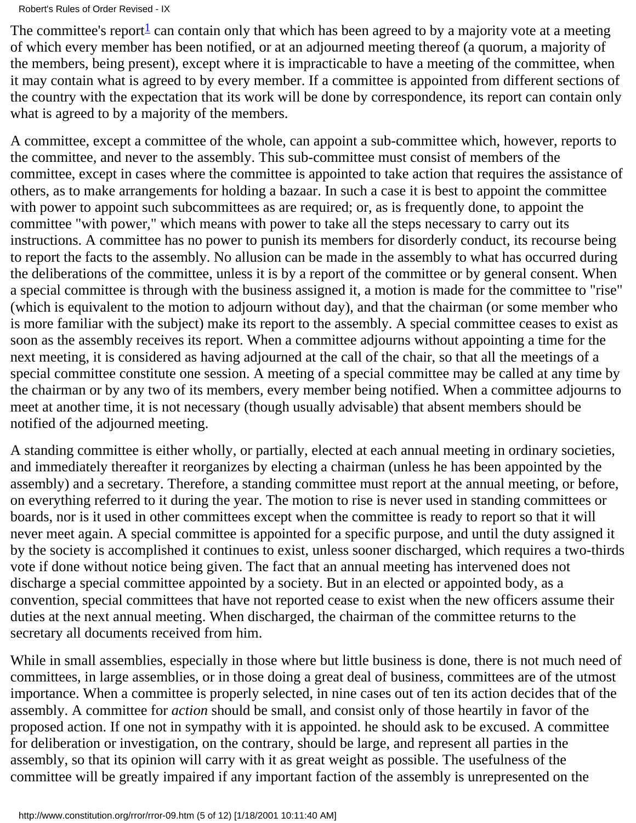The committee's report<sup>1</sup> can contain only that which has been agreed to by a majority vote at a meeting of which every member has been notified, or at an adjourned meeting thereof (a quorum, a majority of the members, being present), except where it is impracticable to have a meeting of the committee, when it may contain what is agreed to by every member. If a committee is appointed from different sections of the country with the expectation that its work will be done by correspondence, its report can contain only what is agreed to by a majority of the members.

A committee, except a committee of the whole, can appoint a sub-committee which, however, reports to the committee, and never to the assembly. This sub-committee must consist of members of the committee, except in cases where the committee is appointed to take action that requires the assistance of others, as to make arrangements for holding a bazaar. In such a case it is best to appoint the committee with power to appoint such subcommittees as are required; or, as is frequently done, to appoint the committee "with power," which means with power to take all the steps necessary to carry out its instructions. A committee has no power to punish its members for disorderly conduct, its recourse being to report the facts to the assembly. No allusion can be made in the assembly to what has occurred during the deliberations of the committee, unless it is by a report of the committee or by general consent. When a special committee is through with the business assigned it, a motion is made for the committee to "rise" (which is equivalent to the motion to adjourn without day), and that the chairman (or some member who is more familiar with the subject) make its report to the assembly. A special committee ceases to exist as soon as the assembly receives its report. When a committee adjourns without appointing a time for the next meeting, it is considered as having adjourned at the call of the chair, so that all the meetings of a special committee constitute one session. A meeting of a special committee may be called at any time by the chairman or by any two of its members, every member being notified. When a committee adjourns to meet at another time, it is not necessary (though usually advisable) that absent members should be notified of the adjourned meeting.

A standing committee is either wholly, or partially, elected at each annual meeting in ordinary societies, and immediately thereafter it reorganizes by electing a chairman (unless he has been appointed by the assembly) and a secretary. Therefore, a standing committee must report at the annual meeting, or before, on everything referred to it during the year. The motion to rise is never used in standing committees or boards, nor is it used in other committees except when the committee is ready to report so that it will never meet again. A special committee is appointed for a specific purpose, and until the duty assigned it by the society is accomplished it continues to exist, unless sooner discharged, which requires a two-thirds vote if done without notice being given. The fact that an annual meeting has intervened does not discharge a special committee appointed by a society. But in an elected or appointed body, as a convention, special committees that have not reported cease to exist when the new officers assume their duties at the next annual meeting. When discharged, the chairman of the committee returns to the secretary all documents received from him.

While in small assemblies, especially in those where but little business is done, there is not much need of committees, in large assemblies, or in those doing a great deal of business, committees are of the utmost importance. When a committee is properly selected, in nine cases out of ten its action decides that of the assembly. A committee for *action* should be small, and consist only of those heartily in favor of the proposed action. If one not in sympathy with it is appointed. he should ask to be excused. A committee for deliberation or investigation, on the contrary, should be large, and represent all parties in the assembly, so that its opinion will carry with it as great weight as possible. The usefulness of the committee will be greatly impaired if any important faction of the assembly is unrepresented on the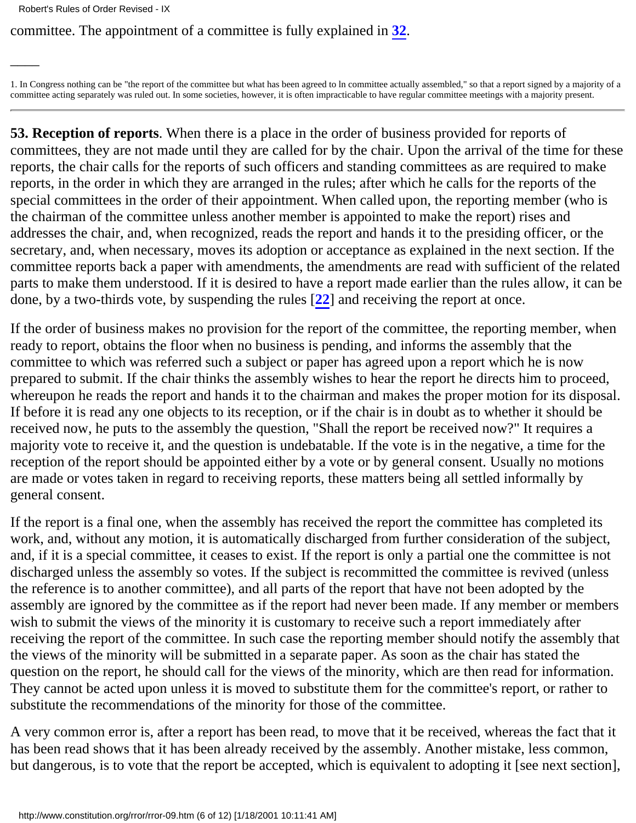$\overline{\phantom{a}}$ 

committee. The appointment of a committee is fully explained in **[32](#page-96-0)**.

<span id="page-113-1"></span>1. In Congress nothing can be "the report of the committee but what has been agreed to ln committee actually assembled," so that a report signed by a majority of a committee acting separately was ruled out. In some societies, however, it is often impracticable to have regular committee meetings with a majority present.

<span id="page-113-0"></span>**53. Reception of reports**. When there is a place in the order of business provided for reports of committees, they are not made until they are called for by the chair. Upon the arrival of the time for these reports, the chair calls for the reports of such officers and standing committees as are required to make reports, in the order in which they are arranged in the rules; after which he calls for the reports of the special committees in the order of their appointment. When called upon, the reporting member (who is the chairman of the committee unless another member is appointed to make the report) rises and addresses the chair, and, when recognized, reads the report and hands it to the presiding officer, or the secretary, and, when necessary, moves its adoption or acceptance as explained in the next section. If the committee reports back a paper with amendments, the amendments are read with sufficient of the related parts to make them understood. If it is desired to have a report made earlier than the rules allow, it can be done, by a two-thirds vote, by suspending the rules [**[22](#page-24-0)**] and receiving the report at once.

If the order of business makes no provision for the report of the committee, the reporting member, when ready to report, obtains the floor when no business is pending, and informs the assembly that the committee to which was referred such a subject or paper has agreed upon a report which he is now prepared to submit. If the chair thinks the assembly wishes to hear the report he directs him to proceed, whereupon he reads the report and hands it to the chairman and makes the proper motion for its disposal. If before it is read any one objects to its reception, or if the chair is in doubt as to whether it should be received now, he puts to the assembly the question, "Shall the report be received now?" It requires a majority vote to receive it, and the question is undebatable. If the vote is in the negative, a time for the reception of the report should be appointed either by a vote or by general consent. Usually no motions are made or votes taken in regard to receiving reports, these matters being all settled informally by general consent.

If the report is a final one, when the assembly has received the report the committee has completed its work, and, without any motion, it is automatically discharged from further consideration of the subject, and, if it is a special committee, it ceases to exist. If the report is only a partial one the committee is not discharged unless the assembly so votes. If the subject is recommitted the committee is revived (unless the reference is to another committee), and all parts of the report that have not been adopted by the assembly are ignored by the committee as if the report had never been made. If any member or members wish to submit the views of the minority it is customary to receive such a report immediately after receiving the report of the committee. In such case the reporting member should notify the assembly that the views of the minority will be submitted in a separate paper. As soon as the chair has stated the question on the report, he should call for the views of the minority, which are then read for information. They cannot be acted upon unless it is moved to substitute them for the committee's report, or rather to substitute the recommendations of the minority for those of the committee.

A very common error is, after a report has been read, to move that it be received, whereas the fact that it has been read shows that it has been already received by the assembly. Another mistake, less common, but dangerous, is to vote that the report be accepted, which is equivalent to adopting it [see next section],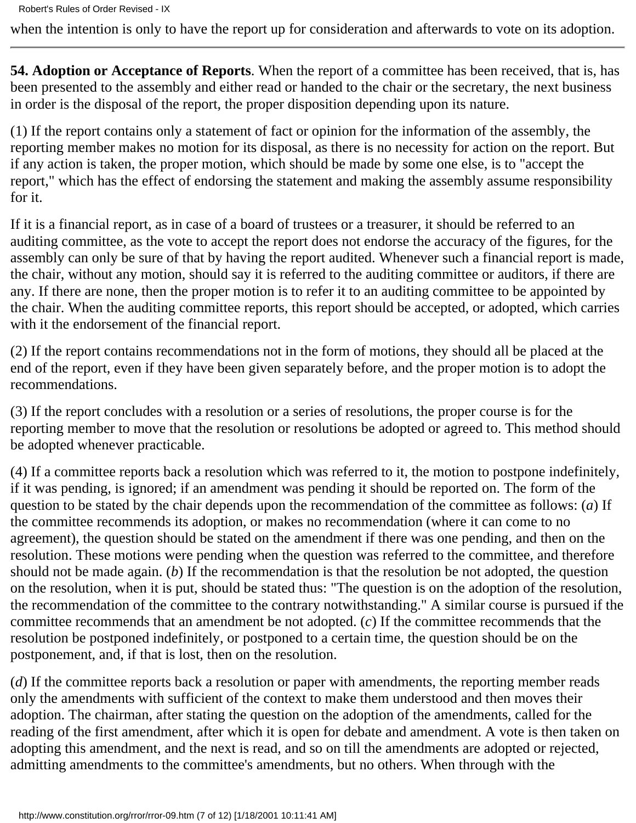when the intention is only to have the report up for consideration and afterwards to vote on its adoption.

<span id="page-114-0"></span>**54. Adoption or Acceptance of Reports**. When the report of a committee has been received, that is, has been presented to the assembly and either read or handed to the chair or the secretary, the next business in order is the disposal of the report, the proper disposition depending upon its nature.

(1) If the report contains only a statement of fact or opinion for the information of the assembly, the reporting member makes no motion for its disposal, as there is no necessity for action on the report. But if any action is taken, the proper motion, which should be made by some one else, is to "accept the report," which has the effect of endorsing the statement and making the assembly assume responsibility for it.

If it is a financial report, as in case of a board of trustees or a treasurer, it should be referred to an auditing committee, as the vote to accept the report does not endorse the accuracy of the figures, for the assembly can only be sure of that by having the report audited. Whenever such a financial report is made, the chair, without any motion, should say it is referred to the auditing committee or auditors, if there are any. If there are none, then the proper motion is to refer it to an auditing committee to be appointed by the chair. When the auditing committee reports, this report should be accepted, or adopted, which carries with it the endorsement of the financial report.

(2) If the report contains recommendations not in the form of motions, they should all be placed at the end of the report, even if they have been given separately before, and the proper motion is to adopt the recommendations.

(3) If the report concludes with a resolution or a series of resolutions, the proper course is for the reporting member to move that the resolution or resolutions be adopted or agreed to. This method should be adopted whenever practicable.

(4) If a committee reports back a resolution which was referred to it, the motion to postpone indefinitely, if it was pending, is ignored; if an amendment was pending it should be reported on. The form of the question to be stated by the chair depends upon the recommendation of the committee as follows: (*a*) If the committee recommends its adoption, or makes no recommendation (where it can come to no agreement), the question should be stated on the amendment if there was one pending, and then on the resolution. These motions were pending when the question was referred to the committee, and therefore should not be made again. (*b*) If the recommendation is that the resolution be not adopted, the question on the resolution, when it is put, should be stated thus: "The question is on the adoption of the resolution, the recommendation of the committee to the contrary notwithstanding." A similar course is pursued if the committee recommends that an amendment be not adopted. (*c*) If the committee recommends that the resolution be postponed indefinitely, or postponed to a certain time, the question should be on the postponement, and, if that is lost, then on the resolution.

(*d*) If the committee reports back a resolution or paper with amendments, the reporting member reads only the amendments with sufficient of the context to make them understood and then moves their adoption. The chairman, after stating the question on the adoption of the amendments, called for the reading of the first amendment, after which it is open for debate and amendment. A vote is then taken on adopting this amendment, and the next is read, and so on till the amendments are adopted or rejected, admitting amendments to the committee's amendments, but no others. When through with the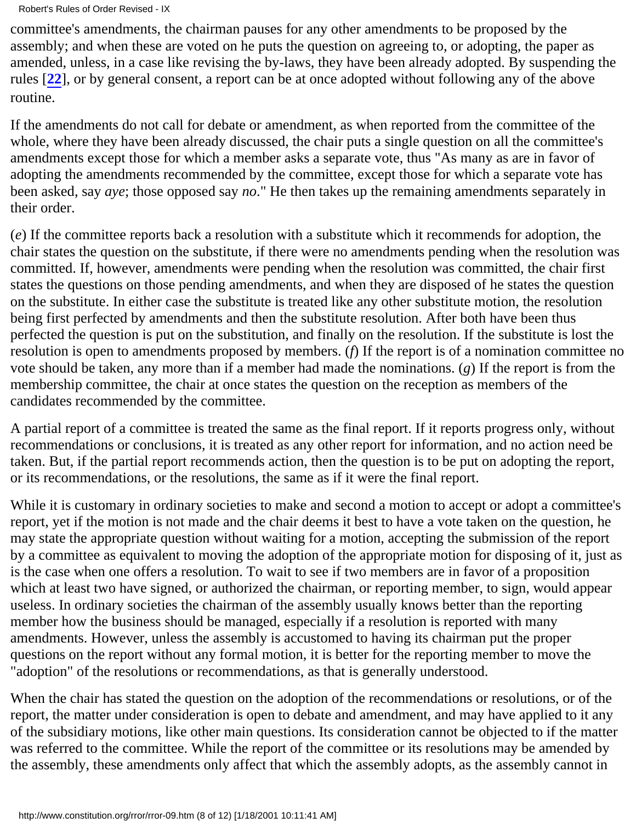committee's amendments, the chairman pauses for any other amendments to be proposed by the assembly; and when these are voted on he puts the question on agreeing to, or adopting, the paper as amended, unless, in a case like revising the by-laws, they have been already adopted. By suspending the rules [**[22](#page-24-0)**], or by general consent, a report can be at once adopted without following any of the above routine.

If the amendments do not call for debate or amendment, as when reported from the committee of the whole, where they have been already discussed, the chair puts a single question on all the committee's amendments except those for which a member asks a separate vote, thus "As many as are in favor of adopting the amendments recommended by the committee, except those for which a separate vote has been asked, say *aye*; those opposed say *no*." He then takes up the remaining amendments separately in their order.

(*e*) If the committee reports back a resolution with a substitute which it recommends for adoption, the chair states the question on the substitute, if there were no amendments pending when the resolution was committed. If, however, amendments were pending when the resolution was committed, the chair first states the questions on those pending amendments, and when they are disposed of he states the question on the substitute. In either case the substitute is treated like any other substitute motion, the resolution being first perfected by amendments and then the substitute resolution. After both have been thus perfected the question is put on the substitution, and finally on the resolution. If the substitute is lost the resolution is open to amendments proposed by members. (*f*) If the report is of a nomination committee no vote should be taken, any more than if a member had made the nominations. (*g*) If the report is from the membership committee, the chair at once states the question on the reception as members of the candidates recommended by the committee.

A partial report of a committee is treated the same as the final report. If it reports progress only, without recommendations or conclusions, it is treated as any other report for information, and no action need be taken. But, if the partial report recommends action, then the question is to be put on adopting the report, or its recommendations, or the resolutions, the same as if it were the final report.

While it is customary in ordinary societies to make and second a motion to accept or adopt a committee's report, yet if the motion is not made and the chair deems it best to have a vote taken on the question, he may state the appropriate question without waiting for a motion, accepting the submission of the report by a committee as equivalent to moving the adoption of the appropriate motion for disposing of it, just as is the case when one offers a resolution. To wait to see if two members are in favor of a proposition which at least two have signed, or authorized the chairman, or reporting member, to sign, would appear useless. In ordinary societies the chairman of the assembly usually knows better than the reporting member how the business should be managed, especially if a resolution is reported with many amendments. However, unless the assembly is accustomed to having its chairman put the proper questions on the report without any formal motion, it is better for the reporting member to move the "adoption" of the resolutions or recommendations, as that is generally understood.

When the chair has stated the question on the adoption of the recommendations or resolutions, or of the report, the matter under consideration is open to debate and amendment, and may have applied to it any of the subsidiary motions, like other main questions. Its consideration cannot be objected to if the matter was referred to the committee. While the report of the committee or its resolutions may be amended by the assembly, these amendments only affect that which the assembly adopts, as the assembly cannot in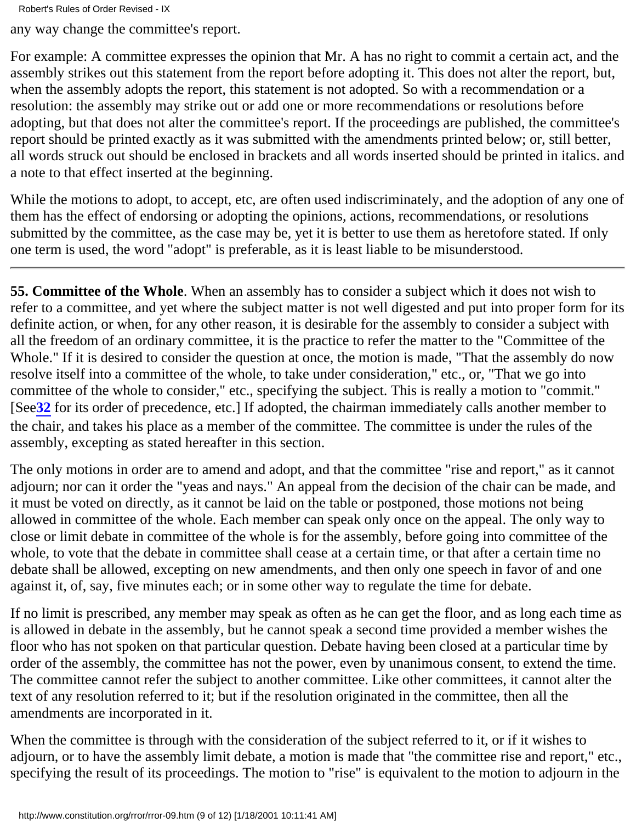any way change the committee's report.

For example: A committee expresses the opinion that Mr. A has no right to commit a certain act, and the assembly strikes out this statement from the report before adopting it. This does not alter the report, but, when the assembly adopts the report, this statement is not adopted. So with a recommendation or a resolution: the assembly may strike out or add one or more recommendations or resolutions before adopting, but that does not alter the committee's report. If the proceedings are published, the committee's report should be printed exactly as it was submitted with the amendments printed below; or, still better, all words struck out should be enclosed in brackets and all words inserted should be printed in italics. and a note to that effect inserted at the beginning.

While the motions to adopt, to accept, etc, are often used indiscriminately, and the adoption of any one of them has the effect of endorsing or adopting the opinions, actions, recommendations, or resolutions submitted by the committee, as the case may be, yet it is better to use them as heretofore stated. If only one term is used, the word "adopt" is preferable, as it is least liable to be misunderstood.

<span id="page-116-0"></span>**55. Committee of the Whole**. When an assembly has to consider a subject which it does not wish to refer to a committee, and yet where the subject matter is not well digested and put into proper form for its definite action, or when, for any other reason, it is desirable for the assembly to consider a subject with all the freedom of an ordinary committee, it is the practice to refer the matter to the "Committee of the Whole." If it is desired to consider the question at once, the motion is made, "That the assembly do now resolve itself into a committee of the whole, to take under consideration," etc., or, "That we go into committee of the whole to consider," etc., specifying the subject. This is really a motion to "commit." [See**[32](#page-96-0)** for its order of precedence, etc.] If adopted, the chairman immediately calls another member to the chair, and takes his place as a member of the committee. The committee is under the rules of the assembly, excepting as stated hereafter in this section.

The only motions in order are to amend and adopt, and that the committee "rise and report," as it cannot adjourn; nor can it order the "yeas and nays." An appeal from the decision of the chair can be made, and it must be voted on directly, as it cannot be laid on the table or postponed, those motions not being allowed in committee of the whole. Each member can speak only once on the appeal. The only way to close or limit debate in committee of the whole is for the assembly, before going into committee of the whole, to vote that the debate in committee shall cease at a certain time, or that after a certain time no debate shall be allowed, excepting on new amendments, and then only one speech in favor of and one against it, of, say, five minutes each; or in some other way to regulate the time for debate.

If no limit is prescribed, any member may speak as often as he can get the floor, and as long each time as is allowed in debate in the assembly, but he cannot speak a second time provided a member wishes the floor who has not spoken on that particular question. Debate having been closed at a particular time by order of the assembly, the committee has not the power, even by unanimous consent, to extend the time. The committee cannot refer the subject to another committee. Like other committees, it cannot alter the text of any resolution referred to it; but if the resolution originated in the committee, then all the amendments are incorporated in it.

When the committee is through with the consideration of the subject referred to it, or if it wishes to adjourn, or to have the assembly limit debate, a motion is made that "the committee rise and report," etc., specifying the result of its proceedings. The motion to "rise" is equivalent to the motion to adjourn in the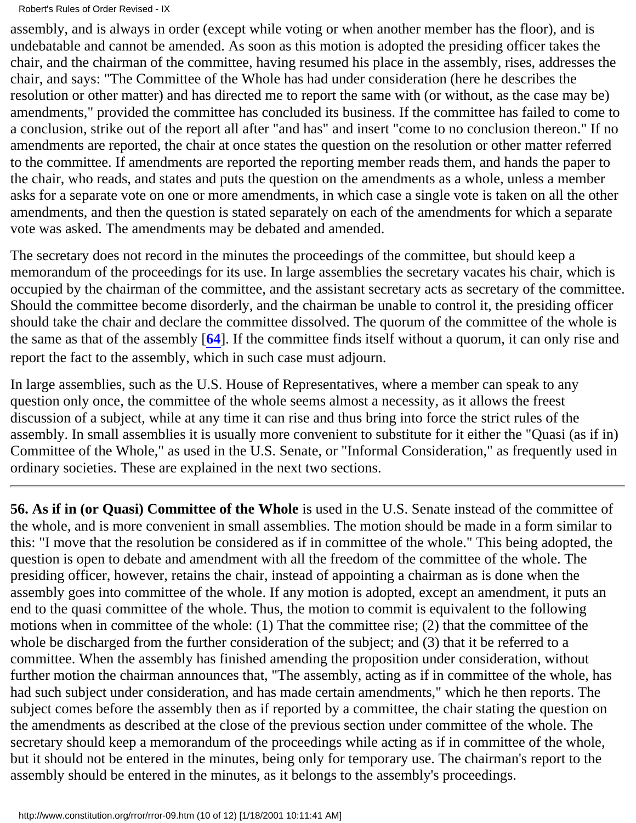assembly, and is always in order (except while voting or when another member has the floor), and is undebatable and cannot be amended. As soon as this motion is adopted the presiding officer takes the chair, and the chairman of the committee, having resumed his place in the assembly, rises, addresses the chair, and says: "The Committee of the Whole has had under consideration (here he describes the resolution or other matter) and has directed me to report the same with (or without, as the case may be) amendments," provided the committee has concluded its business. If the committee has failed to come to a conclusion, strike out of the report all after "and has" and insert "come to no conclusion thereon." If no amendments are reported, the chair at once states the question on the resolution or other matter referred to the committee. If amendments are reported the reporting member reads them, and hands the paper to the chair, who reads, and states and puts the question on the amendments as a whole, unless a member asks for a separate vote on one or more amendments, in which case a single vote is taken on all the other amendments, and then the question is stated separately on each of the amendments for which a separate vote was asked. The amendments may be debated and amended.

The secretary does not record in the minutes the proceedings of the committee, but should keep a memorandum of the proceedings for its use. In large assemblies the secretary vacates his chair, which is occupied by the chairman of the committee, and the assistant secretary acts as secretary of the committee. Should the committee become disorderly, and the chairman be unable to control it, the presiding officer should take the chair and declare the committee dissolved. The quorum of the committee of the whole is the same as that of the assembly [**[64](#page-71-0)**]. If the committee finds itself without a quorum, it can only rise and report the fact to the assembly, which in such case must adjourn.

In large assemblies, such as the U.S. House of Representatives, where a member can speak to any question only once, the committee of the whole seems almost a necessity, as it allows the freest discussion of a subject, while at any time it can rise and thus bring into force the strict rules of the assembly. In small assemblies it is usually more convenient to substitute for it either the "Quasi (as if in) Committee of the Whole," as used in the U.S. Senate, or "Informal Consideration," as frequently used in ordinary societies. These are explained in the next two sections.

<span id="page-117-0"></span>**56. As if in (or Quasi) Committee of the Whole** is used in the U.S. Senate instead of the committee of the whole, and is more convenient in small assemblies. The motion should be made in a form similar to this: "I move that the resolution be considered as if in committee of the whole." This being adopted, the question is open to debate and amendment with all the freedom of the committee of the whole. The presiding officer, however, retains the chair, instead of appointing a chairman as is done when the assembly goes into committee of the whole. If any motion is adopted, except an amendment, it puts an end to the quasi committee of the whole. Thus, the motion to commit is equivalent to the following motions when in committee of the whole: (1) That the committee rise; (2) that the committee of the whole be discharged from the further consideration of the subject; and (3) that it be referred to a committee. When the assembly has finished amending the proposition under consideration, without further motion the chairman announces that, "The assembly, acting as if in committee of the whole, has had such subject under consideration, and has made certain amendments," which he then reports. The subject comes before the assembly then as if reported by a committee, the chair stating the question on the amendments as described at the close of the previous section under committee of the whole. The secretary should keep a memorandum of the proceedings while acting as if in committee of the whole, but it should not be entered in the minutes, being only for temporary use. The chairman's report to the assembly should be entered in the minutes, as it belongs to the assembly's proceedings.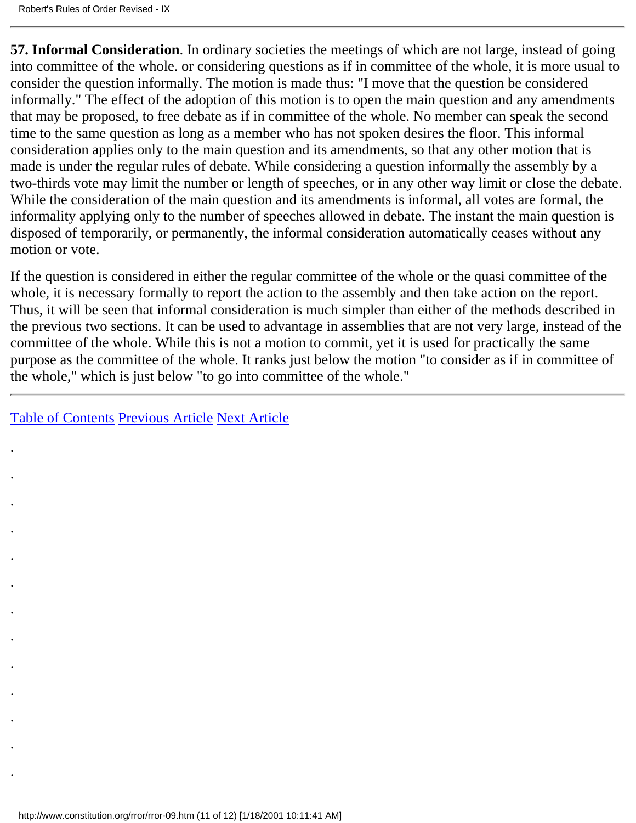<span id="page-118-0"></span>**57. Informal Consideration**. In ordinary societies the meetings of which are not large, instead of going into committee of the whole. or considering questions as if in committee of the whole, it is more usual to consider the question informally. The motion is made thus: "I move that the question be considered informally." The effect of the adoption of this motion is to open the main question and any amendments that may be proposed, to free debate as if in committee of the whole. No member can speak the second time to the same question as long as a member who has not spoken desires the floor. This informal consideration applies only to the main question and its amendments, so that any other motion that is made is under the regular rules of debate. While considering a question informally the assembly by a two-thirds vote may limit the number or length of speeches, or in any other way limit or close the debate. While the consideration of the main question and its amendments is informal, all votes are formal, the informality applying only to the number of speeches allowed in debate. The instant the main question is disposed of temporarily, or permanently, the informal consideration automatically ceases without any motion or vote.

If the question is considered in either the regular committee of the whole or the quasi committee of the whole, it is necessary formally to report the action to the assembly and then take action on the report. Thus, it will be seen that informal consideration is much simpler than either of the methods described in the previous two sections. It can be used to advantage in assemblies that are not very large, instead of the committee of the whole. While this is not a motion to commit, yet it is used for practically the same purpose as the committee of the whole. It ranks just below the motion "to consider as if in committee of the whole," which is just below "to go into committee of the whole."

[Table of Contents](#page-0-0) [Previous Article](#page-61-0) [Next Article](#page-120-0)

.

.

.

.

.

.

.

.

.

.

.

.

.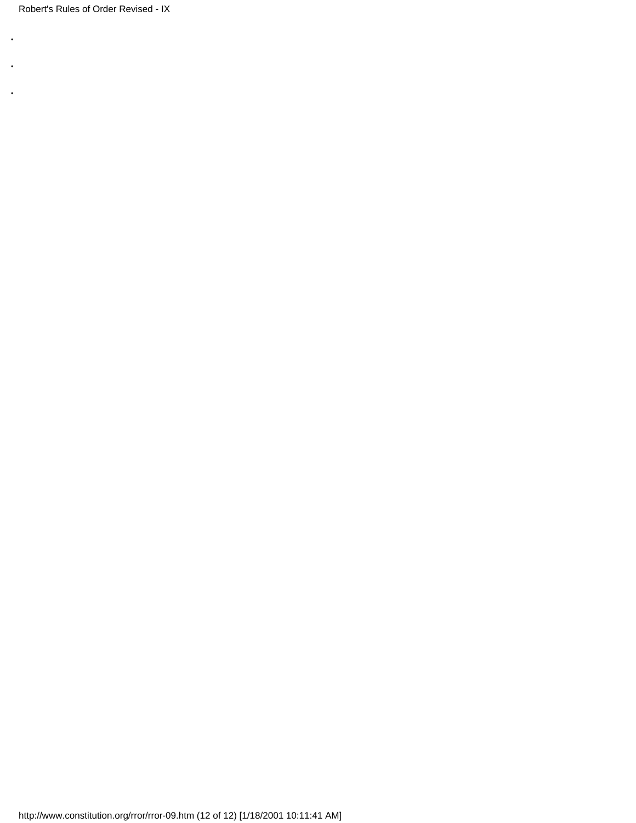.

.

.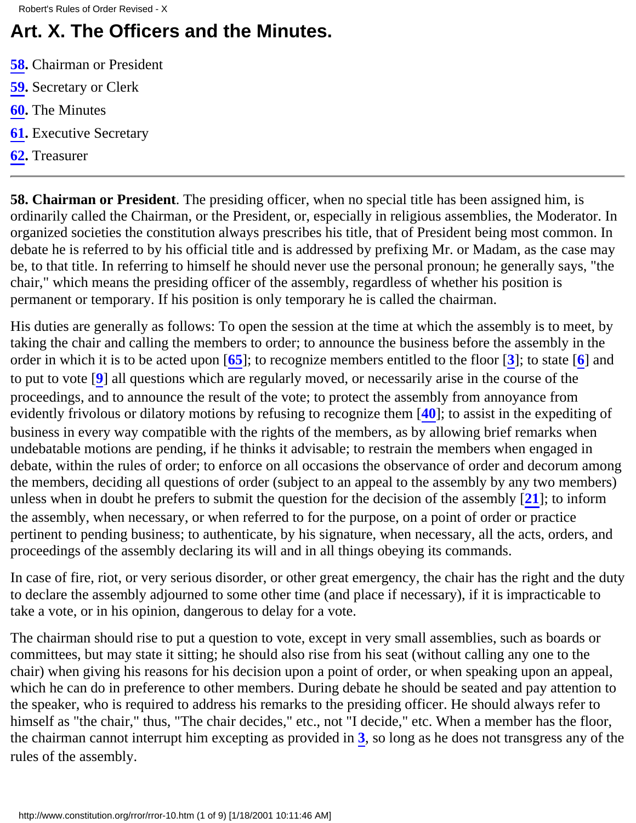# <span id="page-120-0"></span>**Art. X. The Officers and the Minutes.**

- **[58](#page-120-1).** Chairman or President
- **[59](#page-124-0).** Secretary or Clerk
- **[60](#page-124-1).** The Minutes
- **[61](#page-126-0).** Executive Secretary
- **[62](#page-127-0).** Treasurer

<span id="page-120-1"></span>**58. Chairman or President**. The presiding officer, when no special title has been assigned him, is ordinarily called the Chairman, or the President, or, especially in religious assemblies, the Moderator. In organized societies the constitution always prescribes his title, that of President being most common. In debate he is referred to by his official title and is addressed by prefixing Mr. or Madam, as the case may be, to that title. In referring to himself he should never use the personal pronoun; he generally says, "the chair," which means the presiding officer of the assembly, regardless of whether his position is permanent or temporary. If his position is only temporary he is called the chairman.

His duties are generally as follows: To open the session at the time at which the assembly is to meet, by taking the chair and calling the members to order; to announce the business before the assembly in the order in which it is to be acted upon [**[65](#page-73-0)**]; to recognize members entitled to the floor [**3**]; to state [**[6](#page-43-0)**] and to put to vote [**[9](#page-44-0)**] all questions which are regularly moved, or necessarily arise in the course of the proceedings, and to announce the result of the vote; to protect the assembly from annoyance from evidently frivolous or dilatory motions by refusing to recognize them [**[40](#page-85-0)**]; to assist in the expediting of business in every way compatible with the rights of the members, as by allowing brief remarks when undebatable motions are pending, if he thinks it advisable; to restrain the members when engaged in debate, within the rules of order; to enforce on all occasions the observance of order and decorum among the members, deciding all questions of order (subject to an appeal to the assembly by any two members) unless when in doubt he prefers to submit the question for the decision of the assembly [**[21](#page-23-0)**]; to inform the assembly, when necessary, or when referred to for the purpose, on a point of order or practice pertinent to pending business; to authenticate, by his signature, when necessary, all the acts, orders, and proceedings of the assembly declaring its will and in all things obeying its commands.

In case of fire, riot, or very serious disorder, or other great emergency, the chair has the right and the duty to declare the assembly adjourned to some other time (and place if necessary), if it is impracticable to take a vote, or in his opinion, dangerous to delay for a vote.

The chairman should rise to put a question to vote, except in very small assemblies, such as boards or committees, but may state it sitting; he should also rise from his seat (without calling any one to the chair) when giving his reasons for his decision upon a point of order, or when speaking upon an appeal, which he can do in preference to other members. During debate he should be seated and pay attention to the speaker, who is required to address his remarks to the presiding officer. He should always refer to himself as "the chair," thus, "The chair decides," etc., not "I decide," etc. When a member has the floor, the chairman cannot interrupt him excepting as provided in **3**, so long as he does not transgress any of the rules of the assembly.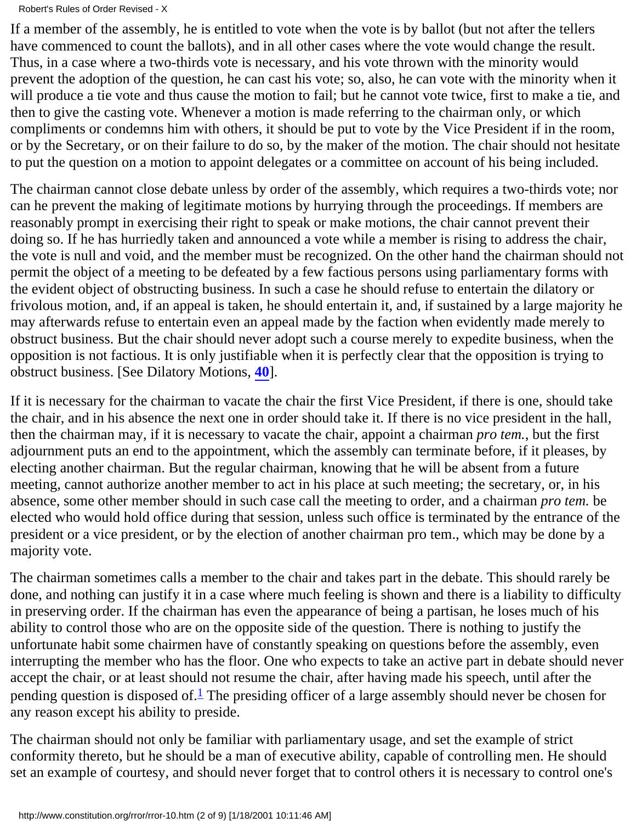If a member of the assembly, he is entitled to vote when the vote is by ballot (but not after the tellers have commenced to count the ballots), and in all other cases where the vote would change the result. Thus, in a case where a two-thirds vote is necessary, and his vote thrown with the minority would prevent the adoption of the question, he can cast his vote; so, also, he can vote with the minority when it will produce a tie vote and thus cause the motion to fail; but he cannot vote twice, first to make a tie, and then to give the casting vote. Whenever a motion is made referring to the chairman only, or which compliments or condemns him with others, it should be put to vote by the Vice President if in the room, or by the Secretary, or on their failure to do so, by the maker of the motion. The chair should not hesitate to put the question on a motion to appoint delegates or a committee on account of his being included.

The chairman cannot close debate unless by order of the assembly, which requires a two-thirds vote; nor can he prevent the making of legitimate motions by hurrying through the proceedings. If members are reasonably prompt in exercising their right to speak or make motions, the chair cannot prevent their doing so. If he has hurriedly taken and announced a vote while a member is rising to address the chair, the vote is null and void, and the member must be recognized. On the other hand the chairman should not permit the object of a meeting to be defeated by a few factious persons using parliamentary forms with the evident object of obstructing business. In such a case he should refuse to entertain the dilatory or frivolous motion, and, if an appeal is taken, he should entertain it, and, if sustained by a large majority he may afterwards refuse to entertain even an appeal made by the faction when evidently made merely to obstruct business. But the chair should never adopt such a course merely to expedite business, when the opposition is not factious. It is only justifiable when it is perfectly clear that the opposition is trying to obstruct business. [See Dilatory Motions, **[40](#page-85-0)**].

If it is necessary for the chairman to vacate the chair the first Vice President, if there is one, should take the chair, and in his absence the next one in order should take it. If there is no vice president in the hall, then the chairman may, if it is necessary to vacate the chair, appoint a chairman *pro tem.*, but the first adjournment puts an end to the appointment, which the assembly can terminate before, if it pleases, by electing another chairman. But the regular chairman, knowing that he will be absent from a future meeting, cannot authorize another member to act in his place at such meeting; the secretary, or, in his absence, some other member should in such case call the meeting to order, and a chairman *pro tem.* be elected who would hold office during that session, unless such office is terminated by the entrance of the president or a vice president, or by the election of another chairman pro tem., which may be done by a majority vote.

The chairman sometimes calls a member to the chair and takes part in the debate. This should rarely be done, and nothing can justify it in a case where much feeling is shown and there is a liability to difficulty in preserving order. If the chairman has even the appearance of being a partisan, he loses much of his ability to control those who are on the opposite side of the question. There is nothing to justify the unfortunate habit some chairmen have of constantly speaking on questions before the assembly, even interrupting the member who has the floor. One who expects to take an active part in debate should never accept the chair, or at least should not resume the chair, after having made his speech, until after the pending question is disposed of. $\frac{1}{1}$  The presiding officer of a large assembly should never be chosen for any reason except his ability to preside.

The chairman should not only be familiar with parliamentary usage, and set the example of strict conformity thereto, but he should be a man of executive ability, capable of controlling men. He should set an example of courtesy, and should never forget that to control others it is necessary to control one's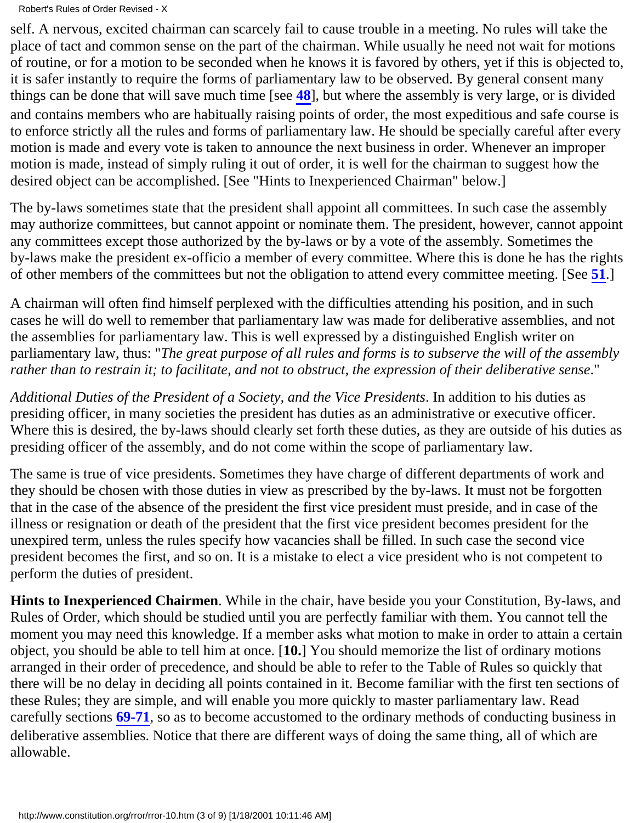self. A nervous, excited chairman can scarcely fail to cause trouble in a meeting. No rules will take the place of tact and common sense on the part of the chairman. While usually he need not wait for motions of routine, or for a motion to be seconded when he knows it is favored by others, yet if this is objected to, it is safer instantly to require the forms of parliamentary law to be observed. By general consent many things can be done that will save much time [see **[48](#page-66-0)**], but where the assembly is very large, or is divided and contains members who are habitually raising points of order, the most expeditious and safe course is to enforce strictly all the rules and forms of parliamentary law. He should be specially careful after every motion is made and every vote is taken to announce the next business in order. Whenever an improper motion is made, instead of simply ruling it out of order, it is well for the chairman to suggest how the desired object can be accomplished. [See "Hints to Inexperienced Chairman" below.]

The by-laws sometimes state that the president shall appoint all committees. In such case the assembly may authorize committees, but cannot appoint or nominate them. The president, however, cannot appoint any committees except those authorized by the by-laws or by a vote of the assembly. Sometimes the by-laws make the president ex-officio a member of every committee. Where this is done he has the rights of other members of the committees but not the obligation to attend every committee meeting. [See **[51](#page-109-0)**.]

A chairman will often find himself perplexed with the difficulties attending his position, and in such cases he will do well to remember that parliamentary law was made for deliberative assemblies, and not the assemblies for parliamentary law. This is well expressed by a distinguished English writer on parliamentary law, thus: "*The great purpose of all rules and forms is to subserve the will of the assembly rather than to restrain it; to facilitate, and not to obstruct, the expression of their deliberative sense*."

*Additional Duties of the President of a Society, and the Vice Presidents*. In addition to his duties as presiding officer, in many societies the president has duties as an administrative or executive officer. Where this is desired, the by-laws should clearly set forth these duties, as they are outside of his duties as presiding officer of the assembly, and do not come within the scope of parliamentary law.

The same is true of vice presidents. Sometimes they have charge of different departments of work and they should be chosen with those duties in view as prescribed by the by-laws. It must not be forgotten that in the case of the absence of the president the first vice president must preside, and in case of the illness or resignation or death of the president that the first vice president becomes president for the unexpired term, unless the rules specify how vacancies shall be filled. In such case the second vice president becomes the first, and so on. It is a mistake to elect a vice president who is not competent to perform the duties of president.

**Hints to Inexperienced Chairmen**. While in the chair, have beside you your Constitution, By-laws, and Rules of Order, which should be studied until you are perfectly familiar with them. You cannot tell the moment you may need this knowledge. If a member asks what motion to make in order to attain a certain object, you should be able to tell him at once. [**10.**] You should memorize the list of ordinary motions arranged in their order of precedence, and should be able to refer to the Table of Rules so quickly that there will be no delay in deciding all points contained in it. Become familiar with the first ten sections of these Rules; they are simple, and will enable you more quickly to master parliamentary law. Read carefully sections **[69-71](#page-49-0)**, so as to become accustomed to the ordinary methods of conducting business in deliberative assemblies. Notice that there are different ways of doing the same thing, all of which are allowable.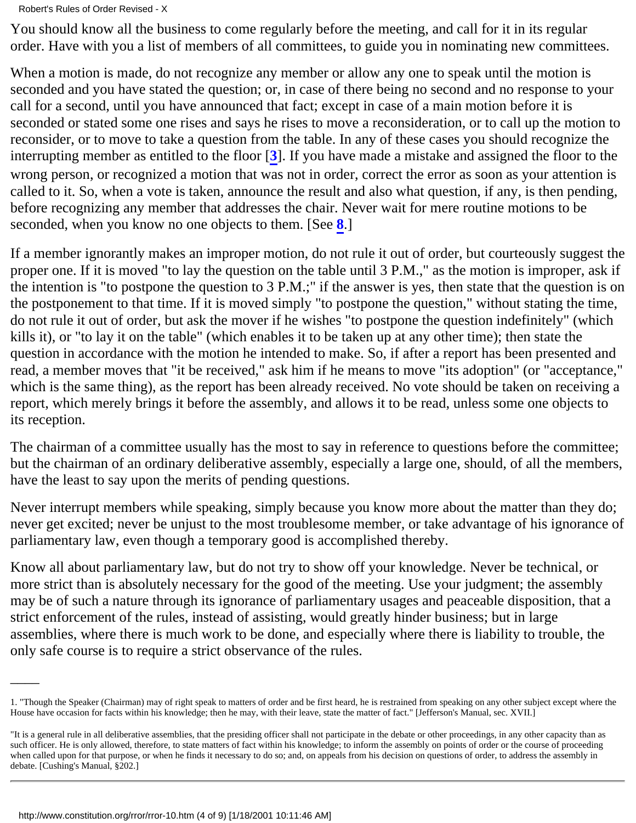You should know all the business to come regularly before the meeting, and call for it in its regular order. Have with you a list of members of all committees, to guide you in nominating new committees.

When a motion is made, do not recognize any member or allow any one to speak until the motion is seconded and you have stated the question; or, in case of there being no second and no response to your call for a second, until you have announced that fact; except in case of a main motion before it is seconded or stated some one rises and says he rises to move a reconsideration, or to call up the motion to reconsider, or to move to take a question from the table. In any of these cases you should recognize the interrupting member as entitled to the floor [**3**]. If you have made a mistake and assigned the floor to the wrong person, or recognized a motion that was not in order, correct the error as soon as your attention is called to it. So, when a vote is taken, announce the result and also what question, if any, is then pending, before recognizing any member that addresses the chair. Never wait for mere routine motions to be seconded, when you know no one objects to them. [See **[8](#page-43-1)**.]

If a member ignorantly makes an improper motion, do not rule it out of order, but courteously suggest the proper one. If it is moved "to lay the question on the table until 3 P.M.," as the motion is improper, ask if the intention is "to postpone the question to 3 P.M.;" if the answer is yes, then state that the question is on the postponement to that time. If it is moved simply "to postpone the question," without stating the time, do not rule it out of order, but ask the mover if he wishes "to postpone the question indefinitely" (which kills it), or "to lay it on the table" (which enables it to be taken up at any other time); then state the question in accordance with the motion he intended to make. So, if after a report has been presented and read, a member moves that "it be received," ask him if he means to move "its adoption" (or "acceptance," which is the same thing), as the report has been already received. No vote should be taken on receiving a report, which merely brings it before the assembly, and allows it to be read, unless some one objects to its reception.

The chairman of a committee usually has the most to say in reference to questions before the committee; but the chairman of an ordinary deliberative assembly, especially a large one, should, of all the members, have the least to say upon the merits of pending questions.

Never interrupt members while speaking, simply because you know more about the matter than they do; never get excited; never be unjust to the most troublesome member, or take advantage of his ignorance of parliamentary law, even though a temporary good is accomplished thereby.

Know all about parliamentary law, but do not try to show off your knowledge. Never be technical, or more strict than is absolutely necessary for the good of the meeting. Use your judgment; the assembly may be of such a nature through its ignorance of parliamentary usages and peaceable disposition, that a strict enforcement of the rules, instead of assisting, would greatly hinder business; but in large assemblies, where there is much work to be done, and especially where there is liability to trouble, the only safe course is to require a strict observance of the rules.

 $\overline{\phantom{a}}$ 

<span id="page-123-0"></span><sup>1. &</sup>quot;Though the Speaker (Chairman) may of right speak to matters of order and be first heard, he is restrained from speaking on any other subject except where the House have occasion for facts within his knowledge; then he may, with their leave, state the matter of fact." [Jefferson's Manual, sec. XVII.]

<sup>&</sup>quot;It is a general rule in all deliberative assemblies, that the presiding officer shall not participate in the debate or other proceedings, in any other capacity than as such officer. He is only allowed, therefore, to state matters of fact within his knowledge; to inform the assembly on points of order or the course of proceeding when called upon for that purpose, or when he finds it necessary to do so; and, on appeals from his decision on questions of order, to address the assembly in debate. [Cushing's Manual, §202.]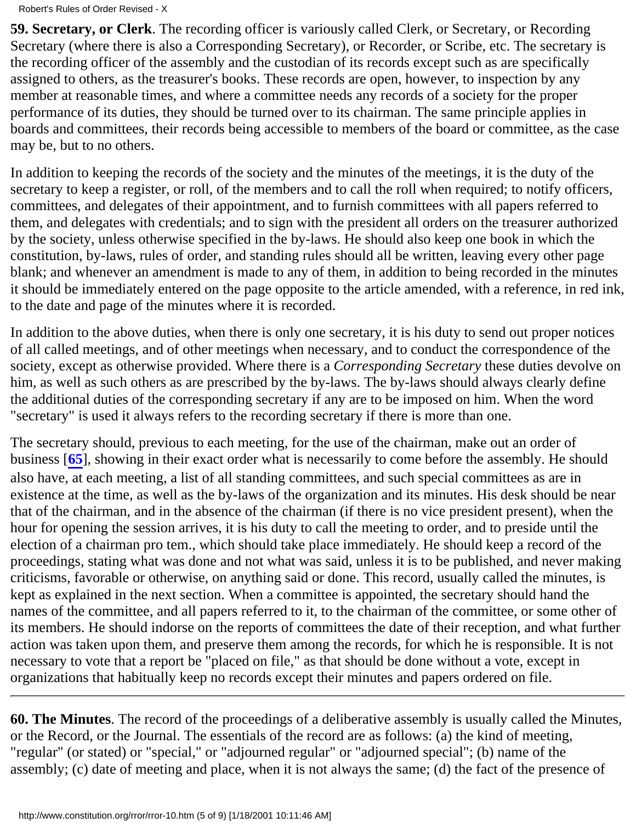<span id="page-124-0"></span>**59. Secretary, or Clerk**. The recording officer is variously called Clerk, or Secretary, or Recording Secretary (where there is also a Corresponding Secretary), or Recorder, or Scribe, etc. The secretary is the recording officer of the assembly and the custodian of its records except such as are specifically assigned to others, as the treasurer's books. These records are open, however, to inspection by any member at reasonable times, and where a committee needs any records of a society for the proper performance of its duties, they should be turned over to its chairman. The same principle applies in boards and committees, their records being accessible to members of the board or committee, as the case may be, but to no others.

In addition to keeping the records of the society and the minutes of the meetings, it is the duty of the secretary to keep a register, or roll, of the members and to call the roll when required; to notify officers, committees, and delegates of their appointment, and to furnish committees with all papers referred to them, and delegates with credentials; and to sign with the president all orders on the treasurer authorized by the society, unless otherwise specified in the by-laws. He should also keep one book in which the constitution, by-laws, rules of order, and standing rules should all be written, leaving every other page blank; and whenever an amendment is made to any of them, in addition to being recorded in the minutes it should be immediately entered on the page opposite to the article amended, with a reference, in red ink, to the date and page of the minutes where it is recorded.

<span id="page-124-2"></span>In addition to the above duties, when there is only one secretary, it is his duty to send out proper notices of all called meetings, and of other meetings when necessary, and to conduct the correspondence of the society, except as otherwise provided. Where there is a *Corresponding Secretary* these duties devolve on him, as well as such others as are prescribed by the by-laws. The by-laws should always clearly define the additional duties of the corresponding secretary if any are to be imposed on him. When the word "secretary" is used it always refers to the recording secretary if there is more than one.

The secretary should, previous to each meeting, for the use of the chairman, make out an order of business [**[65](#page-73-0)**], showing in their exact order what is necessarily to come before the assembly. He should also have, at each meeting, a list of all standing committees, and such special committees as are in existence at the time, as well as the by-laws of the organization and its minutes. His desk should be near that of the chairman, and in the absence of the chairman (if there is no vice president present), when the hour for opening the session arrives, it is his duty to call the meeting to order, and to preside until the election of a chairman pro tem., which should take place immediately. He should keep a record of the proceedings, stating what was done and not what was said, unless it is to be published, and never making criticisms, favorable or otherwise, on anything said or done. This record, usually called the minutes, is kept as explained in the next section. When a committee is appointed, the secretary should hand the names of the committee, and all papers referred to it, to the chairman of the committee, or some other of its members. He should indorse on the reports of committees the date of their reception, and what further action was taken upon them, and preserve them among the records, for which he is responsible. It is not necessary to vote that a report be "placed on file," as that should be done without a vote, except in organizations that habitually keep no records except their minutes and papers ordered on file.

<span id="page-124-1"></span>**60. The Minutes**. The record of the proceedings of a deliberative assembly is usually called the Minutes, or the Record, or the Journal. The essentials of the record are as follows: (a) the kind of meeting, "regular" (or stated) or "special," or "adjourned regular" or "adjourned special"; (b) name of the assembly; (c) date of meeting and place, when it is not always the same; (d) the fact of the presence of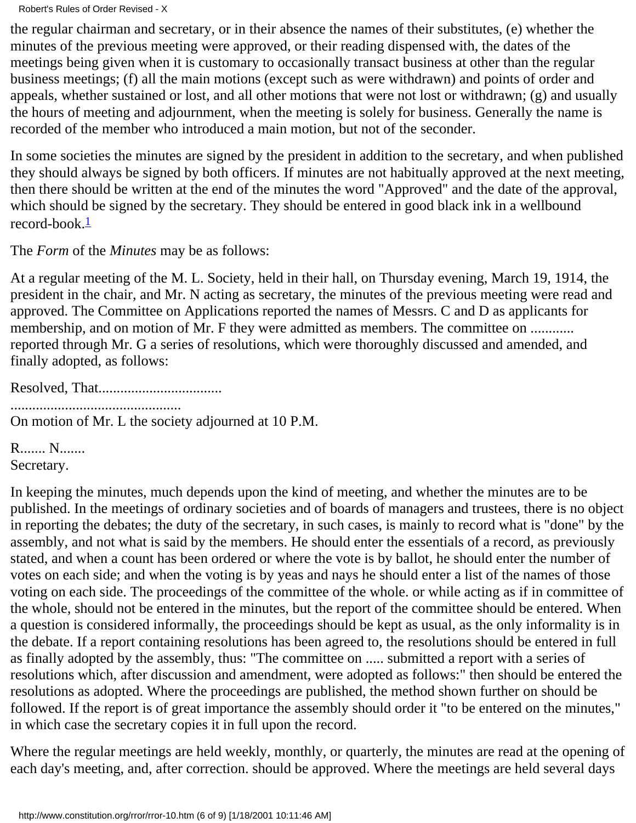the regular chairman and secretary, or in their absence the names of their substitutes, (e) whether the minutes of the previous meeting were approved, or their reading dispensed with, the dates of the meetings being given when it is customary to occasionally transact business at other than the regular business meetings; (f) all the main motions (except such as were withdrawn) and points of order and appeals, whether sustained or lost, and all other motions that were not lost or withdrawn; (g) and usually the hours of meeting and adjournment, when the meeting is solely for business. Generally the name is recorded of the member who introduced a main motion, but not of the seconder.

In some societies the minutes are signed by the president in addition to the secretary, and when published they should always be signed by both officers. If minutes are not habitually approved at the next meeting, then there should be written at the end of the minutes the word "Approved" and the date of the approval, which should be signed by the secretary. They should be entered in good black ink in a wellbound record-book. $\frac{1}{2}$  $\frac{1}{2}$  $\frac{1}{2}$ 

### The *Form* of the *Minutes* may be as follows:

At a regular meeting of the M. L. Society, held in their hall, on Thursday evening, March 19, 1914, the president in the chair, and Mr. N acting as secretary, the minutes of the previous meeting were read and approved. The Committee on Applications reported the names of Messrs. C and D as applicants for membership, and on motion of Mr. F they were admitted as members. The committee on ........... reported through Mr. G a series of resolutions, which were thoroughly discussed and amended, and finally adopted, as follows:

Resolved, That.................................. ............................................... On motion of Mr. L the society adjourned at 10 P.M.

R....... N....... Secretary.

In keeping the minutes, much depends upon the kind of meeting, and whether the minutes are to be published. In the meetings of ordinary societies and of boards of managers and trustees, there is no object in reporting the debates; the duty of the secretary, in such cases, is mainly to record what is "done" by the assembly, and not what is said by the members. He should enter the essentials of a record, as previously stated, and when a count has been ordered or where the vote is by ballot, he should enter the number of votes on each side; and when the voting is by yeas and nays he should enter a list of the names of those voting on each side. The proceedings of the committee of the whole. or while acting as if in committee of the whole, should not be entered in the minutes, but the report of the committee should be entered. When a question is considered informally, the proceedings should be kept as usual, as the only informality is in the debate. If a report containing resolutions has been agreed to, the resolutions should be entered in full as finally adopted by the assembly, thus: "The committee on ..... submitted a report with a series of resolutions which, after discussion and amendment, were adopted as follows:" then should be entered the resolutions as adopted. Where the proceedings are published, the method shown further on should be followed. If the report is of great importance the assembly should order it "to be entered on the minutes," in which case the secretary copies it in full upon the record.

Where the regular meetings are held weekly, monthly, or quarterly, the minutes are read at the opening of each day's meeting, and, after correction. should be approved. Where the meetings are held several days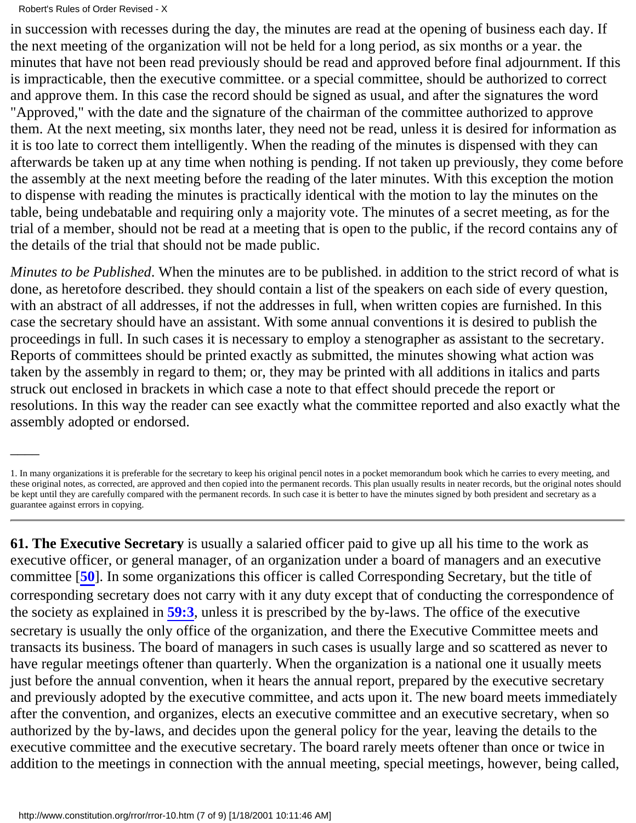$\overline{\phantom{a}}$ 

in succession with recesses during the day, the minutes are read at the opening of business each day. If the next meeting of the organization will not be held for a long period, as six months or a year. the minutes that have not been read previously should be read and approved before final adjournment. If this is impracticable, then the executive committee. or a special committee, should be authorized to correct and approve them. In this case the record should be signed as usual, and after the signatures the word "Approved," with the date and the signature of the chairman of the committee authorized to approve them. At the next meeting, six months later, they need not be read, unless it is desired for information as it is too late to correct them intelligently. When the reading of the minutes is dispensed with they can afterwards be taken up at any time when nothing is pending. If not taken up previously, they come before the assembly at the next meeting before the reading of the later minutes. With this exception the motion to dispense with reading the minutes is practically identical with the motion to lay the minutes on the table, being undebatable and requiring only a majority vote. The minutes of a secret meeting, as for the trial of a member, should not be read at a meeting that is open to the public, if the record contains any of the details of the trial that should not be made public.

*Minutes to be Published*. When the minutes are to be published. in addition to the strict record of what is done, as heretofore described. they should contain a list of the speakers on each side of every question, with an abstract of all addresses, if not the addresses in full, when written copies are furnished. In this case the secretary should have an assistant. With some annual conventions it is desired to publish the proceedings in full. In such cases it is necessary to employ a stenographer as assistant to the secretary. Reports of committees should be printed exactly as submitted, the minutes showing what action was taken by the assembly in regard to them; or, they may be printed with all additions in italics and parts struck out enclosed in brackets in which case a note to that effect should precede the report or resolutions. In this way the reader can see exactly what the committee reported and also exactly what the assembly adopted or endorsed.

<span id="page-126-0"></span>**61. The Executive Secretary** is usually a salaried officer paid to give up all his time to the work as executive officer, or general manager, of an organization under a board of managers and an executive committee [**[50](#page-108-1)**]. In some organizations this officer is called Corresponding Secretary, but the title of corresponding secretary does not carry with it any duty except that of conducting the correspondence of the society as explained in **[59:3](#page-124-2)**, unless it is prescribed by the by-laws. The office of the executive secretary is usually the only office of the organization, and there the Executive Committee meets and transacts its business. The board of managers in such cases is usually large and so scattered as never to have regular meetings oftener than quarterly. When the organization is a national one it usually meets just before the annual convention, when it hears the annual report, prepared by the executive secretary and previously adopted by the executive committee, and acts upon it. The new board meets immediately after the convention, and organizes, elects an executive committee and an executive secretary, when so authorized by the by-laws, and decides upon the general policy for the year, leaving the details to the executive committee and the executive secretary. The board rarely meets oftener than once or twice in addition to the meetings in connection with the annual meeting, special meetings, however, being called,

<span id="page-126-1"></span><sup>1.</sup> In many organizations it is preferable for the secretary to keep his original pencil notes in a pocket memorandum book which he carries to every meeting, and these original notes, as corrected, are approved and then copied into the permanent records. This plan usually results in neater records, but the original notes should be kept until they are carefully compared with the permanent records. In such case it is better to have the minutes signed by both president and secretary as a guarantee against errors in copying.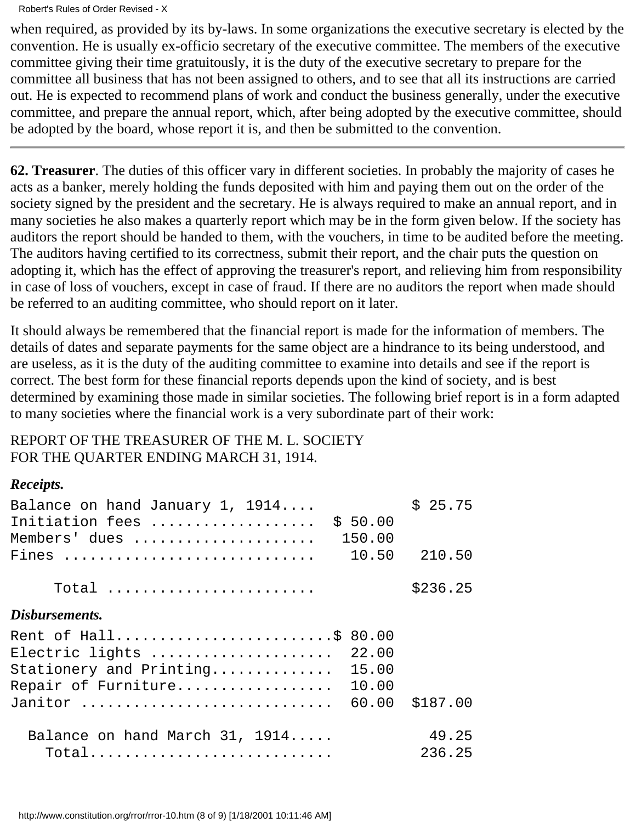when required, as provided by its by-laws. In some organizations the executive secretary is elected by the convention. He is usually ex-officio secretary of the executive committee. The members of the executive committee giving their time gratuitously, it is the duty of the executive secretary to prepare for the committee all business that has not been assigned to others, and to see that all its instructions are carried out. He is expected to recommend plans of work and conduct the business generally, under the executive committee, and prepare the annual report, which, after being adopted by the executive committee, should be adopted by the board, whose report it is, and then be submitted to the convention.

<span id="page-127-0"></span>**62. Treasurer**. The duties of this officer vary in different societies. In probably the majority of cases he acts as a banker, merely holding the funds deposited with him and paying them out on the order of the society signed by the president and the secretary. He is always required to make an annual report, and in many societies he also makes a quarterly report which may be in the form given below. If the society has auditors the report should be handed to them, with the vouchers, in time to be audited before the meeting. The auditors having certified to its correctness, submit their report, and the chair puts the question on adopting it, which has the effect of approving the treasurer's report, and relieving him from responsibility in case of loss of vouchers, except in case of fraud. If there are no auditors the report when made should be referred to an auditing committee, who should report on it later.

It should always be remembered that the financial report is made for the information of members. The details of dates and separate payments for the same object are a hindrance to its being understood, and are useless, as it is the duty of the auditing committee to examine into details and see if the report is correct. The best form for these financial reports depends upon the kind of society, and is best determined by examining those made in similar societies. The following brief report is in a form adapted to many societies where the financial work is a very subordinate part of their work:

## REPORT OF THE TREASURER OF THE M. L. SOCIETY FOR THE QUARTER ENDING MARCH 31, 1914.

## *Receipts.*

| Balance on hand January 1, 1914<br>Initiation fees<br>\$50.00<br>150.00<br>Members' dues                                  | \$25.75         |
|---------------------------------------------------------------------------------------------------------------------------|-----------------|
| 10.50<br>Fines                                                                                                            | 210.50          |
|                                                                                                                           | \$236.25        |
| Disbursements.                                                                                                            |                 |
| 80.00<br>Electric lights<br>22.00<br>Stationery and Printing<br>15.00<br>Repair of Furniture<br>10.00<br>Janitor<br>60.00 | \$187.00        |
| Balance on hand March 31, 1914<br>$Total$                                                                                 | 49.25<br>236.25 |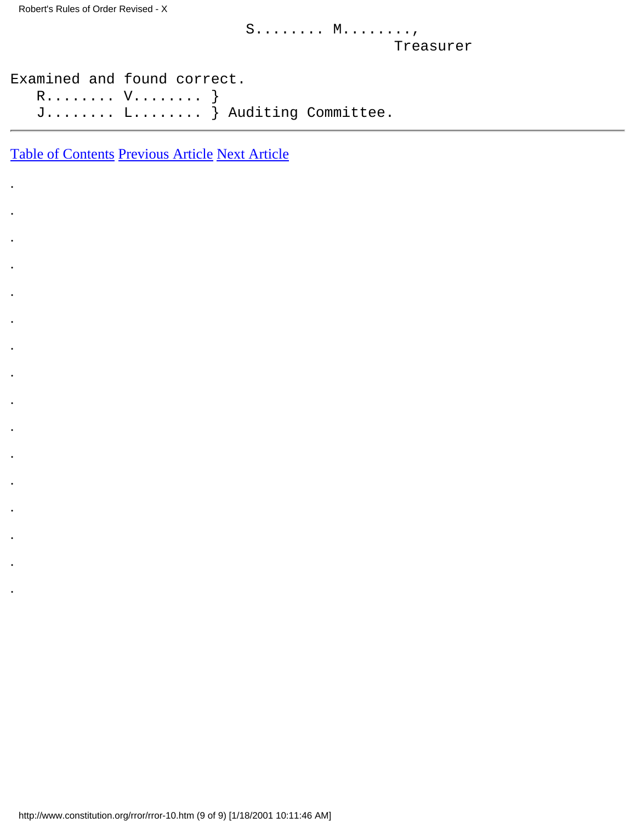.

.

.

.

.

.

.

.

.

.

.

.

.

.

.

.

 S........ M........, Treasurer

Examined and found correct. R. . . . . . . . . V. . . . . . . . . } J........ L........ } Auditing Committee.

[Table of Contents](#page-0-0) [Previous Article](#page-108-2) [Next Article](#page-70-0)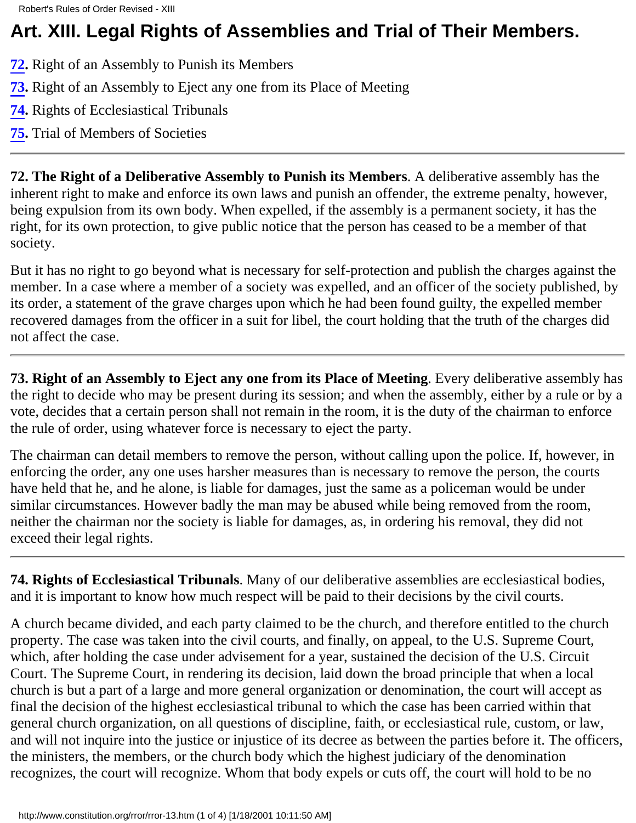# **Art. XIII. Legal Rights of Assemblies and Trial of Their Members.**

- **[72](#page-129-0).** Right of an Assembly to Punish its Members
- **[73](#page-129-1).** Right of an Assembly to Eject any one from its Place of Meeting
- **[74](#page-129-2).** Rights of Ecclesiastical Tribunals
- **[75](#page-130-0).** Trial of Members of Societies

<span id="page-129-0"></span>**72. The Right of a Deliberative Assembly to Punish its Members**. A deliberative assembly has the inherent right to make and enforce its own laws and punish an offender, the extreme penalty, however, being expulsion from its own body. When expelled, if the assembly is a permanent society, it has the right, for its own protection, to give public notice that the person has ceased to be a member of that society.

But it has no right to go beyond what is necessary for self-protection and publish the charges against the member. In a case where a member of a society was expelled, and an officer of the society published, by its order, a statement of the grave charges upon which he had been found guilty, the expelled member recovered damages from the officer in a suit for libel, the court holding that the truth of the charges did not affect the case.

<span id="page-129-1"></span>**73. Right of an Assembly to Eject any one from its Place of Meeting**. Every deliberative assembly has the right to decide who may be present during its session; and when the assembly, either by a rule or by a vote, decides that a certain person shall not remain in the room, it is the duty of the chairman to enforce the rule of order, using whatever force is necessary to eject the party.

The chairman can detail members to remove the person, without calling upon the police. If, however, in enforcing the order, any one uses harsher measures than is necessary to remove the person, the courts have held that he, and he alone, is liable for damages, just the same as a policeman would be under similar circumstances. However badly the man may be abused while being removed from the room, neither the chairman nor the society is liable for damages, as, in ordering his removal, they did not exceed their legal rights.

<span id="page-129-2"></span>**74. Rights of Ecclesiastical Tribunals**. Many of our deliberative assemblies are ecclesiastical bodies, and it is important to know how much respect will be paid to their decisions by the civil courts.

A church became divided, and each party claimed to be the church, and therefore entitled to the church property. The case was taken into the civil courts, and finally, on appeal, to the U.S. Supreme Court, which, after holding the case under advisement for a year, sustained the decision of the U.S. Circuit Court. The Supreme Court, in rendering its decision, laid down the broad principle that when a local church is but a part of a large and more general organization or denomination, the court will accept as final the decision of the highest ecclesiastical tribunal to which the case has been carried within that general church organization, on all questions of discipline, faith, or ecclesiastical rule, custom, or law, and will not inquire into the justice or injustice of its decree as between the parties before it. The officers, the ministers, the members, or the church body which the highest judiciary of the denomination recognizes, the court will recognize. Whom that body expels or cuts off, the court will hold to be no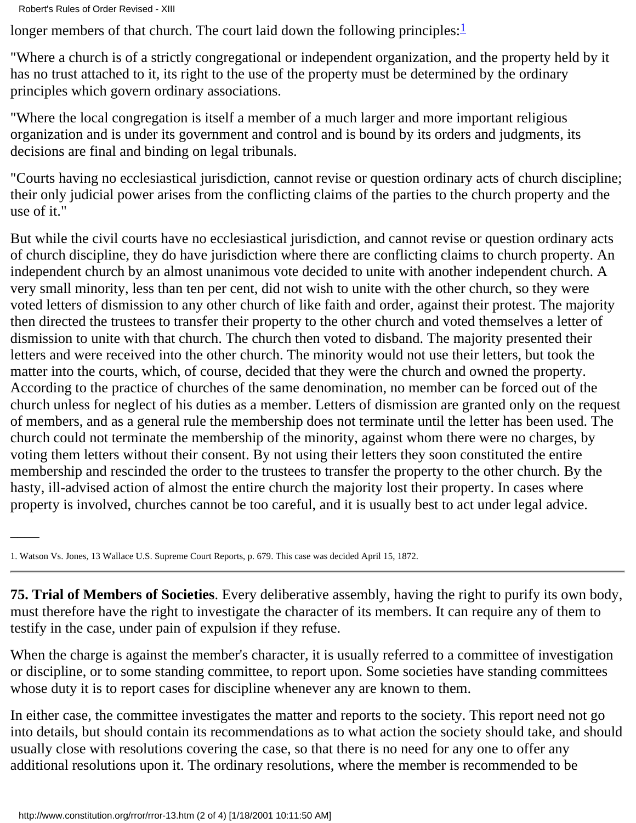$\overline{\phantom{a}}$ 

longer members of that church. The court laid down the following principles: $\frac{1}{2}$ 

"Where a church is of a strictly congregational or independent organization, and the property held by it has no trust attached to it, its right to the use of the property must be determined by the ordinary principles which govern ordinary associations.

"Where the local congregation is itself a member of a much larger and more important religious organization and is under its government and control and is bound by its orders and judgments, its decisions are final and binding on legal tribunals.

"Courts having no ecclesiastical jurisdiction, cannot revise or question ordinary acts of church discipline; their only judicial power arises from the conflicting claims of the parties to the church property and the use of it."

But while the civil courts have no ecclesiastical jurisdiction, and cannot revise or question ordinary acts of church discipline, they do have jurisdiction where there are conflicting claims to church property. An independent church by an almost unanimous vote decided to unite with another independent church. A very small minority, less than ten per cent, did not wish to unite with the other church, so they were voted letters of dismission to any other church of like faith and order, against their protest. The majority then directed the trustees to transfer their property to the other church and voted themselves a letter of dismission to unite with that church. The church then voted to disband. The majority presented their letters and were received into the other church. The minority would not use their letters, but took the matter into the courts, which, of course, decided that they were the church and owned the property. According to the practice of churches of the same denomination, no member can be forced out of the church unless for neglect of his duties as a member. Letters of dismission are granted only on the request of members, and as a general rule the membership does not terminate until the letter has been used. The church could not terminate the membership of the minority, against whom there were no charges, by voting them letters without their consent. By not using their letters they soon constituted the entire membership and rescinded the order to the trustees to transfer the property to the other church. By the hasty, ill-advised action of almost the entire church the majority lost their property. In cases where property is involved, churches cannot be too careful, and it is usually best to act under legal advice.

<span id="page-130-0"></span>**75. Trial of Members of Societies**. Every deliberative assembly, having the right to purify its own body, must therefore have the right to investigate the character of its members. It can require any of them to testify in the case, under pain of expulsion if they refuse.

When the charge is against the member's character, it is usually referred to a committee of investigation or discipline, or to some standing committee, to report upon. Some societies have standing committees whose duty it is to report cases for discipline whenever any are known to them.

In either case, the committee investigates the matter and reports to the society. This report need not go into details, but should contain its recommendations as to what action the society should take, and should usually close with resolutions covering the case, so that there is no need for any one to offer any additional resolutions upon it. The ordinary resolutions, where the member is recommended to be

<span id="page-130-1"></span><sup>1.</sup> Watson Vs. Jones, 13 Wallace U.S. Supreme Court Reports, p. 679. This case was decided April 15, 1872.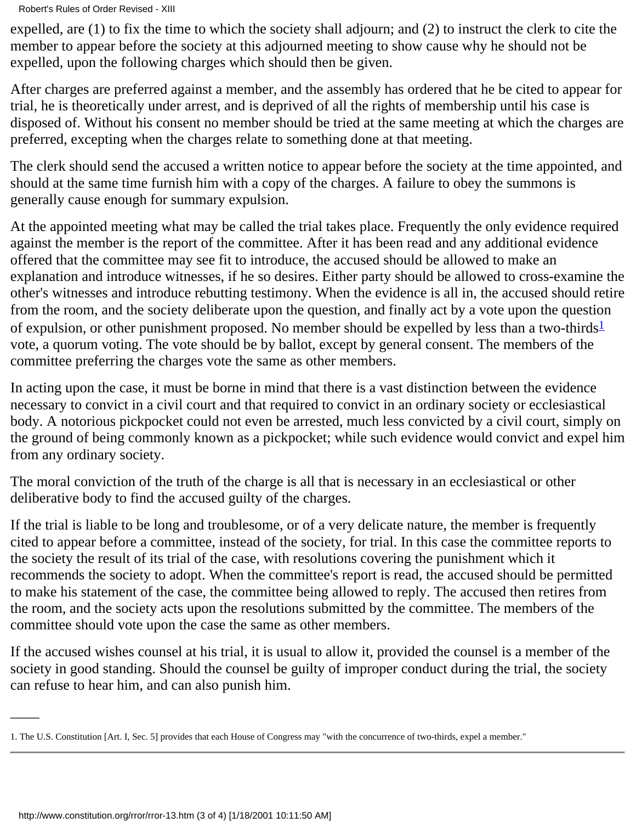expelled, are (1) to fix the time to which the society shall adjourn; and (2) to instruct the clerk to cite the member to appear before the society at this adjourned meeting to show cause why he should not be expelled, upon the following charges which should then be given.

After charges are preferred against a member, and the assembly has ordered that he be cited to appear for trial, he is theoretically under arrest, and is deprived of all the rights of membership until his case is disposed of. Without his consent no member should be tried at the same meeting at which the charges are preferred, excepting when the charges relate to something done at that meeting.

The clerk should send the accused a written notice to appear before the society at the time appointed, and should at the same time furnish him with a copy of the charges. A failure to obey the summons is generally cause enough for summary expulsion.

At the appointed meeting what may be called the trial takes place. Frequently the only evidence required against the member is the report of the committee. After it has been read and any additional evidence offered that the committee may see fit to introduce, the accused should be allowed to make an explanation and introduce witnesses, if he so desires. Either party should be allowed to cross-examine the other's witnesses and introduce rebutting testimony. When the evidence is all in, the accused should retire from the room, and the society deliberate upon the question, and finally act by a vote upon the question of expulsion, or other punishment proposed. No member should be expelled by less than a two-thirds<sup>[1](#page-131-0)</sup> vote, a quorum voting. The vote should be by ballot, except by general consent. The members of the committee preferring the charges vote the same as other members.

In acting upon the case, it must be borne in mind that there is a vast distinction between the evidence necessary to convict in a civil court and that required to convict in an ordinary society or ecclesiastical body. A notorious pickpocket could not even be arrested, much less convicted by a civil court, simply on the ground of being commonly known as a pickpocket; while such evidence would convict and expel him from any ordinary society.

The moral conviction of the truth of the charge is all that is necessary in an ecclesiastical or other deliberative body to find the accused guilty of the charges.

If the trial is liable to be long and troublesome, or of a very delicate nature, the member is frequently cited to appear before a committee, instead of the society, for trial. In this case the committee reports to the society the result of its trial of the case, with resolutions covering the punishment which it recommends the society to adopt. When the committee's report is read, the accused should be permitted to make his statement of the case, the committee being allowed to reply. The accused then retires from the room, and the society acts upon the resolutions submitted by the committee. The members of the committee should vote upon the case the same as other members.

If the accused wishes counsel at his trial, it is usual to allow it, provided the counsel is a member of the society in good standing. Should the counsel be guilty of improper conduct during the trial, the society can refuse to hear him, and can also punish him.

 $\overline{\phantom{a}}$ 

<span id="page-131-0"></span><sup>1.</sup> The U.S. Constitution [Art. I, Sec. 5] provides that each House of Congress may "with the concurrence of two-thirds, expel a member."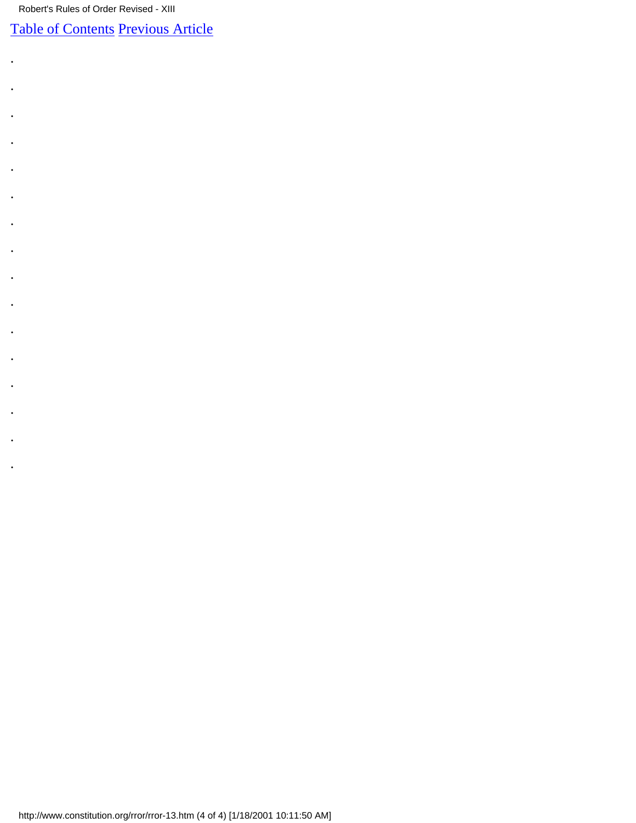.

.

.

.

.

.

.

.

.

.

.

.

.

.

.

.

[Table of Contents](#page-0-0) [Previous Article](#page-49-0)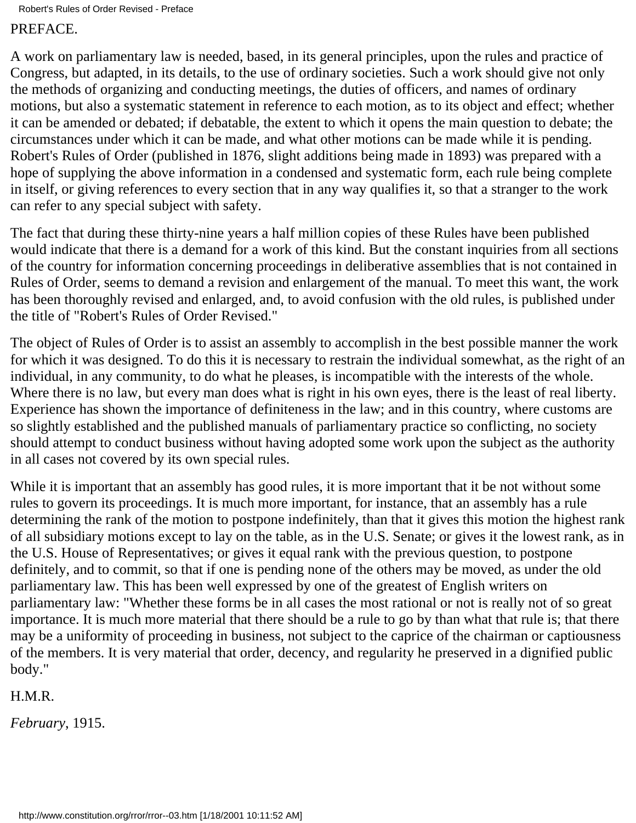Robert's Rules of Order Revised - Preface

### PREFACE.

A work on parliamentary law is needed, based, in its general principles, upon the rules and practice of Congress, but adapted, in its details, to the use of ordinary societies. Such a work should give not only the methods of organizing and conducting meetings, the duties of officers, and names of ordinary motions, but also a systematic statement in reference to each motion, as to its object and effect; whether it can be amended or debated; if debatable, the extent to which it opens the main question to debate; the circumstances under which it can be made, and what other motions can be made while it is pending. Robert's Rules of Order (published in 1876, slight additions being made in 1893) was prepared with a hope of supplying the above information in a condensed and systematic form, each rule being complete in itself, or giving references to every section that in any way qualifies it, so that a stranger to the work can refer to any special subject with safety.

The fact that during these thirty-nine years a half million copies of these Rules have been published would indicate that there is a demand for a work of this kind. But the constant inquiries from all sections of the country for information concerning proceedings in deliberative assemblies that is not contained in Rules of Order, seems to demand a revision and enlargement of the manual. To meet this want, the work has been thoroughly revised and enlarged, and, to avoid confusion with the old rules, is published under the title of "Robert's Rules of Order Revised."

The object of Rules of Order is to assist an assembly to accomplish in the best possible manner the work for which it was designed. To do this it is necessary to restrain the individual somewhat, as the right of an individual, in any community, to do what he pleases, is incompatible with the interests of the whole. Where there is no law, but every man does what is right in his own eyes, there is the least of real liberty. Experience has shown the importance of definiteness in the law; and in this country, where customs are so slightly established and the published manuals of parliamentary practice so conflicting, no society should attempt to conduct business without having adopted some work upon the subject as the authority in all cases not covered by its own special rules.

While it is important that an assembly has good rules, it is more important that it be not without some rules to govern its proceedings. It is much more important, for instance, that an assembly has a rule determining the rank of the motion to postpone indefinitely, than that it gives this motion the highest rank of all subsidiary motions except to lay on the table, as in the U.S. Senate; or gives it the lowest rank, as in the U.S. House of Representatives; or gives it equal rank with the previous question, to postpone definitely, and to commit, so that if one is pending none of the others may be moved, as under the old parliamentary law. This has been well expressed by one of the greatest of English writers on parliamentary law: "Whether these forms be in all cases the most rational or not is really not of so great importance. It is much more material that there should be a rule to go by than what that rule is; that there may be a uniformity of proceeding in business, not subject to the caprice of the chairman or captiousness of the members. It is very material that order, decency, and regularity he preserved in a dignified public body."

## H.M.R.

*February*, 1915.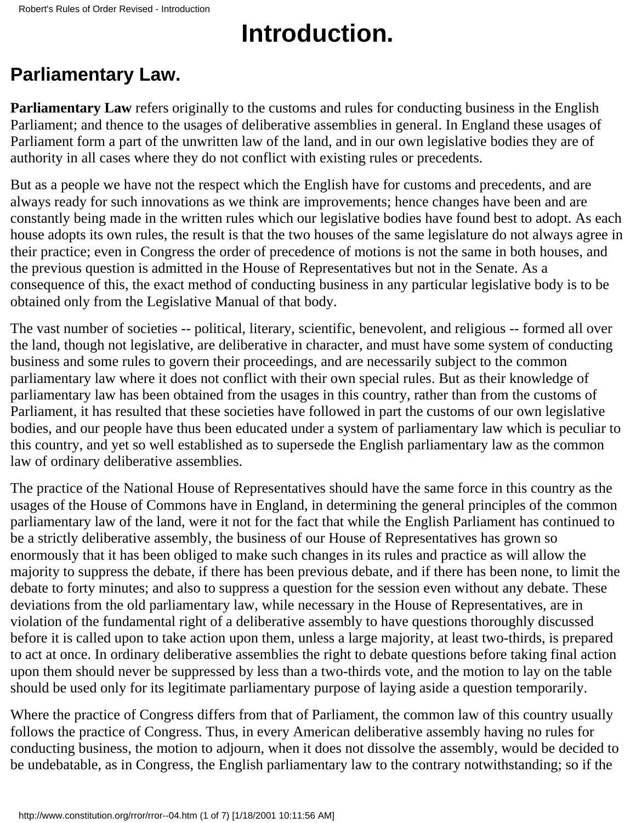# **Introduction.**

# **Parliamentary Law.**

**Parliamentary Law** refers originally to the customs and rules for conducting business in the English Parliament; and thence to the usages of deliberative assemblies in general. In England these usages of Parliament form a part of the unwritten law of the land, and in our own legislative bodies they are of authority in all cases where they do not conflict with existing rules or precedents.

But as a people we have not the respect which the English have for customs and precedents, and are always ready for such innovations as we think are improvements; hence changes have been and are constantly being made in the written rules which our legislative bodies have found best to adopt. As each house adopts its own rules, the result is that the two houses of the same legislature do not always agree in their practice; even in Congress the order of precedence of motions is not the same in both houses, and the previous question is admitted in the House of Representatives but not in the Senate. As a consequence of this, the exact method of conducting business in any particular legislative body is to be obtained only from the Legislative Manual of that body.

The vast number of societies -- political, literary, scientific, benevolent, and religious -- formed all over the land, though not legislative, are deliberative in character, and must have some system of conducting business and some rules to govern their proceedings, and are necessarily subject to the common parliamentary law where it does not conflict with their own special rules. But as their knowledge of parliamentary law has been obtained from the usages in this country, rather than from the customs of Parliament, it has resulted that these societies have followed in part the customs of our own legislative bodies, and our people have thus been educated under a system of parliamentary law which is peculiar to this country, and yet so well established as to supersede the English parliamentary law as the common law of ordinary deliberative assemblies.

The practice of the National House of Representatives should have the same force in this country as the usages of the House of Commons have in England, in determining the general principles of the common parliamentary law of the land, were it not for the fact that while the English Parliament has continued to be a strictly deliberative assembly, the business of our House of Representatives has grown so enormously that it has been obliged to make such changes in its rules and practice as will allow the majority to suppress the debate, if there has been previous debate, and if there has been none, to limit the debate to forty minutes; and also to suppress a question for the session even without any debate. These deviations from the old parliamentary law, while necessary in the House of Representatives, are in violation of the fundamental right of a deliberative assembly to have questions thoroughly discussed before it is called upon to take action upon them, unless a large majority, at least two-thirds, is prepared to act at once. In ordinary deliberative assemblies the right to debate questions before taking final action upon them should never be suppressed by less than a two-thirds vote, and the motion to lay on the table should be used only for its legitimate parliamentary purpose of laying aside a question temporarily.

Where the practice of Congress differs from that of Parliament, the common law of this country usually follows the practice of Congress. Thus, in every American deliberative assembly having no rules for conducting business, the motion to adjourn, when it does not dissolve the assembly, would be decided to be undebatable, as in Congress, the English parliamentary law to the contrary notwithstanding; so if the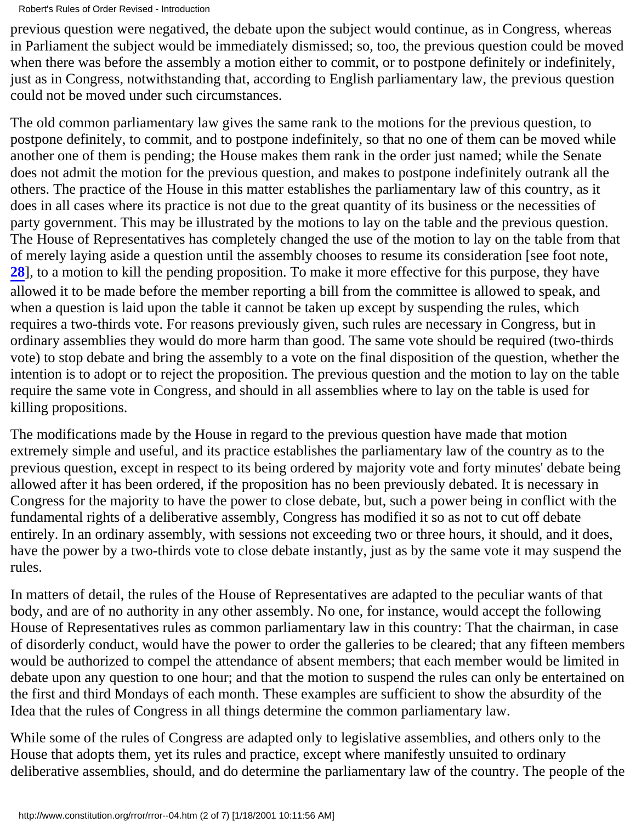previous question were negatived, the debate upon the subject would continue, as in Congress, whereas in Parliament the subject would be immediately dismissed; so, too, the previous question could be moved when there was before the assembly a motion either to commit, or to postpone definitely or indefinitely, just as in Congress, notwithstanding that, according to English parliamentary law, the previous question could not be moved under such circumstances.

The old common parliamentary law gives the same rank to the motions for the previous question, to postpone definitely, to commit, and to postpone indefinitely, so that no one of them can be moved while another one of them is pending; the House makes them rank in the order just named; while the Senate does not admit the motion for the previous question, and makes to postpone indefinitely outrank all the others. The practice of the House in this matter establishes the parliamentary law of this country, as it does in all cases where its practice is not due to the great quantity of its business or the necessities of party government. This may be illustrated by the motions to lay on the table and the previous question. The House of Representatives has completely changed the use of the motion to lay on the table from that of merely laying aside a question until the assembly chooses to resume its consideration [see foot note, **[28](#page-91-0)**], to a motion to kill the pending proposition. To make it more effective for this purpose, they have allowed it to be made before the member reporting a bill from the committee is allowed to speak, and when a question is laid upon the table it cannot be taken up except by suspending the rules, which requires a two-thirds vote. For reasons previously given, such rules are necessary in Congress, but in ordinary assemblies they would do more harm than good. The same vote should be required (two-thirds vote) to stop debate and bring the assembly to a vote on the final disposition of the question, whether the intention is to adopt or to reject the proposition. The previous question and the motion to lay on the table require the same vote in Congress, and should in all assemblies where to lay on the table is used for killing propositions.

The modifications made by the House in regard to the previous question have made that motion extremely simple and useful, and its practice establishes the parliamentary law of the country as to the previous question, except in respect to its being ordered by majority vote and forty minutes' debate being allowed after it has been ordered, if the proposition has no been previously debated. It is necessary in Congress for the majority to have the power to close debate, but, such a power being in conflict with the fundamental rights of a deliberative assembly, Congress has modified it so as not to cut off debate entirely. In an ordinary assembly, with sessions not exceeding two or three hours, it should, and it does, have the power by a two-thirds vote to close debate instantly, just as by the same vote it may suspend the rules.

In matters of detail, the rules of the House of Representatives are adapted to the peculiar wants of that body, and are of no authority in any other assembly. No one, for instance, would accept the following House of Representatives rules as common parliamentary law in this country: That the chairman, in case of disorderly conduct, would have the power to order the galleries to be cleared; that any fifteen members would be authorized to compel the attendance of absent members; that each member would be limited in debate upon any question to one hour; and that the motion to suspend the rules can only be entertained on the first and third Mondays of each month. These examples are sufficient to show the absurdity of the Idea that the rules of Congress in all things determine the common parliamentary law.

While some of the rules of Congress are adapted only to legislative assemblies, and others only to the House that adopts them, yet its rules and practice, except where manifestly unsuited to ordinary deliberative assemblies, should, and do determine the parliamentary law of the country. The people of the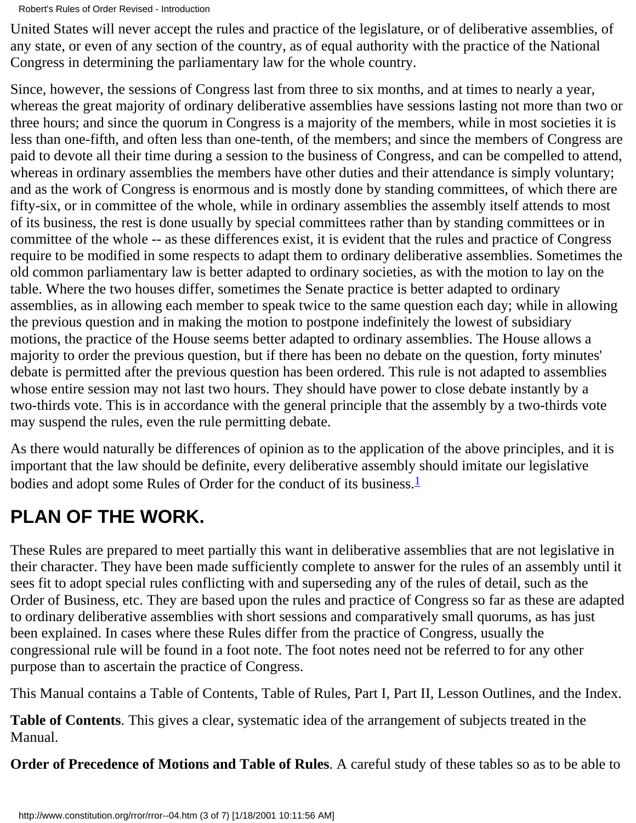United States will never accept the rules and practice of the legislature, or of deliberative assemblies, of any state, or even of any section of the country, as of equal authority with the practice of the National Congress in determining the parliamentary law for the whole country.

Since, however, the sessions of Congress last from three to six months, and at times to nearly a year, whereas the great majority of ordinary deliberative assemblies have sessions lasting not more than two or three hours; and since the quorum in Congress is a majority of the members, while in most societies it is less than one-fifth, and often less than one-tenth, of the members; and since the members of Congress are paid to devote all their time during a session to the business of Congress, and can be compelled to attend, whereas in ordinary assemblies the members have other duties and their attendance is simply voluntary; and as the work of Congress is enormous and is mostly done by standing committees, of which there are fifty-six, or in committee of the whole, while in ordinary assemblies the assembly itself attends to most of its business, the rest is done usually by special committees rather than by standing committees or in committee of the whole -- as these differences exist, it is evident that the rules and practice of Congress require to be modified in some respects to adapt them to ordinary deliberative assemblies. Sometimes the old common parliamentary law is better adapted to ordinary societies, as with the motion to lay on the table. Where the two houses differ, sometimes the Senate practice is better adapted to ordinary assemblies, as in allowing each member to speak twice to the same question each day; while in allowing the previous question and in making the motion to postpone indefinitely the lowest of subsidiary motions, the practice of the House seems better adapted to ordinary assemblies. The House allows a majority to order the previous question, but if there has been no debate on the question, forty minutes' debate is permitted after the previous question has been ordered. This rule is not adapted to assemblies whose entire session may not last two hours. They should have power to close debate instantly by a two-thirds vote. This is in accordance with the general principle that the assembly by a two-thirds vote may suspend the rules, even the rule permitting debate.

As there would naturally be differences of opinion as to the application of the above principles, and it is important that the law should be definite, every deliberative assembly should imitate our legislative bodies and adopt some Rules of Order for the conduct of its business.<sup>1</sup>

# <span id="page-136-0"></span>**PLAN OF THE WORK.**

These Rules are prepared to meet partially this want in deliberative assemblies that are not legislative in their character. They have been made sufficiently complete to answer for the rules of an assembly until it sees fit to adopt special rules conflicting with and superseding any of the rules of detail, such as the Order of Business, etc. They are based upon the rules and practice of Congress so far as these are adapted to ordinary deliberative assemblies with short sessions and comparatively small quorums, as has just been explained. In cases where these Rules differ from the practice of Congress, usually the congressional rule will be found in a foot note. The foot notes need not be referred to for any other purpose than to ascertain the practice of Congress.

This Manual contains a Table of Contents, Table of Rules, Part I, Part II, Lesson Outlines, and the Index.

**Table of Contents**. This gives a clear, systematic idea of the arrangement of subjects treated in the Manual.

**Order of Precedence of Motions and Table of Rules**. A careful study of these tables so as to be able to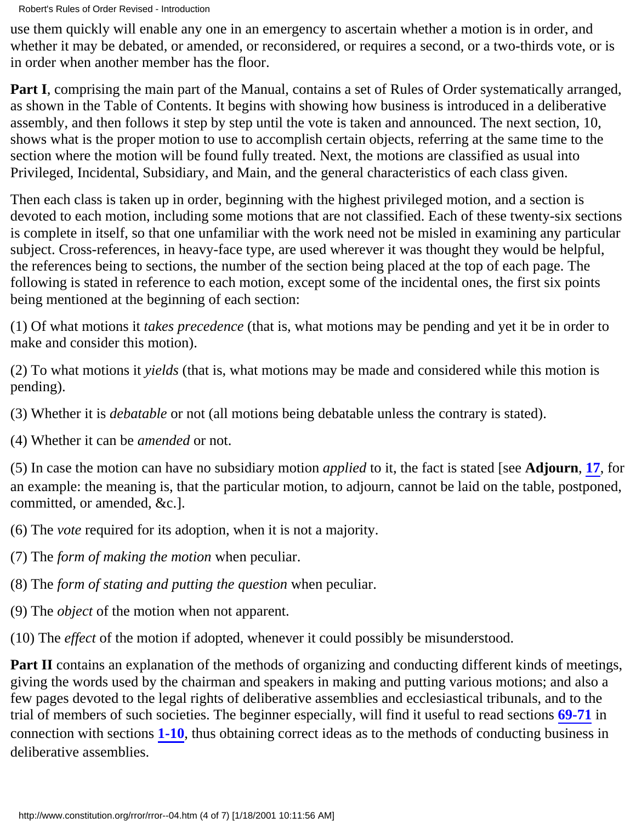use them quickly will enable any one in an emergency to ascertain whether a motion is in order, and whether it may be debated, or amended, or reconsidered, or requires a second, or a two-thirds vote, or is in order when another member has the floor.

Part I, comprising the main part of the Manual, contains a set of Rules of Order systematically arranged, as shown in the Table of Contents. It begins with showing how business is introduced in a deliberative assembly, and then follows it step by step until the vote is taken and announced. The next section, 10, shows what is the proper motion to use to accomplish certain objects, referring at the same time to the section where the motion will be found fully treated. Next, the motions are classified as usual into Privileged, Incidental, Subsidiary, and Main, and the general characteristics of each class given.

Then each class is taken up in order, beginning with the highest privileged motion, and a section is devoted to each motion, including some motions that are not classified. Each of these twenty-six sections is complete in itself, so that one unfamiliar with the work need not be misled in examining any particular subject. Cross-references, in heavy-face type, are used wherever it was thought they would be helpful, the references being to sections, the number of the section being placed at the top of each page. The following is stated in reference to each motion, except some of the incidental ones, the first six points being mentioned at the beginning of each section:

(1) Of what motions it *takes precedence* (that is, what motions may be pending and yet it be in order to make and consider this motion).

(2) To what motions it *yields* (that is, what motions may be made and considered while this motion is pending).

(3) Whether it is *debatable* or not (all motions being debatable unless the contrary is stated).

(4) Whether it can be *amended* or not.

(5) In case the motion can have no subsidiary motion *applied* to it, the fact is stated [see **Adjourn**, **[17](#page-10-0)**, for an example: the meaning is, that the particular motion, to adjourn, cannot be laid on the table, postponed, committed, or amended, &c.].

(6) The *vote* required for its adoption, when it is not a majority.

(7) The *form of making the motion* when peculiar.

(8) The *form of stating and putting the question* when peculiar.

(9) The *object* of the motion when not apparent.

(10) The *effect* of the motion if adopted, whenever it could possibly be misunderstood.

**Part II** contains an explanation of the methods of organizing and conducting different kinds of meetings, giving the words used by the chairman and speakers in making and putting various motions; and also a few pages devoted to the legal rights of deliberative assemblies and ecclesiastical tribunals, and to the trial of members of such societies. The beginner especially, will find it useful to read sections **[69-71](#page-49-1)** in connection with sections **1-10**, thus obtaining correct ideas as to the methods of conducting business in deliberative assemblies.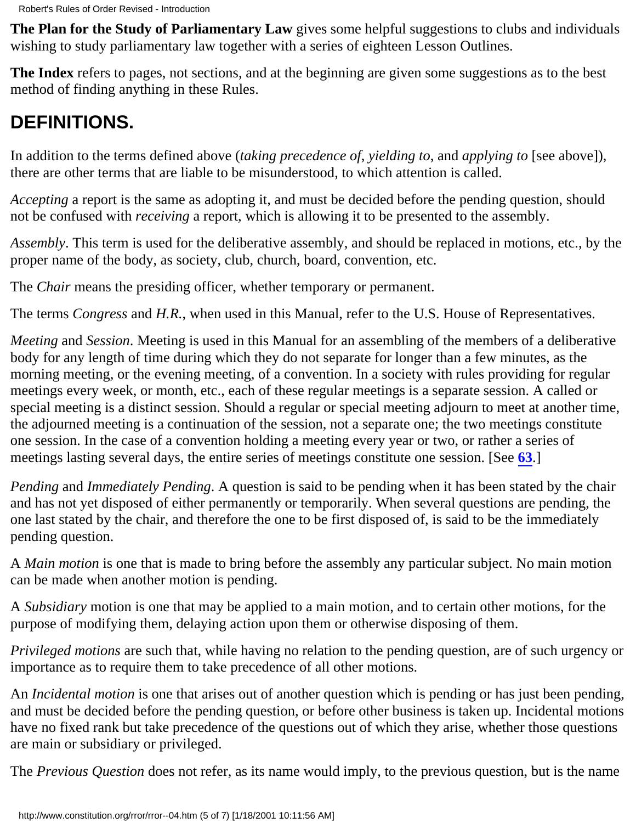**The Plan for the Study of Parliamentary Law** gives some helpful suggestions to clubs and individuals wishing to study parliamentary law together with a series of eighteen Lesson Outlines.

**The Index** refers to pages, not sections, and at the beginning are given some suggestions as to the best method of finding anything in these Rules.

# <span id="page-138-0"></span>**DEFINITIONS.**

In addition to the terms defined above (*taking precedence of*, *yielding to*, and *applying to* [see above]), there are other terms that are liable to be misunderstood, to which attention is called.

*Accepting* a report is the same as adopting it, and must be decided before the pending question, should not be confused with *receiving* a report, which is allowing it to be presented to the assembly.

*Assembly*. This term is used for the deliberative assembly, and should be replaced in motions, etc., by the proper name of the body, as society, club, church, board, convention, etc.

The *Chair* means the presiding officer, whether temporary or permanent.

The terms *Congress* and *H.R.*, when used in this Manual, refer to the U.S. House of Representatives.

*Meeting* and *Session*. Meeting is used in this Manual for an assembling of the members of a deliberative body for any length of time during which they do not separate for longer than a few minutes, as the morning meeting, or the evening meeting, of a convention. In a society with rules providing for regular meetings every week, or month, etc., each of these regular meetings is a separate session. A called or special meeting is a distinct session. Should a regular or special meeting adjourn to meet at another time, the adjourned meeting is a continuation of the session, not a separate one; the two meetings constitute one session. In the case of a convention holding a meeting every year or two, or rather a series of meetings lasting several days, the entire series of meetings constitute one session. [See **[63](#page-70-1)**.]

*Pending* and *Immediately Pending*. A question is said to be pending when it has been stated by the chair and has not yet disposed of either permanently or temporarily. When several questions are pending, the one last stated by the chair, and therefore the one to be first disposed of, is said to be the immediately pending question.

A *Main motion* is one that is made to bring before the assembly any particular subject. No main motion can be made when another motion is pending.

A *Subsidiary* motion is one that may be applied to a main motion, and to certain other motions, for the purpose of modifying them, delaying action upon them or otherwise disposing of them.

*Privileged motions* are such that, while having no relation to the pending question, are of such urgency or importance as to require them to take precedence of all other motions.

An *Incidental motion* is one that arises out of another question which is pending or has just been pending, and must be decided before the pending question, or before other business is taken up. Incidental motions have no fixed rank but take precedence of the questions out of which they arise, whether those questions are main or subsidiary or privileged.

The *Previous Question* does not refer, as its name would imply, to the previous question, but is the name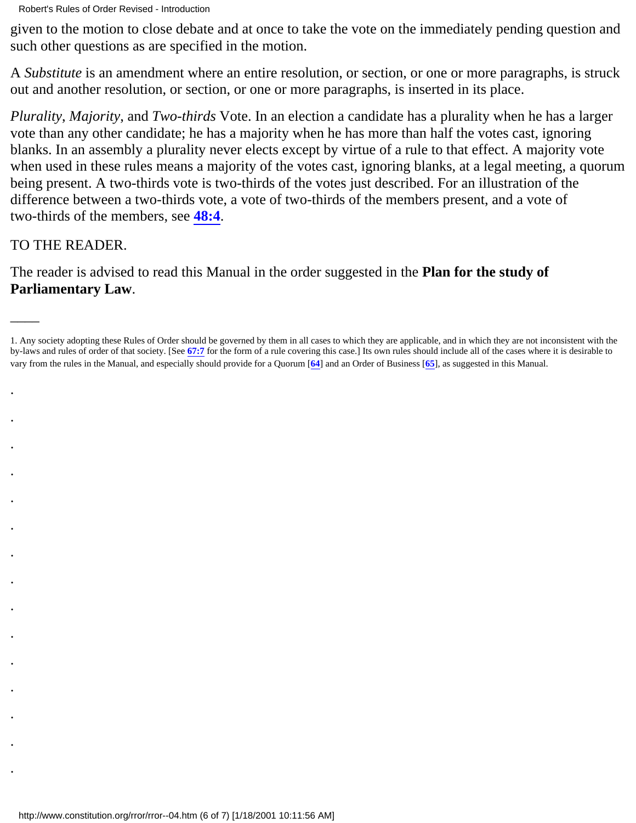given to the motion to close debate and at once to take the vote on the immediately pending question and such other questions as are specified in the motion.

A *Substitute* is an amendment where an entire resolution, or section, or one or more paragraphs, is struck out and another resolution, or section, or one or more paragraphs, is inserted in its place.

*Plurality*, *Majority*, and *Two-thirds* Vote. In an election a candidate has a plurality when he has a larger vote than any other candidate; he has a majority when he has more than half the votes cast, ignoring blanks. In an assembly a plurality never elects except by virtue of a rule to that effect. A majority vote when used in these rules means a majority of the votes cast, ignoring blanks, at a legal meeting, a quorum being present. A two-thirds vote is two-thirds of the votes just described. For an illustration of the difference between a two-thirds vote, a vote of two-thirds of the members present, and a vote of two-thirds of the members, see **[48:4](#page-67-0)**.

### TO THE READER.

 $\overline{\phantom{a}}$ 

.

.

.

.

.

.

.

.

.

.

.

.

.

.

.

The reader is advised to read this Manual in the order suggested in the **Plan for the study of Parliamentary Law**.

<span id="page-139-0"></span><sup>1.</sup> Any society adopting these Rules of Order should be governed by them in all cases to which they are applicable, and in which they are not inconsistent with the by-laws and rules of order of that society. [See **67:7** for the form of a rule covering this case.] Its own rules should include all of the cases where it is desirable to vary from the rules in the Manual, and especially should provide for a Quorum [**[64](#page-71-0)**] and an Order of Business [**[65](#page-73-0)**], as suggested in this Manual.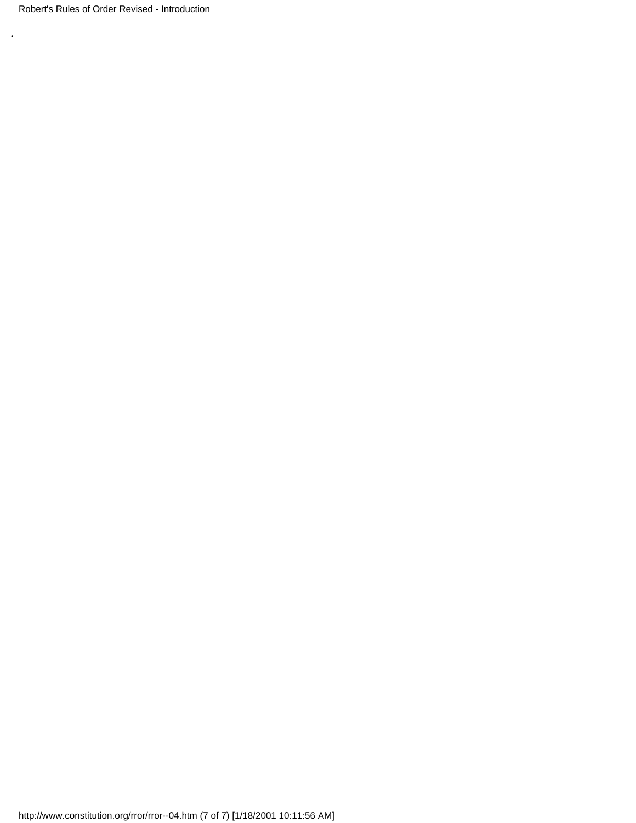.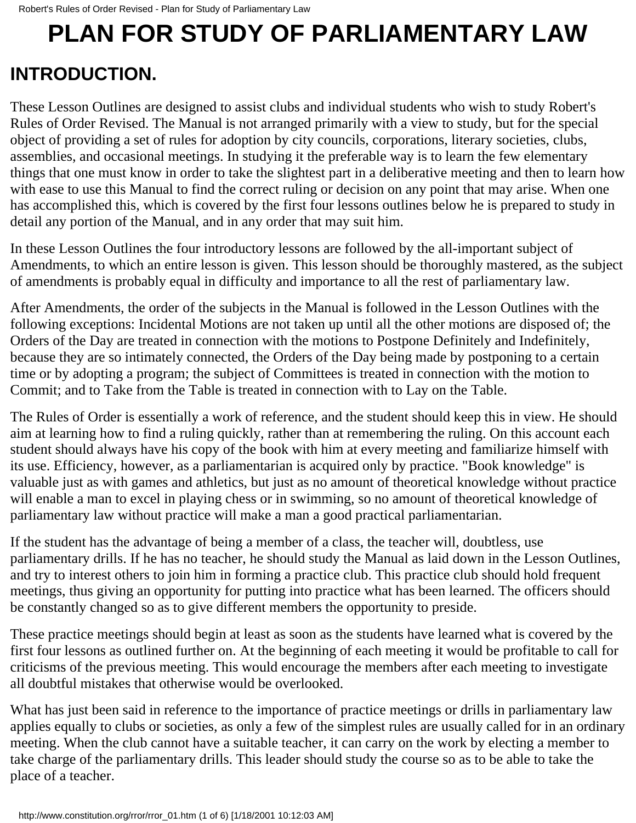# **PLAN FOR STUDY OF PARLIAMENTARY LAW**

# **INTRODUCTION.**

These Lesson Outlines are designed to assist clubs and individual students who wish to study Robert's Rules of Order Revised. The Manual is not arranged primarily with a view to study, but for the special object of providing a set of rules for adoption by city councils, corporations, literary societies, clubs, assemblies, and occasional meetings. In studying it the preferable way is to learn the few elementary things that one must know in order to take the slightest part in a deliberative meeting and then to learn how with ease to use this Manual to find the correct ruling or decision on any point that may arise. When one has accomplished this, which is covered by the first four lessons outlines below he is prepared to study in detail any portion of the Manual, and in any order that may suit him.

In these Lesson Outlines the four introductory lessons are followed by the all-important subject of Amendments, to which an entire lesson is given. This lesson should be thoroughly mastered, as the subject of amendments is probably equal in difficulty and importance to all the rest of parliamentary law.

After Amendments, the order of the subjects in the Manual is followed in the Lesson Outlines with the following exceptions: Incidental Motions are not taken up until all the other motions are disposed of; the Orders of the Day are treated in connection with the motions to Postpone Definitely and Indefinitely, because they are so intimately connected, the Orders of the Day being made by postponing to a certain time or by adopting a program; the subject of Committees is treated in connection with the motion to Commit; and to Take from the Table is treated in connection with to Lay on the Table.

The Rules of Order is essentially a work of reference, and the student should keep this in view. He should aim at learning how to find a ruling quickly, rather than at remembering the ruling. On this account each student should always have his copy of the book with him at every meeting and familiarize himself with its use. Efficiency, however, as a parliamentarian is acquired only by practice. "Book knowledge" is valuable just as with games and athletics, but just as no amount of theoretical knowledge without practice will enable a man to excel in playing chess or in swimming, so no amount of theoretical knowledge of parliamentary law without practice will make a man a good practical parliamentarian.

If the student has the advantage of being a member of a class, the teacher will, doubtless, use parliamentary drills. If he has no teacher, he should study the Manual as laid down in the Lesson Outlines, and try to interest others to join him in forming a practice club. This practice club should hold frequent meetings, thus giving an opportunity for putting into practice what has been learned. The officers should be constantly changed so as to give different members the opportunity to preside.

These practice meetings should begin at least as soon as the students have learned what is covered by the first four lessons as outlined further on. At the beginning of each meeting it would be profitable to call for criticisms of the previous meeting. This would encourage the members after each meeting to investigate all doubtful mistakes that otherwise would be overlooked.

What has just been said in reference to the importance of practice meetings or drills in parliamentary law applies equally to clubs or societies, as only a few of the simplest rules are usually called for in an ordinary meeting. When the club cannot have a suitable teacher, it can carry on the work by electing a member to take charge of the parliamentary drills. This leader should study the course so as to be able to take the place of a teacher.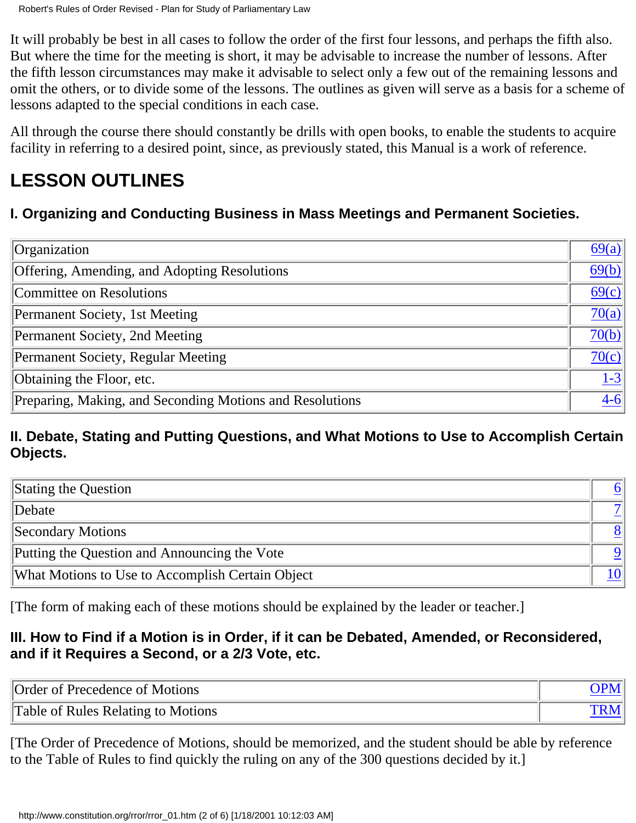It will probably be best in all cases to follow the order of the first four lessons, and perhaps the fifth also. But where the time for the meeting is short, it may be advisable to increase the number of lessons. After the fifth lesson circumstances may make it advisable to select only a few out of the remaining lessons and omit the others, or to divide some of the lessons. The outlines as given will serve as a basis for a scheme of lessons adapted to the special conditions in each case.

All through the course there should constantly be drills with open books, to enable the students to acquire facility in referring to a desired point, since, as previously stated, this Manual is a work of reference.

# **LESSON OUTLINES**

# **I. Organizing and Conducting Business in Mass Meetings and Permanent Societies.**

| Organization                                             | 69(a)              |
|----------------------------------------------------------|--------------------|
| Offering, Amending, and Adopting Resolutions             | 69(b)              |
| Committee on Resolutions                                 | 69(c)              |
| Permanent Society, 1st Meeting                           | 70(a)              |
| Permanent Society, 2nd Meeting                           | $\overline{70(b)}$ |
| Permanent Society, Regular Meeting                       | 70(c)              |
| Obtaining the Floor, etc.                                | $1-3$              |
| Preparing, Making, and Seconding Motions and Resolutions | $4-6$              |

# **II. Debate, Stating and Putting Questions, and What Motions to Use to Accomplish Certain Objects.**

| Stating the Question                             | $6\vert$ |
|--------------------------------------------------|----------|
| $\Delta$ Debate                                  |          |
| Secondary Motions                                |          |
| Putting the Question and Announcing the Vote     |          |
| What Motions to Use to Accomplish Certain Object | 10       |

[The form of making each of these motions should be explained by the leader or teacher.]

# **III. How to Find if a Motion is in Order, if it can be Debated, Amended, or Reconsidered, and if it Requires a Second, or a 2/3 Vote, etc.**

| <b>Order of Precedence of Motions</b> |  |
|---------------------------------------|--|
| Table of Rules Relating to Motions    |  |

[The Order of Precedence of Motions, should be memorized, and the student should be able by reference to the Table of Rules to find quickly the ruling on any of the 300 questions decided by it.]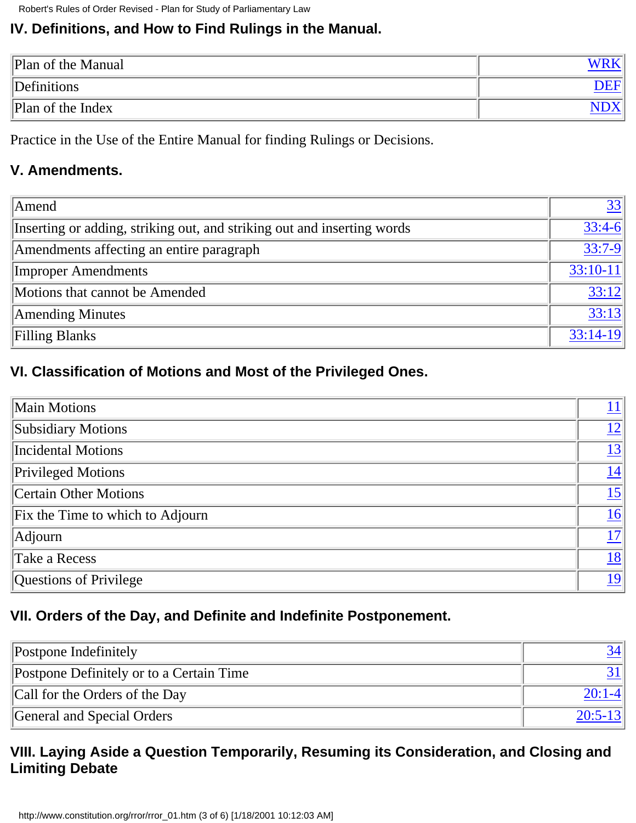Robert's Rules of Order Revised - Plan for Study of Parliamentary Law

# **IV. Definitions, and How to Find Rulings in the Manual.**

| Plan of the Manual |  |
|--------------------|--|
| Definitions        |  |
| Plan of the Index  |  |

Practice in the Use of the Entire Manual for finding Rulings or Decisions.

## **V. Amendments.**

| Amend                                                                   | 33         |
|-------------------------------------------------------------------------|------------|
| Inserting or adding, striking out, and striking out and inserting words | $33:4-6$   |
| Amendments affecting an entire paragraph                                | $33:7-9$   |
| Improper Amendments                                                     | $33:10-11$ |
| Motions that cannot be Amended                                          | 33:12      |
| <b>Amending Minutes</b>                                                 | 33:13      |
| <b>Filling Blanks</b>                                                   | $33:14-19$ |

# **VI. Classification of Motions and Most of the Privileged Ones.**

| Main Motions                     | $\overline{11}$ |
|----------------------------------|-----------------|
| Subsidiary Motions               | $\sqrt{12}$     |
| Incidental Motions               | $\overline{13}$ |
| Privileged Motions               | $\overline{14}$ |
| Certain Other Motions            | $\overline{15}$ |
| Fix the Time to which to Adjourn | 16              |
| Adjourn                          | 17              |
| Take a Recess                    | <u>18</u>       |
| Questions of Privilege           | $\boxed{19}$    |

# **VII. Orders of the Day, and Definite and Indefinite Postponement.**

| Postpone Indefinitely                    |           |
|------------------------------------------|-----------|
| Postpone Definitely or to a Certain Time |           |
| Call for the Orders of the Day           | $20:1-4$  |
| General and Special Orders               | $20:5-13$ |

## **VIII. Laying Aside a Question Temporarily, Resuming its Consideration, and Closing and Limiting Debate**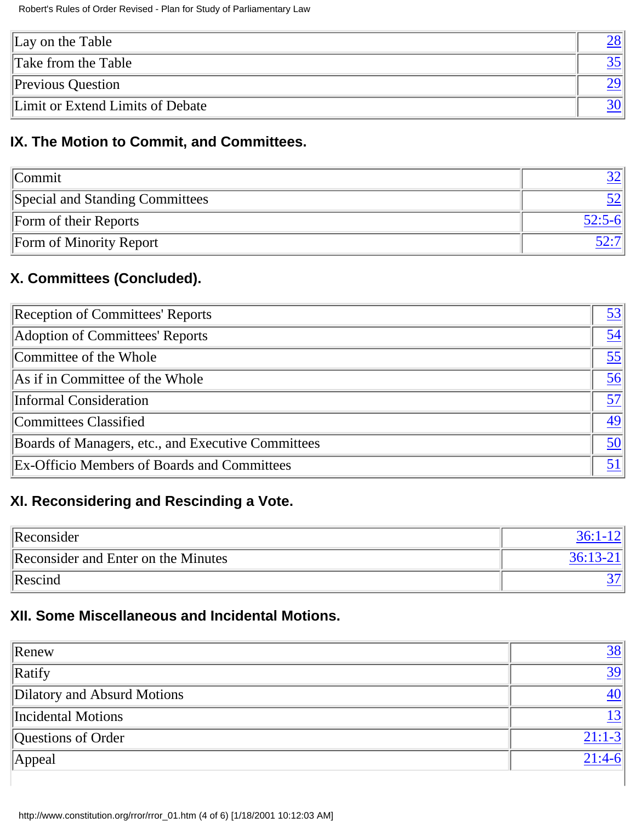Robert's Rules of Order Revised - Plan for Study of Parliamentary Law

| Lay on the Table                 | 28              |
|----------------------------------|-----------------|
| Take from the Table              | 35 <sup>2</sup> |
| <b>Previous Question</b>         | 29              |
| Limit or Extend Limits of Debate | 30 <sup>°</sup> |

# **IX. The Motion to Commit, and Committees.**

| Commit                          | 32       |
|---------------------------------|----------|
| Special and Standing Committees | 521      |
| Form of their Reports           | $52:5-6$ |
| Form of Minority Report         |          |

# **X. Committees (Concluded).**

| Reception of Committees' Reports                   | 53              |
|----------------------------------------------------|-----------------|
| Adoption of Committees' Reports                    | 54              |
| Committee of the Whole                             | $\overline{55}$ |
| As if in Committee of the Whole                    | $\overline{56}$ |
| Informal Consideration                             | 57              |
| Committees Classified                              | 49              |
| Boards of Managers, etc., and Executive Committees | 50              |
| <b>Ex-Officio Members of Boards and Committees</b> | 51              |

# **XI. Reconsidering and Rescinding a Vote.**

| Reconsider                          |  |
|-------------------------------------|--|
| Reconsider and Enter on the Minutes |  |
| Rescind                             |  |

# **XII. Some Miscellaneous and Incidental Motions.**

| Renew                       | 38       |
|-----------------------------|----------|
| Ratify                      | 39       |
| Dilatory and Absurd Motions | 40       |
| Incidental Motions          | 13       |
| Questions of Order          | $21:1-3$ |
| Appeal                      | $21:4-6$ |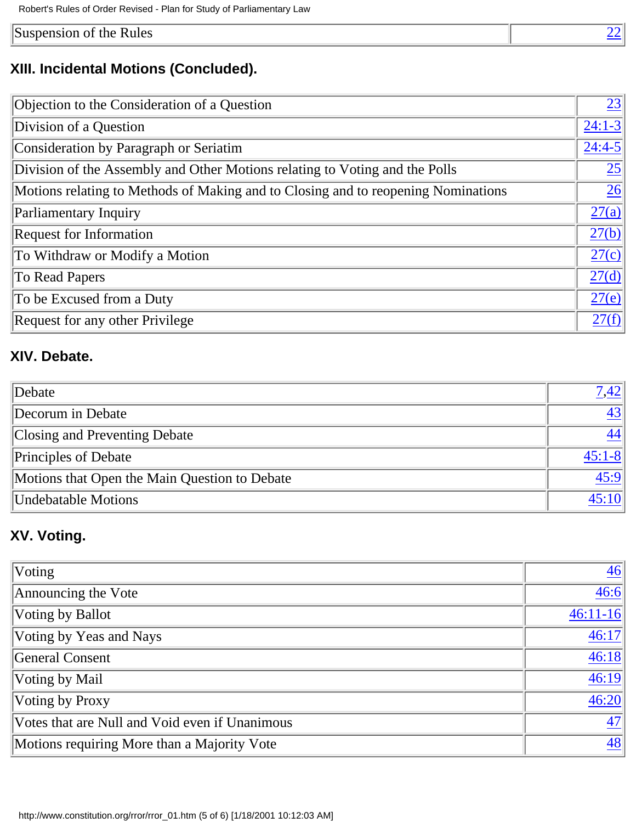| $\ Sus\ $<br>the Rules<br>- OT<br>ension<br>I JF |  |
|--------------------------------------------------|--|

# **XIII. Incidental Motions (Concluded).**

| Objection to the Consideration of a Question                                      | 23       |
|-----------------------------------------------------------------------------------|----------|
| Division of a Question                                                            | $24:1-3$ |
| Consideration by Paragraph or Seriatim                                            | $24:4-5$ |
| Division of the Assembly and Other Motions relating to Voting and the Polls       | 25       |
| Motions relating to Methods of Making and to Closing and to reopening Nominations | 26       |
| Parliamentary Inquiry                                                             | 27(a)    |
| <b>Request for Information</b>                                                    | 27(b)    |
| To Withdraw or Modify a Motion                                                    | 27(c)    |
| To Read Papers                                                                    | 27(d)    |
| To be Excused from a Duty                                                         | 27(e)    |
| Request for any other Privilege                                                   | 27(f)    |

#### **XIV. Debate.**

| Debate                                        | 7,42        |
|-----------------------------------------------|-------------|
| Decorum in Debate                             | $\sqrt{43}$ |
| Closing and Preventing Debate                 | 44          |
| Principles of Debate                          | $45:1-8$    |
| Motions that Open the Main Question to Debate | 45:9        |
| Undebatable Motions                           | 45:10       |

# **XV. Voting.**

| Voting                                         | $\frac{46}{5}$ |
|------------------------------------------------|----------------|
| Announcing the Vote                            | 46:6           |
| Voting by Ballot                               | $46:11-16$     |
| Voting by Yeas and Nays                        | 46:17          |
| General Consent                                | 46:18          |
| Voting by Mail                                 | 46:19          |
| Voting by Proxy                                | 46:20          |
| Votes that are Null and Void even if Unanimous | 47             |
| Motions requiring More than a Majority Vote    | $\frac{48}{5}$ |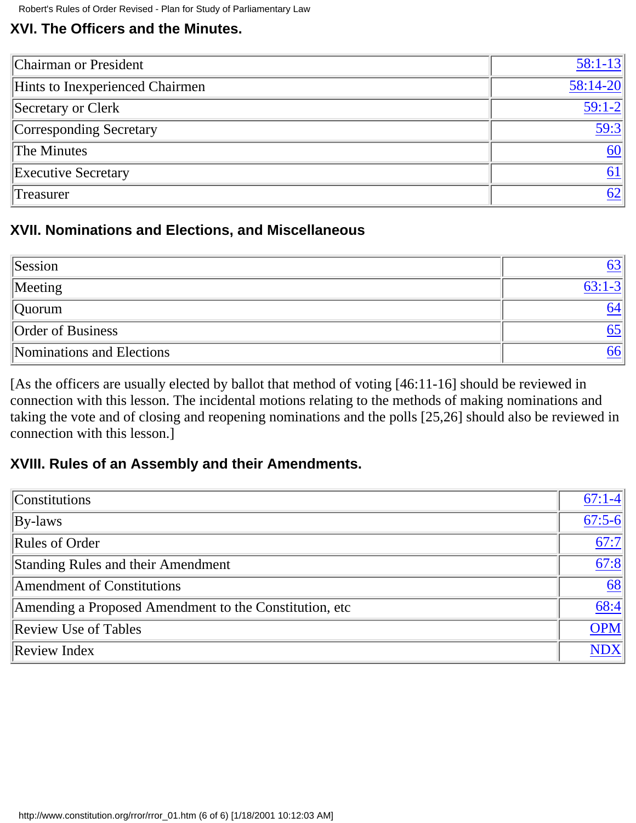# **XVI. The Officers and the Minutes.**

| Chairman or President           | $58:1-13$  |
|---------------------------------|------------|
| Hints to Inexperienced Chairmen | $58:14-20$ |
| Secretary or Clerk              | $59:1-2$   |
| Corresponding Secretary         | 59:3       |
| The Minutes                     | 60         |
| <b>Executive Secretary</b>      | 61         |
| Treasurer                       | 62         |

#### **XVII. Nominations and Elections, and Miscellaneous**

| Session                   | 63       |
|---------------------------|----------|
| $\Delta$ Meeting          | $63:1-3$ |
| $\sqrt{\frac{1}{2}}$      | 64       |
| <b>Order of Business</b>  | 65       |
| Nominations and Elections | 66       |

[As the officers are usually elected by ballot that method of voting [46:11-16] should be reviewed in connection with this lesson. The incidental motions relating to the methods of making nominations and taking the vote and of closing and reopening nominations and the polls [25,26] should also be reviewed in connection with this lesson.]

# **XVIII. Rules of an Assembly and their Amendments.**

| Constitutions                                           | $67:1-4$   |
|---------------------------------------------------------|------------|
| $\mathbf{By}\text{-}\mathbf{laws}$                      | $67:5-6$   |
| Rules of Order                                          | 67:7       |
| Standing Rules and their Amendment                      | 67:8       |
| Amendment of Constitutions                              | 68         |
| Amending a Proposed Amendment to the Constitution, etc. | 68:4       |
| <b>Review Use of Tables</b>                             | <b>OPM</b> |
| Review Index                                            | <b>NDX</b> |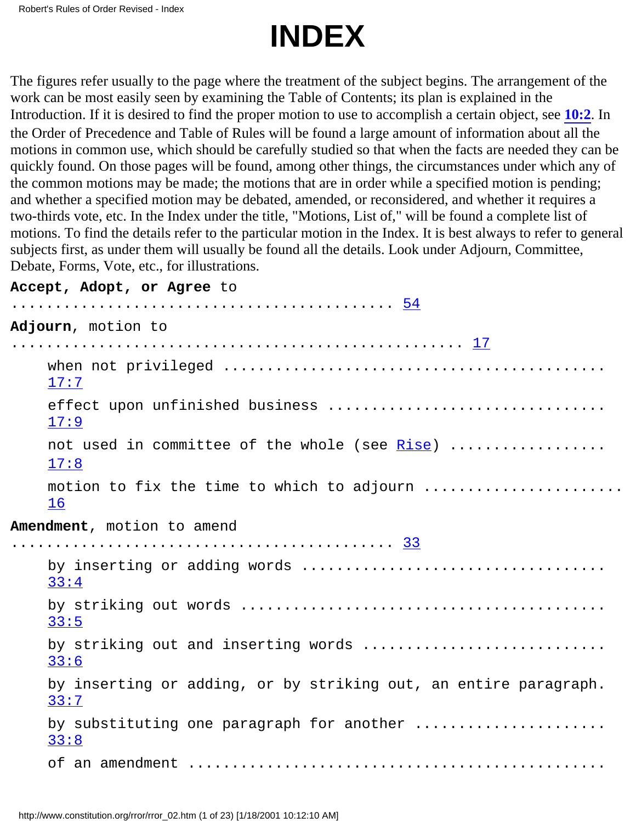# **INDEX**

<span id="page-147-0"></span>The figures refer usually to the page where the treatment of the subject begins. The arrangement of the work can be most easily seen by examining the Table of Contents; its plan is explained in the Introduction. If it is desired to find the proper motion to use to accomplish a certain object, see **[10:2](#page-38-0)**. In the Order of Precedence and Table of Rules will be found a large amount of information about all the motions in common use, which should be carefully studied so that when the facts are needed they can be quickly found. On those pages will be found, among other things, the circumstances under which any of the common motions may be made; the motions that are in order while a specified motion is pending; and whether a specified motion may be debated, amended, or reconsidered, and whether it requires a two-thirds vote, etc. In the Index under the title, "Motions, List of," will be found a complete list of motions. To find the details refer to the particular motion in the Index. It is best always to refer to general subjects first, as under them will usually be found all the details. Look under Adjourn, Committee, Debate, Forms, Vote, etc., for illustrations.

**Accept, Adopt, or Agree** to ............................................ [54](#page-114-0) **Adjourn**, motion to .................................................... [17](#page-10-0) when not privileged ............................................ [17:7](#page-11-0) effect upon unfinished business .................................. [17:9](#page-11-1) not used in committee of the whole (see Rise) ................. [17:8](#page-11-2) motion to fix the time to which to adjourn ...................... 16 **Amendment**, motion to amend ............................................ [33](#page-99-0) by inserting or adding words ................................... [33:4](#page-100-0) by striking out words .......................................... [33:5](#page-101-0) by striking out and inserting words ............................. [33:6](#page-101-1) by inserting or adding, or by striking out, an entire paragraph. [33:7](#page-101-2) by substituting one paragraph for another ..................... [33:8](#page-102-0) of an amendment ................................................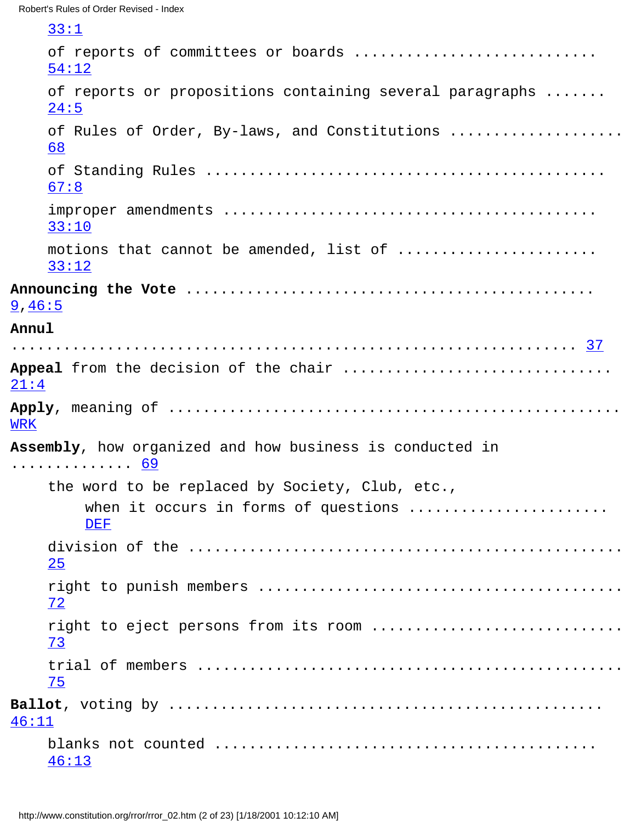[33:1](#page-99-0) of reports of committees or boards ............................ [54:12](#page-115-0) of reports or propositions containing several paragraphs ....... [24:5](#page-28-0) of Rules of Order, By-laws, and Constitutions ................... 68 of Standing Rules .............................................. 67:8 improper amendments ........................................... [33:10](#page-102-1) motions that cannot be amended, list of ...................... [33:12](#page-103-0) **Announcing the Vote** ............................................... [9](#page-44-0),[46:5](#page-61-3) **Annul** ................................................................. [37](#page-84-0) **Appeal** from the decision of the chair ................................. [21:4](#page-24-0) **Apply**, meaning of .................................................... [WRK](#page-137-0) **Assembly**, how organized and how business is conducted in .............. [69](#page-49-0) the word to be replaced by Society, Club, etc., when it occurs in forms of questions ...................... [DEF](#page-138-0) division of the .................................................. 25 right to punish members .......................................... [72](#page-129-0) right to eject persons from its room .............................. [73](#page-129-1) trial of members ................................................. [75](#page-130-0) **Ballot**, voting by .................................................. [46:11](#page-63-0) blanks not counted ............................................ [46:13](#page-63-1)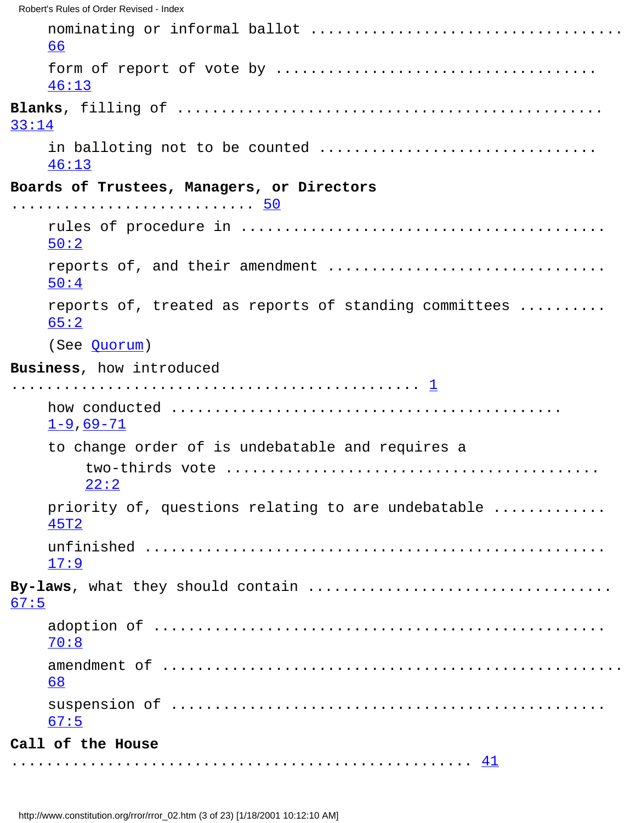nominating or informal ballot .................................... [66](#page-74-0) form of report of vote by ..................................... [46:13](#page-63-1) **Blanks**, filling of ................................................. [33:14](#page-104-0) in balloting not to be counted ................................... [46:13](#page-63-1) **Boards of Trustees, Managers, or Directors** ............................ [50](#page-108-1) rules of procedure in .......................................... [50:2](#page-109-2) reports of, and their amendment ................................ [50:4](#page-109-3) reports of, treated as reports of standing committees .......... [65:2](#page-70-1) (See Quorum) **Business**, how introduced ............................................... 1 how conducted ............................................. 1-9,[69-71](#page-49-0) to change order of is undebatable and requires a two-thirds vote ........................................... [22:2](#page-25-0) priority of, questions relating to are undebatable ............. [45T2](#page-36-0) unfinished ..................................................... [17:9](#page-11-1) **By-laws**, what they should contain ................................... 67:5 adoption of .................................................... [70:8](#page-54-0) amendment of ..................................................... 68 suspension of .................................................. 67:5 **Call of the House** ..................................................... [41](#page-86-0)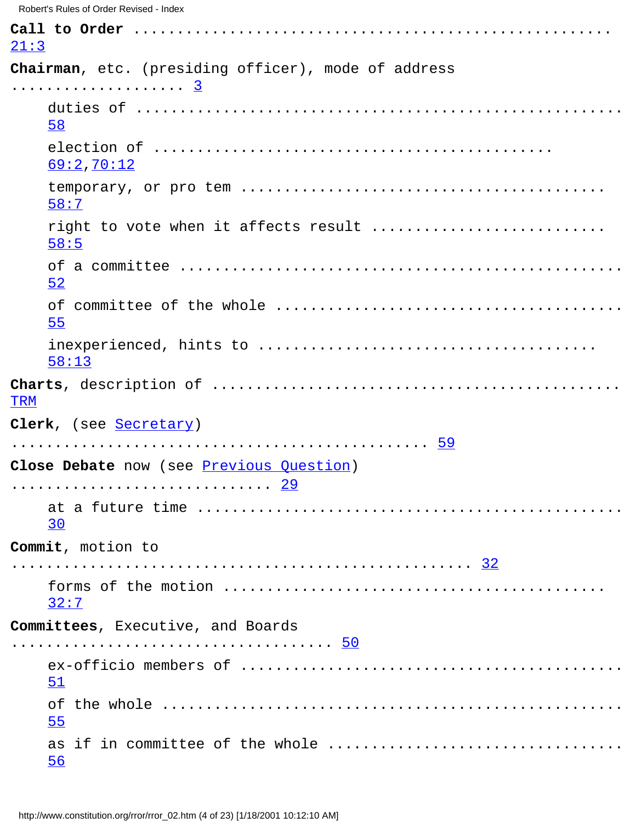```
Call to Order .......................................................
21:3
Chairman, etc. (presiding officer), mode of address
.................... 3
    duties of ........................................................
    58
    election of ..............................................
    69:2,70:12
    temporary, or pro tem ..........................................
    58:7
    right to vote when it affects result ............................
    58:5
    of a committee ...................................................
    52
    of committee of the whole ........................................
    55
    inexperienced, hints to .......................................
    58:13
Charts, description of ...............................................
TRM
Clerk, (see Secretary)
................................................ 59
Close Debate now (see Previous Question)
.............................. 29
    at a future time .................................................
    30
Commit, motion to
..................................................... 32
    forms of the motion ............................................
    32:7
Committees, Executive, and Boards
..................................... 50
    ex-officio members of ............................................
    51
    of the whole .....................................................
    55
    as if in committee of the whole ..................................
    56
```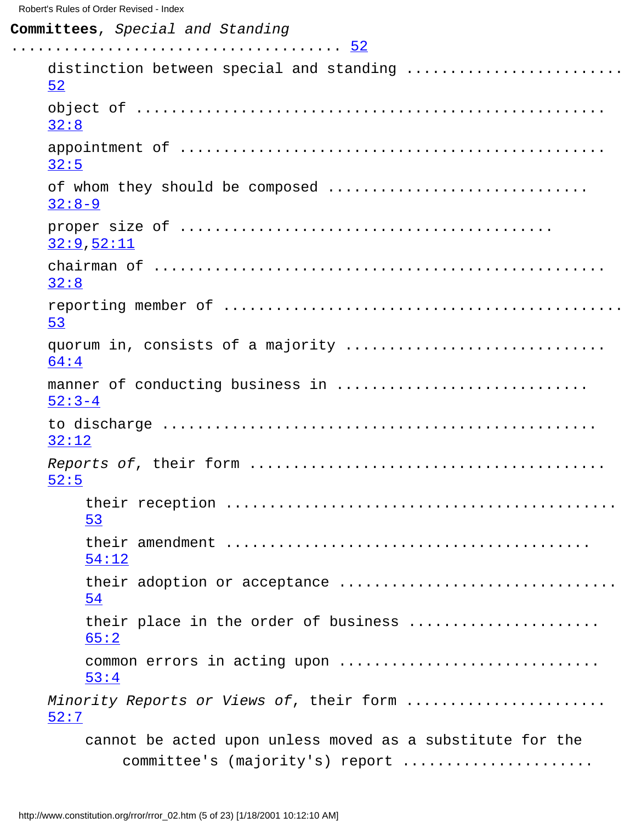**Committees**, Special and Standing ...................................... [52](#page-109-0) distinction between special and standing ........................ [52](#page-109-0) object of ...................................................... [32:8](#page-98-1) appointment of ................................................. [32:5](#page-97-0) of whom they should be composed ................................ [32:8-9](#page-98-1) proper size of ........................................... [32:9,](#page-98-2)[52:11](#page-112-0) chairman of .................................................... [32:8](#page-98-1) reporting member of .............................................. [53](#page-113-0) quorum in, consists of a majority ................................ [64:4](#page-70-1) manner of conducting business in ............................... [52:3-4](#page-110-0) to discharge .................................................. [32:12](#page-99-1) Reports of, their form ......................................... [52:5](#page-111-0) their reception ............................................. [53](#page-113-0) their amendment .......................................... [54:12](#page-115-0) their adoption or acceptance ................................ [54](#page-114-0) their place in the order of business ...................... [65:2](#page-70-1) common errors in acting upon ................................ [53:4](#page-108-2) Minority Reports or Views of, their form ....................... [52:7](#page-111-1) cannot be acted upon unless moved as a substitute for the committee's (majority's) report ......................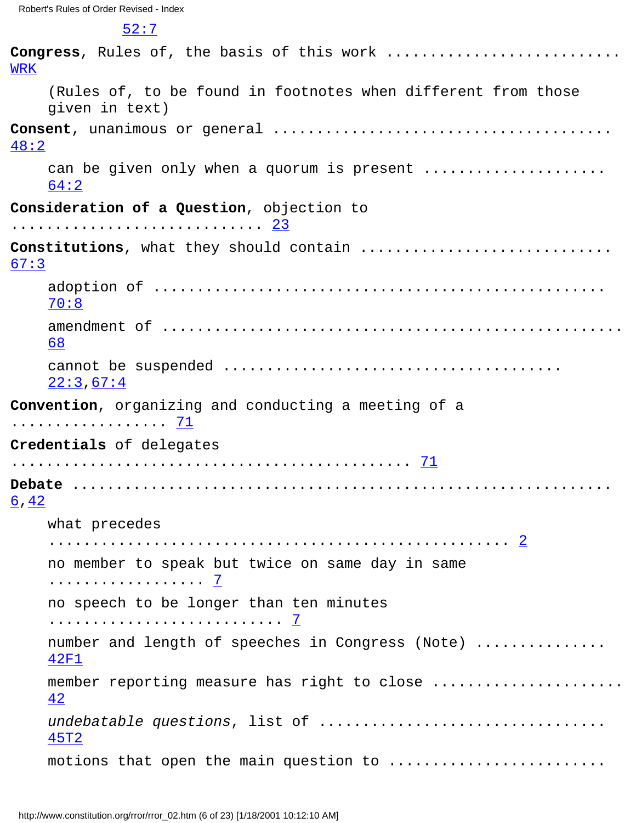[52:7](#page-111-1) **Congress**, Rules of, the basis of this work ........................... [WRK](#page-136-0) (Rules of, to be found in footnotes when different from those given in text) **Consent**, unanimous or general ....................................... [48:2](#page-66-2) can be given only when a quorum is present .................... [64:2](#page-70-1) **Consideration of a Question**, objection to ............................. [23](#page-26-0) **Constitutions**, what they should contain ................................. 67:3 adoption of .................................................... [70:8](#page-54-0) amendment of ..................................................... 68 cannot be suspended ....................................... [22:3,](#page-25-1)67:4 **Convention**, organizing and conducting a meeting of a . . . . . . . . . . . . . . . . . <u>[71](#page-57-0)</u> **Credentials** of delegates .............................................. [71](#page-57-0) **Debate** .............................................................. [6](#page-43-1),[42](#page-33-0) what precedes ..................................................... 2 no member to speak but twice on same day in same . . . . . . . . . . . . . . . . . [7](#page-43-0) no speech to be longer than ten minutes ........................... [7](#page-43-0) number and length of speeches in Congress (Note) .............. [42F1](#page-33-2) member reporting measure has right to close ..................... [42](#page-33-0) undebatable questions, list of ................................. [45T2](#page-36-0) motions that open the main question to ......................... Robert's Rules of Order Revised - Index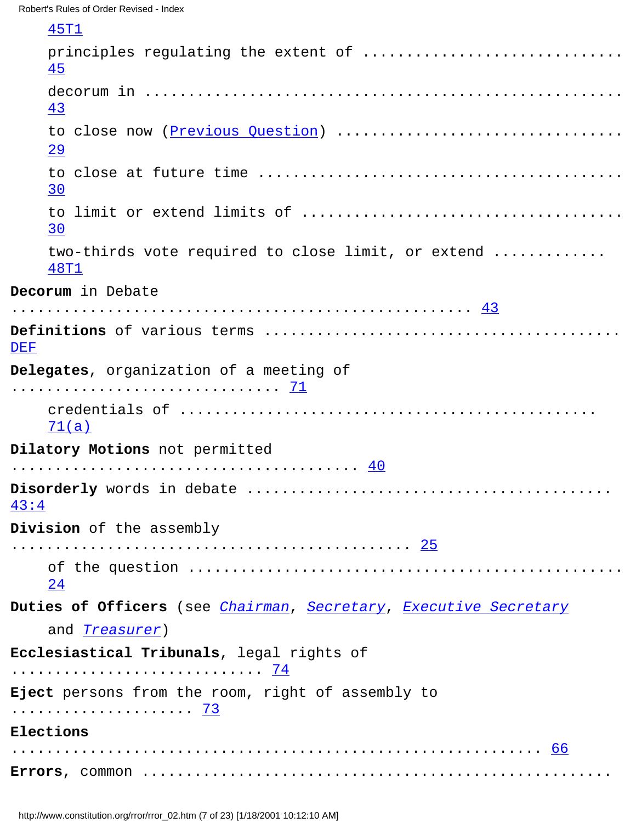```
45T1
    principles regulating the extent of ...............................
    45
    decorum in .......................................................
    43
    to close now (Previous Question) ...................................
    29
    to close at future time ..........................................
    30
    to limit or extend limits of .....................................
    30
    two-thirds vote required to close limit, or extend .............
    48T1
Decorum in Debate
..................................................... 43
Definitions of various terms .........................................
DEF
Delegates, organization of a meeting of
............................... 71
    credentials of ................................................
    71(a)
Dilatory Motions not permitted
........................................ 40
Disorderly words in debate ..........................................
43:4
Division of the assembly
.............................................. 25
    of the question ..................................................
    24
Duties of Officers (see Chairman, Secretary, Executive Secretary
    and Treasurer)
Ecclesiastical Tribunals, legal rights of
............................. 74
Eject persons from the room, right of assembly to
..................... 73
Elections
............................................................. 66
Errors, common ......................................................
```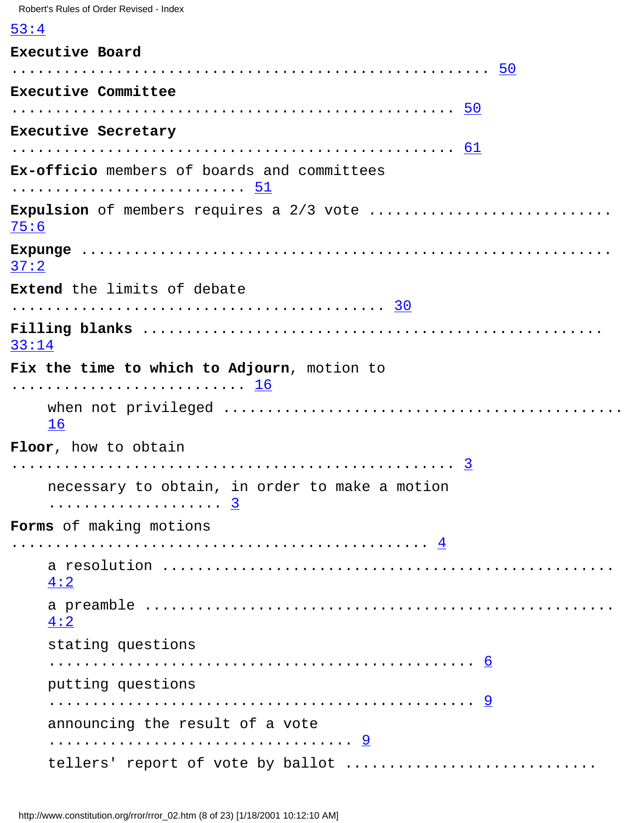[53:4](#page-108-2) **Executive Board** ....................................................... [50](#page-108-1) **Executive Committee** ................................................... [50](#page-108-1) **Executive Secretary** ................................................... [61](#page-126-0) **Ex-officio** members of boards and committees ........................... [51](#page-109-1) Expulsion of members requires a 2/3 vote ............................. [75:6](#page-131-0) **Expunge** ............................................................. [37:2](#page-84-2) **Extend** the limits of debate ........................................... [30](#page-94-0) **Filling blanks** ..................................................... [33:14](#page-104-0) **Fix the time to which to Adjourn**, motion to ........................... 16 when not privileged .............................................. 16 **Floor**, how to obtain ................................................... 3 necessary to obtain, in order to make a motion .................... 3 **Forms** of making motions ................................................ [4](#page-41-0) a resolution .................................................... [4:2](#page-41-1) a preamble ...................................................... [4:2](#page-41-1) stating questions ................................................. [6](#page-43-1) putting questions ................................................. [9](#page-44-0) announcing the result of a vote ................................... [9](#page-44-0) tellers' report of vote by ballot .............................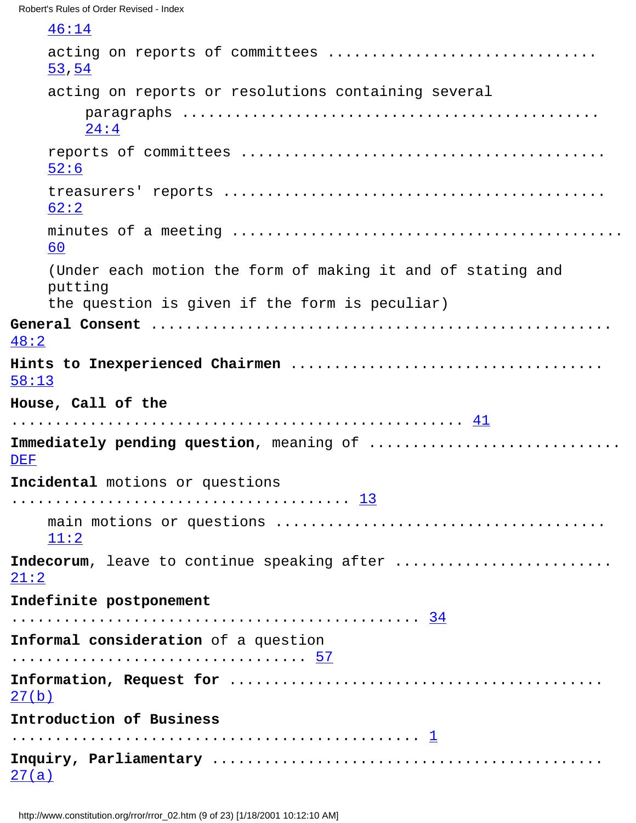```
46:14
    acting on reports of committees .................................
    53,54
    acting on reports or resolutions containing several
        paragraphs ................................................
        24:4
    reports of committees ..........................................
    52:6
    treasurers' reports ............................................
    62:2
    minutes of a meeting .............................................
    60
    (Under each motion the form of making it and of stating and
    putting
    the question is given if the form is peculiar)
General Consent .....................................................
48:2
Hints to Inexperienced Chairmen ....................................
58:13
House, Call of the
.................................................... 41
Immediately pending question, meaning of ...............................
DEF
Incidental motions or questions
....................................... 13
    main motions or questions ......................................
    11:2
Indecorum, leave to continue speaking after ..........................
21:2
Indefinite postponement
............................................... 34
Informal consideration of a question
.................................. 57
Information, Request for ...........................................
27(b)
Introduction of Business
         ............................................... 1
Inquiry, Parliamentary .............................................
27(a)
```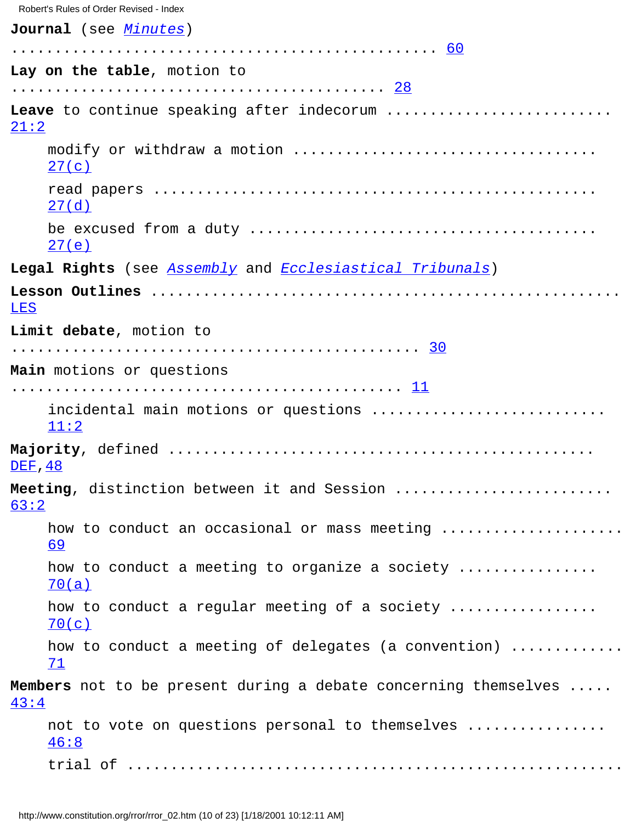**Journal** (see Minutes) ................................................. [60](#page-124-2) **Lay on the table**, motion to ........................................... [28](#page-89-0) Leave to continue speaking after indecorum ........................ [21:2](#page-23-2) modify or withdraw a motion ................................... 27(c) read papers ...................................................  $27(d)$ be excused from a duty ........................................ 27(e) **Legal Rights** (see Assembly and Ecclesiastical Tribunals) **Lesson Outlines** ...................................................... LES **Limit debate**, motion to ............................................... [30](#page-94-0) **Main** motions or questions ............................................. 11 incidental main motions or questions ........................... 11:2 **Majority**, defined ................................................. [DEF](#page-139-0), [48](#page-66-1) **Meeting**, distinction between it and Session ......................... [63:2](#page-70-2) how to conduct an occasional or mass meeting .................... [69](#page-49-0) how to conduct a meeting to organize a society  $\dots\dots\dots\dots\dots$ [70\(a\)](#page-53-0) how to conduct a regular meeting of a society ................ [70\(c\)](#page-56-0) how to conduct a meeting of delegates (a convention) ............. [71](#page-57-0) **Members** not to be present during a debate concerning themselves ..... [43:4](#page-34-2) not to vote on questions personal to themselves ............... [46:8](#page-62-0) trial of .........................................................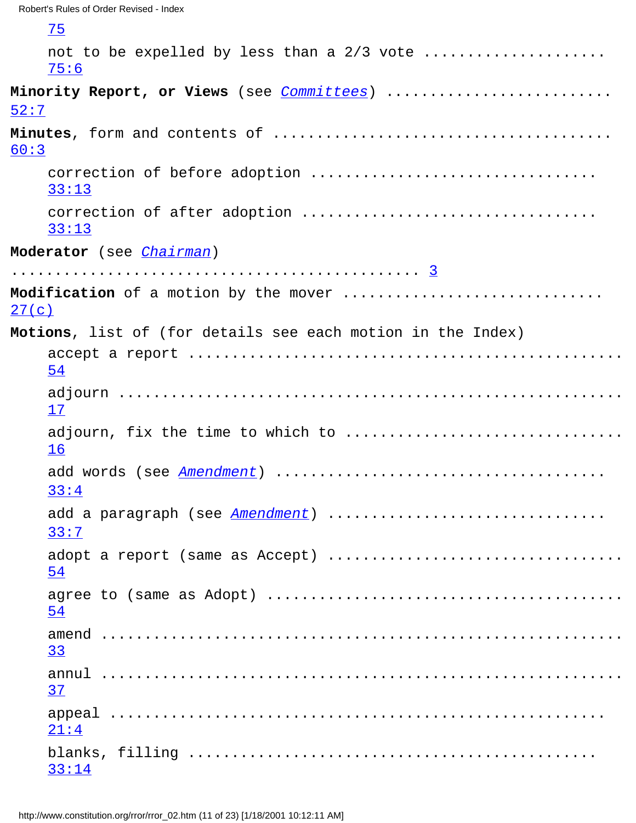[75](#page-130-0) not to be expelled by less than a 2/3 vote .................... [75:6](#page-131-0) Minority Report, or Views (see *Committees*) .......................... [52:7](#page-111-1) **Minutes**, form and contents of ....................................... [60:3](#page-125-0) correction of before adoption ................................. [33:13](#page-104-1) correction of after adoption .................................. [33:13](#page-104-1) **Moderator** (see Chairman) ............................................... 3 **Modification** of a motion by the mover .............................. 27(c) **Motions**, list of (for details see each motion in the Index) accept a report .................................................. [54](#page-114-0) adjourn .......................................................... [17](#page-10-0) adjourn, fix the time to which to .................................. 16 add words (see Amendment) ...................................... [33:4](#page-100-0) add a paragraph (see Amendment) .................................. [33:7](#page-101-2) adopt a report (same as Accept) .................................. [54](#page-114-0) agree to (same as Adopt) ......................................... [54](#page-114-0) amend ............................................................ [33](#page-99-0) annul ............................................................ [37](#page-84-0) appeal ......................................................... [21:4](#page-24-0) blanks, filling ............................................... [33:14](#page-104-0)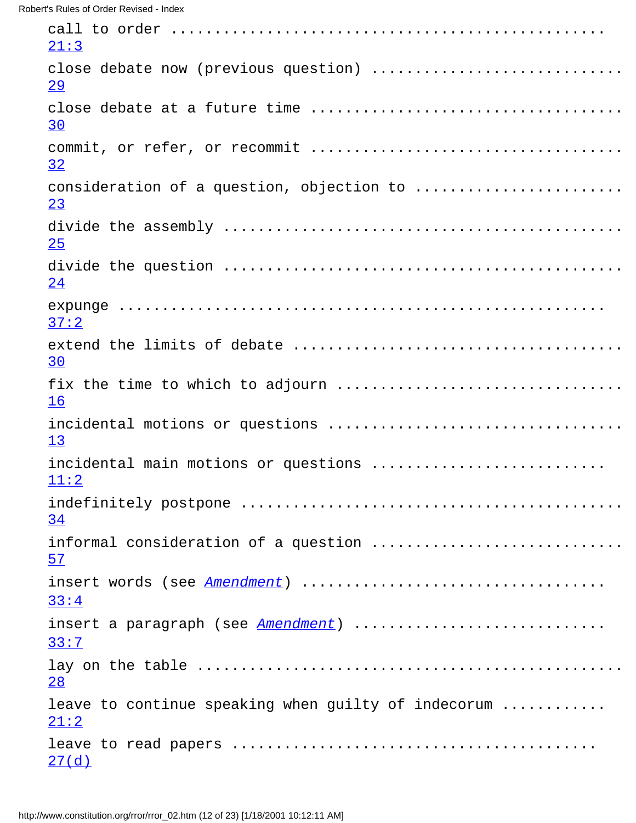| 21:3                                                         |
|--------------------------------------------------------------|
| close debate now (previous question)<br><u>29</u>            |
| <u>30</u>                                                    |
| 32                                                           |
| consideration of a question, objection to<br>$\overline{23}$ |
| 25                                                           |
| 24                                                           |
| 37:2                                                         |
| 30                                                           |
| fix the time to which to adjourn<br>16                       |
| <u>13</u>                                                    |
| incidental main motions or questions<br>11:2                 |
| 34                                                           |
| informal consideration of a question<br><u>57</u>            |
| 33:4                                                         |
| insert a paragraph (see Amendment)<br>33:7                   |
| 28                                                           |
| leave to continue speaking when guilty of indecorum<br>21:2  |
| 27(d)                                                        |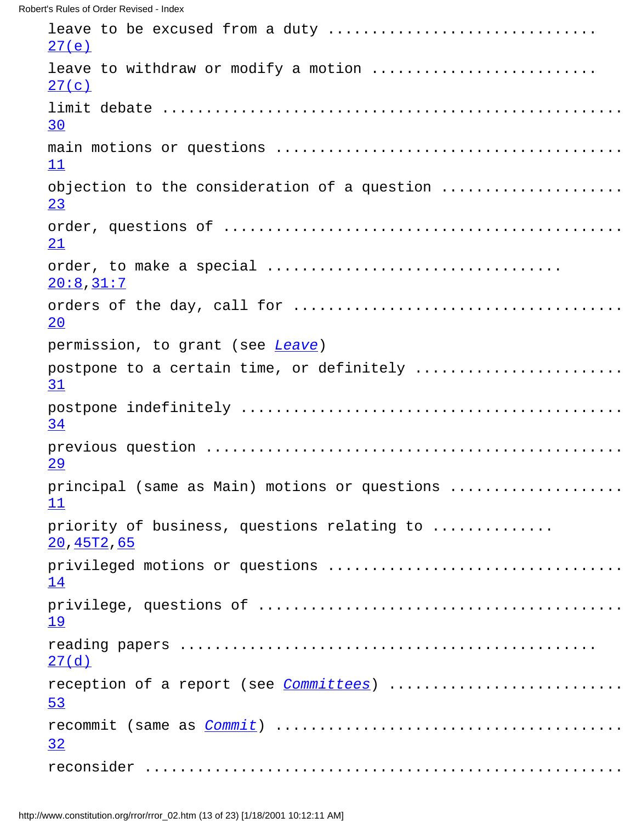```
leave to be excused from a duty ...............................
27(e)
leave to withdraw or modify a motion ..........................
27(c)
limit debate .....................................................
30
main motions or questions ........................................
11
objection to the consideration of a question \ldots \ldots \ldots \ldots \ldots23
order, questions of ..............................................
21
order, to make a special ..................................
20:8,31:7
orders of the day, call for ......................................
20
Leave)
postpone to a certain time, or definitely \dots\dots\dots\dots\dots\dots\dots\dots31
postpone indefinitely ............................................
34
previous question ................................................
29
principal (same as Main) motions or questions ...................
11
priority of business, questions relating to ..............
20,45T2,65
privileged motions or questions ..................................
14
privilege, questions of ..........................................
19
reading papers ................................................
27(d)
reception of a report (see Committees) ..........................
53
recommit (same as Commit) ........................................
32
reconsider .......................................................
```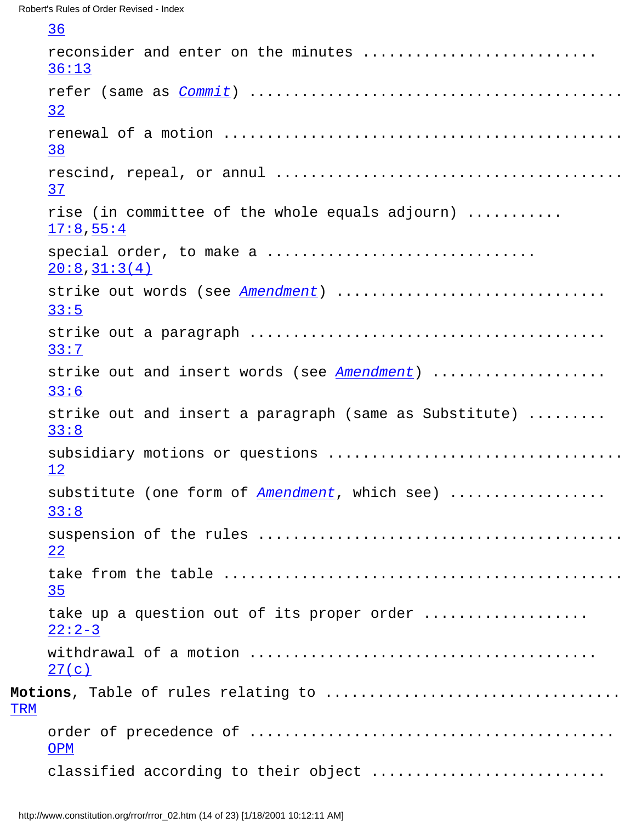[36](#page-79-1) reconsider and enter on the minutes .......................... [36:13](#page-82-0) refer (same as [Commit](#page-147-0)) ........................................... [32](#page-96-0) renewal of a motion .............................................. [38](#page-84-1) rescind, repeal, or annul ........................................ [37](#page-84-0) rise (in committee of the whole equals adjourn) ........... [17:8,](#page-11-2)[55:4](#page-116-1) special order, to make a ................................ [20:8,](#page-15-0)[31:3\(4\)](#page-96-1) strike out words (see Amendment) ............................... [33:5](#page-101-0) strike out a paragraph ......................................... [33:7](#page-101-2) strike out and insert words (see Amendment) ................... [33:6](#page-101-1) strike out and insert a paragraph (same as Substitute) ........ [33:8](#page-102-0) subsidiary motions or questions .................................. 12 substitute (one form of Amendment, which see) ................. [33:8](#page-102-0) suspension of the rules .......................................... [22](#page-24-1) take from the table .............................................. [35](#page-79-0) take up a question out of its proper order ..................  $22:2-3$ withdrawal of a motion ........................................ 27(c) **Motions**, Table of rules relating to .................................. [TRM](#page-5-0) order of precedence of .......................................... [OPM](#page-4-0) classified according to their object ...........................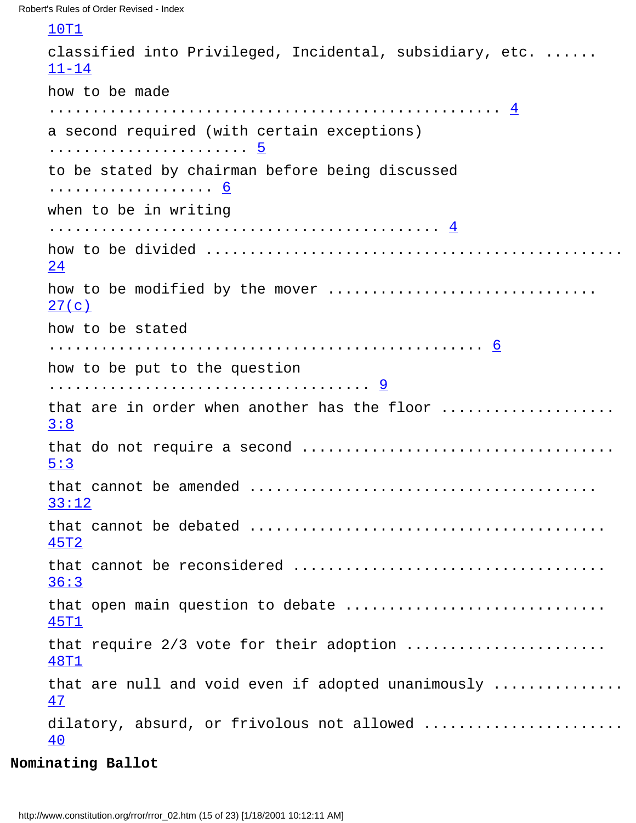```
10T1
classified into Privileged, Incidental, subsidiary, etc. ......
11-14
how to be made
.................................................... 4
a second required (with certain exceptions)
....................... 5
to be stated by chairman before being discussed
. . . . . . . . . . . . . . . . . . <u>6</u>
when to be in writing
............................................. 4
how to be divided ................................................
24
how to be modified by the mover ...............................
27(c)
how to be stated
.................................................. 6
how to be put to the question
..................................... 9
that are in order when another has the floor ...................
3:8
that do not require a second ....................................
5:3
that cannot be amended ........................................
33:12
that cannot be debated .........................................
45T2
that cannot be reconsidered ....................................
36:3
that open main question to debate ...............................
45T1
that require 2/3 vote for their adoption .......................
48T1
that are null and void even if adopted unanimously ...............
47
dilatory, absurd, or frivolous not allowed ......................
40
```

```
Nominating Ballot
```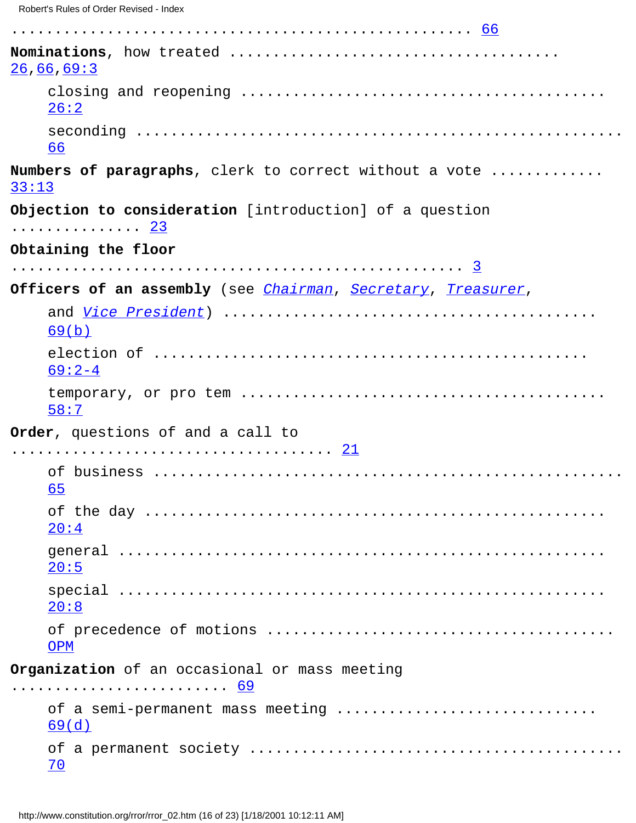..................................................... [66](#page-74-0) **Nominations**, how treated ...................................... 26[,66](#page-74-0)[,69:3](#page-49-2) closing and reopening .......................................... 26:2 seconding ........................................................ [66](#page-74-0) **Numbers of paragraphs**, clerk to correct without a vote ............. [33:13](#page-104-1) **Objection to consideration** [introduction] of a question ............... [23](#page-26-0) **Obtaining the floor** .................................................... 3 **Officers of an assembly** (see *Chairman, Secretary, Treasurer,* and [Vice President](#page-147-0)) ........................................... [69\(b\)](#page-50-0) election of .................................................. [69:2-4](#page-49-1) temporary, or pro tem .......................................... [58:7](#page-121-0) **Order**, questions of and a call to ..................................... [21](#page-23-0) of business ...................................................... [65](#page-73-0) of the day ..................................................... [20:4](#page-14-0) general ........................................................ [20:5](#page-14-1) special ........................................................ [20:8](#page-15-0) of precedence of motions ........................................ [OPM](#page-4-0) **Organization** of an occasional or mass meeting ......................... [69](#page-49-0) of a semi-permanent mass meeting ............................... [69\(d\)](#page-52-0) of a permanent society ........................................... [70](#page-53-0)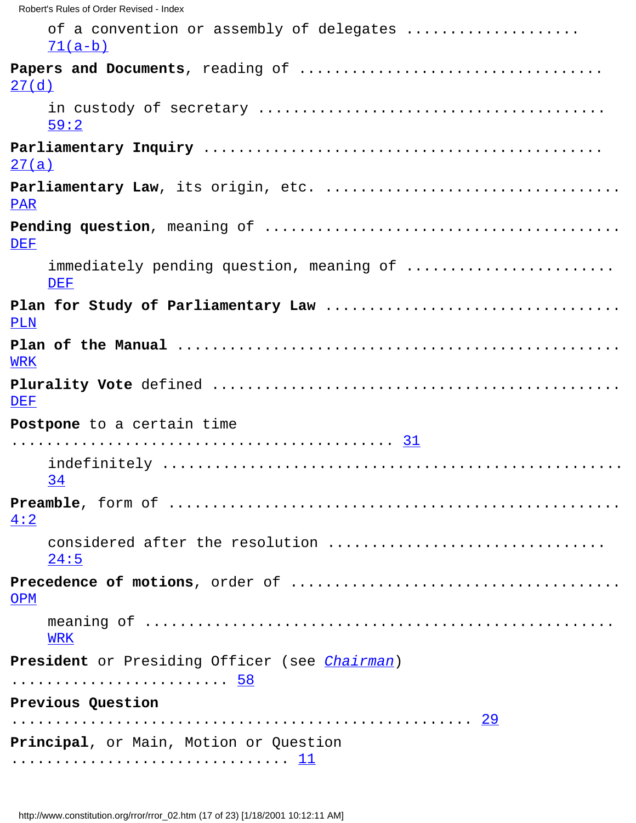of a convention or assembly of delegates ...................  $71(a-b)$ **Papers and Documents**, reading of ................................... 27(d) in custody of secretary ........................................ [59:2](#page-124-3) **Parliamentary Inquiry** .............................................. 27(a) **Parliamentary Law**, its origin, etc. .................................. [PAR](#page-134-0) **Pending question**, meaning of ......................................... [DEF](#page-138-2) immediately pending question, meaning of ....................... [DEF](#page-138-2) **Plan for Study of Parliamentary Law** .................................. [PLN](#page-141-0) **Plan of the Manual** ................................................... [WRK](#page-136-0) **Plurality Vote** defined ............................................... [DEF](#page-139-0) **Postpone** to a certain time ............................................ [31](#page-95-0) indefinitely ..................................................... [34](#page-106-0) **Preamble**, form of .................................................... [4:2](#page-41-1) considered after the resolution .................................. [24:5](#page-28-0) **Precedence of motions**, order of ...................................... [OPM](#page-4-0) meaning of ...................................................... [WRK](#page-137-1) President or Presiding Officer (see *Chairman*) ......................... [58](#page-120-0) **Previous Question** ..................................................... [29](#page-91-0) **Principal**, or Main, Motion or Question ................................ 11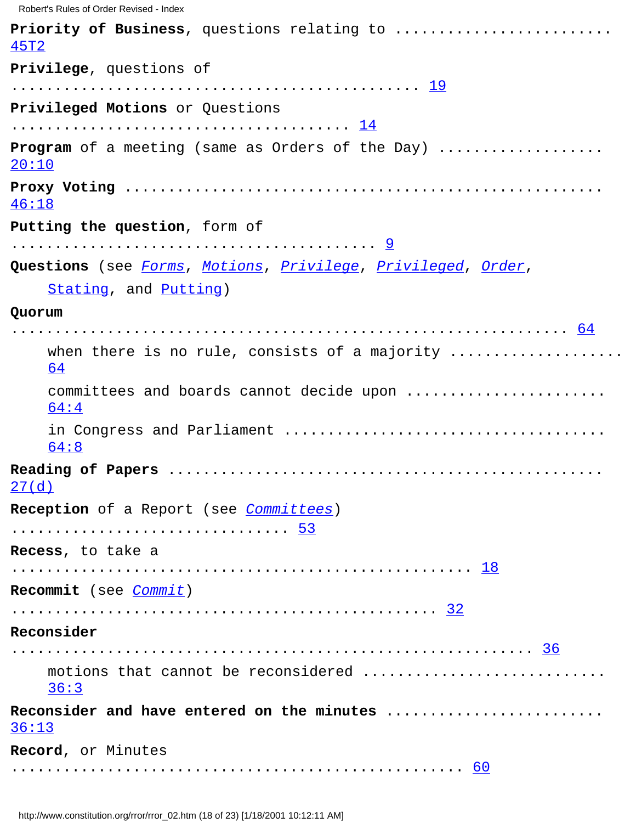**Priority of Business**, questions relating to ........................... [45T2](#page-36-0) **Privilege**, questions of ............................................... [19](#page-12-0) **Privileged Motions** or Questions ....................................... 14 Program of a meeting (same as Orders of the Day) ................... [20:10](#page-15-1) **Proxy Voting** ....................................................... [46:18](#page-65-1) **Putting the question**, form of .......................................... [9](#page-44-0) **Questions** (see [Forms](#page-147-0), [Motions](#page-147-0), [Privilege](#page-147-0), [Privileged](#page-147-0), [Order](#page-147-0), Stating, and Putting) **Quorum** ................................................................ [64](#page-71-0) when there is no rule, consists of a majority  $\ldots \ldots \ldots \ldots \ldots$ [64](#page-71-0) committees and boards cannot decide upon ...................... [64:4](#page-70-1) in Congress and Parliament ..................................... [64:8](#page-70-1) **Reading of Papers** ..................................................  $27(d)$ **Reception** of a Report (see Committees) ................................ [53](#page-113-0) **Recess**, to take a ..................................................... [18](#page-12-1) **Recommit** (see [Commit](#page-147-0)) ................................................. [32](#page-96-0) **Reconsider** ............................................................ [36](#page-79-1) motions that cannot be reconsidered ............................ [36:3](#page-80-0) Reconsider and have entered on the minutes .......................... [36:13](#page-82-0) **Record**, or Minutes .................................................... [60](#page-124-2)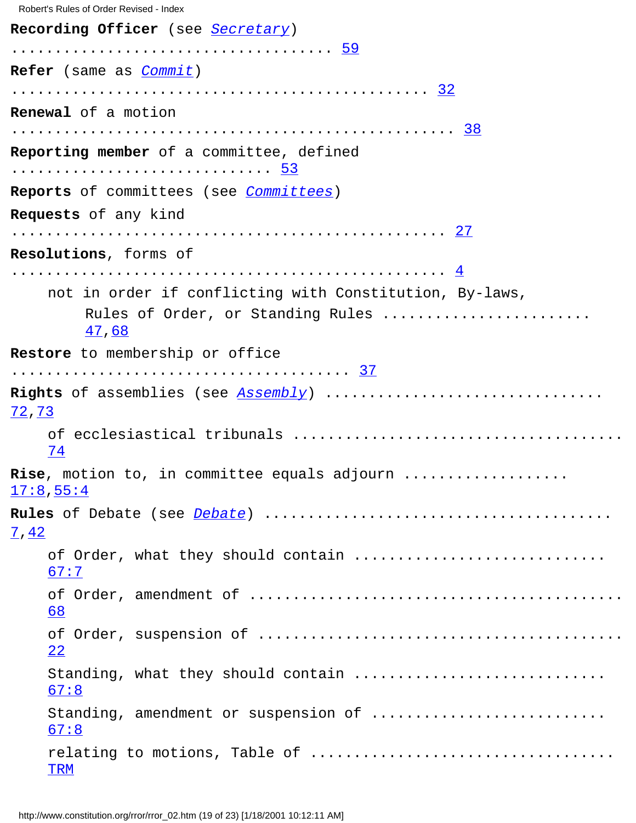**Recording Officer** (see **Secretary**) ..................................... [59](#page-124-0) **Refer** (same as [Commit](#page-147-0)) ................................................ [32](#page-96-0) **Renewal** of a motion ................................................... [38](#page-84-1) **Reporting member** of a committee, defined .............................. [53](#page-113-0) Reports of committees (see *Committees*) **Requests** of any kind .................................................. 27 **Resolutions**, forms of .................................................. [4](#page-41-0) not in order if conflicting with Constitution, By-laws, Rules of Order, or Standing Rules ........................ [47](#page-66-0),68 **Restore** to membership or office ....................................... [37](#page-84-0) **Rights** of assemblies (see Assembly) ................................ [72](#page-129-0)[,73](#page-129-1) of ecclesiastical tribunals ...................................... [74](#page-129-2) Rise, motion to, in committee equals adjourn ...................  $17:8,55:4$  $17:8,55:4$ **Rules** of Debate (see [Debate](#page-147-0)) ........................................ [7](#page-43-0),[42](#page-33-0) of Order, what they should contain ............................. 67:7 of Order, amendment of ........................................... 68 of Order, suspension of .......................................... [22](#page-24-1) Standing, what they should contain ............................. 67:8 Standing, amendment or suspension of ............................ 67:8 relating to motions, Table of ................................... [TRM](#page-5-0)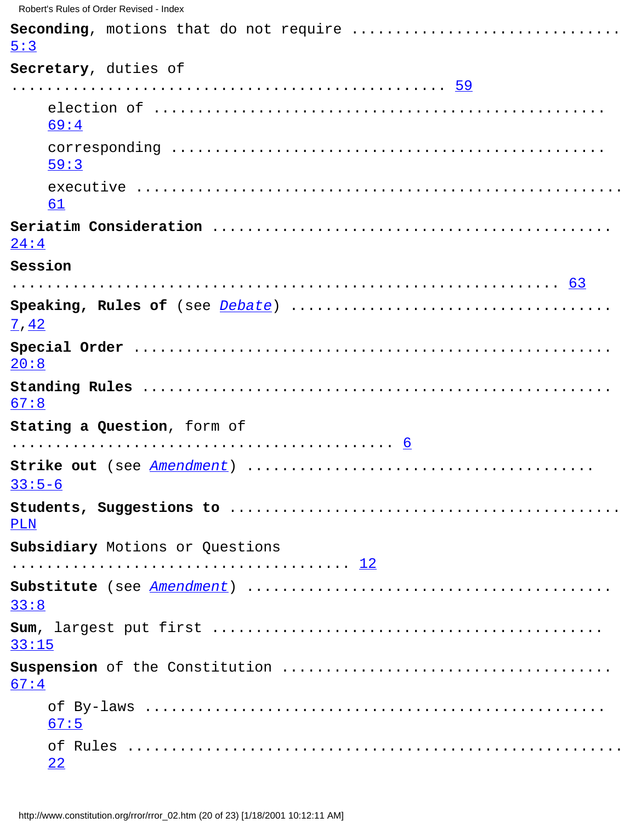| 5:3         | Seconding, motions that do not require |
|-------------|----------------------------------------|
|             | Secretary, duties of                   |
|             |                                        |
|             | 69:4                                   |
|             | 59:3                                   |
|             | 61                                     |
| 24:4        |                                        |
| Session     |                                        |
|             |                                        |
| <u>7,42</u> |                                        |
| 20:8        |                                        |
| 67:8        |                                        |
|             | Stating a Question, form of            |
|             |                                        |
| $33:5-6$    |                                        |
| <b>PLN</b>  |                                        |
|             | Subsidiary Motions or Questions        |
|             |                                        |
| 33:8        |                                        |
| 33:15       |                                        |
| 67:4        |                                        |
|             | 67:5                                   |
|             | 22                                     |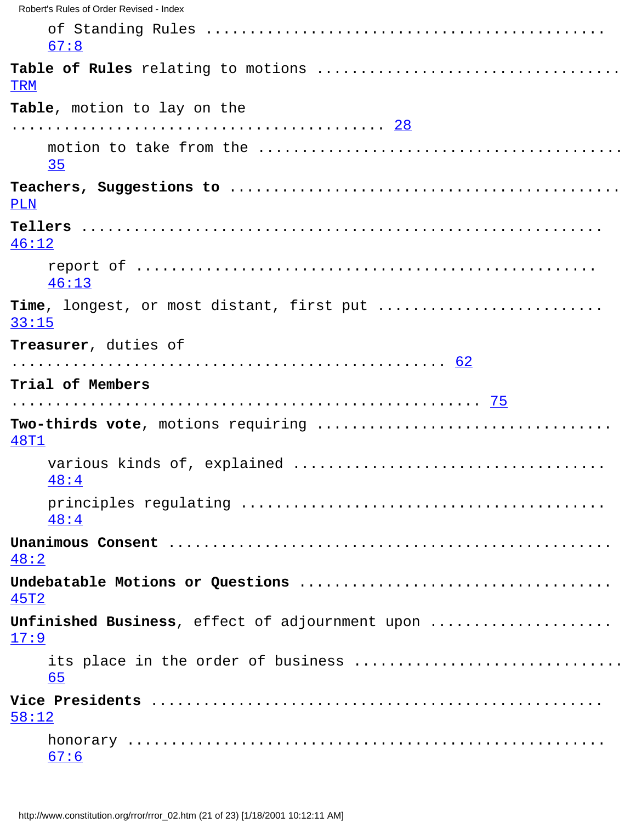of Standing Rules .............................................. 67:8 **Table of Rules** relating to motions ................................... [TRM](#page-5-0) **Table**, motion to lay on the ........................................... [28](#page-89-0) motion to take from the .......................................... [35](#page-79-0) **Teachers, Suggestions to** ............................................. [PLN](#page-141-0) **Tellers** ............................................................ [46:12](#page-63-2) report of ..................................................... [46:13](#page-63-1) Time, longest, or most distant, first put .......................... [33:15](#page-104-2) **Treasurer**, duties of .................................................. [62](#page-127-0) **Trial of Members** ...................................................... [75](#page-130-0) **Two-thirds vote**, motions requiring .................................. [48T1](#page-67-0) various kinds of, explained .................................... [48:4](#page-67-1) principles regulating .......................................... [48:4](#page-67-1) **Unanimous Consent** ................................................... [48:2](#page-66-2) **Undebatable Motions or Questions** .................................... [45T2](#page-36-0) **Unfinished Business**, effect of adjournment upon ..................... [17:9](#page-11-1) its place in the order of business ................................ [65](#page-73-0) **Vice Presidents** .................................................... [58:12](#page-122-2) honorary ....................................................... 67:6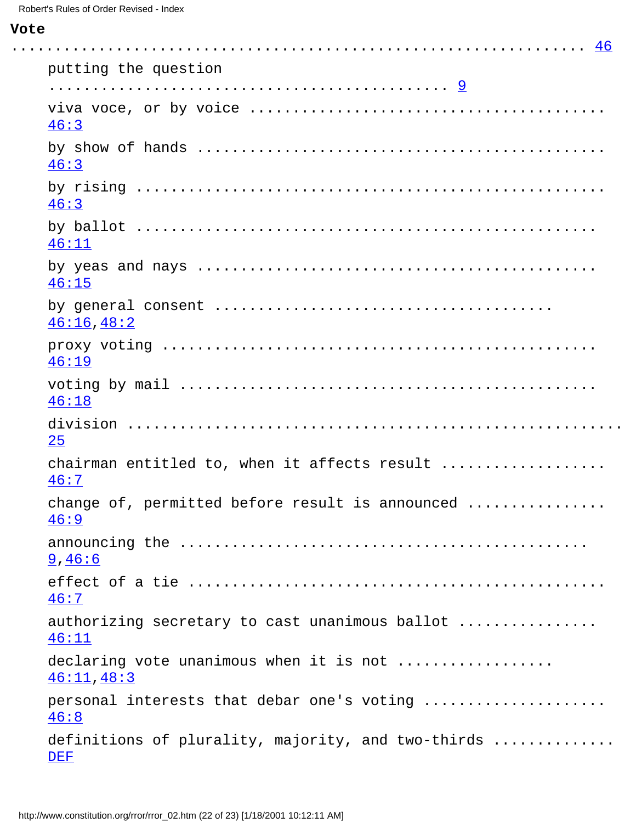#### **Vote**

|            | putting the question                                  |
|------------|-------------------------------------------------------|
| 46:3       |                                                       |
| 46:3       |                                                       |
| 46:3       |                                                       |
| 46:11      |                                                       |
| 46:15      |                                                       |
|            | 46:16, 48:2                                           |
| 46:19      |                                                       |
| 46:18      |                                                       |
| 25         |                                                       |
| 46:7       | chairman entitled to, when it affects result          |
| 46:9       | change of, permitted before result is announced       |
| 9,46:6     |                                                       |
| 46:7       |                                                       |
| 46:11      | authorizing secretary to cast unanimous ballot        |
|            | declaring vote unanimous when it is not<br>46:11,48:3 |
| 46:8       | personal interests that debar one's voting            |
| <b>DEF</b> | definitions of plurality, majority, and two-thirds    |